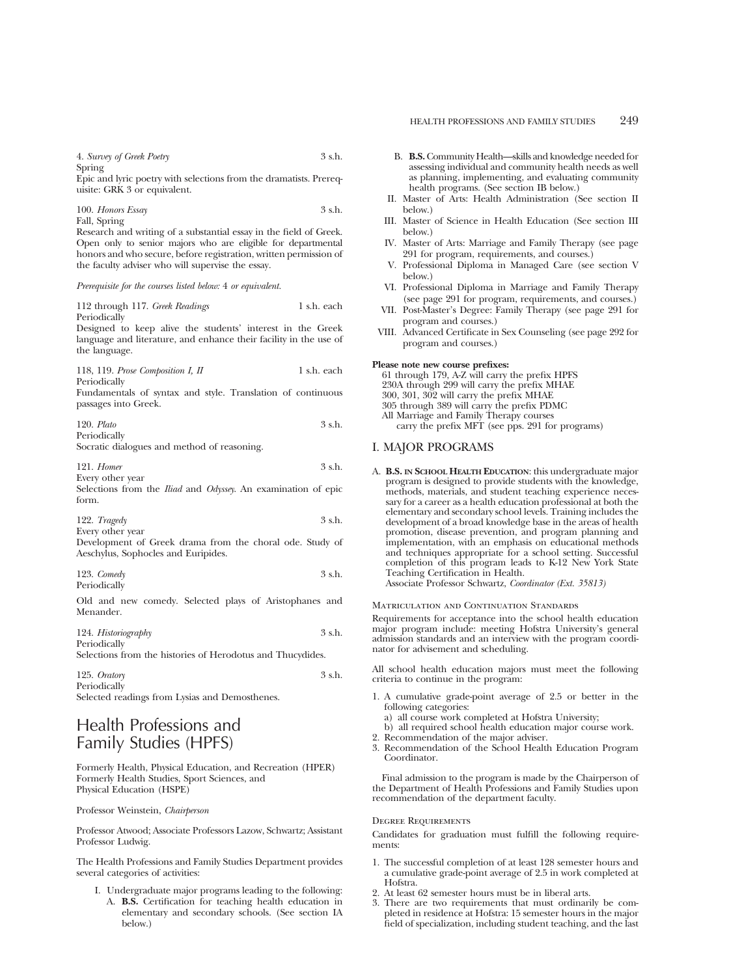Epic and lyric poetry with selections from the dramatists. Prerequisite: GRK 3 or equivalent.

100. *Honors Essay* 3 s.h. Fall, Spring

Research and writing of a substantial essay in the field of Greek. Open only to senior majors who are eligible for departmental honors and who secure, before registration, written permission of the faculty adviser who will supervise the essay.

#### *Prerequisite for the courses listed below:* 4 *or equivalent.*

112 through 117. *Greek Readings* 1 s.h. each Periodically Designed to keep alive the students' interest in the Greek

language and literature, and enhance their facility in the use of the language.

118, 119. *Prose Composition I, II* 1 s.h. each Periodically

Fundamentals of syntax and style. Translation of continuous passages into Greek.

120. *Plato* 3 s.h. Periodically

Socratic dialogues and method of reasoning.

| $121.$ Homer     | 3 s.h. |
|------------------|--------|
| Every other year |        |

Selections from the *Iliad* and *Odyssey*. An examination of epic form.

| 122. $Tragedy$   | 3 s.h. |
|------------------|--------|
| Every other year |        |

Development of Greek drama from the choral ode. Study of Aeschylus, Sophocles and Euripides.

| 123. $Comedy$ | 3 s.h. |
|---------------|--------|
| Periodically  |        |

Old and new comedy. Selected plays of Aristophanes and Menander.

124. *Historiography* 3 s.h. Periodically

Selections from the histories of Herodotus and Thucydides.

125. *Oratory* 3 s.h. Periodically Selected readings from Lysias and Demosthenes.

## Health Professions and Family Studies (HPFS)

Formerly Health, Physical Education, and Recreation (HPER) Formerly Health Studies, Sport Sciences, and Physical Education (HSPE)

Professor Weinstein, *Chairperson*

Professor Atwood; Associate Professors Lazow, Schwartz; Assistant Professor Ludwig.

The Health Professions and Family Studies Department provides several categories of activities:

I. Undergraduate major programs leading to the following: A. **B.S.** Certification for teaching health education in elementary and secondary schools. (See section IA below.)

- B. **B.S.**Community Health—skills and knowledge needed for assessing individual and community health needs as well as planning, implementing, and evaluating community health programs. (See section IB below.)
- II. Master of Arts: Health Administration (See section II below.)
- III. Master of Science in Health Education (See section III below.)
- IV. Master of Arts: Marriage and Family Therapy (see page 291 for program, requirements, and courses.)
- V. Professional Diploma in Managed Care (see section V below.)
- VI. Professional Diploma in Marriage and Family Therapy (see page 291 for program, requirements, and courses.)
- VII. Post-Master's Degree: Family Therapy (see page 291 for program and courses.)
- VIII. Advanced Certificate in Sex Counseling (see page 292 for program and courses.)

#### **Please note new course prefixes:**

61 through 179, A-Z will carry the prefix HPFS 230A through 299 will carry the prefix MHAE 300, 301, 302 will carry the prefix MHAE 305 through 389 will carry the prefix PDMC All Marriage and Family Therapy courses carry the prefix MFT (see pps. 291 for programs)

## I. MAJOR PROGRAMS

A. **B.S. IN SCHOOL HEALTH EDUCATION**: this undergraduate major program is designed to provide students with the knowledge, methods, materials, and student teaching experience necessary for a career as a health education professional at both the elementary and secondary school levels. Training includes the development of a broad knowledge base in the areas of health promotion, disease prevention, and program planning and implementation, with an emphasis on educational methods and techniques appropriate for a school setting. Successful completion of this program leads to K-12 New York State Teaching Certification in Health.

Associate Professor Schwartz, *Coordinator (Ext. 35813)*

Matriculation and Continuation Standards

Requirements for acceptance into the school health education major program include: meeting Hofstra University's general admission standards and an interview with the program coordinator for advisement and scheduling.

All school health education majors must meet the following criteria to continue in the program:

- 1. A cumulative grade-point average of 2.5 or better in the following categories:
	- a) all course work completed at Hofstra University;
	- b) all required school health education major course work.
- 2. Recommendation of the major adviser.
- 3. Recommendation of the School Health Education Program Coordinator.

Final admission to the program is made by the Chairperson of the Department of Health Professions and Family Studies upon recommendation of the department faculty.

#### Degree Requirements

Candidates for graduation must fulfill the following requirements:

- 1. The successful completion of at least 128 semester hours and a cumulative grade-point average of 2.5 in work completed at Hofstra.
- 2. At least 62 semester hours must be in liberal arts.
- 3. There are two requirements that must ordinarily be completed in residence at Hofstra: 15 semester hours in the major field of specialization, including student teaching, and the last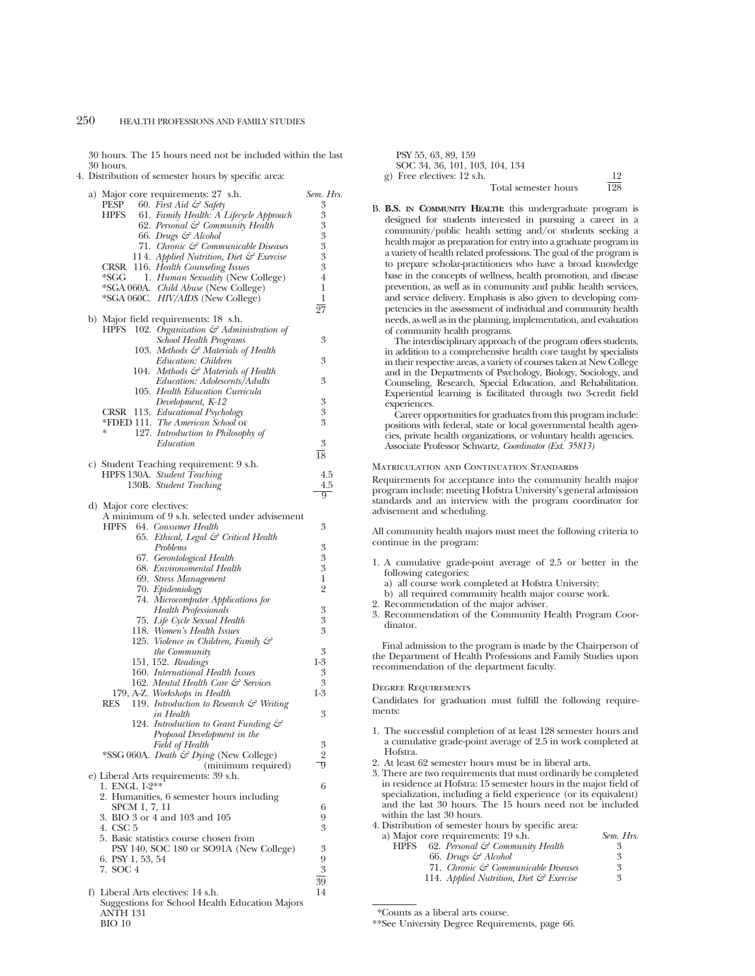30 hours. The 15 hours need not be included within the last 30 hours.

4. Distribution of semester hours by specific area:

| a) Major core requirements: 27 s.h.                                 | Sem. Hrs.      |
|---------------------------------------------------------------------|----------------|
| PESP<br>60. First Aid $\mathcal{F}$ Safety                          | 3              |
| 61. Family Health: A Lifecycle Approach<br>HPFS                     | 3              |
| 62. Personal & Community Health<br>66. Drugs & Alcohol              | 3<br>3         |
| 71. Chronic & Communicable Diseases                                 | 3              |
| 114. Applied Nutrition, Diet & Exercise                             | 3              |
| CRSR 116. Health Counseling Issues                                  | 3              |
| *SGG<br>1. Human Sexuality (New College)                            | $\overline{4}$ |
| *SGA 060A. Child Abuse (New College)                                | 1              |
| *SGA 060C. HIV/AIDS (New College)                                   | 1              |
| b) Major field requirements: 18 s.h.                                | 27             |
| <b>HPFS</b><br>102. Organization $\mathcal{C}$ Administration of    |                |
| <b>School Health Programs</b>                                       | 3              |
| 103. Methods & Materials of Health                                  |                |
| Education: Children                                                 | 3              |
| 104. Methods & Materials of Health                                  |                |
| Education: Adolescents/Adults                                       | 3              |
| 105. Health Education Curricula<br>Development, K-12                | 3              |
| CRSR 113. Educational Psychology                                    | 3              |
| *FDED 111. The American School or                                   | 3              |
| 127. Introduction to Philosophy of<br>∗                             |                |
| Education                                                           | 3              |
|                                                                     | 18             |
| c) Student Teaching requirement: 9 s.h.                             |                |
| HPFS 130A. Student Teaching                                         | 4.5            |
| 130B. Student Teaching                                              | 4.5<br>9       |
| d) Major core electives:                                            |                |
| A minimum of 9 s.h. selected under advisement                       |                |
| HPFS<br>64. Consumer Health                                         | 3              |
| 65. Ethical, Legal & Critical Health                                |                |
| Problems                                                            | 3              |
| 67. Gerontological Health                                           | 3<br>3         |
| 68. Environomental Health<br>69. Stress Management                  | 1              |
| 70. Epidemiology                                                    | $\overline{2}$ |
| 74. Microcomputer Applications for                                  |                |
| <b>Health Professionals</b>                                         | 3              |
| 75. Life Cycle Sexual Health                                        | 3              |
| 118. Women's Health Issues                                          | 3              |
| 125. Violence in Children, Family &                                 | 3              |
| <i>the Community</i><br>151, 152. Readings                          | $1-3$          |
| 160. International Health Issues                                    | 3              |
| 162. Mental Health Care & Services                                  | 3              |
| 179, A-Z. Workshops in Health                                       | $1-3$          |
| <b>RES</b><br>119. Introduction to Research & Writing               |                |
| in Health                                                           | 3              |
| 124. Introduction to Grant Funding &<br>Proposal Development in the |                |
| Field of Health                                                     | 3              |
| *SSG 060A. Death & Dying (New College)                              | $\overline{2}$ |
| (minimum required)                                                  | 9              |
| e) Liberal Arts requirements: 39 s.h.<br>1. ENGL 1-2**              | 6              |
| 2. Humanities, 6 semester hours including                           |                |
| SPCM 1, 7, 11                                                       | 6              |
| 3. BIO 3 or 4 and 103 and 105                                       | 9              |
| 4. CSC 5                                                            | 3              |
| 5. Basic statistics course chosen from                              |                |
| PSY 140, SOC 180 or SO91A (New College)<br>6. PSY 1, 53, 54         | 3<br>9         |
| 7. SOC 4                                                            | 3              |
|                                                                     | 39             |
| f) Liberal Arts electives: 14 s.h.                                  | 14             |
| Suggestions for School Health Education Majors<br>ANTH 131          |                |

BIO 10

| PSY 55, 63, 89, 159            |     |
|--------------------------------|-----|
| SOC 34, 36, 101, 103, 104, 134 |     |
| g) Free electives: 12 s.h.     | 19  |
| Total semester hours           | 198 |

B. **B.S. IN COMMUNITY HEALTH:** this undergraduate program is designed for students interested in pursuing a career in a community/public health setting and/or students seeking a health major as preparation for entry into a graduate program in a variety of health related professions. The goal of the program is to prepare scholar-practitioners who have a broad knowledge base in the concepts of wellness, health promotion, and disease prevention, as well as in community and public health services, and service delivery. Emphasis is also given to developing competencies in the assessment of individual and community health needs, as well as in the planning, implementation, and evaluation of community health programs.

The interdisciplinary approach of the program offers students, in addition to a comprehensive health core taught by specialists in their respective areas, a variety of courses taken at New College and in the Departments of Psychology, Biology, Sociology, and Counseling, Research, Special Education, and Rehabilitation. Experiential learning is facilitated through two 3-credit field experiences.

Career opportunities for graduates from this program include: positions with federal, state or local governmental health agencies, private health organizations, or voluntary health agencies. Associate Professor Schwartz, *Coordinator (Ext. 35813)*

#### Matriculation and Continuation Standards

Requirements for acceptance into the community health major program include: meeting Hofstra University's general admission standards and an interview with the program coordinator for advisement and scheduling.

All community health majors must meet the following criteria to continue in the program:

- 1. A cumulative grade-point average of 2.5 or better in the following categories:
	- a) all course work completed at Hofstra University;
	- b) all required community health major course work.
- 2. Recommendation of the major adviser.
- 3. Recommendation of the Community Health Program Coordinator.

Final admission to the program is made by the Chairperson of the Department of Health Professions and Family Studies upon recommendation of the department faculty.

#### Degree Requirements

Candidates for graduation must fulfill the following requirements:

- 1. The successful completion of at least 128 semester hours and a cumulative grade-point average of 2.5 in work completed at Hofstra.
- 2. At least 62 semester hours must be in liberal arts.
- 3. There are two requirements that must ordinarily be completed in residence at Hofstra: 15 semester hours in the major field of specialization, including a field experience (or its equivalent) and the last 30 hours. The 15 hours need not be included within the last 30 hours.

| 4. Distribution of semester hours by specific area:        |           |
|------------------------------------------------------------|-----------|
| a) Major core requirements: 19 s.h.                        | Sem. Hrs. |
| 62. Personal $\mathcal{E}$ Community Health<br><b>HPFS</b> | 3         |
| 66. Drugs & Alcohol                                        | 3         |
| 71. Chronic & Communicable Diseases                        | 3         |
| 114. Applied Nutrition, Diet & Exercise                    | 3         |
|                                                            |           |

<sup>\*</sup>Counts as a liberal arts course.

<sup>\*\*</sup>See University Degree Requirements, page 66.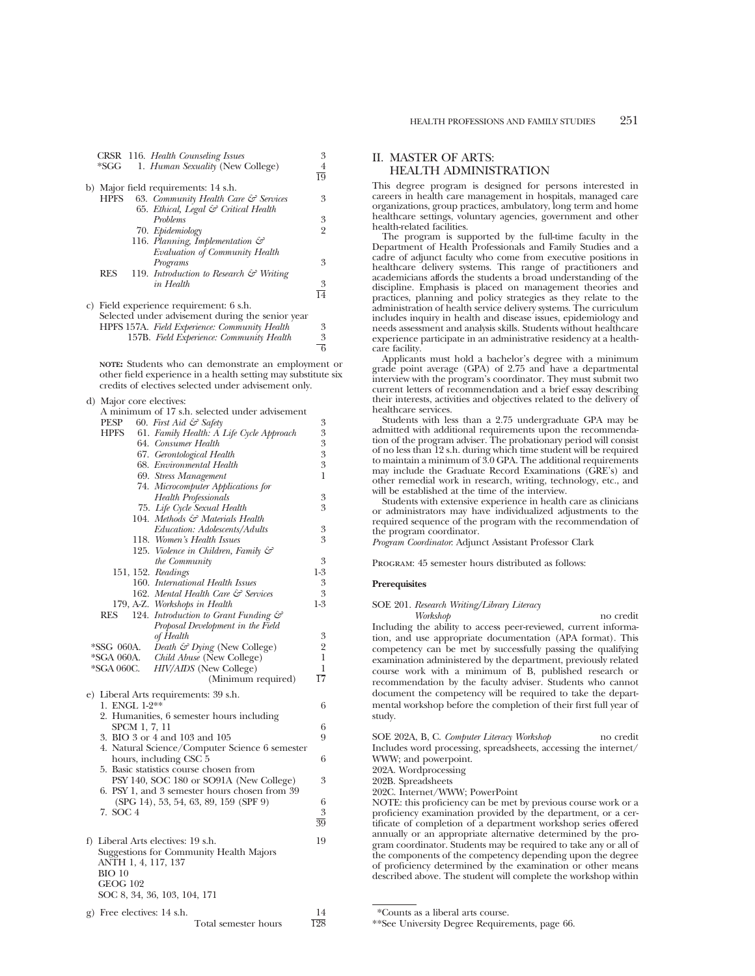| 1. Human Sexuality (New College)<br>*SGG                         | 4<br>19        |
|------------------------------------------------------------------|----------------|
|                                                                  |                |
|                                                                  |                |
| b) Major field requirements: 14 s.h.                             |                |
| 63. Community Health Care $\mathcal G$ Services<br><b>HPFS</b>   | 3              |
| 65. Ethical, Legal & Critical Health                             |                |
| <b>Problems</b>                                                  | 3              |
| 70. Epidemiology                                                 | $\overline{2}$ |
| 116. Planning, Implementation $\mathcal{C}$                      |                |
| Evaluation of Community Health                                   |                |
| Programs                                                         | 3              |
| <b>RES</b><br>119. Introduction to Research $\mathcal G$ Writing |                |
| in Health                                                        | 3              |
|                                                                  | 14             |
| c) Field experience requirement: 6 s.h.                          |                |
| Selected under advisement during the senior year                 |                |
| HPFS 157A. Field Experience: Community Health                    | 3              |

157B. *Field Experience: Community Health* 3

**NOTE:** Students who can demonstrate an employment or other field experience in a health setting may substitute six credits of electives selected under advisement only.

6

d) Major core electives:

| A minimum of 17 s.h. selected under advisement        |                 |
|-------------------------------------------------------|-----------------|
| PESP<br>60. First Aid & Safety                        | 3               |
| 61. Family Health: A Life Cycle Approach<br>HPFS      | 3               |
| 64. Consumer Health                                   | 3               |
| 67. Gerontological Health                             | 3               |
| 68. Environmental Health                              | 3               |
| 69. Stress Management                                 | 1               |
| 74. Microcomputer Applications for                    |                 |
| <b>Health Professionals</b>                           | 3               |
| 75. Life Cycle Sexual Health                          | 3               |
| 104. Methods & Materials Health                       |                 |
| Education: Adolescents/Adults                         | 3               |
| 118. Women's Health Issues                            | 3               |
| 125. Violence in Children, Family &                   |                 |
| <i>the Community</i>                                  | 3               |
| 151, 152. Readings                                    | $1-3$           |
| 160. International Health Issues                      | 3               |
| 162. Mental Health Care & Services                    | 3               |
| 179, A-Z. Workshops in Health                         | 1-3             |
| RES<br>124. Introduction to Grant Funding &           |                 |
| Proposal Development in the Field                     |                 |
| of Health                                             | 3               |
| *SSG 060A.<br>Death $\mathcal{C}$ Dying (New College) | $\overline{2}$  |
| *SGA 060A.<br>Child Abuse (New College)               | 1               |
| *SGA 060C.<br>HIV/AIDS (New College)                  | 1               |
| (Minimum required)                                    | $\overline{17}$ |
|                                                       |                 |
| e) Liberal Arts requirements: 39 s.h.                 |                 |
| 1. ENGL 1-2**                                         | 6               |
| 2. Humanities, 6 semester hours including             |                 |
| SPCM 1, 7, 11                                         | 6               |
| 3. BIO 3 or 4 and 103 and 105                         | 9               |
| 4. Natural Science/Computer Science 6 semester        |                 |
| hours, including CSC 5                                | 6               |
| 5. Basic statistics course chosen from                |                 |
| PSY 140, SOC 180 or SO91A (New College)               | 3               |
| 6. PSY 1, and 3 semester hours chosen from 39         |                 |
| (SPG 14), 53, 54, 63, 89, 159 (SPF 9)                 | 6               |
| 7. SOC 4                                              | 3               |
|                                                       | $\overline{39}$ |
| f) Liberal Arts electives: 19 s.h.                    | 19              |
| Suggestions for Community Health Majors               |                 |
| ANTH 1, 4, 117, 137                                   |                 |
| <b>BIO 10</b>                                         |                 |
| <b>GEOG 102</b>                                       |                 |
| SOC 8, 34, 36, 103, 104, 171                          |                 |
|                                                       |                 |
| g) Free electives: 14 s.h.                            | 14              |

Total semester hours 128

## II. MASTER OF ARTS: HEALTH ADMINISTRATION

This degree program is designed for persons interested in careers in health care management in hospitals, managed care organizations, group practices, ambulatory, long term and home healthcare settings, voluntary agencies, government and other health-related facilities.

The program is supported by the full-time faculty in the Department of Health Professionals and Family Studies and a cadre of adjunct faculty who come from executive positions in healthcare delivery systems. This range of practitioners and academicians affords the students a broad understanding of the discipline. Emphasis is placed on management theories and practices, planning and policy strategies as they relate to the administration of health service delivery systems. The curriculum includes inquiry in health and disease issues, epidemiology and needs assessment and analysis skills. Students without healthcare experience participate in an administrative residency at a healthcare facility.

Applicants must hold a bachelor's degree with a minimum grade point average (GPA) of 2.75 and have a departmental interview with the program's coordinator. They must submit two current letters of recommendation and a brief essay describing their interests, activities and objectives related to the delivery of healthcare services.

Students with less than a 2.75 undergraduate GPA may be admitted with additional requirements upon the recommendation of the program adviser. The probationary period will consist of no less than 12 s.h. during which time student will be required to maintain a minimum of 3.0 GPA. The additional requirements may include the Graduate Record Examinations (GRE's) and other remedial work in research, writing, technology, etc., and will be established at the time of the interview.

Students with extensive experience in health care as clinicians or administrators may have individualized adjustments to the required sequence of the program with the recommendation of the program coordinator.

*Program Coordinator*: Adjunct Assistant Professor Clark

Program: 45 semester hours distributed as follows:

#### **Prerequisites**

SOE 201. *Research Writing/Library Literacy*

*Workshop* no credit Including the ability to access peer-reviewed, current information, and use appropriate documentation (APA format). This competency can be met by successfully passing the qualifying examination administered by the department, previously related course work with a minimum of B, published research or recommendation by the faculty adviser. Students who cannot document the competency will be required to take the departmental workshop before the completion of their first full year of study.

SOE 202A, B, C. *Computer Literacy Workshop* no credit Includes word processing, spreadsheets, accessing the internet/ WWW; and powerpoint.

202A. Wordprocessing

202B. Spreadsheets

202C. Internet/WWW; PowerPoint

NOTE: this proficiency can be met by previous course work or a proficiency examination provided by the department, or a certificate of completion of a department workshop series offered annually or an appropriate alternative determined by the program coordinator. Students may be required to take any or all of the components of the competency depending upon the degree of proficiency determined by the examination or other means described above. The student will complete the workshop within

<sup>\*</sup>Counts as a liberal arts course.

<sup>\*\*</sup>See University Degree Requirements, page 66.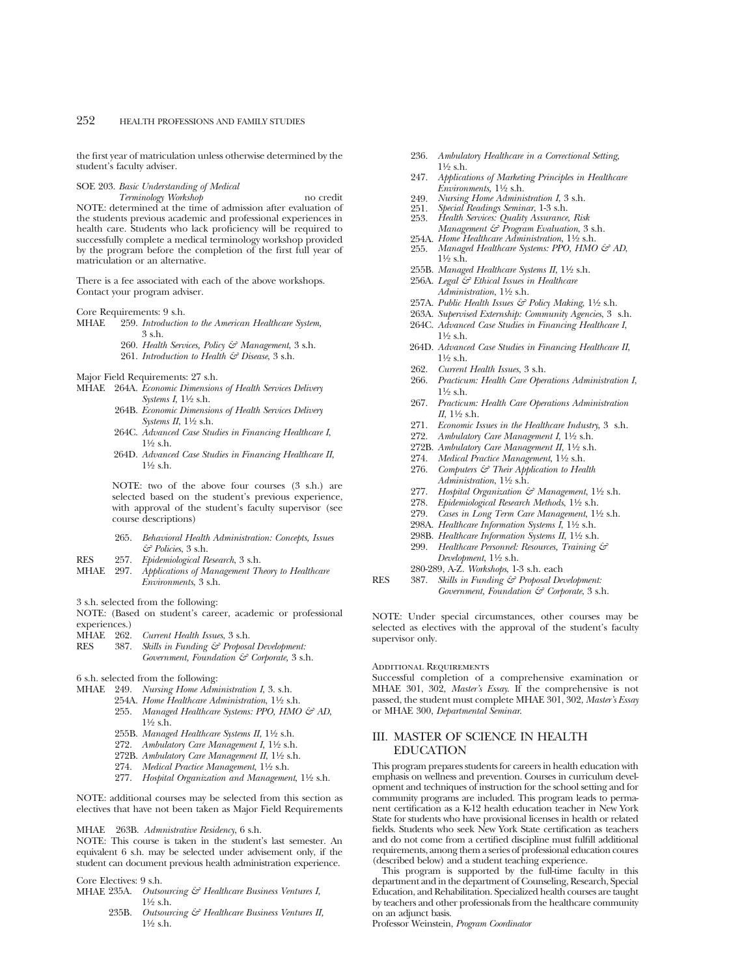the first year of matriculation unless otherwise determined by the student's faculty adviser.

## SOE 203. *Basic Understanding of Medical*

*Terminology Workshop* no credit NOTE: determined at the time of admission after evaluation of the students previous academic and professional experiences in health care. Students who lack proficiency will be required to successfully complete a medical terminology workshop provided by the program before the completion of the first full year of matriculation or an alternative.

There is a fee associated with each of the above workshops. Contact your program adviser.

Core Requirements: 9 s.h.<br>MHAE 959 Introduction

259. *Introduction to the American Healthcare System,* 3 s.h.

- 260. *Health Services, Policy & Management*, 3 s.h.
- 261. *Introduction to Health & Disease*, 3 s.h.

Major Field Requirements: 27 s.h.

- MHAE 264A. *Economic Dimensions of Health Services Delivery Systems I*, 11⁄2 s.h.
	- 264B. *Economic Dimensions of Health Services Delivery Systems II*,  $1\frac{1}{2}$  s.h.
	- 264C. *Advanced Case Studies in Financing Healthcare I*, 11⁄2 s.h.
	- 264D. *Advanced Case Studies in Financing Healthcare II*, 11⁄2 s.h.

NOTE: two of the above four courses (3 s.h.) are selected based on the student's previous experience, with approval of the student's faculty supervisor (see course descriptions)

- 265. *Behavioral Health Administration: Concepts, Issues & Policies*, 3 s.h.
- RES 257. *Epidemiological Research*, 3 s.h.
- MHAE 297. *Applications of Management Theory to Healthcare Environments*, 3 s.h.

3 s.h. selected from the following:

NOTE: (Based on student's career, academic or professional experiences.)<br>MHAE 262.

- MHAE 262. *Current Health Issues*, 3 s.h.<br>RES 387. *Skills in Funding & Proposa*
- Skills in Funding & Proposal Development: *Government, Foundation & Corporate,* 3 s.h.

6 s.h. selected from the following:

- MHAE 249. *Nursing Home Administration I*, 3. s.h.
	- 254A. *Home Healthcare Administration*,  $1\frac{1}{2}$  s.h.
	- 255. *Managed Healthcare Systems: PPO, HMO & AD,*  $1\frac{1}{2}$  s.h.
	- 255B. *Managed Healthcare Systems II*, 11⁄2 s.h.
	- 272. Ambulatory Care Management I, 1<sup>1</sup>/<sub>2</sub> s.h.
	- 272B. Ambulatory Care Management II, 11/2 s.h.
	- 274. *Medical Practice Management*, 11⁄2 s.h.
	- 277. *Hospital Organization and Management*, 11⁄2 s.h.

NOTE: additional courses may be selected from this section as electives that have not been taken as Major Field Requirements

MHAE 263B. *Admnistrative Residency*, 6 s.h.

NOTE: This course is taken in the student's last semester. An equivalent 6 s.h. may be selected under advisement only, if the student can document previous health administration experience.

Core Electives: 9 s.h.<br>MHAE 235A. Outso

- Outsourcing & Healthcare Business Ventures I,  $1\frac{1}{2}$  s.h.
	- 235B. *Outsourcing & Healthcare Business Ventures II,* 11⁄2 s.h.
- 236. *Ambulatory Healthcare in a Correctional Setting,* 11⁄2 s.h.
- 247. *Applications of Marketing Principles in Healthcare Environments,* 11⁄2 s.h.
- 249. *Nursing Home Administration I*, 3 s.h.
- 251. *Special Readings Seminar*, 1-3 s.h.
- 253. *Health Services: Quality Assurance, Risk Management & Program Evaluation*, 3 s.h.
- 254A. *Home Healthcare Administration*,  $1\frac{1}{2}$  s.h.<br>255. *Managed Healthcare Systems: PPO, HMO*
- *Managed Healthcare Systems: PPO, HMO & AD,*  $1\frac{1}{2}$  s.h.
- 255B. Managed Healthcare Systems II, 1<sup>1</sup>/2 s.h.
- 256A. *Legal & Ethical Issues in Healthcare Administration*, 11⁄2 s.h.
- 257A. *Public Health Issues & Policy Making*, 11⁄2 s.h.
- 263A. *Supervised Externship: Community Agencies*, 3 s.h.
- 264C. *Advanced Case Studies in Financing Healthcare I*,  $1\frac{1}{2}$  s.h.
- 264D. *Advanced Case Studies in Financing Healthcare II*, 11⁄2 s.h.
- 262. *Current Health Issues*, 3 s.h.
- 266. *Practicum: Health Care Operations Administration I*, 11⁄2 s.h.
- 267. *Practicum: Health Care Operations Administration II*, 11⁄2 s.h.
- 271. *Economic Issues in the Healthcare Industry*, 3 s.h.
- 272. Ambulatory Care Management I, 1<sup>1</sup>/2 s.h.
- 272B. Ambulatory Care Management II, 11/2 s.h.
- 274. *Medical Practice Management*, 11⁄2 s.h.
- 276. *Computers & Their Application to Health Administration*, 11⁄2 s.h.
- 277. *Hospital Organization & Management*, 11⁄2 s.h.
- 278. *Epidemiological Research Methods*, 11⁄2 s.h.
- 279. *Cases in Long Term Care Management*, 11⁄2 s.h.
- 298A. *Healthcare Information Systems I*, 11⁄2 s.h.
- 298B. *Healthcare Information Systems II*, 11⁄2 s.h.
- 299. *Healthcare Personnel: Resources, Training & Development*, 11⁄2 s.h.
- 280-289, A-Z. *Workshops*, 1-3 s.h. each
- RES 387. *Skills in Funding & Proposal Development: Government, Foundation & Corporate*, 3 s.h.

NOTE: Under special circumstances, other courses may be selected as electives with the approval of the student's faculty supervisor only.

#### ADDITIONAL REQUIREMENTS

Successful completion of a comprehensive examination or MHAE 301, 302, *Master's Essay*. If the comprehensive is not passed, the student must complete MHAE 301, 302, *Master's Essay* or MHAE 300, *Departmental Seminar*.

## III. MASTER OF SCIENCE IN HEALTH EDUCATION

This program prepares students for careers in health education with emphasis on wellness and prevention. Courses in curriculum development and techniques of instruction for the school setting and for community programs are included. This program leads to permanent certification as a K-12 health education teacher in New York State for students who have provisional licenses in health or related fields. Students who seek New York State certification as teachers and do not come from a certified discipline must fulfill additional requirements, among them a series of professional education coures (described below) and a student teaching experience.

This program is supported by the full-time faculty in this department and in the department of Counseling, Research, Special Education, and Rehabilitation. Specialized health courses are taught by teachers and other professionals from the healthcare community on an adjunct basis.

Professor Weinstein, *Program Coordinator*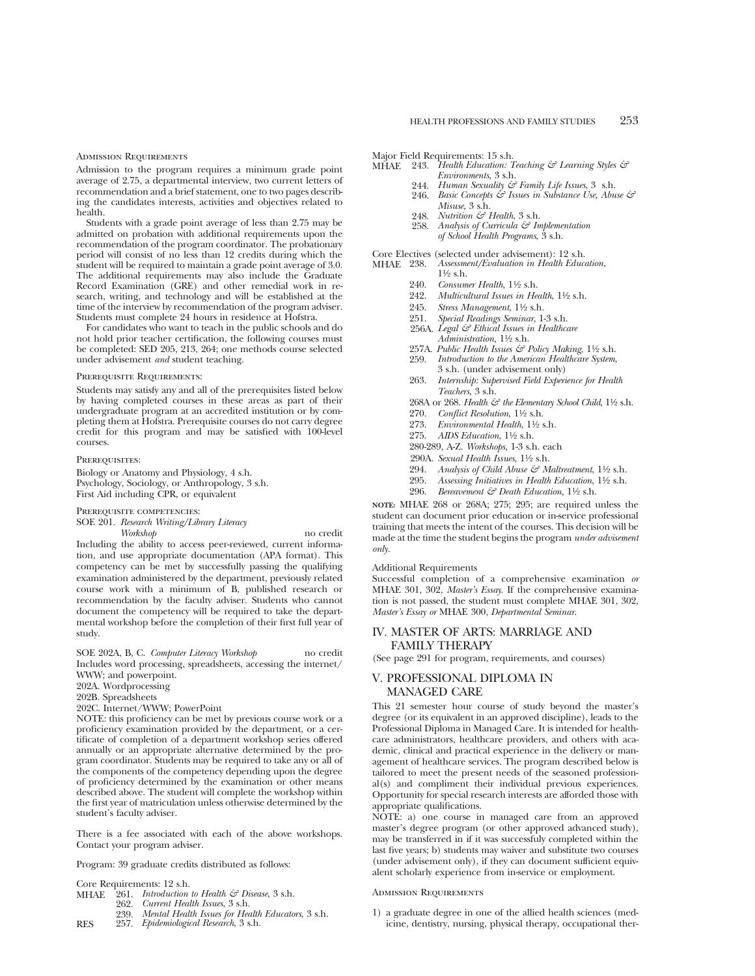#### ADMISSION REQUIREMENTS

Admission to the program requires a minimum grade point average of 2.75, a departmental interview, two current letters of recommendation and a brief statement, one to two pages describing the candidates interests, activities and objectives related to health.

Students with a grade point average of less than 2.75 may be admitted on probation with additional requirements upon the recommendation of the program coordinator. The probationary period will consist of no less than 12 credits during which the student will be required to maintain a grade point average of 3.0. The additional requirements may also include the Graduate Record Examination (GRE) and other remedial work in research, writing, and technology and will be established at the time of the interview by recommendation of the program adviser. Students must complete 24 hours in residence at Hofstra.

For candidates who want to teach in the public schools and do not hold prior teacher certification, the following courses must be completed: SED 205, 213, 264; one methods course selected under advisement *and* student teaching.

#### Prerequisite Requirements:

Students may satisfy any and all of the prerequisites listed below by having completed courses in these areas as part of their undergraduate program at an accredited institution or by completing them at Hofstra. Prerequisite courses do not carry degree credit for this program and may be satisfied with 100-level courses.

#### PREREQUISITES:

Biology or Anatomy and Physiology, 4 s.h. Psychology, Sociology, or Anthropology, 3 s.h. First Aid including CPR, or equivalent

Prerequisite competencies:

SOE 201. *Research Writing/Library Literacy*

*Workshop* no credit Including the ability to access peer-reviewed, current information, and use appropriate documentation (APA format). This competency can be met by successfully passing the qualifying examination administered by the department, previously related course work with a minimum of B, published research or recommendation by the faculty adviser. Students who cannot document the competency will be required to take the departmental workshop before the completion of their first full year of study.

SOE 202A, B, C. *Computer Literacy Workshop* no credit Includes word processing, spreadsheets, accessing the internet/ WWW; and powerpoint.

202A. Wordprocessing

202B. Spreadsheets

202C. Internet/WWW; PowerPoint

NOTE: this proficiency can be met by previous course work or a proficiency examination provided by the department, or a certificate of completion of a department workshop series offered annually or an appropriate alternative determined by the program coordinator. Students may be required to take any or all of the components of the competency depending upon the degree of proficiency determined by the examination or other means described above. The student will complete the workshop within the first year of matriculation unless otherwise determined by the student's faculty adviser.

There is a fee associated with each of the above workshops. Contact your program adviser.

Program: 39 graduate credits distributed as follows:

Core Requirements: 12 s.h.<br>MHAE 261. Introduction

- MHAE 261. *Introduction to Health & Disease*, 3 s.h.
- 262. *Current Health Issues*, 3 s.h. 239. *Mental Health Issues for Health Educators*, 3 s.h.
- RES 257. *Epidemiological Research*, 3 s.h.

Major Field Requirements: 15 s.h.<br>MHAE 243. Health Education: 7

- MHAE 243. *Health Education: Teaching & Learning Styles & Environments*, 3 s.h.
	- 244. *Human Sexuality & Family Life Issues*, 3 s.h.
	- 246. *Basic Concepts & Issues in Substance Use, Abuse & Misuse*, 3 s.h.
	- 248. *Nutrition & Health*, 3 s.h.
	- 258. *Analysis of Curricula & Implementation of School Health Programs*, 3 s.h.

Core Electives (selected under advisement): 12 s.h.<br>MHAE 238. Assessment/Evaluation in Health Educa MHAE 238. *Assessment/Evaluation in Health Education*,

- $1\frac{1}{2}$  s.h. 240. *Consumer Health*, 11⁄2 s.h.
- 
- 242. *Multicultural Issues in Health*,  $1\frac{1}{2}$  s.h.<br>245. *Stress Management*,  $1\frac{1}{2}$  s.h.
- 245. *Stress Management*, 11⁄2 s.h.
- 251. *Special Readings Seminar*, 1-3 s.h.
- 256A. *Legal & Ethical Issues in Healthcare Administration,* 11⁄2 s.h.
- 257A. *Public Health Issues & Policy Making*, 11⁄2 s.h.
- 259. *Introduction to the American Healthcare System*, 3 s.h. (under advisement only)
- 263. *Internship: Supervised Field Experience for Health Teachers*, 3 s.h.
- 268A or 268. *Health & the Elementary School Child*,  $1\frac{1}{2}$  s.h.
- 270. *Conflict Resolution*, 1½ s.h.
- 273. *Environmental Health*, 11⁄2 s.h.
- 275. *AIDS Education*, 11⁄2 s.h.
- 280-289, A-Z. *Workshops,* 1-3 s.h. each
- 290A. *Sexual Health Issues*, 11⁄2 s.h.
- 294. *Analysis of Child Abuse & Maltreatment*,  $1\frac{1}{2}$  s.h.
- 295. Assessing *Initiatives in Health Education*,  $1\frac{1}{2}$  s.h.
- 296. *Bereavement & Death Education,* 11⁄2 s.h.

**NOTE:** MHAE 268 or 268A; 275; 295; are required unless the student can document prior education or in-service professional training that meets the intent of the courses. This decision will be made at the time the student begins the program *under advisement only.*

### Additional Requirements

Successful completion of a comprehensive examination *or* MHAE 301, 302, *Master's Essay*. If the comprehensive examination is not passed, the student must complete MHAE 301, 302, *Master's Essay or* MHAE 300, *Departmental Seminar*.

## IV. MASTER OF ARTS: MARRIAGE AND FAMILY THERAPY

(See page 291 for program, requirements, and courses)

## V. PROFESSIONAL DIPLOMA IN MANAGED CARE

This 21 semester hour course of study beyond the master's degree (or its equivalent in an approved discipline), leads to the Professional Diploma in Managed Care. It is intended for healthcare administrators, healthcare providers, and others with academic, clinical and practical experience in the delivery or management of healthcare services. The program described below is tailored to meet the present needs of the seasoned professional(s) and compliment their individual previous experiences. Opportunity for special research interests are afforded those with appropriate qualifications.

NOTE: a) one course in managed care from an approved master's degree program (or other approved advanced study), may be transferred in if it was successfuly completed within the last five years; b) students may waiver and substitute two courses (under advisement only), if they can document sufficient equivalent scholarly experience from in-service or employment.

#### Admission Requirements

1) a graduate degree in one of the allied health sciences (medicine, dentistry, nursing, physical therapy, occupational ther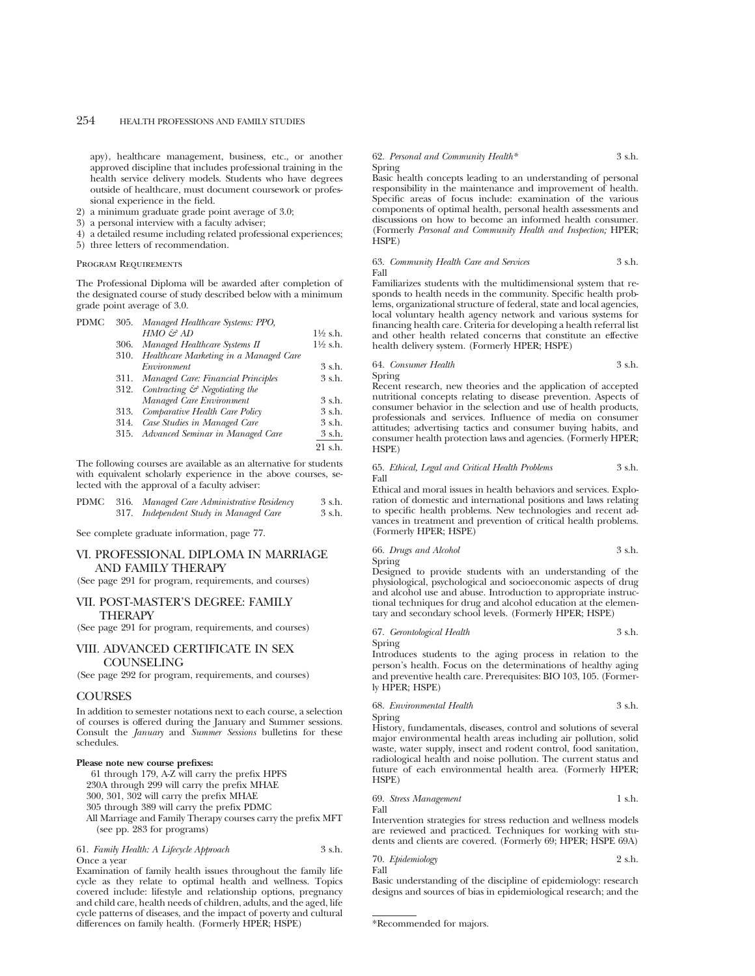apy), healthcare management, business, etc., or another approved discipline that includes professional training in the health service delivery models. Students who have degrees outside of healthcare, must document coursework or professional experience in the field.

- 2) a minimum graduate grade point average of 3.0;
- 3) a personal interview with a faculty adviser;
- 4) a detailed resume including related professional experiences;
- 5) three letters of recommendation.

#### Program Requirements

The Professional Diploma will be awarded after completion of the designated course of study described below with a minimum grade point average of 3.0.

| PDMC |      | 305. Managed Healthcare Systems: PPO,          |                     |
|------|------|------------------------------------------------|---------------------|
|      |      | $HMO \n\mathcal{L}^2 AD$                       | $1\frac{1}{2}$ s.h. |
|      | 306. | Managed Healthcare Systems II                  | 1½ s.h.             |
|      |      | 310. Healthcare Marketing in a Managed Care    |                     |
|      |      | Environment                                    | 3 s.h.              |
|      |      | 311. Managed Care: Financial Principles        | 3 s.h.              |
|      |      | 312. Contracting $\mathcal{C}$ Negotiating the |                     |
|      |      | Managed Care Environment                       | 3 s.h.              |
|      | 313. | Comparative Health Care Policy                 | 3 s.h.              |
|      | 314. | Case Studies in Managed Care                   | 3 s.h.              |
|      |      | 315. Advanced Seminar in Managed Care          | 3 s.h.              |
|      |      |                                                | $21$ s.h.           |
|      |      |                                                |                     |

The following courses are available as an alternative for students with equivalent scholarly experience in the above courses, selected with the approval of a faculty adviser:

|  | PDMC 316. Managed Care Administrative Residency | 3 s.h. |
|--|-------------------------------------------------|--------|
|  | 317. Independent Study in Managed Care          | 3 s.h. |

See complete graduate information, page 77.

## VI. PROFESSIONAL DIPLOMA IN MARRIAGE AND FAMILY THERAPY

(See page 291 for program, requirements, and courses)

## VII. POST-MASTER'S DEGREE: FAMILY THERAPY

(See page 291 for program, requirements, and courses)

## VIII. ADVANCED CERTIFICATE IN SEX COUNSELING

(See page 292 for program, requirements, and courses)

#### **COURSES**

In addition to semester notations next to each course, a selection of courses is offered during the January and Summer sessions. Consult the *January* and *Summer Sessions* bulletins for these schedules.

#### **Please note new course prefixes:**

61 through 179, A-Z will carry the prefix HPFS

230A through 299 will carry the prefix MHAE

300, 301, 302 will carry the prefix MHAE

305 through 389 will carry the prefix PDMC

All Marriage and Family Therapy courses carry the prefix MFT (see pp. 283 for programs)

|             | 61. Family Health: A Lifecycle Approach | 3 s.h. |  |
|-------------|-----------------------------------------|--------|--|
| Once a vear |                                         |        |  |

Examination of family health issues throughout the family life cycle as they relate to optimal health and wellness. Topics covered include: lifestyle and relationship options, pregnancy and child care, health needs of children, adults, and the aged, life cycle patterns of diseases, and the impact of poverty and cultural differences on family health. (Formerly HPER; HSPE)

#### 62. *Personal and Community Health\** 3 s.h. Spring

Basic health concepts leading to an understanding of personal responsibility in the maintenance and improvement of health. Specific areas of focus include: examination of the various components of optimal health, personal health assessments and discussions on how to become an informed health consumer. (Formerly *Personal and Community Health and Inspection;* HPER; HSPE)

#### 63. *Community Health Care and Services* 3 s.h. Fall

Familiarizes students with the multidimensional system that responds to health needs in the community. Specific health problems, organizational structure of federal, state and local agencies, local voluntary health agency network and various systems for financing health care. Criteria for developing a health referral list and other health related concerns that constitute an effective health delivery system. (Formerly HPER; HSPE)

64. *Consumer Health* 3 s.h. Spring

Recent research, new theories and the application of accepted nutritional concepts relating to disease prevention. Aspects of consumer behavior in the selection and use of health products, professionals and services. Influence of media on consumer attitudes; advertising tactics and consumer buying habits, and consumer health protection laws and agencies. (Formerly HPER; HSPE)

#### 65. *Ethical, Legal and Critical Health Problems* 3 s.h. Fall

Ethical and moral issues in health behaviors and services. Exploration of domestic and international positions and laws relating to specific health problems. New technologies and recent advances in treatment and prevention of critical health problems. (Formerly HPER; HSPE)

66. *Drugs and Alcohol* 3 s.h.

Spring

Designed to provide students with an understanding of the physiological, psychological and socioeconomic aspects of drug and alcohol use and abuse. Introduction to appropriate instructional techniques for drug and alcohol education at the elementary and secondary school levels. (Formerly HPER; HSPE)

#### 67. *Gerontological Health* 3 s.h. Spring

Introduces students to the aging process in relation to the person's health. Focus on the determinations of healthy aging and preventive health care. Prerequisites: BIO 103, 105. (Formerly HPER; HSPE)

## 68. *Environmental Health* 3 s.h.

Spring

History, fundamentals, diseases, control and solutions of several major environmental health areas including air pollution, solid waste, water supply, insect and rodent control, food sanitation, radiological health and noise pollution. The current status and future of each environmental health area. (Formerly HPER; HSPE)

69. *Stress Management* 1 s.h. Fall

Intervention strategies for stress reduction and wellness models are reviewed and practiced. Techniques for working with students and clients are covered. (Formerly 69; HPER; HSPE 69A)

70. *Epidemiology* 2 s.h. Fall

Basic understanding of the discipline of epidemiology: research designs and sources of bias in epidemiological research; and the

<sup>\*</sup>Recommended for majors.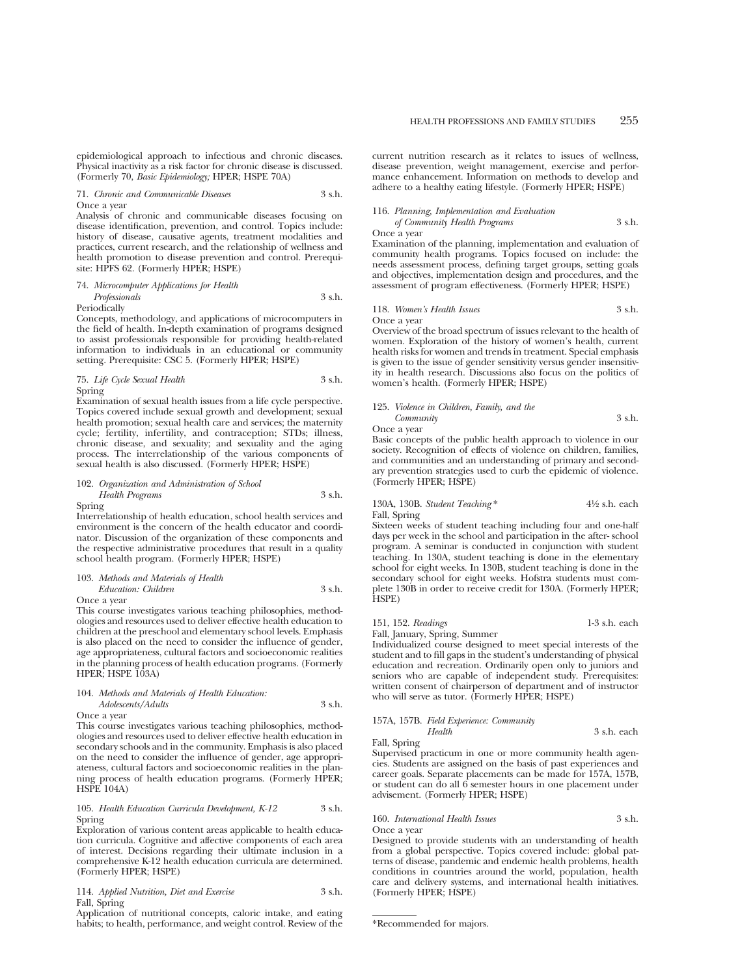epidemiological approach to infectious and chronic diseases. Physical inactivity as a risk factor for chronic disease is discussed. (Formerly 70, *Basic Epidemiology;* HPER; HSPE 70A)

71. *Chronic and Communicable Diseases* 3 s.h. Once a year

Analysis of chronic and communicable diseases focusing on disease identification, prevention, and control. Topics include: history of disease, causative agents, treatment modalities and practices, current research, and the relationship of wellness and health promotion to disease prevention and control. Prerequisite: HPFS 62. (Formerly HPER; HSPE)

74. *Microcomputer Applications for Health Professionals* 3 s.h. Periodically

Concepts, methodology, and applications of microcomputers in the field of health. In-depth examination of programs designed to assist professionals responsible for providing health-related information to individuals in an educational or community setting. Prerequisite: CSC 5. (Formerly HPER; HSPE)

75. *Life Cycle Sexual Health* 3 s.h. Spring

Examination of sexual health issues from a life cycle perspective. Topics covered include sexual growth and development; sexual health promotion; sexual health care and services; the maternity cycle; fertility, infertility, and contraception; STDs; illness, chronic disease, and sexuality; and sexuality and the aging process. The interrelationship of the various components of sexual health is also discussed. (Formerly HPER; HSPE)

## 102. *Organization and Administration of School Health Programs* 3 s.h.

Spring

Interrelationship of health education, school health services and environment is the concern of the health educator and coordinator. Discussion of the organization of these components and the respective administrative procedures that result in a quality school health program. (Formerly HPER; HSPE)

## 103. *Methods and Materials of Health Education: Children* 3 s.h.

Once a year

This course investigates various teaching philosophies, methodologies and resources used to deliver effective health education to children at the preschool and elementary school levels. Emphasis is also placed on the need to consider the influence of gender, age appropriateness, cultural factors and socioeconomic realities in the planning process of health education programs. (Formerly HPER; HSPE 103A)

#### 104. *Methods and Materials of Health Education:*

## *Adolescents/Adults* 3 s.h.

Once a year

This course investigates various teaching philosophies, methodologies and resources used to deliver effective health education in secondary schools and in the community. Emphasis is also placed on the need to consider the influence of gender, age appropriateness, cultural factors and socioeconomic realities in the planning process of health education programs. (Formerly HPER; HSPE 104A)

#### 105. *Health Education Curricula Development, K-12* 3 s.h. Spring

Exploration of various content areas applicable to health education curricula. Cognitive and affective components of each area of interest. Decisions regarding their ultimate inclusion in a comprehensive K-12 health education curricula are determined. (Formerly HPER; HSPE)

114. *Applied Nutrition, Diet and Exercise* 3 s.h. Fall, Spring

Application of nutritional concepts, caloric intake, and eating habits; to health, performance, and weight control. Review of the

current nutrition research as it relates to issues of wellness, disease prevention, weight management, exercise and performance enhancement. Information on methods to develop and adhere to a healthy eating lifestyle. (Formerly HPER; HSPE)

# 116. *Planning, Implementation and Evaluation*

*of Community Health Programs* 3 s.h.

Once a year

Examination of the planning, implementation and evaluation of community health programs. Topics focused on include: the needs assessment process, defining target groups, setting goals and objectives, implementation design and procedures, and the assessment of program effectiveness. (Formerly HPER; HSPE)

#### 118. *Women's Health Issues* 3 s.h. Once a year

Overview of the broad spectrum of issues relevant to the health of women. Exploration of the history of women's health, current health risks for women and trends in treatment. Special emphasis is given to the issue of gender sensitivity versus gender insensitivity in health research. Discussions also focus on the politics of women's health. (Formerly HPER; HSPE)

125. *Violence in Children, Family, and the Community* 3 s.h.

Once a year

Basic concepts of the public health approach to violence in our society. Recognition of effects of violence on children, families, and communities and an understanding of primary and secondary prevention strategies used to curb the epidemic of violence. (Formerly HPER; HSPE)

### 130A, 130B. *Student Teaching* \* 41⁄2 s.h. each Fall, Spring

Sixteen weeks of student teaching including four and one-half days per week in the school and participation in the after- school program. A seminar is conducted in conjunction with student teaching. In 130A, student teaching is done in the elementary school for eight weeks. In 130B, student teaching is done in the secondary school for eight weeks. Hofstra students must complete 130B in order to receive credit for 130A. (Formerly HPER; HSPE)

## 151, 152. *Readings* 1-3 s.h. each

Fall, January, Spring, Summer Individualized course designed to meet special interests of the student and to fill gaps in the student's understanding of physical education and recreation. Ordinarily open only to juniors and seniors who are capable of independent study. Prerequisites: written consent of chairperson of department and of instructor who will serve as tutor. (Formerly HPER; HSPE)

# 157A, 157B. *Field Experience: Community*

## Fall, Spring

Supervised practicum in one or more community health agencies. Students are assigned on the basis of past experiences and career goals. Separate placements can be made for 157A, 157B, or student can do all 6 semester hours in one placement under advisement. (Formerly HPER; HSPE)

*Health* 3 s.h. each

#### 160. *International Health Issues* 3 s.h. Once a year

Designed to provide students with an understanding of health from a global perspective. Topics covered include: global patterns of disease, pandemic and endemic health problems, health conditions in countries around the world, population, health care and delivery systems, and international health initiatives. (Formerly HPER; HSPE)

<sup>\*</sup>Recommended for majors.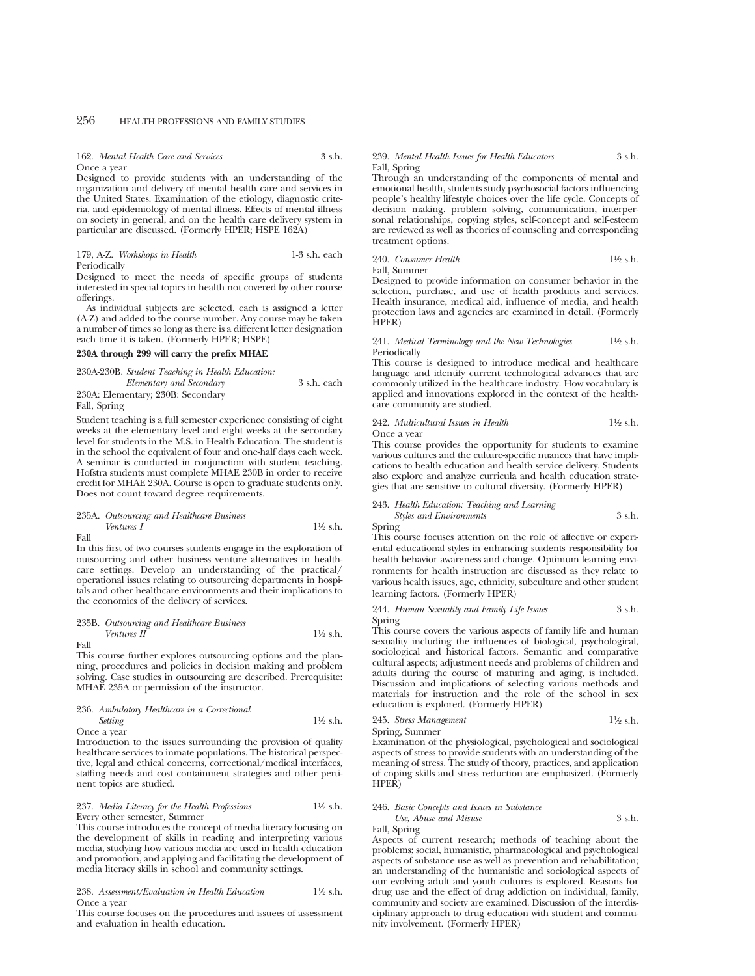162. *Mental Health Care and Services* 3 s.h. Once a year

Designed to provide students with an understanding of the organization and delivery of mental health care and services in the United States. Examination of the etiology, diagnostic criteria, and epidemiology of mental illness. Effects of mental illness on society in general, and on the health care delivery system in particular are discussed. (Formerly HPER; HSPE 162A)

#### 179, A-Z. *Workshops in Health* 1-3 s.h. each Periodically

Designed to meet the needs of specific groups of students interested in special topics in health not covered by other course offerings.

As individual subjects are selected, each is assigned a letter (A-Z) and added to the course number. Any course may be taken a number of times so long as there is a different letter designation each time it is taken. (Formerly HPER; HSPE)

## **230A through 299 will carry the prefix MHAE**

230A-230B. *Student Teaching in Health Education:*

*Elementary and Secondary* 3 s.h. each 230A: Elementary; 230B: Secondary

Fall, Spring

Student teaching is a full semester experience consisting of eight weeks at the elementary level and eight weeks at the secondary level for students in the M.S. in Health Education. The student is in the school the equivalent of four and one-half days each week. A seminar is conducted in conjunction with student teaching. Hofstra students must complete MHAE 230B in order to receive credit for MHAE 230A. Course is open to graduate students only. Does not count toward degree requirements.

#### 235A. *Outsourcing and Healthcare Business Ventures I*  $1\frac{1}{2}$  s.h. Fall

In this first of two courses students engage in the exploration of outsourcing and other business venture alternatives in healthcare settings. Develop an understanding of the practical/ operational issues relating to outsourcing departments in hospitals and other healthcare environments and their implications to the economics of the delivery of services.

#### 235B. *Outsourcing and Healthcare Business Ventures II*  $1\frac{1}{2}$  s.h. Fall

This course further explores outsourcing options and the planning, procedures and policies in decision making and problem solving. Case studies in outsourcing are described. Prerequisite: MHAE 235A or permission of the instructor.

## 236. *Ambulatory Healthcare in a Correctional Setting* 11⁄2 s.h.

Once a year

Introduction to the issues surrounding the provision of quality healthcare services to inmate populations. The historical perspective, legal and ethical concerns, correctional/medical interfaces, staffing needs and cost containment strategies and other pertinent topics are studied.

#### 237. *Media Literacy for the Health Professions* 11⁄2 s.h. Every other semester, Summer

This course introduces the concept of media literacy focusing on the development of skills in reading and interpreting various media, studying how various media are used in health education and promotion, and applying and facilitating the development of media literacy skills in school and community settings.

#### 238. *Assessment/Evaluation in Health Education* 11⁄2 s.h. Once a year

This course focuses on the procedures and issuees of assessment and evaluation in health education.

#### 239. *Mental Health Issues for Health Educators* 3 s.h. Fall, Spring

Through an understanding of the components of mental and emotional health, students study psychosocial factors influencing people's healthy lifestyle choices over the life cycle. Concepts of decision making, problem solving, communication, interpersonal relationships, copying styles, self-concept and self-esteem are reviewed as well as theories of counseling and corresponding treatment options.

## 240. *Consumer Health* 1<sup>1</sup>/<sub>2</sub> s.h.

Fall, Summer

Designed to provide information on consumer behavior in the selection, purchase, and use of health products and services. Health insurance, medical aid, influence of media, and health protection laws and agencies are examined in detail. (Formerly HPER)

#### 241. *Medical Terminology and the New Technologies* 11⁄2 s.h. Periodically

This course is designed to introduce medical and healthcare language and identify current technological advances that are commonly utilized in the healthcare industry. How vocabulary is applied and innovations explored in the context of the healthcare community are studied.

#### 242. *Multicultural Issues in Health* 11⁄2 s.h. Once a year

This course provides the opportunity for students to examine various cultures and the culture-specific nuances that have implications to health education and health service delivery. Students also explore and analyze curricula and health education strategies that are sensitive to cultural diversity. (Formerly HPER)

243. *Health Education: Teaching and Learning Styles and Environments* 3 s.h.

**Spring** 

This course focuses attention on the role of affective or experiental educational styles in enhancing students responsibility for health behavior awareness and change. Optimum learning environments for health instruction are discussed as they relate to various health issues, age, ethnicity, subculture and other student learning factors. (Formerly HPER)

244. *Human Sexuality and Family Life Issues* 3 s.h. Spring

This course covers the various aspects of family life and human sexuality including the influences of biological, psychological, sociological and historical factors. Semantic and comparative cultural aspects; adjustment needs and problems of children and adults during the course of maturing and aging, is included. Discussion and implications of selecting various methods and materials for instruction and the role of the school in sex education is explored. (Formerly HPER)

245. *Stress Management* 11⁄2 s.h.

Spring, Summer

Examination of the physiological, psychological and sociological aspects of stress to provide students with an understanding of the meaning of stress. The study of theory, practices, and application of coping skills and stress reduction are emphasized. (Formerly HPER)

## 246. *Basic Concepts and Issues in Substance Use, Abuse and Misuse* 3 s.h.

Fall, Spring

Aspects of current research; methods of teaching about the problems; social, humanistic, pharmacological and psychological aspects of substance use as well as prevention and rehabilitation; an understanding of the humanistic and sociological aspects of our evolving adult and youth cultures is explored. Reasons for drug use and the effect of drug addiction on individual, family, community and society are examined. Discussion of the interdisciplinary approach to drug education with student and community involvement. (Formerly HPER)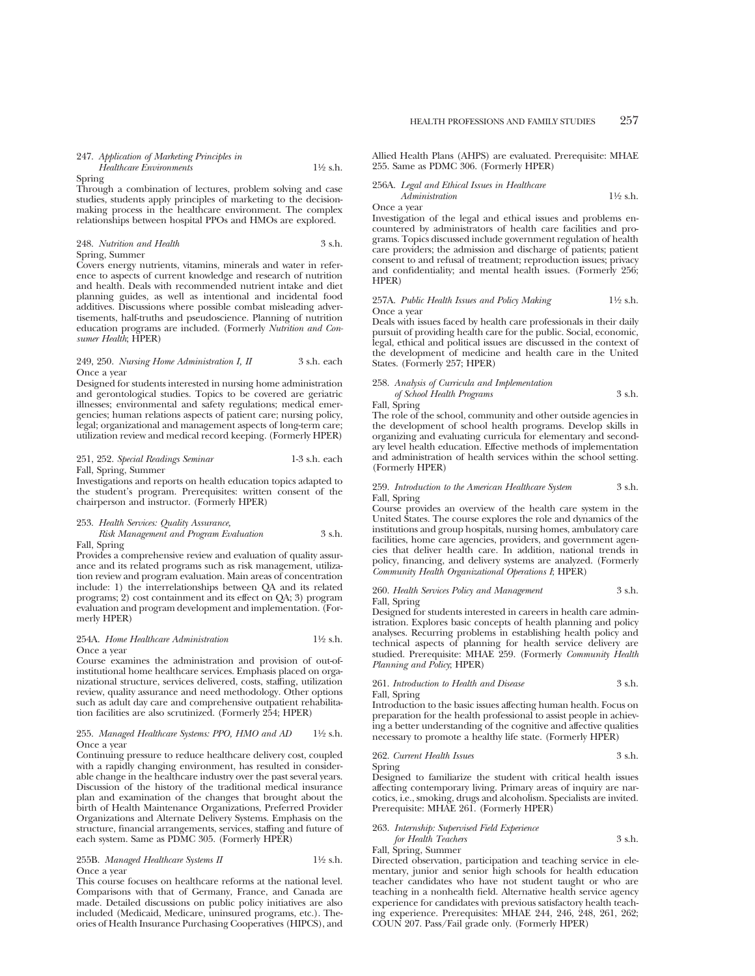Spring

Through a combination of lectures, problem solving and case studies, students apply principles of marketing to the decisionmaking process in the healthcare environment. The complex relationships between hospital PPOs and HMOs are explored.

## 248. *Nutrition and Health* 3 s.h. Spring, Summer

Covers energy nutrients, vitamins, minerals and water in reference to aspects of current knowledge and research of nutrition and health. Deals with recommended nutrient intake and diet planning guides, as well as intentional and incidental food additives. Discussions where possible combat misleading advertisements, half-truths and pseudoscience. Planning of nutrition education programs are included. (Formerly *Nutrition and Consumer Health*; HPER)

#### 249, 250. *Nursing Home Administration I, II* 3 s.h. each Once a year

Designed for students interested in nursing home administration and gerontological studies. Topics to be covered are geriatric illnesses; environmental and safety regulations; medical emergencies; human relations aspects of patient care; nursing policy, legal; organizational and management aspects of long-term care; utilization review and medical record keeping. (Formerly HPER)

#### 251, 252. *Special Readings Seminar* 1-3 s.h. each Fall, Spring, Summer

Investigations and reports on health education topics adapted to the student's program. Prerequisites: written consent of the chairperson and instructor. (Formerly HPER)

#### 253. *Health Services: Quality Assurance,*

#### *Risk Management and Program Evaluation* 3 s.h. Fall, Spring

Provides a comprehensive review and evaluation of quality assurance and its related programs such as risk management, utilization review and program evaluation. Main areas of concentration include: 1) the interrelationships between QA and its related programs; 2) cost containment and its effect on QA; 3) program evaluation and program development and implementation. (Formerly HPER)

#### 254A. *Home Healthcare Administration* 11⁄2 s.h. Once a year

Course examines the administration and provision of out-ofinstitutional home healthcare services. Emphasis placed on organizational structure, services delivered, costs, staffing, utilization review, quality assurance and need methodology. Other options such as adult day care and comprehensive outpatient rehabilitation facilities are also scrutinized. (Formerly 254; HPER)

#### 255. *Managed Healthcare Systems: PPO, HMO and AD* 11⁄2 s.h. Once a year

Continuing pressure to reduce healthcare delivery cost, coupled with a rapidly changing environment, has resulted in considerable change in the healthcare industry over the past several years. Discussion of the history of the traditional medical insurance plan and examination of the changes that brought about the birth of Health Maintenance Organizations, Preferred Provider Organizations and Alternate Delivery Systems. Emphasis on the structure, financial arrangements, services, staffing and future of each system. Same as PDMC 305. (Formerly HPER)

## 255B. *Managed Healthcare Systems II* 11⁄2 s.h. Once a year

This course focuses on healthcare reforms at the national level. Comparisons with that of Germany, France, and Canada are made. Detailed discussions on public policy initiatives are also included (Medicaid, Medicare, uninsured programs, etc.). Theories of Health Insurance Purchasing Cooperatives (HIPCS), and

Allied Health Plans (AHPS) are evaluated. Prerequisite: MHAE 255. Same as PDMC 306. (Formerly HPER)

## 256A. *Legal and Ethical Issues in Healthcare*

*Administration* 1<sup>1</sup>⁄2 s.h. Once a year

Investigation of the legal and ethical issues and problems encountered by administrators of health care facilities and programs. Topics discussed include government regulation of health care providers; the admission and discharge of patients; patient consent to and refusal of treatment; reproduction issues; privacy and confidentiality; and mental health issues. (Formerly 256; HPER)

#### 257A. *Public Health Issues and Policy Making* 11⁄2 s.h. Once a year

Deals with issues faced by health care professionals in their daily pursuit of providing health care for the public. Social, economic, legal, ethical and political issues are discussed in the context of the development of medicine and health care in the United States. (Formerly 257; HPER)

#### 258. *Analysis of Curricula and Implementation of School Health Programs* 3 s.h.

Fall, Spring

The role of the school, community and other outside agencies in the development of school health programs. Develop skills in organizing and evaluating curricula for elementary and secondary level health education. Effective methods of implementation and administration of health services within the school setting. (Formerly HPER)

#### 259. *Introduction to the American Healthcare System* 3 s.h. Fall, Spring

Course provides an overview of the health care system in the United States. The course explores the role and dynamics of the institutions and group hospitals, nursing homes, ambulatory care facilities, home care agencies, providers, and government agencies that deliver health care. In addition, national trends in policy, financing, and delivery systems are analyzed. (Formerly *Community Health Organizational Operations I*; HPER)

#### 260. *Health Services Policy and Management* 3 s.h. Fall, Spring

Designed for students interested in careers in health care administration. Explores basic concepts of health planning and policy analyses. Recurring problems in establishing health policy and technical aspects of planning for health service delivery are studied. Prerequisite: MHAE 259. (Formerly *Community Health Planning and Policy*; HPER)

## 261. *Introduction to Health and Disease* 3 s.h.

Fall, Spring

Introduction to the basic issues affecting human health. Focus on preparation for the health professional to assist people in achieving a better understanding of the cognitive and affective qualities necessary to promote a healthy life state. (Formerly HPER)

## 262. *Current Health Issues* 3 s.h.

Spring

Designed to familiarize the student with critical health issues affecting contemporary living. Primary areas of inquiry are narcotics, i.e., smoking, drugs and alcoholism. Specialists are invited. Prerequisite: MHAE 261. (Formerly HPER)

#### 263. *Internship: Supervised Field Experience for Health Teachers* 3 s.h.

Fall, Spring, Summer

Directed observation, participation and teaching service in elementary, junior and senior high schools for health education teacher candidates who have not student taught or who are teaching in a nonhealth field. Alternative health service agency experience for candidates with previous satisfactory health teaching experience. Prerequisites: MHAE 244, 246, 248, 261, 262; COUN 207. Pass/Fail grade only. (Formerly HPER)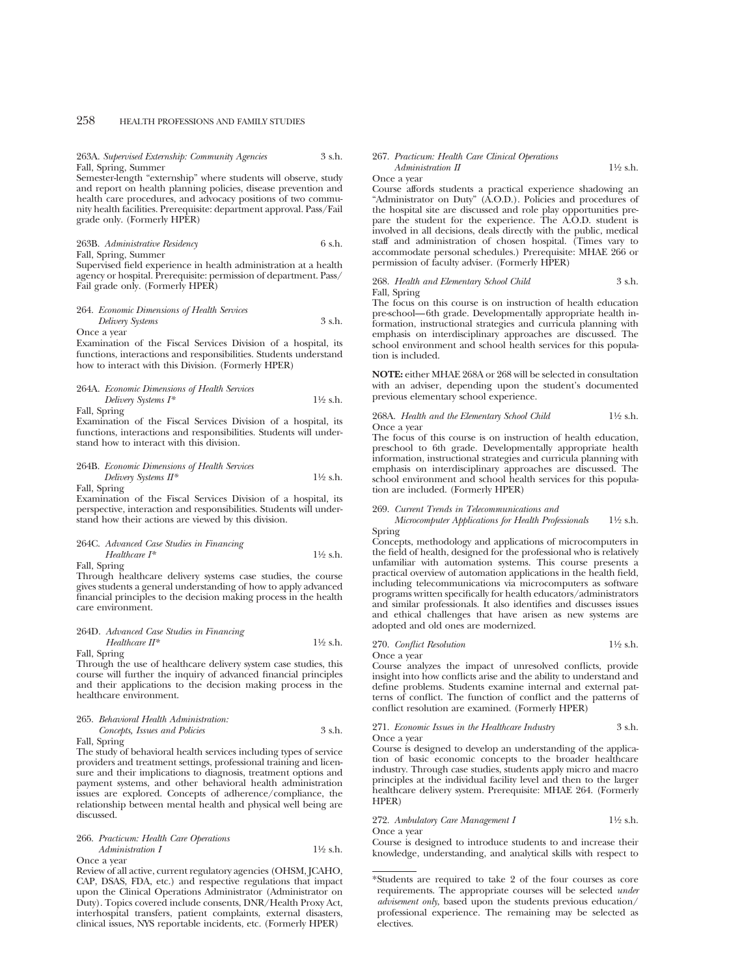263A. *Supervised Externship: Community Agencies* 3 s.h. Fall, Spring, Summer

Semester-length "externship" where students will observe, study and report on health planning policies, disease prevention and health care procedures, and advocacy positions of two community health facilities. Prerequisite: department approval. Pass/Fail grade only. (Formerly HPER)

263B. *Administrative Residency* 6 s.h. Fall, Spring, Summer Supervised field experience in health administration at a health

agency or hospital. Prerequisite: permission of department. Pass/ Fail grade only. (Formerly HPER)

## 264. *Economic Dimensions of Health Services Delivery Systems* 3 s.h.

Once a year

Examination of the Fiscal Services Division of a hospital, its functions, interactions and responsibilities. Students understand how to interact with this Division. (Formerly HPER)

#### 264A. *Economic Dimensions of Health Services Delivery Systems I\** 11⁄2 s.h.

Fall, Spring

Examination of the Fiscal Services Division of a hospital, its functions, interactions and responsibilities. Students will understand how to interact with this division.

## 264B. *Economic Dimensions of Health Services Delivery Systems II\** 1<sup>1</sup>⁄2 s.h.

Fall, Spring

Examination of the Fiscal Services Division of a hospital, its perspective, interaction and responsibilities. Students will understand how their actions are viewed by this division.

## 264C. *Advanced Case Studies in Financing*

*Healthcare I\** 1<sup>1</sup>⁄2 s.h. Fall, Spring

Through healthcare delivery systems case studies, the course gives students a general understanding of how to apply advanced financial principles to the decision making process in the health care environment.

#### 264D. *Advanced Case Studies in Financing Healthcare II\** 1<sup>1</sup>⁄2 s.h. Fall, Spring

Through the use of healthcare delivery system case studies, this course will further the inquiry of advanced financial principles and their applications to the decision making process in the healthcare environment.

| 265. Behavioral Health Administration: |        |
|----------------------------------------|--------|
| Concepts, Issues and Policies          | 3 s.h. |
| Fall, Spring                           |        |

The study of behavioral health services including types of service providers and treatment settings, professional training and licensure and their implications to diagnosis, treatment options and payment systems, and other behavioral health administration issues are explored. Concepts of adherence/compliance, the relationship between mental health and physical well being are discussed.

#### 266. *Practicum: Health Care Operations Administration I* 1<sup>1</sup>⁄2 s.h. Once a year

Review of all active, current regulatory agencies (OHSM, JCAHO, CAP, DSAS, FDA, etc.) and respective regulations that impact upon the Clinical Operations Administrator (Administrator on Duty). Topics covered include consents, DNR/Health Proxy Act, interhospital transfers, patient complaints, external disasters, clinical issues, NYS reportable incidents, etc. (Formerly HPER)

#### 267. *Practicum: Health Care Clinical Operations Administration II* 1<sup>1</sup>⁄2 s.h.

```
Once a year
```
Course affords students a practical experience shadowing an "Administrator on Duty" (A.O.D.). Policies and procedures of the hospital site are discussed and role play opportunities prepare the student for the experience. The A.O.D. student is involved in all decisions, deals directly with the public, medical staff and administration of chosen hospital. (Times vary to accommodate personal schedules.) Prerequisite: MHAE 266 or permission of faculty adviser. (Formerly HPER)

268. *Health and Elementary School Child* 3 s.h. Fall, Spring

The focus on this course is on instruction of health education pre-school—6th grade. Developmentally appropriate health information, instructional strategies and curricula planning with emphasis on interdisciplinary approaches are discussed. The school environment and school health services for this population is included.

**NOTE:** either MHAE 268A or 268 will be selected in consultation with an adviser, depending upon the student's documented previous elementary school experience.

268A. *Health and the Elementary School Child* 11⁄2 s.h. Once a year

The focus of this course is on instruction of health education, preschool to 6th grade. Developmentally appropriate health information, instructional strategies and curricula planning with emphasis on interdisciplinary approaches are discussed. The school environment and school health services for this population are included. (Formerly HPER)

#### 269. *Current Trends in Telecommunications and*

*Microcomputer Applications for Health Professionals* 11⁄2 s.h. Spring

Concepts, methodology and applications of microcomputers in the field of health, designed for the professional who is relatively unfamiliar with automation systems. This course presents a practical overview of automation applications in the health field, including telecommunications via microcomputers as software programs written specifically for health educators/administrators and similar professionals. It also identifies and discusses issues and ethical challenges that have arisen as new systems are adopted and old ones are modernized.

270. *Conflict Resolution* 11⁄2 s.h.

Once a year Course analyzes the impact of unresolved conflicts, provide insight into how conflicts arise and the ability to understand and define problems. Students examine internal and external patterns of conflict. The function of conflict and the patterns of conflict resolution are examined. (Formerly HPER)

271. *Economic Issues in the Healthcare Industry* 3 s.h. Once a year

Course is designed to develop an understanding of the application of basic economic concepts to the broader healthcare industry. Through case studies, students apply micro and macro principles at the individual facility level and then to the larger healthcare delivery system. Prerequisite: MHAE 264. (Formerly HPER)

## 272. *Ambulatory Care Management I* 1<sup>1</sup>⁄2 s.h.

Once a year

Course is designed to introduce students to and increase their knowledge, understanding, and analytical skills with respect to

<sup>\*</sup>Students are required to take 2 of the four courses as core requirements. The appropriate courses will be selected *under advisement only*, based upon the students previous education/ professional experience. The remaining may be selected as electives.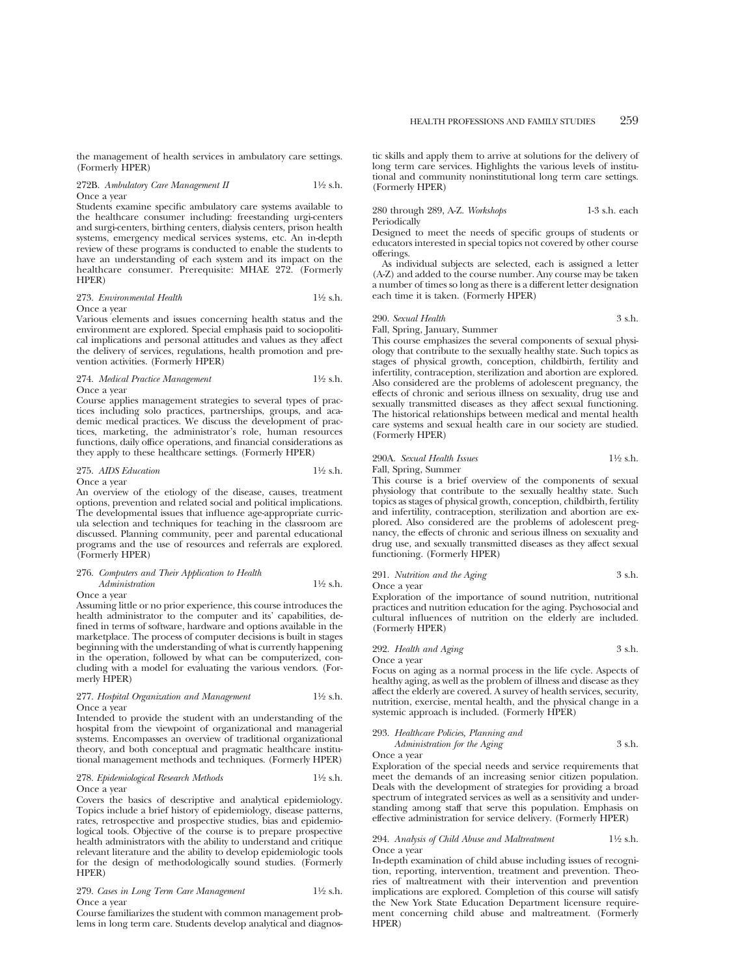the management of health services in ambulatory care settings. (Formerly HPER)

#### 272B. *Ambulatory Care Management II* 1<sup>1</sup>/2 s.h. Once a year

Students examine specific ambulatory care systems available to the healthcare consumer including: freestanding urgi-centers and surgi-centers, birthing centers, dialysis centers, prison health systems, emergency medical services systems, etc. An in-depth review of these programs is conducted to enable the students to have an understanding of each system and its impact on the healthcare consumer. Prerequisite: MHAE 272. (Formerly HPER)

## 273. *Environmental Health* 11⁄2 s.h.

Once a year

Various elements and issues concerning health status and the environment are explored. Special emphasis paid to sociopolitical implications and personal attitudes and values as they affect the delivery of services, regulations, health promotion and prevention activities. (Formerly HPER)

#### 274. *Medical Practice Management* 11⁄2 s.h. Once a year

Course applies management strategies to several types of practices including solo practices, partnerships, groups, and academic medical practices. We discuss the development of practices, marketing, the administrator's role, human resources functions, daily office operations, and financial considerations as they apply to these healthcare settings. (Formerly HPER)

#### 275. *AIDS Education* 11⁄2 s.h. Once a year

An overview of the etiology of the disease, causes, treatment options, prevention and related social and political implications. The developmental issues that influence age-appropriate curricula selection and techniques for teaching in the classroom are discussed. Planning community, peer and parental educational programs and the use of resources and referrals are explored. (Formerly HPER)

## 276. *Computers and Their Application to Health Administration* 1<sup>1</sup>⁄2 s.h.

Once a year

Assuming little or no prior experience, this course introduces the health administrator to the computer and its' capabilities, defined in terms of software, hardware and options available in the marketplace. The process of computer decisions is built in stages beginning with the understanding of what is currently happening in the operation, followed by what can be computerized, concluding with a model for evaluating the various vendors. (Formerly HPER)

#### 277. *Hospital Organization and Management* 11⁄2 s.h. Once a year

Intended to provide the student with an understanding of the hospital from the viewpoint of organizational and managerial systems. Encompasses an overview of traditional organizational theory, and both conceptual and pragmatic healthcare institutional management methods and techniques. (Formerly HPER)

#### 278. *Epidemiological Research Methods* 11⁄2 s.h. Once a year

Covers the basics of descriptive and analytical epidemiology. Topics include a brief history of epidemiology, disease patterns, rates, retrospective and prospective studies, bias and epidemiological tools. Objective of the course is to prepare prospective health administrators with the ability to understand and critique relevant literature and the ability to develop epidemiologic tools for the design of methodologically sound studies. (Formerly HPER)

#### 279. *Cases in Long Term Care Management* 11⁄2 s.h. Once a year

Course familiarizes the student with common management problems in long term care. Students develop analytical and diagnostic skills and apply them to arrive at solutions for the delivery of long term care services. Highlights the various levels of institutional and community noninstitutional long term care settings. (Formerly HPER)

#### 280 through 289, A-Z. *Workshops* 1-3 s.h. each Periodically

Designed to meet the needs of specific groups of students or educators interested in special topics not covered by other course offerings.

As individual subjects are selected, each is assigned a letter (A-Z) and added to the course number. Any course may be taken a number of times so long as there is a different letter designation each time it is taken. (Formerly HPER)

## 290. *Sexual Health* 3 s.h.

Fall, Spring, January, Summer

This course emphasizes the several components of sexual physiology that contribute to the sexually healthy state. Such topics as stages of physical growth, conception, childbirth, fertility and infertility, contraception, sterilization and abortion are explored. Also considered are the problems of adolescent pregnancy, the effects of chronic and serious illness on sexuality, drug use and sexually transmitted diseases as they affect sexual functioning. The historical relationships between medical and mental health care systems and sexual health care in our society are studied. (Formerly HPER)

#### 290A. *Sexual Health Issues* 11⁄2 s.h. Fall, Spring, Summer

This course is a brief overview of the components of sexual physiology that contribute to the sexually healthy state. Such topics as stages of physical growth, conception, childbirth, fertility and infertility, contraception, sterilization and abortion are explored. Also considered are the problems of adolescent pregnancy, the effects of chronic and serious illness on sexuality and drug use, and sexually transmitted diseases as they affect sexual functioning. (Formerly HPER)

#### 291. *Nutrition and the Aging* 3 s.h. Once a year

Exploration of the importance of sound nutrition, nutritional practices and nutrition education for the aging. Psychosocial and cultural influences of nutrition on the elderly are included. (Formerly HPER)

#### 292. *Health and Aging* 3 s.h. Once a year

Focus on aging as a normal process in the life cycle. Aspects of healthy aging, as well as the problem of illness and disease as they affect the elderly are covered. A survey of health services, security, nutrition, exercise, mental health, and the physical change in a systemic approach is included. (Formerly HPER)

| 293. Healthcare Policies, Planning and |        |
|----------------------------------------|--------|
| Administration for the Aging           | 3 s.h. |

Once a year

Exploration of the special needs and service requirements that meet the demands of an increasing senior citizen population. Deals with the development of strategies for providing a broad spectrum of integrated services as well as a sensitivity and understanding among staff that serve this population. Emphasis on effective administration for service delivery. (Formerly HPER)

#### 294. *Analysis of Child Abuse and Maltreatment* 11⁄2 s.h. Once a year

In-depth examination of child abuse including issues of recognition, reporting, intervention, treatment and prevention. Theories of maltreatment with their intervention and prevention implications are explored. Completion of this course will satisfy the New York State Education Department licensure requirement concerning child abuse and maltreatment. (Formerly HPER)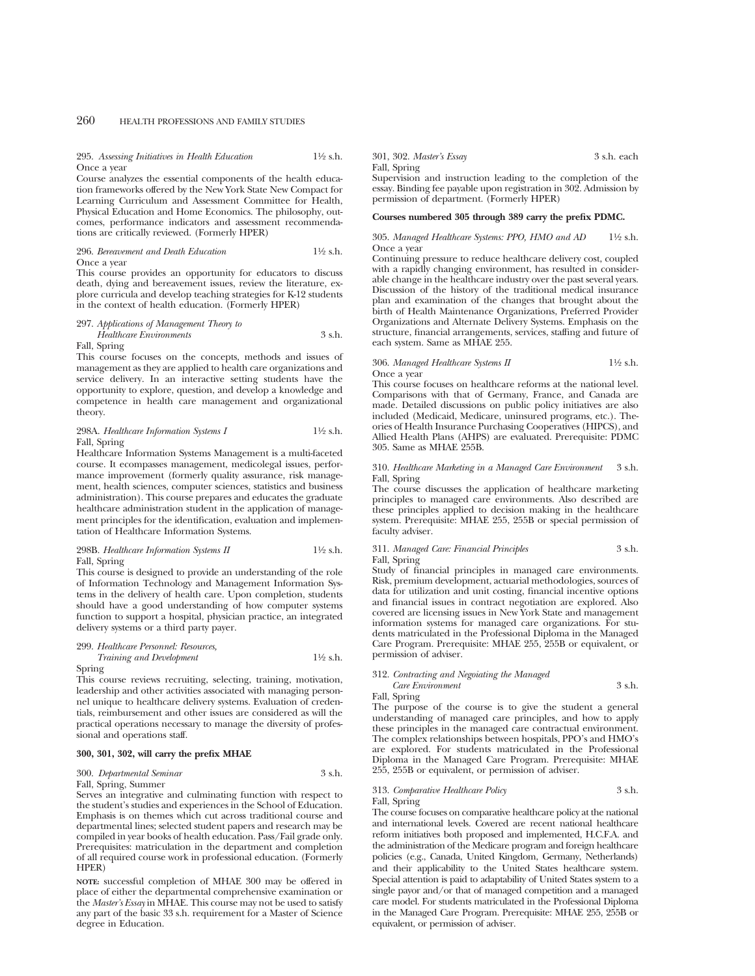#### 295. *Assessing Initiatives in Health Education* 11⁄2 s.h. Once a year

Course analyzes the essential components of the health education frameworks offered by the New York State New Compact for Learning Curriculum and Assessment Committee for Health, Physical Education and Home Economics. The philosophy, outcomes, performance indicators and assessment recommendations are critically reviewed. (Formerly HPER)

#### 296. *Bereavement and Death Education* 11⁄2 s.h. Once a year

This course provides an opportunity for educators to discuss death, dying and bereavement issues, review the literature, explore curricula and develop teaching strategies for K-12 students in the context of health education. (Formerly HPER)

#### 297. *Applications of Management Theory to Healthcare Environments* 3 s.h. Fall, Spring

This course focuses on the concepts, methods and issues of

management as they are applied to health care organizations and service delivery. In an interactive setting students have the opportunity to explore, question, and develop a knowledge and competence in health care management and organizational theory.

298A. *Healthcare Information Systems I* 11⁄2 s.h. Fall, Spring

Healthcare Information Systems Management is a multi-faceted course. It ecompasses management, medicolegal issues, performance improvement (formerly quality assurance, risk management, health sciences, computer sciences, statistics and business administration). This course prepares and educates the graduate healthcare administration student in the application of management principles for the identification, evaluation and implementation of Healthcare Information Systems.

#### 298B. *Healthcare Information Systems II* 11⁄2 s.h. Fall, Spring

This course is designed to provide an understanding of the role of Information Technology and Management Information Systems in the delivery of health care. Upon completion, students should have a good understanding of how computer systems function to support a hospital, physician practice, an integrated delivery systems or a third party payer.

299. *Healthcare Personnel: Resources, Training and Development* 11⁄2 s.h. Spring

This course reviews recruiting, selecting, training, motivation, leadership and other activities associated with managing personnel unique to healthcare delivery systems. Evaluation of credentials, reimbursement and other issues are considered as will the practical operations necessary to manage the diversity of professional and operations staff.

## **300, 301, 302, will carry the prefix MHAE**

#### 300. *Departmental Seminar* 3 s.h.

Fall, Spring, Summer

Serves an integrative and culminating function with respect to the student's studies and experiences in the School of Education. Emphasis is on themes which cut across traditional course and departmental lines; selected student papers and research may be compiled in year books of health education. Pass/Fail grade only. Prerequisites: matriculation in the department and completion of all required course work in professional education. (Formerly HPER)

**NOTE:** successful completion of MHAE 300 may be offered in place of either the departmental comprehensive examination or the *Master's Essay* in MHAE. This course may not be used to satisfy any part of the basic 33 s.h. requirement for a Master of Science degree in Education.

301, 302. *Master's Essay* 3 s.h. each Fall, Spring

Supervision and instruction leading to the completion of the essay. Binding fee payable upon registration in 302. Admission by permission of department. (Formerly HPER)

## **Courses numbered 305 through 389 carry the prefix PDMC.**

#### 305. *Managed Healthcare Systems: PPO, HMO and AD* 11⁄2 s.h. Once a year

Continuing pressure to reduce healthcare delivery cost, coupled with a rapidly changing environment, has resulted in considerable change in the healthcare industry over the past several years. Discussion of the history of the traditional medical insurance plan and examination of the changes that brought about the birth of Health Maintenance Organizations, Preferred Provider Organizations and Alternate Delivery Systems. Emphasis on the structure, financial arrangements, services, staffing and future of each system. Same as MHAE 255.

#### 306. *Managed Healthcare Systems II* 11⁄2 s.h. Once a year

This course focuses on healthcare reforms at the national level. Comparisons with that of Germany, France, and Canada are made. Detailed discussions on public policy initiatives are also included (Medicaid, Medicare, uninsured programs, etc.). Theories of Health Insurance Purchasing Cooperatives (HIPCS), and Allied Health Plans (AHPS) are evaluated. Prerequisite: PDMC 305. Same as MHAE 255B.

#### 310. *Healthcare Marketing in a Managed Care Environment* 3 s.h. Fall, Spring

The course discusses the application of healthcare marketing principles to managed care environments. Also described are these principles applied to decision making in the healthcare system. Prerequisite: MHAE 255, 255B or special permission of faculty adviser.

#### 311. *Managed Care: Financial Principles* 3 s.h. Fall, Spring

Study of financial principles in managed care environments. Risk, premium development, actuarial methodologies, sources of data for utilization and unit costing, financial incentive options and financial issues in contract negotiation are explored. Also covered are licensing issues in New York State and management information systems for managed care organizations. For students matriculated in the Professional Diploma in the Managed Care Program. Prerequisite: MHAE 255, 255B or equivalent, or permission of adviser.

#### 312. *Contracting and Negoiating the Managed Care Environment* 3 s.h.

Fall, Spring

The purpose of the course is to give the student a general understanding of managed care principles, and how to apply these principles in the managed care contractual environment. The complex relationships between hospitals, PPO's and HMO's are explored. For students matriculated in the Professional Diploma in the Managed Care Program. Prerequisite: MHAE 255, 255B or equivalent, or permission of adviser.

## 313. *Comparative Healthcare Policy* 3 s.h.

Fall, Spring

The course focuses on comparative healthcare policy at the national and international levels. Covered are recent national healthcare reform initiatives both proposed and implemented, H.C.F.A. and the administration of the Medicare program and foreign healthcare policies (e.g., Canada, United Kingdom, Germany, Netherlands) and their applicability to the United States healthcare system. Special attention is paid to adaptability of United States system to a single payor and/or that of managed competition and a managed care model. For students matriculated in the Professional Diploma in the Managed Care Program. Prerequisite: MHAE 255, 255B or equivalent, or permission of adviser.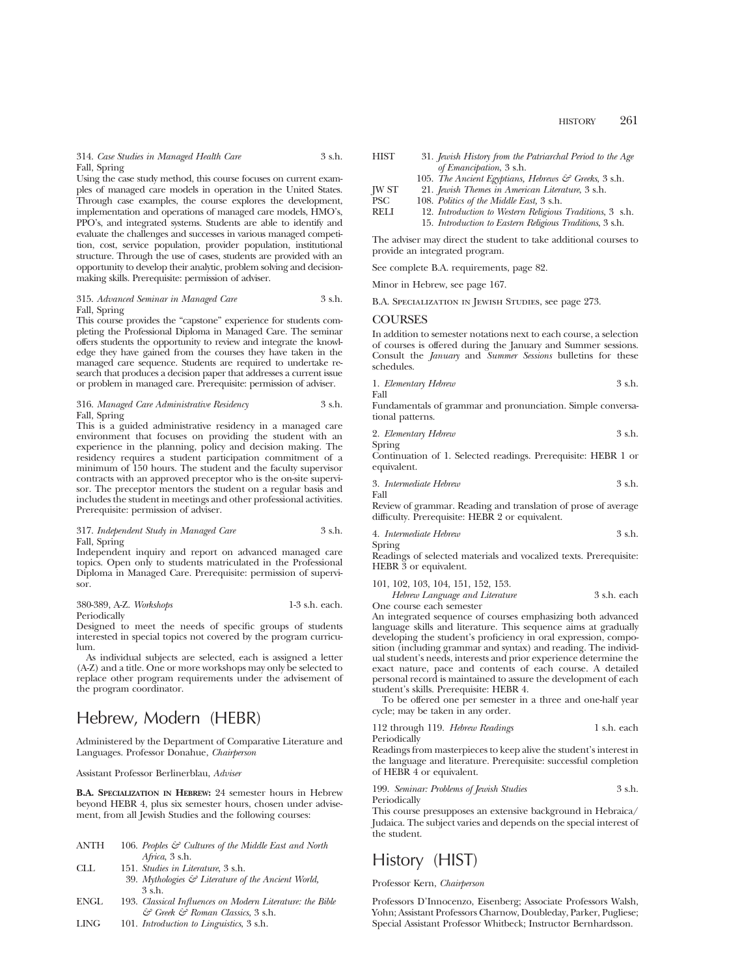Using the case study method, this course focuses on current examples of managed care models in operation in the United States. Through case examples, the course explores the development, implementation and operations of managed care models, HMO's, PPO's, and integrated systems. Students are able to identify and evaluate the challenges and successes in various managed competition, cost, service population, provider population, institutional structure. Through the use of cases, students are provided with an opportunity to develop their analytic, problem solving and decisionmaking skills. Prerequisite: permission of adviser.

#### 315. *Advanced Seminar in Managed Care* 3 s.h. Fall, Spring

This course provides the "capstone" experience for students completing the Professional Diploma in Managed Care. The seminar offers students the opportunity to review and integrate the knowledge they have gained from the courses they have taken in the managed care sequence. Students are required to undertake research that produces a decision paper that addresses a current issue or problem in managed care. Prerequisite: permission of adviser.

#### 316. *Managed Care Administrative Residency* 3 s.h. Fall, Spring

This is a guided administrative residency in a managed care environment that focuses on providing the student with an experience in the planning, policy and decision making. The residency requires a student participation commitment of a minimum of 150 hours. The student and the faculty supervisor contracts with an approved preceptor who is the on-site supervisor. The preceptor mentors the student on a regular basis and includes the student in meetings and other professional activities. Prerequisite: permission of adviser.

#### 317. *Independent Study in Managed Care* 3 s.h. Fall, Spring

Independent inquiry and report on advanced managed care topics. Open only to students matriculated in the Professional Diploma in Managed Care. Prerequisite: permission of supervisor.

#### 380-389, A-Z. *Workshops* 1-3 s.h. each.

Periodically Designed to meet the needs of specific groups of students interested in special topics not covered by the program curriculum.

As individual subjects are selected, each is assigned a letter (A-Z) and a title. One or more workshops may only be selected to replace other program requirements under the advisement of the program coordinator.

# Hebrew, Modern (HEBR)

Administered by the Department of Comparative Literature and Languages. Professor Donahue, *Chairperson*

Assistant Professor Berlinerblau, *Adviser*

**B.A. SPECIALIZATION IN HEBREW:** 24 semester hours in Hebrew beyond HEBR 4, plus six semester hours, chosen under advisement, from all Jewish Studies and the following courses:

| ANTH | 106. Peoples $\mathcal{F}$ Cultures of the Middle East and North |
|------|------------------------------------------------------------------|
|      | Africa, $3 \, \text{s.h.}$                                       |
| CLL. | 151. Studies in Literature 3 s.h.                                |
|      | 39. Mythologies $\mathcal G$ Literature of the Ancient World,    |

- 3 s.h. ENGL 193. *Classical Influences on Modern Literature: the Bible*
- *& Greek & Roman Classics*, 3 s.h. LING 101. *Introduction to Linguistics*, 3 s.h.

HIST 31. *Jewish History from the Patriarchal Period to the Age of Emancipation*, 3 s.h. 105. *The Ancient Egyptians, Hebrews & Greeks*, 3 s.h. JW ST 21. *Jewish Themes in American Literature*, 3 s.h. PSC 108. *Politics of the Middle East,* 3 s.h.<br>RELI 12 *Introduction to Western Religious* 12. *Introduction to Western Religious Traditions*, 3 s.h. 15. *Introduction to Eastern Religious Traditions*, 3 s.h.

The adviser may direct the student to take additional courses to provide an integrated program.

See complete B.A. requirements, page 82.

Minor in Hebrew, see page 167.

B.A. Specialization in Jewish Studies, see page 273.

## **COURSES**

In addition to semester notations next to each course, a selection of courses is offered during the January and Summer sessions. Consult the *January* and *Summer Sessions* bulletins for these schedules.

1. *Elementary Hebrew* 3 s.h. Fall

Fundamentals of grammar and pronunciation. Simple conversational patterns.

2. *Elementary Hebrew* 3 s.h.

Spring

Continuation of 1. Selected readings. Prerequisite: HEBR 1 or equivalent.

$$
3. \ In terms dia te Hebrew
$$
 
$$
3 s.h.
$$
 Fall

Review of grammar. Reading and translation of prose of average difficulty. Prerequisite: HEBR 2 or equivalent.

4. *Intermediate Hebrew* 3 s.h. Spring

Readings of selected materials and vocalized texts. Prerequisite: HEBR  $\overline{3}$  or equivalent.

101, 102, 103, 104, 151, 152, 153.

*Hebrew Language and Literature* 3 s.h. each One course each semester

An integrated sequence of courses emphasizing both advanced language skills and literature. This sequence aims at gradually developing the student's proficiency in oral expression, composition (including grammar and syntax) and reading. The individual student's needs, interests and prior experience determine the exact nature, pace and contents of each course. A detailed personal record is maintained to assure the development of each student's skills. Prerequisite: HEBR 4.

To be offered one per semester in a three and one-half year cycle; may be taken in any order.

112 through 119. *Hebrew Readings* 1 s.h. each Periodically

Readings from masterpieces to keep alive the student's interest in the language and literature. Prerequisite: successful completion of HEBR 4 or equivalent.

199. *Seminar: Problems of Jewish Studies* 3 s.h. Periodically

This course presupposes an extensive background in Hebraica/ Judaica. The subject varies and depends on the special interest of the student.

# History (HIST)

## Professor Kern, *Chairperson*

Professors D'Innocenzo, Eisenberg; Associate Professors Walsh, Yohn; Assistant Professors Charnow, Doubleday, Parker, Pugliese; Special Assistant Professor Whitbeck; Instructor Bernhardsson.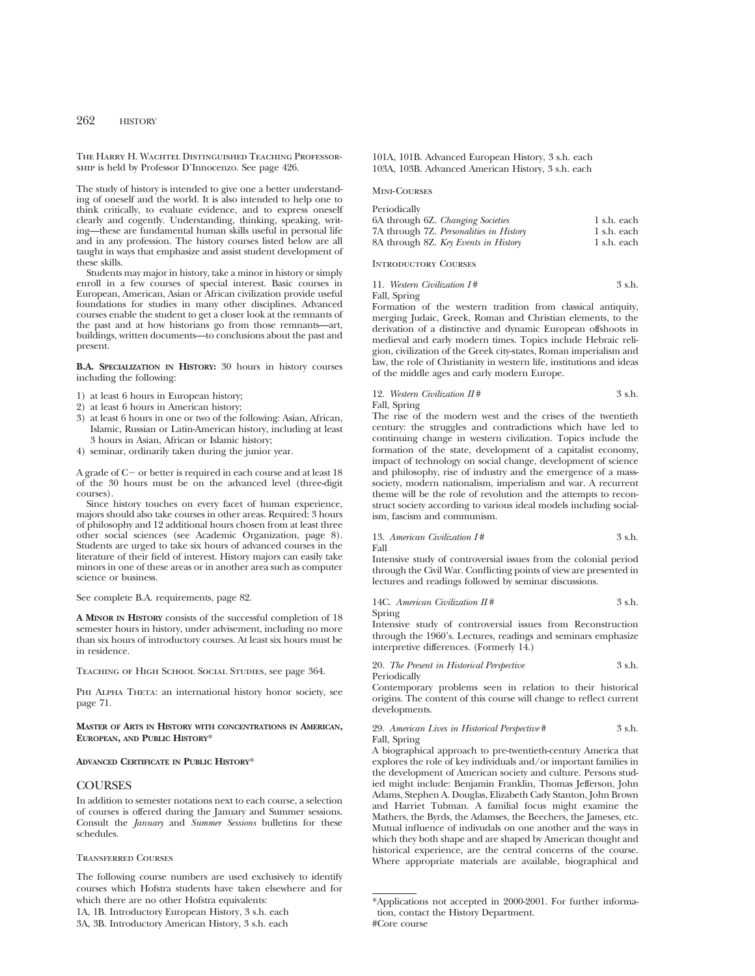The Harry H. Wachtel Distincuished Teaching Professorship is held by Professor D'Innocenzo. See page 426.

The study of history is intended to give one a better understanding of oneself and the world. It is also intended to help one to think critically, to evaluate evidence, and to express oneself clearly and cogently. Understanding, thinking, speaking, writing—these are fundamental human skills useful in personal life and in any profession. The history courses listed below are all taught in ways that emphasize and assist student development of these skills.

Students may major in history, take a minor in history or simply enroll in a few courses of special interest. Basic courses in European, American, Asian or African civilization provide useful foundations for studies in many other disciplines. Advanced courses enable the student to get a closer look at the remnants of the past and at how historians go from those remnants—art, buildings, written documents—to conclusions about the past and present.

**B.A. SPECIALIZATION IN HISTORY:** 30 hours in history courses including the following:

- 1) at least 6 hours in European history;
- 2) at least 6 hours in American history;
- 3) at least 6 hours in one or two of the following: Asian, African, Islamic, Russian or Latin-American history, including at least 3 hours in Asian, African or Islamic history;
- 4) seminar, ordinarily taken during the junior year.

A grade of  $C-$  or better is required in each course and at least 18 of the 30 hours must be on the advanced level (three-digit courses).

Since history touches on every facet of human experience, majors should also take courses in other areas. Required: 3 hours of philosophy and 12 additional hours chosen from at least three other social sciences (see Academic Organization, page 8). Students are urged to take six hours of advanced courses in the literature of their field of interest. History majors can easily take minors in one of these areas or in another area such as computer science or business.

See complete B.A. requirements, page 82.

**A MINOR IN HISTORY** consists of the successful completion of 18 semester hours in history, under advisement, including no more than six hours of introductory courses. At least six hours must be in residence.

Teaching of High School Social Studies, see page 364.

PHI ALPHA THETA: an international history honor society, see page 71.

### **MASTER OF ARTS IN HISTORY WITH CONCENTRATIONS IN AMERICAN, EUROPEAN, AND PUBLIC HISTORY**\*

### **ADVANCED CERTIFICATE IN PUBLIC HISTORY**\*

## **COURSES**

In addition to semester notations next to each course, a selection of courses is offered during the January and Summer sessions. Consult the *January* and *Summer Sessions* bulletins for these schedules.

## Transferred Courses

The following course numbers are used exclusively to identify courses which Hofstra students have taken elsewhere and for which there are no other Hofstra equivalents:

1A, 1B. Introductory European History, 3 s.h. each

101A, 101B. Advanced European History, 3 s.h. each 103A, 103B. Advanced American History, 3 s.h. each

#### Mini-Courses

| Periodically                            |             |
|-----------------------------------------|-------------|
| 6A through 6Z. Changing Societies       | 1 s.h. each |
| 7A through 7Z. Personalities in History | 1 s.h. each |
| 8A through 8Z. Key Events in History    | 1 s.h. each |

Introductory Courses

| 11. Western Civilization I# | 3 s.h. |
|-----------------------------|--------|
| Fall, Spring                |        |

Formation of the western tradition from classical antiquity, merging Judaic, Greek, Roman and Christian elements, to the derivation of a distinctive and dynamic European offshoots in medieval and early modern times. Topics include Hebraic religion, civilization of the Greek city-states, Roman imperialism and law, the role of Christianity in western life, institutions and ideas of the middle ages and early modern Europe.

# 12. *Western Civilization II* # 3 s.h.

Fall, Spring

The rise of the modern west and the crises of the twentieth century: the struggles and contradictions which have led to continuing change in western civilization. Topics include the formation of the state, development of a capitalist economy, impact of technology on social change, development of science and philosophy, rise of industry and the emergence of a masssociety, modern nationalism, imperialism and war. A recurrent theme will be the role of revolution and the attempts to reconstruct society according to various ideal models including socialism, fascism and communism.

#### 13. *American Civilization I* # 3 s.h. Fall

Intensive study of controversial issues from the colonial period through the Civil War. Conflicting points of view are presented in lectures and readings followed by seminar discussions.

14C. *American Civilization II* # 3 s.h. Spring

Intensive study of controversial issues from Reconstruction through the 1960's. Lectures, readings and seminars emphasize interpretive differences. (Formerly 14.)

20. *The Present in Historical Perspective* 3 s.h.

Periodically

Contemporary problems seen in relation to their historical origins. The content of this course will change to reflect current developments.

#### 29. *American Lives in Historical Perspective* # 3 s.h. Fall, Spring

A biographical approach to pre-twentieth-century America that explores the role of key individuals and/or important families in the development of American society and culture. Persons studied might include: Benjamin Franklin, Thomas Jefferson, John Adams, Stephen A. Douglas, Elizabeth Cady Stanton, John Brown and Harriet Tubman. A familial focus might examine the Mathers, the Byrds, the Adamses, the Beechers, the Jameses, etc. Mutual influence of indivudals on one another and the ways in which they both shape and are shaped by American thought and historical experience, are the central concerns of the course. Where appropriate materials are available, biographical and

<sup>3</sup>A, 3B. Introductory American History, 3 s.h. each

<sup>\*</sup>Applications not accepted in 2000-2001. For further information, contact the History Department. #Core course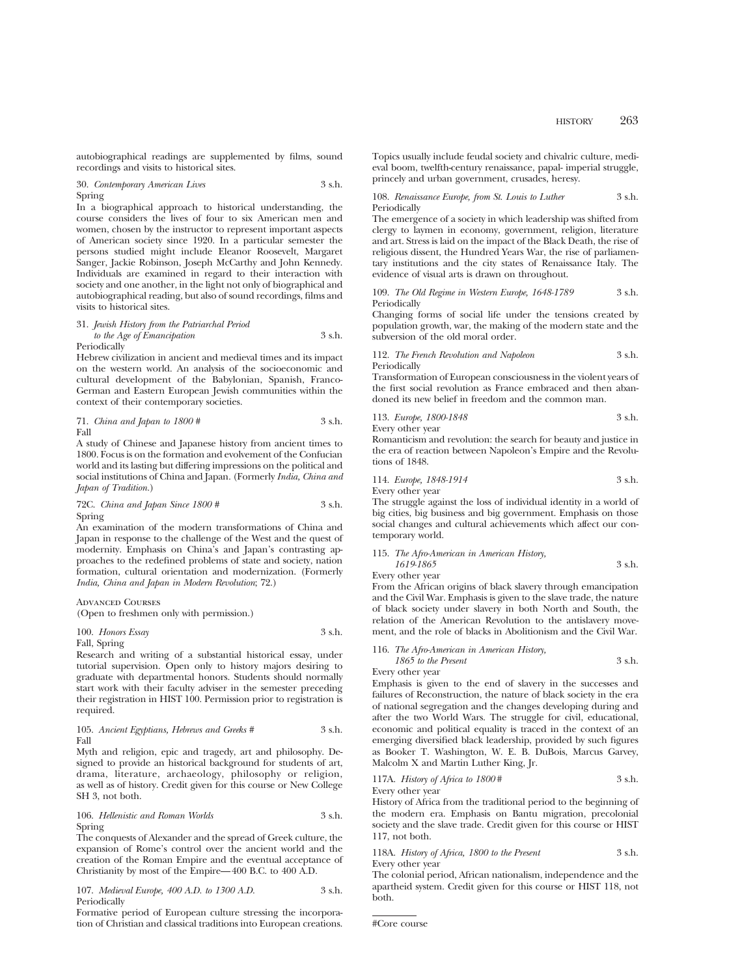autobiographical readings are supplemented by films, sound recordings and visits to historical sites.

30. *Contemporary American Lives* 3 s.h. Spring

In a biographical approach to historical understanding, the course considers the lives of four to six American men and women, chosen by the instructor to represent important aspects of American society since 1920. In a particular semester the persons studied might include Eleanor Roosevelt, Margaret Sanger, Jackie Robinson, Joseph McCarthy and John Kennedy. Individuals are examined in regard to their interaction with society and one another, in the light not only of biographical and autobiographical reading, but also of sound recordings, films and visits to historical sites.

#### 31. *Jewish History from the Patriarchal Period to the Age of Emancipation* 3 s.h. Periodically

Hebrew civilization in ancient and medieval times and its impact on the western world. An analysis of the socioeconomic and cultural development of the Babylonian, Spanish, Franco-German and Eastern European Jewish communities within the context of their contemporary societies.

71. *China and Japan to 1800 #* 3 s.h. Fall

A study of Chinese and Japanese history from ancient times to 1800. Focus is on the formation and evolvement of the Confucian world and its lasting but differing impressions on the political and social institutions of China and Japan. (Formerly *India, China and Japan of Tradition.*)

72C. *China and Japan Since 1800 #* 3 s.h. Spring

An examination of the modern transformations of China and Japan in response to the challenge of the West and the quest of modernity. Emphasis on China's and Japan's contrasting approaches to the redefined problems of state and society, nation formation, cultural orientation and modernization. (Formerly *India, China and Japan in Modern Revolution*; 72.)

### Advanced Courses

(Open to freshmen only with permission.)

100. *Honors Essay* 3 s.h. Fall, Spring

Research and writing of a substantial historical essay, under tutorial supervision. Open only to history majors desiring to graduate with departmental honors. Students should normally start work with their faculty adviser in the semester preceding their registration in HIST 100. Permission prior to registration is required.

105. *Ancient Egyptians, Hebrews and Greeks #* 3 s.h. Fall

Myth and religion, epic and tragedy, art and philosophy. Designed to provide an historical background for students of art, drama, literature, archaeology, philosophy or religion, as well as of history. Credit given for this course or New College SH 3, not both.

106. *Hellenistic and Roman Worlds* 3 s.h. Spring

The conquests of Alexander and the spread of Greek culture, the expansion of Rome's control over the ancient world and the creation of the Roman Empire and the eventual acceptance of Christianity by most of the Empire—400 B.C. to 400 A.D.

107. *Medieval Europe, 400 A.D. to 1300 A.D.* 3 s.h. Periodically

Formative period of European culture stressing the incorporation of Christian and classical traditions into European creations. Topics usually include feudal society and chivalric culture, medieval boom, twelfth-century renaissance, papal- imperial struggle, princely and urban government, crusades, heresy.

108. *Renaissance Europe, from St. Louis to Luther* 3 s.h. Periodically

The emergence of a society in which leadership was shifted from clergy to laymen in economy, government, religion, literature and art. Stress is laid on the impact of the Black Death, the rise of religious dissent, the Hundred Years War, the rise of parliamentary institutions and the city states of Renaissance Italy. The evidence of visual arts is drawn on throughout.

109. *The Old Regime in Western Europe, 1648-1789* 3 s.h. Periodically

Changing forms of social life under the tensions created by population growth, war, the making of the modern state and the subversion of the old moral order.

112. *The French Revolution and Napoleon* 3 s.h. Periodically

Transformation of European consciousness in the violent years of the first social revolution as France embraced and then abandoned its new belief in freedom and the common man.

113. *Europe, 1800-1848* 3 s.h. Every other year

Romanticism and revolution: the search for beauty and justice in the era of reaction between Napoleon's Empire and the Revolutions of 1848.

114. *Europe, 1848-1914* 3 s.h. Every other year

The struggle against the loss of individual identity in a world of big cities, big business and big government. Emphasis on those social changes and cultural achievements which affect our contemporary world.

115. *The Afro-American in American History, 1619-1865* 3 s.h.

Every other year

From the African origins of black slavery through emancipation and the Civil War. Emphasis is given to the slave trade, the nature of black society under slavery in both North and South, the relation of the American Revolution to the antislavery movement, and the role of blacks in Abolitionism and the Civil War.

116. *The Afro-American in American History, 1865 to the Present* 3 s.h.

Every other year

Emphasis is given to the end of slavery in the successes and failures of Reconstruction, the nature of black society in the era of national segregation and the changes developing during and after the two World Wars. The struggle for civil, educational, economic and political equality is traced in the context of an emerging diversified black leadership, provided by such figures as Booker T. Washington, W. E. B. DuBois, Marcus Garvey, Malcolm X and Martin Luther King, Jr.

117A. *History of Africa to 1800* # 3 s.h.

Every other year

History of Africa from the traditional period to the beginning of the modern era. Emphasis on Bantu migration, precolonial society and the slave trade. Credit given for this course or HIST 117, not both.

118A. *History of Africa, 1800 to the Present* 3 s.h. Every other year

The colonial period, African nationalism, independence and the apartheid system. Credit given for this course or HIST 118, not both.

```
#Core course
```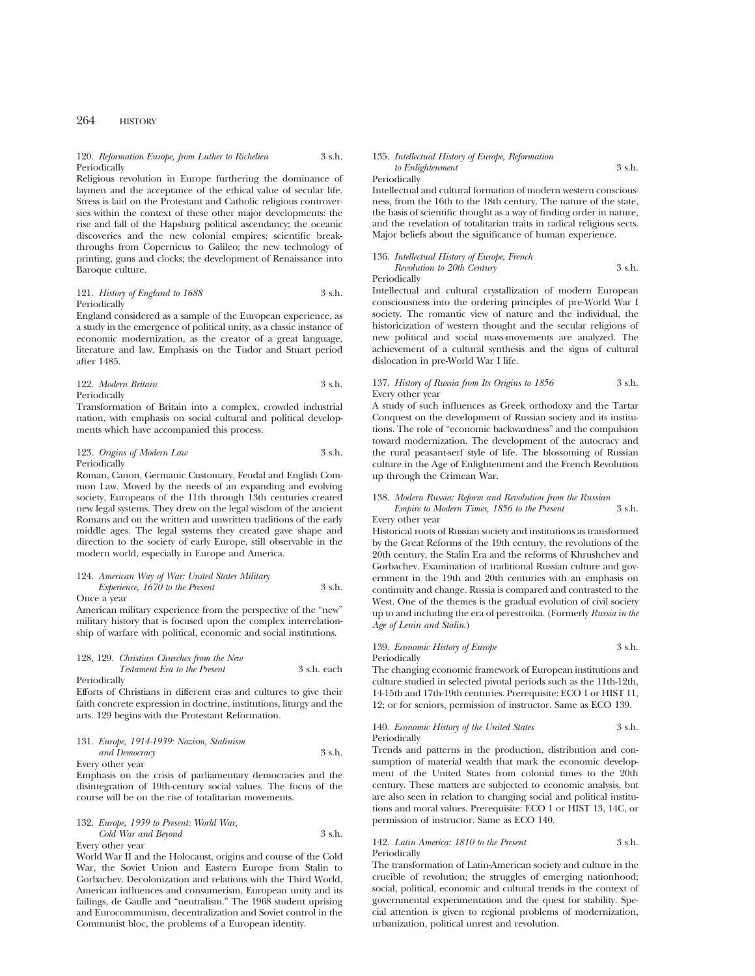#### 120. *Reformation Europe, from Luther to Richelieu* 3 s.h. Periodically

Religious revolution in Europe furthering the dominance of laymen and the acceptance of the ethical value of secular life. Stress is laid on the Protestant and Catholic religious controversies within the context of these other major developments: the rise and fall of the Hapsburg political ascendancy; the oceanic discoveries and the new colonial empires; scientific breakthroughs from Copernicus to Galileo; the new technology of printing, guns and clocks; the development of Renaissance into Baroque culture.

## 121. *History of England to 1688* 3 s.h. Periodically

England considered as a sample of the European experience, as a study in the emergence of political unity, as a classic instance of economic modernization, as the creator of a great language, literature and law. Emphasis on the Tudor and Stuart period after 1485.

122. *Modern Britain* 3 s.h. Periodically

Transformation of Britain into a complex, crowded industrial nation, with emphasis on social cultural and political developments which have accompanied this process.

123. *Origins of Modern Law* 3 s.h. Periodically

Roman, Canon, Germanic Customary, Feudal and English Common Law. Moved by the needs of an expanding and evolving society, Europeans of the 11th through 13th centuries created new legal systems. They drew on the legal wisdom of the ancient Romans and on the written and unwritten traditions of the early middle ages. The legal systems they created gave shape and direction to the society of early Europe, still observable in the modern world, especially in Europe and America.

## 124. *American Way of War: United States Military Experience, 1670 to the Present* 3 s.h.

Once a year

American military experience from the perspective of the "new" military history that is focused upon the complex interrelationship of warfare with political, economic and social institutions.

#### 128, 129. *Christian Churches from the New Testament Era to the Present* 3 s.h. each Periodically

Efforts of Christians in different eras and cultures to give their faith concrete expression in doctrine, institutions, liturgy and the arts. 129 begins with the Protestant Reformation.

#### 131. *Europe, 1914-1939: Nazism, Stalinism and Democracy* 3 s.h. Every other year

Emphasis on the crisis of parliamentary democracies and the disintegration of 19th-century social values. The focus of the course will be on the rise of totalitarian movements.

#### 132. *Europe, 1939 to Present: World War, Cold War and Beyond* 3 s.h. Every other year

World War II and the Holocaust, origins and course of the Cold War, the Soviet Union and Eastern Europe from Stalin to Gorbachev. Decolonization and relations with the Third World, American influences and consumerism, European unity and its failings, de Gaulle and "neutralism." The 1968 student uprising and Eurocommunism, decentralization and Soviet control in the Communist bloc, the problems of a European identity.

#### 135. *Intellectual History of Europe, Reformation to Enlightenment* 3 s.h.

Periodically

Intellectual and cultural formation of modern western consciousness, from the 16th to the 18th century. The nature of the state, the basis of scientific thought as a way of finding order in nature, and the revelation of totalitarian traits in radical religious sects. Major beliefs about the significance of human experience.

| 136. Intellectual History of Europe, French |        |
|---------------------------------------------|--------|
| Revolution to 20th Century                  | 3 s.h. |
| Periodically                                |        |

Intellectual and cultural crystallization of modern European consciousness into the ordering principles of pre-World War I society. The romantic view of nature and the individual, the historicization of western thought and the secular religions of new political and social mass-movements are analyzed. The achievement of a cultural synthesis and the signs of cultural dislocation in pre-World War I life.

## 137. *History of Russia from Its Origins to 1856* 3 s.h. Every other year

A study of such influences as Greek orthodoxy and the Tartar Conquest on the development of Russian society and its institutions. The role of "economic backwardness" and the compulsion toward modernization. The development of the autocracy and the rural peasant-serf style of life. The blossoming of Russian culture in the Age of Enlightenment and the French Revolution up through the Crimean War.

#### 138. *Modern Russia: Reform and Revolution from the Russian Empire to Modern Times, 1856 to the Present* 3 s.h. Every other year

Historical roots of Russian society and institutions as transformed by the Great Reforms of the 19th century, the revolutions of the 20th century, the Stalin Era and the reforms of Khrushchev and Gorbachev. Examination of traditional Russian culture and government in the 19th and 20th centuries with an emphasis on continuity and change. Russia is compared and contrasted to the West. One of the themes is the gradual evolution of civil society up to and including the era of perestroika. (Formerly *Russia in the Age of Lenin and Stalin*.)

#### 139. *Economic History of Europe* 3 s.h. Periodically

The changing economic framework of European institutions and culture studied in selected pivotal periods such as the 11th-12th, 14-15th and 17th-19th centuries. Prerequisite: ECO 1 or HIST 11, 12; or for seniors, permission of instructor. Same as ECO 139.

#### 140. *Economic History of the United States* 3 s.h. **Periodically**

Trends and patterns in the production, distribution and consumption of material wealth that mark the economic development of the United States from colonial times to the 20th century. These matters are subjected to economic analysis, but are also seen in relation to changing social and political institutions and moral values. Prerequisite: ECO 1 or HIST 13, 14C, or permission of instructor. Same as ECO 140.

#### 142. *Latin America: 1810 to the Present* 3 s.h. Periodically

The transformation of Latin-American society and culture in the crucible of revolution; the struggles of emerging nationhood; social, political, economic and cultural trends in the context of governmental experimentation and the quest for stability. Special attention is given to regional problems of modernization, urbanization, political unrest and revolution.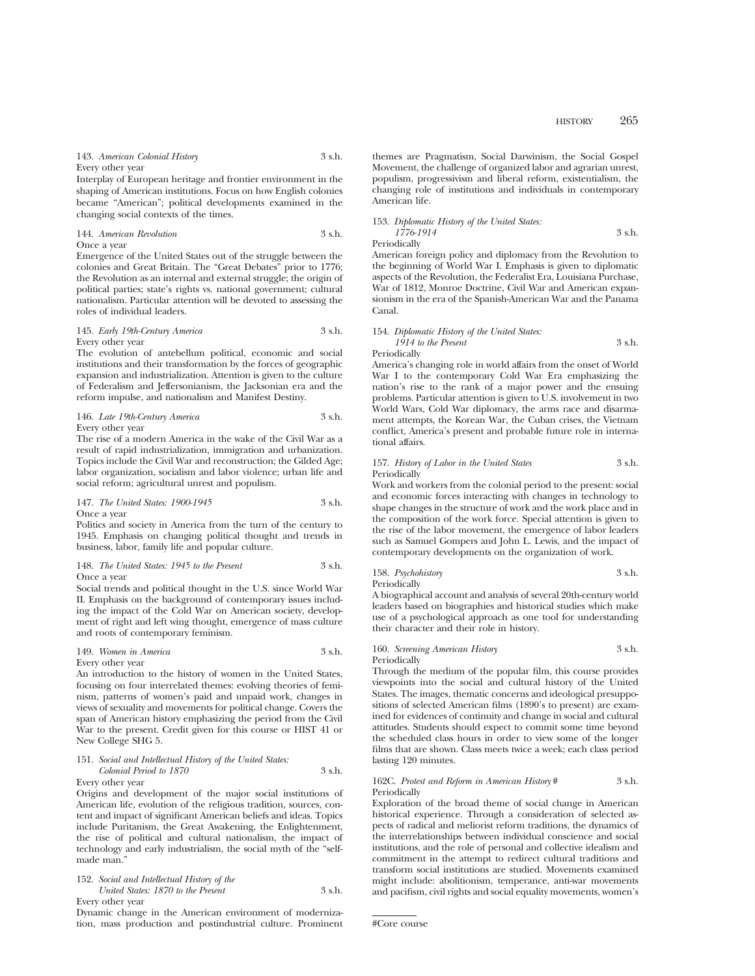143. *American Colonial History* 3 s.h. Every other year

Interplay of European heritage and frontier environment in the shaping of American institutions. Focus on how English colonies became "American"; political developments examined in the changing social contexts of the times.

144. *American Revolution* 3 s.h. Once a year

Emergence of the United States out of the struggle between the colonies and Great Britain. The "Great Debates" prior to 1776; the Revolution as an internal and external struggle; the origin of political parties; state's rights vs. national government; cultural nationalism. Particular attention will be devoted to assessing the roles of individual leaders.

145. *Early 19th-Century America* 3 s.h. Every other year

The evolution of antebellum political, economic and social institutions and their transformation by the forces of geographic expansion and industrialization. Attention is given to the culture of Federalism and Jeffersonianism, the Jacksonian era and the reform impulse, and nationalism and Manifest Destiny.

146. *Late 19th-Century America* 3 s.h. Every other year

The rise of a modern America in the wake of the Civil War as a result of rapid industrialization, immigration and urbanization. Topics include the Civil War and reconstruction; the Gilded Age; labor organization, socialism and labor violence; urban life and social reform; agricultural unrest and populism.

147. *The United States: 1900-1945* 3 s.h. Once a year

Politics and society in America from the turn of the century to 1945. Emphasis on changing political thought and trends in business, labor, family life and popular culture.

148. *The United States: 1945 to the Present* 3 s.h. Once a year

Social trends and political thought in the U.S. since World War II. Emphasis on the background of contemporary issues including the impact of the Cold War on American society, development of right and left wing thought, emergence of mass culture and roots of contemporary feminism.

149. *Women in America* 3 s.h. Every other year

An introduction to the history of women in the United States, focusing on four interrelated themes: evolving theories of feminism, patterns of women's paid and unpaid work, changes in views of sexuality and movements for political change. Covers the span of American history emphasizing the period from the Civil War to the present. Credit given for this course or HIST 41 or New College SHG 5.

## 151. *Social and Intellectual History of the United States: Colonial Period to 1870* 3 s.h.

Every other year Origins and development of the major social institutions of American life, evolution of the religious tradition, sources, content and impact of significant American beliefs and ideas. Topics include Puritanism, the Great Awakening, the Enlightenment, the rise of political and cultural nationalism, the impact of technology and early industrialism, the social myth of the "selfmade man.'

#### 152. *Social and Intellectual History of the United States: 1870 to the Present* 3 s.h. Every other year

Dynamic change in the American environment of modernization, mass production and postindustrial culture. Prominent themes are Pragmatism, Social Darwinism, the Social Gospel Movement, the challenge of organized labor and agrarian unrest, populism, progressivism and liberal reform, existentialism, the changing role of institutions and individuals in contemporary American life.

153. *Diplomatic History of the United States: 1776-1914* 3 s.h. Periodically

American foreign policy and diplomacy from the Revolution to the beginning of World War I. Emphasis is given to diplomatic aspects of the Revolution, the Federalist Era, Louisiana Purchase, War of 1812, Monroe Doctrine, Civil War and American expansionism in the era of the Spanish-American War and the Panama Canal.

```
154. Diplomatic History of the United States:
    1914 to the Present 3 s.h.
Periodically
```
America's changing role in world affairs from the onset of World War I to the contemporary Cold War Era emphasizing the nation's rise to the rank of a major power and the ensuing problems. Particular attention is given to U.S. involvement in two World Wars, Cold War diplomacy, the arms race and disarmament attempts, the Korean War, the Cuban crises, the Vietnam conflict, America's present and probable future role in international affairs.

#### 157. *History of Labor in the United States* 3 s.h. **Periodically**

Work and workers from the colonial period to the present: social and economic forces interacting with changes in technology to shape changes in the structure of work and the work place and in the composition of the work force. Special attention is given to the rise of the labor movement, the emergence of labor leaders such as Samuel Gompers and John L. Lewis, and the impact of contemporary developments on the organization of work.

```
158. Psychohistory 3 s.h.
Periodically
```
A biographical account and analysis of several 20th-century world leaders based on biographies and historical studies which make use of a psychological approach as one tool for understanding their character and their role in history.

#### 160. *Screening American History* 3 s.h. Periodically

Through the medium of the popular film, this course provides viewpoints into the social and cultural history of the United States. The images, thematic concerns and ideological presuppositions of selected American films (1890's to present) are examined for evidences of continuity and change in social and cultural attitudes. Students should expect to commit some time beyond the scheduled class hours in order to view some of the longer films that are shown. Class meets twice a week; each class period lasting 120 minutes.

#### 162C. *Protest and Reform in American History* # 3 s.h. Periodically

Exploration of the broad theme of social change in American historical experience. Through a consideration of selected aspects of radical and meliorist reform traditions, the dynamics of the interrelationships between individual conscience and social institutions, and the role of personal and collective idealism and commitment in the attempt to redirect cultural traditions and transform social institutions are studied. Movements examined might include: abolitionism, temperance, anti-war movements and pacifism, civil rights and social equality movements, women's

<sup>#</sup>Core course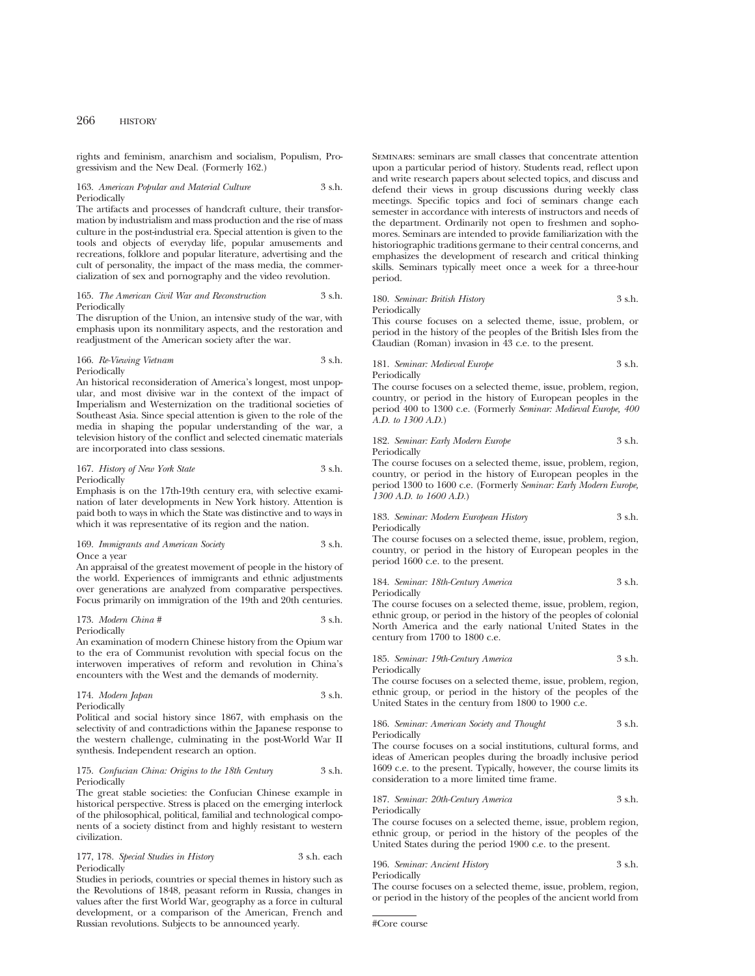rights and feminism, anarchism and socialism, Populism, Progressivism and the New Deal. (Formerly 162.)

#### 163. *American Popular and Material Culture* 3 s.h. Periodically

The artifacts and processes of handcraft culture, their transformation by industrialism and mass production and the rise of mass culture in the post-industrial era. Special attention is given to the tools and objects of everyday life, popular amusements and recreations, folklore and popular literature, advertising and the cult of personality, the impact of the mass media, the commercialization of sex and pornography and the video revolution.

#### 165. *The American Civil War and Reconstruction* 3 s.h. **Periodically**

The disruption of the Union, an intensive study of the war, with emphasis upon its nonmilitary aspects, and the restoration and readjustment of the American society after the war.

#### 166. *Re-Viewing Vietnam* 3 s.h. Periodically

An historical reconsideration of America's longest, most unpopular, and most divisive war in the context of the impact of Imperialism and Westernization on the traditional societies of Southeast Asia. Since special attention is given to the role of the media in shaping the popular understanding of the war, a television history of the conflict and selected cinematic materials are incorporated into class sessions.

167. *History of New York State* 3 s.h. Periodically

Emphasis is on the 17th-19th century era, with selective examination of later developments in New York history. Attention is paid both to ways in which the State was distinctive and to ways in which it was representative of its region and the nation.

169. *Immigrants and American Society* 3 s.h. Once a year

An appraisal of the greatest movement of people in the history of the world. Experiences of immigrants and ethnic adjustments over generations are analyzed from comparative perspectives. Focus primarily on immigration of the 19th and 20th centuries.

#### 173. *Modern China #* 3 s.h. Periodically

An examination of modern Chinese history from the Opium war to the era of Communist revolution with special focus on the interwoven imperatives of reform and revolution in China's encounters with the West and the demands of modernity.

174. *Modern Japan* 3 s.h. Periodically

Political and social history since 1867, with emphasis on the selectivity of and contradictions within the Japanese response to the western challenge, culminating in the post-World War II synthesis. Independent research an option.

#### 175. *Confucian China: Origins to the 18th Century* 3 s.h. Periodically

The great stable societies: the Confucian Chinese example in historical perspective. Stress is placed on the emerging interlock of the philosophical, political, familial and technological components of a society distinct from and highly resistant to western civilization.

177, 178. *Special Studies in History* 3 s.h. each Periodically

Studies in periods, countries or special themes in history such as the Revolutions of 1848, peasant reform in Russia, changes in values after the first World War, geography as a force in cultural development, or a comparison of the American, French and Russian revolutions. Subjects to be announced yearly.

Seminars: seminars are small classes that concentrate attention upon a particular period of history. Students read, reflect upon and write research papers about selected topics, and discuss and defend their views in group discussions during weekly class meetings. Specific topics and foci of seminars change each semester in accordance with interests of instructors and needs of the department. Ordinarily not open to freshmen and sophomores. Seminars are intended to provide familiarization with the historiographic traditions germane to their central concerns, and emphasizes the development of research and critical thinking skills. Seminars typically meet once a week for a three-hour period.

## 180. *Seminar: British History* 3 s.h.

Periodically

This course focuses on a selected theme, issue, problem, or period in the history of the peoples of the British Isles from the Claudian (Roman) invasion in 43 c.e. to the present.

181. *Seminar: Medieval Europe* 3 s.h. Periodically

The course focuses on a selected theme, issue, problem, region, country, or period in the history of European peoples in the period 400 to 1300 c.e. (Formerly *Seminar: Medieval Europe, 400 A.D. to 1300 A.D.*)

182. *Seminar: Early Modern Europe* 3 s.h. Periodically

The course focuses on a selected theme, issue, problem, region, country, or period in the history of European peoples in the period 1300 to 1600 c.e. (Formerly *Seminar: Early Modern Europe, 1300 A.D. to 1600 A.D.*)

183. *Seminar: Modern European History* 3 s.h. Periodically

The course focuses on a selected theme, issue, problem, region, country, or period in the history of European peoples in the period 1600 c.e. to the present.

184. *Seminar: 18th-Century America* 3 s.h. Periodically

The course focuses on a selected theme, issue, problem, region, ethnic group, or period in the history of the peoples of colonial North America and the early national United States in the century from 1700 to 1800 c.e.

185. *Seminar: 19th-Century America* 3 s.h. Periodically

The course focuses on a selected theme, issue, problem, region, ethnic group, or period in the history of the peoples of the United States in the century from 1800 to 1900 c.e.

```
186. Seminar: American Society and Thought 3 s.h.
Periodically
```
The course focuses on a social institutions, cultural forms, and ideas of American peoples during the broadly inclusive period 1609 c.e. to the present. Typically, however, the course limits its consideration to a more limited time frame.

#### 187. *Seminar: 20th-Century America* 3 s.h. Periodically

The course focuses on a selected theme, issue, problem region, ethnic group, or period in the history of the peoples of the United States during the period 1900 c.e. to the present.

196. *Seminar: Ancient History* 3 s.h. Periodically

The course focuses on a selected theme, issue, problem, region, or period in the history of the peoples of the ancient world from

<sup>#</sup>Core course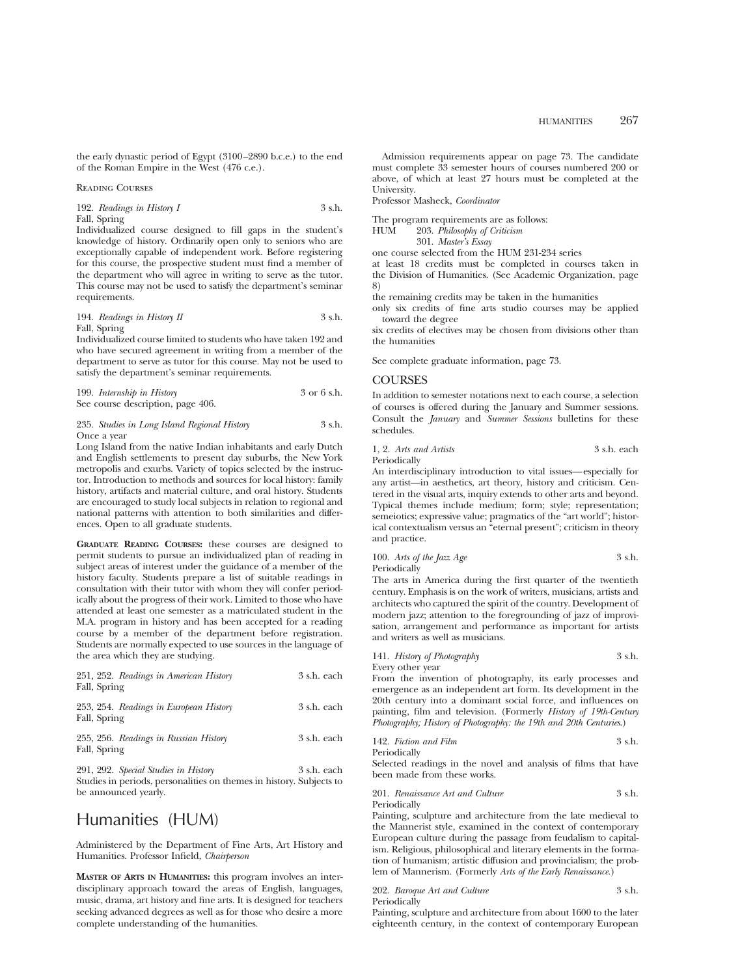the early dynastic period of Egypt (3100–2890 b.c.e.) to the end of the Roman Empire in the West (476 c.e.).

#### Reading Courses

## 192. *Readings in History I* 3 s.h. Fall, Spring

Individualized course designed to fill gaps in the student's knowledge of history. Ordinarily open only to seniors who are exceptionally capable of independent work. Before registering for this course, the prospective student must find a member of the department who will agree in writing to serve as the tutor. This course may not be used to satisfy the department's seminar requirements.

194. *Readings in History II* 3 s.h.

Fall, Spring

Individualized course limited to students who have taken 192 and who have secured agreement in writing from a member of the department to serve as tutor for this course. May not be used to satisfy the department's seminar requirements.

| 199. Internship in History        | 3 or 6 s.h. |
|-----------------------------------|-------------|
| See course description, page 406. |             |

#### 235. *Studies in Long Island Regional History* 3 s.h. Once a year

Long Island from the native Indian inhabitants and early Dutch and English settlements to present day suburbs, the New York metropolis and exurbs. Variety of topics selected by the instructor. Introduction to methods and sources for local history: family history, artifacts and material culture, and oral history. Students are encouraged to study local subjects in relation to regional and national patterns with attention to both similarities and differences. Open to all graduate students.

**GRADUATE READING COURSES:** these courses are designed to permit students to pursue an individualized plan of reading in subject areas of interest under the guidance of a member of the history faculty. Students prepare a list of suitable readings in consultation with their tutor with whom they will confer periodically about the progress of their work. Limited to those who have attended at least one semester as a matriculated student in the M.A. program in history and has been accepted for a reading course by a member of the department before registration. Students are normally expected to use sources in the language of the area which they are studying.

| 251, 252. Readings in American History<br>Fall, Spring | 3 s.h. each |
|--------------------------------------------------------|-------------|
| 253, 254. Readings in European History<br>Fall, Spring | 3 s.h. each |
| 255, 256. Readings in Russian History<br>Fall, Spring  | 3 s.h. each |

291, 292. *Special Studies in History* 3 s.h. each Studies in periods, personalities on themes in history. Subjects to be announced yearly.

# Humanities (HUM)

Administered by the Department of Fine Arts, Art History and Humanities. Professor Infield, *Chairperson*

**MASTER OF ARTS IN HUMANITIES:** this program involves an interdisciplinary approach toward the areas of English, languages, music, drama, art history and fine arts. It is designed for teachers seeking advanced degrees as well as for those who desire a more complete understanding of the humanities.

Admission requirements appear on page 73. The candidate must complete 33 semester hours of courses numbered 200 or above, of which at least 27 hours must be completed at the University.

Professor Masheck, *Coordinator*

The program requirements are as follows:

HUM 203. *Philosophy of Criticism*

301. *Master's Essay*

one course selected from the HUM 231-234 series

at least 18 credits must be completed in courses taken in the Division of Humanities. (See Academic Organization, page 8)

the remaining credits may be taken in the humanities

only six credits of fine arts studio courses may be applied toward the degree

six credits of electives may be chosen from divisions other than the humanities

See complete graduate information, page 73.

## **COURSES**

In addition to semester notations next to each course, a selection of courses is offered during the January and Summer sessions. Consult the *January* and *Summer Sessions* bulletins for these schedules.

1, 2. *Arts and Artists* 3 s.h. each Periodically

An interdisciplinary introduction to vital issues—especially for any artist—in aesthetics, art theory, history and criticism. Centered in the visual arts, inquiry extends to other arts and beyond.

Typical themes include medium; form; style; representation; semeiotics; expressive value; pragmatics of the "art world"; historical contextualism versus an "eternal present"; criticism in theory and practice.

100. *Arts of the Jazz Age* 3 s.h. Periodically

The arts in America during the first quarter of the twentieth century. Emphasis is on the work of writers, musicians, artists and architects who captured the spirit of the country. Development of modern jazz; attention to the foregrounding of jazz of improvisation, arrangement and performance as important for artists and writers as well as musicians.

| 141. History of Photography | 3 s.h. |
|-----------------------------|--------|
| Every other year            |        |

From the invention of photography, its early processes and emergence as an independent art form. Its development in the 20th century into a dominant social force, and influences on painting, film and television. (Formerly *History of 19th-Century Photography; History of Photography: the 19th and 20th Centuries*.)

| 142. Fiction and Film | 3 s.h. |
|-----------------------|--------|
| Periodically          |        |

Selected readings in the novel and analysis of films that have been made from these works.

201. *Renaissance Art and Culture* 3 s.h. Periodically

Painting, sculpture and architecture from the late medieval to the Mannerist style, examined in the context of contemporary European culture during the passage from feudalism to capitalism. Religious, philosophical and literary elements in the formation of humanism; artistic diffusion and provincialism; the problem of Mannerism. (Formerly *Arts of the Early Renaissance.*)

202. *Baroque Art and Culture* 3 s.h. Periodically

Painting, sculpture and architecture from about 1600 to the later eighteenth century, in the context of contemporary European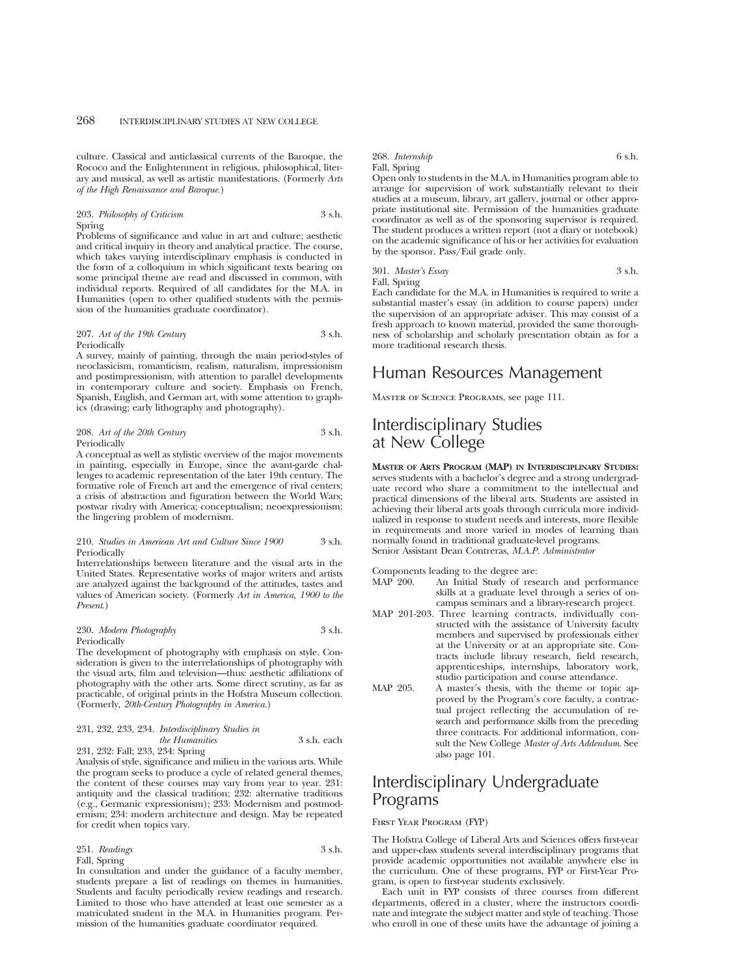culture. Classical and anticlassical currents of the Baroque, the Rococo and the Enlightenment in religious, philosophical, literary and musical, as well as artistic manifestations. (Formerly *Arts of the High Renaissance and Baroque.*)

#### 203. *Philosophy of Criticism* 3 s.h. Spring

Problems of significance and value in art and culture; aesthetic and critical inquiry in theory and analytical practice. The course, which takes varying interdisciplinary emphasis is conducted in the form of a colloquium in which significant texts bearing on some principal theme are read and discussed in common, with individual reports. Required of all candidates for the M.A. in Humanities (open to other qualified students with the permission of the humanities graduate coordinator).

#### 207. *Art of the 19th Century* 3 s.h. Periodically

A survey, mainly of painting, through the main period-styles of neoclassicism, romanticism, realism, naturalism, impressionism and postimpressionism, with attention to parallel developments in contemporary culture and society. Emphasis on French, Spanish, English, and German art, with some attention to graphics (drawing; early lithography and photography).

208. *Art of the 20th Century* 3 s.h. Periodically

A conceptual as well as stylistic overview of the major movements in painting, especially in Europe, since the avant-garde challenges to academic representation of the later 19th century. The formative role of French art and the emergence of rival centers; a crisis of abstraction and figuration between the World Wars; postwar rivalry with America; conceptualism; neoexpressionism; the lingering problem of modernism.

#### 210. *Studies in American Art and Culture Since 1900* 3 s.h. Periodically

Interrelationships between literature and the visual arts in the United States. Representative works of major writers and artists are analyzed against the background of the attitudes, tastes and values of American society. (Formerly *Art in America, 1900 to the Present*.)

#### 230. *Modern Photography* 3 s.h. **Periodically**

The development of photography with emphasis on style. Consideration is given to the interrelationships of photography with the visual arts, film and television—thus: aesthetic affiliations of photography with the other arts. Some direct scrutiny, as far as practicable, of original prints in the Hofstra Museum collection. (Formerly, *20th-Century Photography in America.*)

#### 231, 232, 233, 234. *Interdisciplinary Studies in the Humanities* 3 s.h. each 231, 232: Fall; 233, 234: Spring

Analysis of style, significance and milieu in the various arts. While the program seeks to produce a cycle of related general themes, the content of these courses may vary from year to year. 231: antiquity and the classical tradition; 232: alternative traditions (e.g., Germanic expressionism); 233: Modernism and postmodernism; 234: modern architecture and design. May be repeated for credit when topics vary.

#### 251. *Readings* 3 s.h. Fall, Spring

In consultation and under the guidance of a faculty member, students prepare a list of readings on themes in humanities. Students and faculty periodically review readings and research. Limited to those who have attended at least one semester as a matriculated student in the M.A. in Humanities program. Permission of the humanities graduate coordinator required.

#### 268. *Internship* 6 s.h. Fall, Spring

Open only to students in the M.A. in Humanities program able to arrange for supervision of work substantially relevant to their studies at a museum, library, art gallery, journal or other appropriate institutional site. Permission of the humanities graduate coordinator as well as of the sponsoring supervisor is required. The student produces a written report (not a diary or notebook) on the academic significance of his or her activities for evaluation by the sponsor. Pass/Fail grade only.

## 301. *Master's Essay* 3 s.h. Fall, Spring

Each candidate for the M.A. in Humanities is required to write a substantial master's essay (in addition to course papers) under the supervision of an appropriate adviser. This may consist of a fresh approach to known material, provided the same thoroughness of scholarship and scholarly presentation obtain as for a more traditional research thesis.

## Human Resources Management

Master of Science Programs, see page 111.

# Interdisciplinary Studies at New College

**MASTER OF ARTS PROGRAM (MAP) IN INTERDISCIPLINARY STUDIES:** serves students with a bachelor's degree and a strong undergraduate record who share a commitment to the intellectual and practical dimensions of the liberal arts. Students are assisted in achieving their liberal arts goals through curricula more individualized in response to student needs and interests, more flexible in requirements and more varied in modes of learning than normally found in traditional graduate-level programs. Senior Assistant Dean Contreras, *M.A.P. Administrator*

Components leading to the degree are:<br>MAP 200. An Initial Study of rese

- An Initial Study of research and performance skills at a graduate level through a series of oncampus seminars and a library-research project.
- MAP 201-203. Three learning contracts, individually constructed with the assistance of University faculty members and supervised by professionals either at the University or at an appropriate site. Contracts include library research, field research, apprenticeships, internships, laboratory work, studio participation and course attendance.
- MAP 205. A master's thesis, with the theme or topic approved by the Program's core faculty, a contractual project reflecting the accumulation of research and performance skills from the preceding three contracts. For additional information, consult the New College *Master of Arts Addendum*. See also page 101.

# Interdisciplinary Undergraduate Programs

#### First Year Program (FYP)

The Hofstra College of Liberal Arts and Sciences offers first-year and upper-class students several interdisciplinary programs that provide academic opportunities not available anywhere else in the curriculum. One of these programs, FYP or First-Year Program, is open to first-year students exclusively.

Each unit in FYP consists of three courses from different departments, offered in a cluster, where the instructors coordinate and integrate the subject matter and style of teaching. Those who enroll in one of these units have the advantage of joining a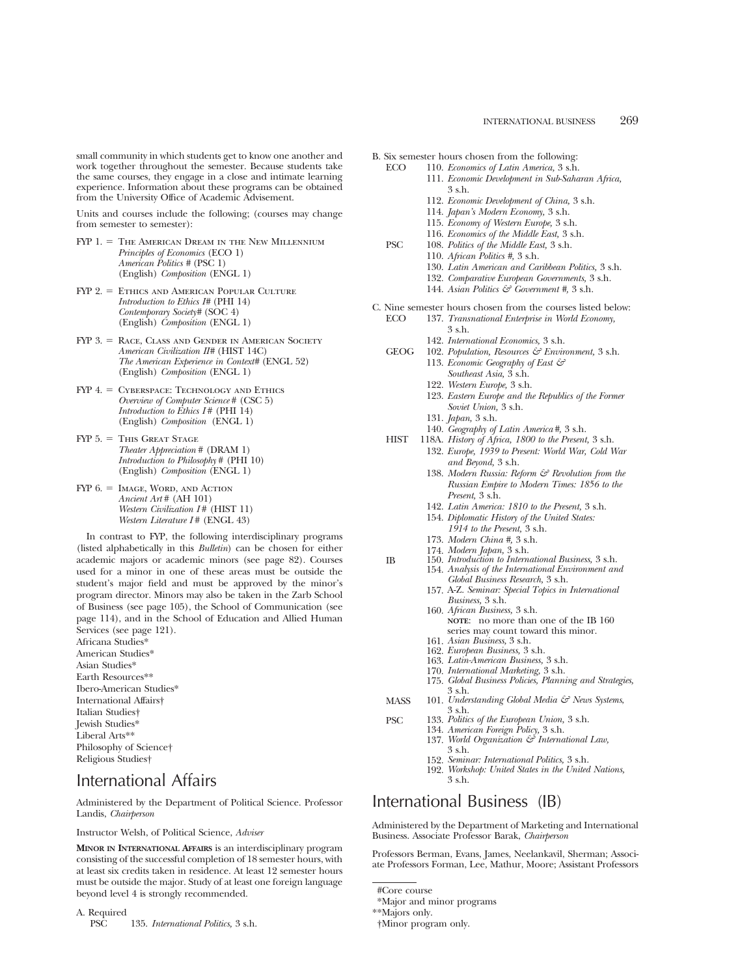small community in which students get to know one another and work together throughout the semester. Because students take the same courses, they engage in a close and intimate learning experience. Information about these programs can be obtained from the University Office of Academic Advisement.

Units and courses include the following; (courses may change from semester to semester):

- FYP 1. = THE AMERICAN DREAM IN THE NEW MILLENNIUM *Principles of Economics* (ECO 1) *American Politics #* (PSC 1) (English) *Composition* (ENGL 1)
- FYP 2. = ETHICS AND AMERICAN POPULAR CULTURE *Introduction to Ethics I#* (PHI 14) *Contemporary Society#* (SOC 4) (English) *Composition* (ENGL 1)
- $FYP 3. =$  Race, Class and Gender in American Society *American Civilization II#* (HIST 14C) *The American Experience in Context#* (ENGL 52) (English) *Composition* (ENGL 1)
- $FYP$  4. = CYBERSPACE: TECHNOLOGY AND ETHICS *Overview of Computer Science* # (CSC 5) *Introduction to Ethics I* # (PHI 14) (English) *Composition* (ENGL 1)
- $FYP 5. =$  This Great Stage *Theater Appreciation* # (DRAM 1) *Introduction to Philosophy* # (PHI 10) (English) *Composition* (ENGL 1)
- $FYP 6. = IMAGE$ , WORD, AND ACTION *Ancient Art* # (AH 101) *Western Civilization I* # (HIST 11) *Western Literature I* # (ENGL 43)

In contrast to FYP, the following interdisciplinary programs (listed alphabetically in this *Bulletin*) can be chosen for either academic majors or academic minors (see page 82). Courses used for a minor in one of these areas must be outside the student's major field and must be approved by the minor's program director. Minors may also be taken in the Zarb School of Business (see page 105), the School of Communication (see page 114), and in the School of Education and Allied Human Services (see page 121).

Africana Studies\* American Studies\* Asian Studies\* Earth Resources\*\* Ibero-American Studies\* International Affairs† Italian Studies† Jewish Studies\* Liberal Arts\*\* Philosophy of Science† Religious Studies†

# International Affairs

Administered by the Department of Political Science. Professor Landis, *Chairperson*

Instructor Welsh, of Political Science, *Adviser*

**MINOR IN INTERNATIONAL AFFAIRS** is an interdisciplinary program consisting of the successful completion of 18 semester hours, with at least six credits taken in residence. At least 12 semester hours must be outside the major. Study of at least one foreign language beyond level 4 is strongly recommended.

## A. Required

PSC 135. *International Politics,* 3 s.h.

- B. Six semester hours chosen from the following:<br>ECO 110. Economics of Latin America, 3 s.h.
	- ECO 110. *Economics of Latin America,* 3 s.h.
		- 111. *Economic Development in Sub-Saharan Africa,* 3 s.h.
		- 112. *Economic Development of China,* 3 s.h.
		- 114. *Japan's Modern Economy,* 3 s.h.
		- 115. *Economy of Western Europe,* 3 s.h.
		- 116. *Economics of the Middle East,* 3 s.h.
	- PSC 108. *Politics of the Middle East,* 3 s.h.
		- 110. *African Politics #,* 3 s.h.
		- 130. *Latin American and Caribbean Politics,* 3 s.h.
		- 132. *Comparative European Governments,* 3 s.h.
		- 144. *Asian Politics & Government #,* 3 s.h.
- C. Nine semester hours chosen from the courses listed below:
	- ECO 137. *Transnational Enterprise in World Economy,* 3 s.h.
		- 142. *International Economics,* 3 s.h.
	- GEOG 102. *Population, Resources & Environment,* 3 s.h. 113. *Economic Geography of East &*
		- *Southeast Asia,* 3 s.h.
		- 122. *Western Europe,* 3 s.h.
		- 123. *Eastern Europe and the Republics of the Former Soviet Union,* 3 s.h.
		- 131. *Japan,* 3 s.h.
		- 140. *Geography of Latin America#,* 3 s.h.
	- HIST 118A. *History of Africa, 1800 to the Present,* 3 s.h. 132. *Europe, 1939 to Present: World War, Cold War and Beyond,* 3 s.h.
		- 138. *Modern Russia: Reform & Revolution from the Russian Empire to Modern Times: 1856 to the Present,* 3 s.h.
		- 142. *Latin America: 1810 to the Present,* 3 s.h.
		- 154. *Diplomatic History of the United States: 1914 to the Present,* 3 s.h.
		- 173. *Modern China #,* 3 s.h.
		- 174. *Modern Japan,* 3 s.h.
	- IB 150. *Introduction to International Business,* 3 s.h.
		- 154. *Analysis of the International Environment and Global Business Research,* 3 s.h.
			- 157. A-Z. *Seminar: Special Topics in International Business,* 3 s.h.
			- 160. *African Business,* 3 s.h. **NOTE**: no more than one of the IB 160 series may count toward this minor.
			- 161. *Asian Business,* 3 s.h.
			- 162. *European Business,* 3 s.h.
			- 163. *Latin-American Business,* 3 s.h.
			- 170. *International Marketing,* 3 s.h.
		- 175. *Global Business Policies, Planning and Strategies,* 3 s.h.
	- MASS 101. *Understanding Global Media & News Systems*, 3 s.h.
	- PSC 133. *Politics of the European Union,* 3 s.h.
		- 134. *American Foreign Policy,* 3 s.h.
		- 137. *World Organization & International Law,* 3 s.h.
		- 152. *Seminar: International Politics,* 3 s.h.
		- 192. *Workshop: United States in the United Nations,* 3 s.h.

# International Business (IB)

Administered by the Department of Marketing and International Business. Associate Professor Barak, *Chairperson*

Professors Berman, Evans, James, Neelankavil, Sherman; Associate Professors Forman, Lee, Mathur, Moore; Assistant Professors

<sup>#</sup>Core course

<sup>\*</sup>Major and minor programs

<sup>\*\*</sup>Majors only.

<sup>†</sup>Minor program only.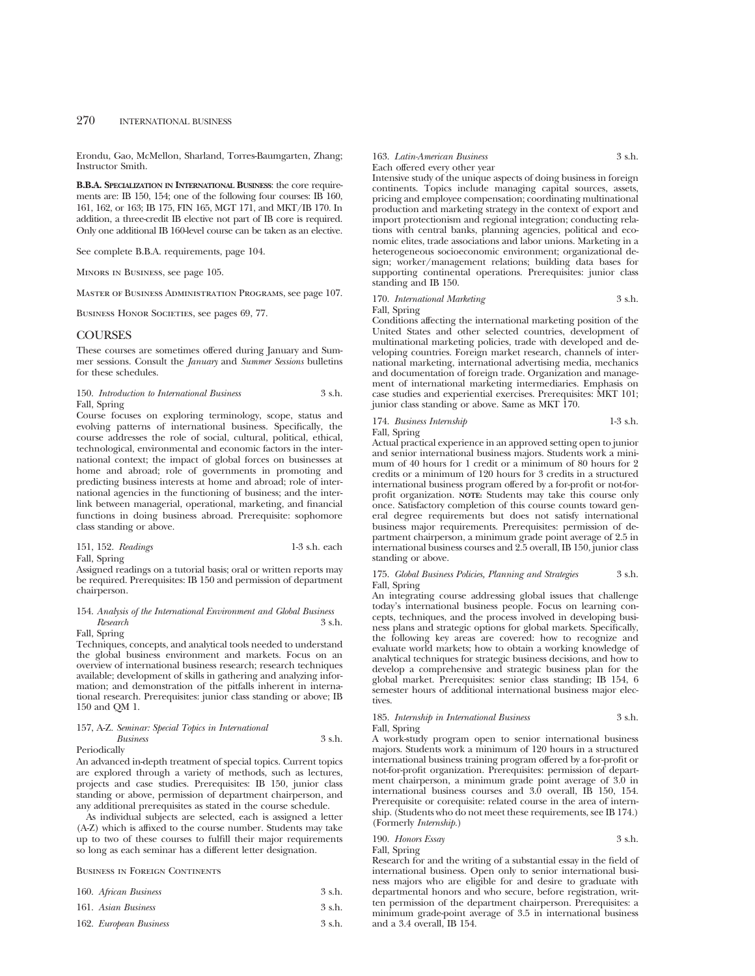Erondu, Gao, McMellon, Sharland, Torres-Baumgarten, Zhang; Instructor Smith.

**B.B.A. SPECIALIZATION IN INTERNATIONAL BUSINESS**: the core requirements are: IB 150, 154; one of the following four courses: IB 160, 161, 162, or 163; IB 175, FIN 165, MGT 171, and MKT/IB 170. In addition, a three-credit IB elective not part of IB core is required. Only one additional IB 160-level course can be taken as an elective.

See complete B.B.A. requirements, page 104.

Minors in Business, see page 105.

Master of Business Administration Programs, see page 107.

BUSINESS HONOR SOCIETIES, see pages 69, 77.

#### **COURSES**

These courses are sometimes offered during January and Summer sessions. Consult the *January* and *Summer Sessions* bulletins for these schedules.

#### 150. *Introduction to International Business* 3 s.h. Fall, Spring

Course focuses on exploring terminology, scope, status and evolving patterns of international business. Specifically, the course addresses the role of social, cultural, political, ethical, technological, environmental and economic factors in the international context; the impact of global forces on businesses at home and abroad; role of governments in promoting and predicting business interests at home and abroad; role of international agencies in the functioning of business; and the interlink between managerial, operational, marketing, and financial functions in doing business abroad. Prerequisite: sophomore class standing or above.

|  | 151, 152. Readings | 1-3 s.h. each |  |
|--|--------------------|---------------|--|
|  |                    |               |  |

Fall, Spring

Assigned readings on a tutorial basis; oral or written reports may be required. Prerequisites: IB 150 and permission of department chairperson.

### 154. *Analysis of the International Environment and Global Business Research* 3 s.h.

Fall, Spring

Techniques, concepts, and analytical tools needed to understand the global business environment and markets. Focus on an overview of international business research; research techniques available; development of skills in gathering and analyzing information; and demonstration of the pitfalls inherent in international research. Prerequisites: junior class standing or above; IB 150 and QM 1.

## 157, A-Z. *Seminar: Special Topics in International Business* 3 s.h.

Periodically

An advanced in-depth treatment of special topics. Current topics are explored through a variety of methods, such as lectures, projects and case studies. Prerequisites: IB 150, junior class standing or above, permission of department chairperson, and any additional prerequisites as stated in the course schedule.

As individual subjects are selected, each is assigned a letter (A-Z) which is affixed to the course number. Students may take up to two of these courses to fulfill their major requirements so long as each seminar has a different letter designation.

#### Business in Foreign Continents

| 160. African Business  | 3 s.h. |
|------------------------|--------|
| 161. Asian Business    | 3 s.h. |
| 162. European Business | 3 s.h. |

#### 163. *Latin-American Business* 3 s.h. Each offered every other year

Intensive study of the unique aspects of doing business in foreign continents. Topics include managing capital sources, assets, pricing and employee compensation; coordinating multinational production and marketing strategy in the context of export and import protectionism and regional integration; conducting relations with central banks, planning agencies, political and economic elites, trade associations and labor unions. Marketing in a heterogeneous socioeconomic environment; organizational design; worker/management relations; building data bases for supporting continental operations. Prerequisites: junior class standing and IB 150.

## 170. *International Marketing* 3 s.h.

Fall, Spring

Conditions affecting the international marketing position of the United States and other selected countries, development of multinational marketing policies, trade with developed and developing countries. Foreign market research, channels of international marketing, international advertising media, mechanics and documentation of foreign trade. Organization and management of international marketing intermediaries. Emphasis on case studies and experiential exercises. Prerequisites: MKT 101; junior class standing or above. Same as MKT 170.

#### 174. *Business Internship* 1-3 s.h. Fall, Spring

Actual practical experience in an approved setting open to junior and senior international business majors. Students work a minimum of 40 hours for 1 credit or a minimum of 80 hours for 2 credits or a minimum of 120 hours for 3 credits in a structured international business program offered by a for-profit or not-forprofit organization. **NOTE:** Students may take this course only once. Satisfactory completion of this course counts toward general degree requirements but does not satisfy international business major requirements. Prerequisites: permission of department chairperson, a minimum grade point average of 2.5 in international business courses and 2.5 overall, IB 150, junior class standing or above.

175. *Global Business Policies, Planning and Strategies* 3 s.h. Fall, Spring

An integrating course addressing global issues that challenge today's international business people. Focus on learning concepts, techniques, and the process involved in developing business plans and strategic options for global markets. Specifically, the following key areas are covered: how to recognize and evaluate world markets; how to obtain a working knowledge of analytical techniques for strategic business decisions, and how to develop a comprehensive and strategic business plan for the global market. Prerequisites: senior class standing; IB 154, 6 semester hours of additional international business major electives

#### 185. *Internship in International Business* 3 s.h. Fall, Spring

A work-study program open to senior international business majors. Students work a minimum of 120 hours in a structured international business training program offered by a for-profit or not-for-profit organization. Prerequisites: permission of department chairperson, a minimum grade point average of 3.0 in international business courses and 3.0 overall, IB 150, 154. Prerequisite or corequisite: related course in the area of internship. (Students who do not meet these requirements, see IB 174.) (Formerly *Internship.*)

#### 190. *Honors Essay* 3 s.h. Fall, Spring

Research for and the writing of a substantial essay in the field of international business. Open only to senior international business majors who are eligible for and desire to graduate with departmental honors and who secure, before registration, written permission of the department chairperson. Prerequisites: a minimum grade-point average of 3.5 in international business and a 3.4 overall, IB 154.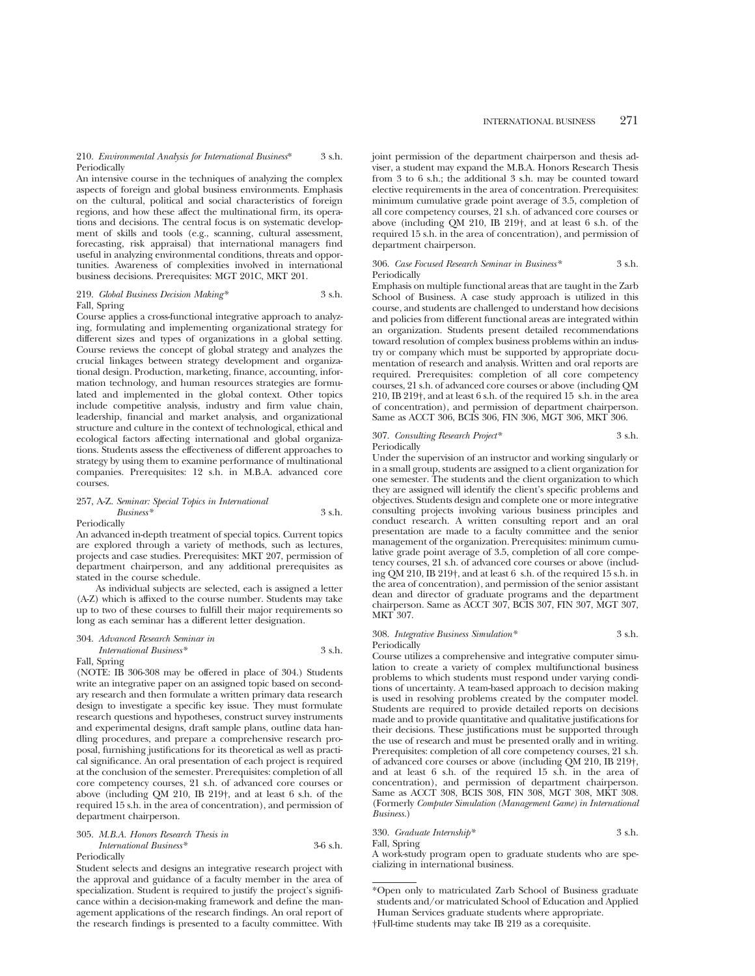#### 210. *Environmental Analysis for International Business*\* 3 s.h. Periodically

An intensive course in the techniques of analyzing the complex aspects of foreign and global business environments. Emphasis on the cultural, political and social characteristics of foreign regions, and how these affect the multinational firm, its operations and decisions. The central focus is on systematic development of skills and tools (e.g., scanning, cultural assessment, forecasting, risk appraisal) that international managers find useful in analyzing environmental conditions, threats and opportunities. Awareness of complexities involved in international business decisions. Prerequisites: MGT 201C, MKT 201.

#### 219. *Global Business Decision Making\** 3 s.h. Fall, Spring

Course applies a cross-functional integrative approach to analyzing, formulating and implementing organizational strategy for different sizes and types of organizations in a global setting. Course reviews the concept of global strategy and analyzes the crucial linkages between strategy development and organizational design. Production, marketing, finance, accounting, information technology, and human resources strategies are formulated and implemented in the global context. Other topics include competitive analysis, industry and firm value chain, leadership, financial and market analysis, and organizational structure and culture in the context of technological, ethical and ecological factors affecting international and global organizations. Students assess the effectiveness of different approaches to strategy by using them to examine performance of multinational companies. Prerequisites: 12 s.h. in M.B.A. advanced core courses.

#### 257, A-Z. *Seminar: Special Topics in International Business\** 3 s.h. Periodically

An advanced in-depth treatment of special topics. Current topics are explored through a variety of methods, such as lectures, projects and case studies. Prerequisites: MKT 207, permission of department chairperson, and any additional prerequisites as stated in the course schedule.

As individual subjects are selected, each is assigned a letter (A-Z) which is affixed to the course number. Students may take up to two of these courses to fulfill their major requirements so long as each seminar has a different letter designation.

### 304. *Advanced Research Seminar in*

#### *International Business\** 3 s.h. Fall, Spring

(NOTE: IB 306-308 may be offered in place of 304.) Students write an integrative paper on an assigned topic based on secondary research and then formulate a written primary data research design to investigate a specific key issue. They must formulate research questions and hypotheses, construct survey instruments and experimental designs, draft sample plans, outline data handling procedures, and prepare a comprehensive research proposal, furnishing justifications for its theoretical as well as practical significance. An oral presentation of each project is required at the conclusion of the semester. Prerequisites: completion of all core competency courses, 21 s.h. of advanced core courses or above (including QM 210, IB 219†, and at least 6 s.h. of the required 15 s.h. in the area of concentration), and permission of department chairperson.

#### 305. *M.B.A. Honors Research Thesis in International Business\** 3-6 s.h. Periodically

Student selects and designs an integrative research project with the approval and guidance of a faculty member in the area of specialization. Student is required to justify the project's significance within a decision-making framework and define the management applications of the research findings. An oral report of the research findings is presented to a faculty committee. With

joint permission of the department chairperson and thesis adviser, a student may expand the M.B.A. Honors Research Thesis from 3 to 6 s.h.; the additional 3 s.h. may be counted toward elective requirements in the area of concentration. Prerequisites: minimum cumulative grade point average of 3.5, completion of all core competency courses, 21 s.h. of advanced core courses or above (including QM 210, IB 219†, and at least 6 s.h. of the required 15 s.h. in the area of concentration), and permission of department chairperson.

#### 306. *Case Focused Research Seminar in Business\** 3 s.h. Periodically

Emphasis on multiple functional areas that are taught in the Zarb School of Business. A case study approach is utilized in this course, and students are challenged to understand how decisions and policies from different functional areas are integrated within an organization. Students present detailed recommendations toward resolution of complex business problems within an industry or company which must be supported by appropriate documentation of research and analysis. Written and oral reports are required. Prerequisites: completion of all core competency courses, 21 s.h. of advanced core courses or above (including QM 210, IB 219†, and at least 6 s.h. of the required 15 s.h. in the area of concentration), and permission of department chairperson. Same as ACCT 306, BCIS 306, FIN 306, MGT 306, MKT 306.

#### 307. *Consulting Research Project\** 3 s.h. Periodically

Under the supervision of an instructor and working singularly or in a small group, students are assigned to a client organization for one semester. The students and the client organization to which they are assigned will identify the client's specific problems and objectives. Students design and complete one or more integrative consulting projects involving various business principles and conduct research. A written consulting report and an oral presentation are made to a faculty committee and the senior management of the organization. Prerequisites: minimum cumulative grade point average of 3.5, completion of all core competency courses, 21 s.h. of advanced core courses or above (including QM 210, IB 219†, and at least 6 s.h. of the required 15 s.h. in the area of concentration), and permission of the senior assistant dean and director of graduate programs and the department chairperson. Same as ACCT 307, BCIS 307, FIN 307, MGT 307, MKT 307.

#### 308. *Integrative Business Simulation\** 3 s.h. Periodically

Course utilizes a comprehensive and integrative computer simulation to create a variety of complex multifunctional business problems to which students must respond under varying conditions of uncertainty. A team-based approach to decision making is used in resolving problems created by the computer model. Students are required to provide detailed reports on decisions made and to provide quantitative and qualitative justifications for their decisions. These justifications must be supported through the use of research and must be presented orally and in writing. Prerequisites: completion of all core competency courses, 21 s.h. of advanced core courses or above (including QM 210, IB 219†, and at least 6 s.h. of the required 15 s.h. in the area of concentration), and permission of department chairperson. Same as ACCT 308, BCIS 308, FIN 308, MGT 308, MKT 308. (Formerly *Computer Simulation (Management Game) in International Business.*)

330. *Graduate Internship\** 3 s.h. Fall, Spring

A work-study program open to graduate students who are specializing in international business.

<sup>\*</sup>Open only to matriculated Zarb School of Business graduate students and/or matriculated School of Education and Applied Human Services graduate students where appropriate. †Full-time students may take IB 219 as a corequisite.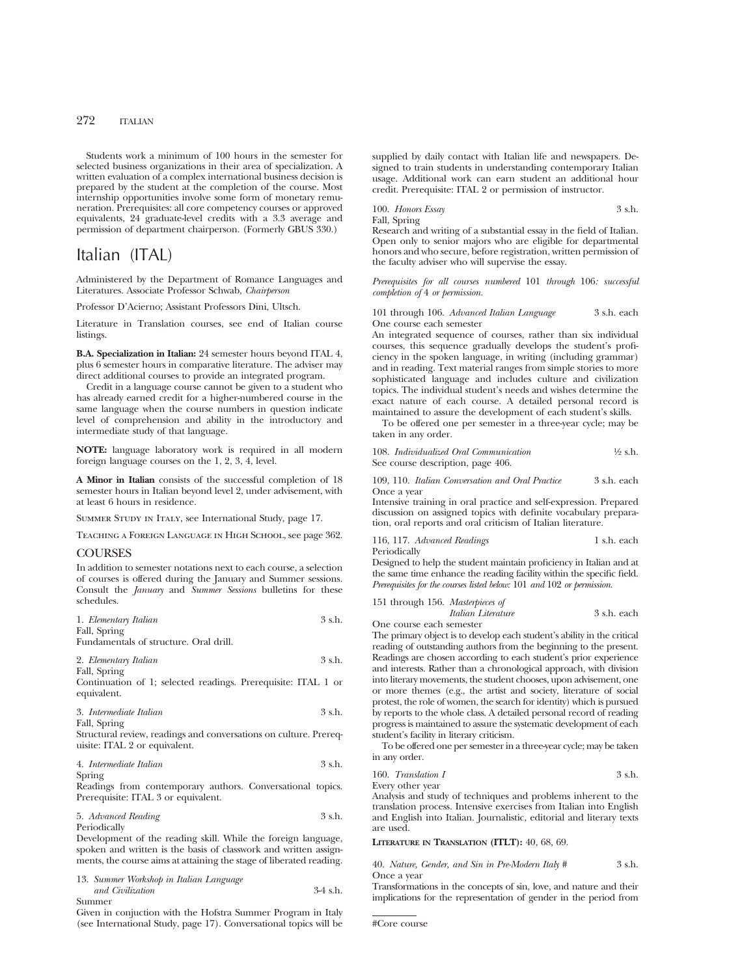Students work a minimum of 100 hours in the semester for selected business organizations in their area of specialization. A written evaluation of a complex international business decision is prepared by the student at the completion of the course. Most internship opportunities involve some form of monetary remuneration. Prerequisites: all core competency courses or approved equivalents, 24 graduate-level credits with a 3.3 average and permission of department chairperson. (Formerly GBUS 330.)

# Italian (ITAL)

Administered by the Department of Romance Languages and Literatures. Associate Professor Schwab, *Chairperson*

Professor D'Acierno; Assistant Professors Dini, Ultsch.

Literature in Translation courses, see end of Italian course listings.

**B.A. Specialization in Italian:** 24 semester hours beyond ITAL 4, plus 6 semester hours in comparative literature. The adviser may direct additional courses to provide an integrated program.

Credit in a language course cannot be given to a student who has already earned credit for a higher-numbered course in the same language when the course numbers in question indicate level of comprehension and ability in the introductory and intermediate study of that language.

**NOTE:** language laboratory work is required in all modern foreign language courses on the 1, 2, 3, 4, level.

**A Minor in Italian** consists of the successful completion of 18 semester hours in Italian beyond level 2, under advisement, with at least 6 hours in residence.

Summer Study in Italy, see International Study, page 17.

Teaching a Foreign Language in High School, see page 362.

#### COURSES

In addition to semester notations next to each course, a selection of courses is offered during the January and Summer sessions. Consult the *January* and *Summer Sessions* bulletins for these schedules.

| 1. Elementary Italian | 3 s.h. |
|-----------------------|--------|
| Fall, Spring          |        |

Fundamentals of structure. Oral drill.

| 2. Elementary Italian                                         | $3$ s.h. |
|---------------------------------------------------------------|----------|
| Fall, Spring                                                  |          |
| Continuation of 1; selected readings. Prerequisite: ITAL 1 or |          |

equivalent.

| 3. Intermediate Italian | 3 s.h. |
|-------------------------|--------|
| Fall, Spring            |        |

Structural review, readings and conversations on culture. Prerequisite: ITAL 2 or equivalent.

4. *Intermediate Italian* 3 s.h. Spring

Readings from contemporary authors. Conversational topics. Prerequisite: ITAL 3 or equivalent.

| 5. Advanced Reading | 3 s.h. |
|---------------------|--------|
| Periodically        |        |

Development of the reading skill. While the foreign language, spoken and written is the basis of classwork and written assignments, the course aims at attaining the stage of liberated reading.

13. *Summer Workshop in Italian Language and Civilization* 3-4 s.h.

Summer

Given in conjuction with the Hofstra Summer Program in Italy (see International Study, page 17). Conversational topics will be

supplied by daily contact with Italian life and newspapers. Designed to train students in understanding contemporary Italian usage. Additional work can earn student an additional hour credit. Prerequisite: ITAL 2 or permission of instructor.

## 100. *Honors Essay* 3 s.h. Fall, Spring

Research and writing of a substantial essay in the field of Italian. Open only to senior majors who are eligible for departmental honors and who secure, before registration, written permission of the faculty adviser who will supervise the essay.

*Prerequisites for all courses numbered* 101 *through* 106*: successful completion of* 4 *or permission.*

101 through 106. *Advanced Italian Language* 3 s.h. each One course each semester

An integrated sequence of courses, rather than six individual courses, this sequence gradually develops the student's proficiency in the spoken language, in writing (including grammar) and in reading. Text material ranges from simple stories to more sophisticated language and includes culture and civilization topics. The individual student's needs and wishes determine the exact nature of each course. A detailed personal record is maintained to assure the development of each student's skills.

To be offered one per semester in a three-year cycle; may be taken in any order.

| 108. Individualized Oral Communication | $\frac{1}{2}$ s.h. |
|----------------------------------------|--------------------|
| See course description, page 406.      |                    |

109, 110. *Italian Conversation and Oral Practice* 3 s.h. each Once a year

Intensive training in oral practice and self-expression. Prepared discussion on assigned topics with definite vocabulary preparation, oral reports and oral criticism of Italian literature.

116, 117. *Advanced Readings* 1 s.h. each Periodically

Designed to help the student maintain proficiency in Italian and at the same time enhance the reading facility within the specific field. *Prerequisites for the courses listed below:* 101 *and* 102 *or permission.*

151 through 156. *Masterpieces of Italian Literature* 3 s.h. each One course each semester

The primary object is to develop each student's ability in the critical reading of outstanding authors from the beginning to the present. Readings are chosen according to each student's prior experience and interests. Rather than a chronological approach, with division into literary movements, the student chooses, upon advisement, one or more themes (e.g., the artist and society, literature of social protest, the role of women, the search for identity) which is pursued by reports to the whole class. A detailed personal record of reading progress is maintained to assure the systematic development of each student's facility in literary criticism.

To be offered one per semester in a three-year cycle; may be taken in any order.

160. *Translation I* 3 s.h.

Every other year

Analysis and study of techniques and problems inherent to the translation process. Intensive exercises from Italian into English and English into Italian. Journalistic, editorial and literary texts are used.

**LITERATURE IN TRANSLATION (ITLT):** 40, 68, 69.

40. *Nature, Gender, and Sin in Pre-Modern Italy #* 3 s.h. Once a year

Transformations in the concepts of sin, love, and nature and their implications for the representation of gender in the period from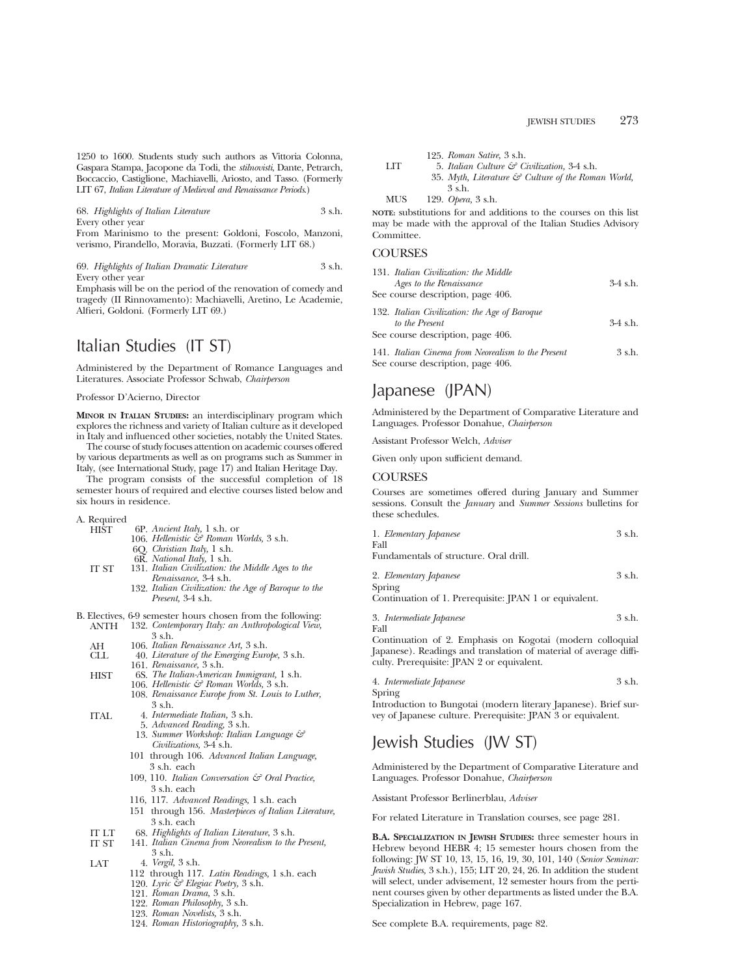1250 to 1600. Students study such authors as Vittoria Colonna, Gaspara Stampa, Jacopone da Todi, the *stilnovisti*, Dante, Petrarch, Boccaccio, Castiglione, Machiavelli, Ariosto, and Tasso. (Formerly LIT 67, *Italian Literature of Medieval and Renaissance Periods*.)

68. *Highlights of Italian Literature* 3 s.h. Every other year From Marinismo to the present: Goldoni, Foscolo, Manzoni, verismo, Pirandello, Moravia, Buzzati. (Formerly LIT 68.)

69. *Highlights of Italian Dramatic Literature* 3 s.h. Every other year

Emphasis will be on the period of the renovation of comedy and tragedy (II Rinnovamento): Machiavelli, Aretino, Le Academie, Alfieri, Goldoni. (Formerly LIT 69.)

# Italian Studies (IT ST)

Administered by the Department of Romance Languages and Literatures. Associate Professor Schwab, *Chairperson*

Professor D'Acierno, Director

**MINOR IN ITALIAN STUDIES:** an interdisciplinary program which explores the richness and variety of Italian culture as it developed in Italy and influenced other societies, notably the United States.

The course of study focuses attention on academic courses offered by various departments as well as on programs such as Summer in Italy, (see International Study, page 17) and Italian Heritage Day.

The program consists of the successful completion of 18 semester hours of required and elective courses listed below and six hours in residence.

- A. Required
	- HIST 6P. *Ancient Italy,* 1 s.h. or 106. *Hellenistic & Roman Worlds,* 3 s.h.
		-
		- 6Q. *Christian Italy,* 1 s.h.
		- 6R. *National Italy,* 1 s.h.
	- IT ST 131. *Italian Civilization: the Middle Ages to the Renaissance,* 3-4 s.h.
		- 132. *Italian Civilization: the Age of Baroque to the Present,* 3-4 s.h.
- B. Electives, 6-9 semester hours chosen from the following: ANTH 132. *Contemporary Italy: an Anthropological View,*
	- 3 s.h.
	- AH 106. *Italian Renaissance Art*, 3 s.h.<br>CLL 40. *Literature of the Emerging Euro*
	- CLL 40. *Literature of the Emerging Europe,* 3 s.h. 161. *Renaissance,* 3 s.h.
	- HIST 6S. *The Italian-American Immigrant,* 1 s.h.
		- 106. *Hellenistic & Roman Worlds,* 3 s.h.
			- 108. *Renaissance Europe from St. Louis to Luther,* 3 s.h.
	- ITAL 4. *Intermediate Italian,* 3 s.h.
		- 5. *Advanced Reading,* 3 s.h. 13. *Summer Workshop: Italian Language &*
		- *Civilizations,* 3-4 s.h. 101 through 106. *Advanced Italian Language,*
		- 3 s.h. each 109, 110. *Italian Conversation & Oral Practice,*
		- 3 s.h. each
		- 116, 117. *Advanced Readings,* 1 s.h. each
		- 151 through 156. *Masterpieces of Italian Literature,* 3 s.h. each
	- IT LT 68. *Highlights of Italian Literature*, 3 s.h.
		- 141. Italian Cinema from Neorealism to the Present, 3 s.h.
	- LAT 4. *Vergil,* 3 s.h.
		- 112 through 117. *Latin Readings,* 1 s.h. each
		- 120. *Lyric & Elegiac Poetry,* 3 s.h.
		- 121. *Roman Drama,* 3 s.h.
		- 122. *Roman Philosophy,* 3 s.h.
		- 123. *Roman Novelists,* 3 s.h.
		- 124. *Roman Historiography,* 3 s.h.

125. *Roman Satire,* 3 s.h.

LIT 5. *Italian Culture & Civilization,* 3-4 s.h. 35. *Myth, Literature & Culture of the Roman World,* 3 s.h.

MUS 129. *Opera,* 3 s.h.

**NOTE:** substitutions for and additions to the courses on this list may be made with the approval of the Italian Studies Advisory Committee.

## **COURSES**

| 131. Italian Civilization: the Middle<br>Ages to the Renaissance<br>See course description, page 406. | $3-4$ s.h. |
|-------------------------------------------------------------------------------------------------------|------------|
| 132. Italian Civilization: the Age of Baroque<br>to the Present<br>See course description, page 406.  | $3-4$ s.h. |
| 141. Italian Cinema from Neorealism to the Present<br>See course description, page 406.               | 3 s.h.     |

# Japanese (JPAN)

Administered by the Department of Comparative Literature and Languages. Professor Donahue, *Chairperson*

Assistant Professor Welch, *Adviser*

Given only upon sufficient demand.

## COURSES

Courses are sometimes offered during January and Summer sessions. Consult the *January* and *Summer Sessions* bulletins for these schedules.

| 1. Elementary Japanese                                               | 3 s.h. |
|----------------------------------------------------------------------|--------|
| Fall                                                                 |        |
| Fundamentals of structure. Oral drill.                               |        |
| 2. Elementary Japanese                                               | 3 s.h. |
| Spring<br>$\alpha$ . The set of $\mathbf n$<br>$\cdots$ man $\cdots$ |        |

Continuation of 1. Prerequisite: JPAN 1 or equivalent.

$$
3. \ Internet
$$
 Japanese  

$$
3 s.h. 
$$
3 s.h.
$$
$$

Continuation of 2. Emphasis on Kogotai (modern colloquial Japanese). Readings and translation of material of average difficulty. Prerequisite: JPAN 2 or equivalent.

4. *Intermediate Japanese* 3 s.h.

Spring

Introduction to Bungotai (modern literary Japanese). Brief survey of Japanese culture. Prerequisite: JPAN 3 or equivalent.

# Jewish Studies (JW ST)

Administered by the Department of Comparative Literature and Languages. Professor Donahue, *Chairperson*

Assistant Professor Berlinerblau, *Adviser*

For related Literature in Translation courses, see page 281.

**B.A. SPECIALIZATION IN JEWISH STUDIES:** three semester hours in Hebrew beyond HEBR 4; 15 semester hours chosen from the following: JW ST 10, 13, 15, 16, 19, 30, 101, 140 (*Senior Seminar: Jewish Studies,* 3 s.h.), 155; LIT 20, 24, 26. In addition the student will select, under advisement, 12 semester hours from the pertinent courses given by other departments as listed under the B.A. Specialization in Hebrew, page 167.

See complete B.A. requirements, page 82.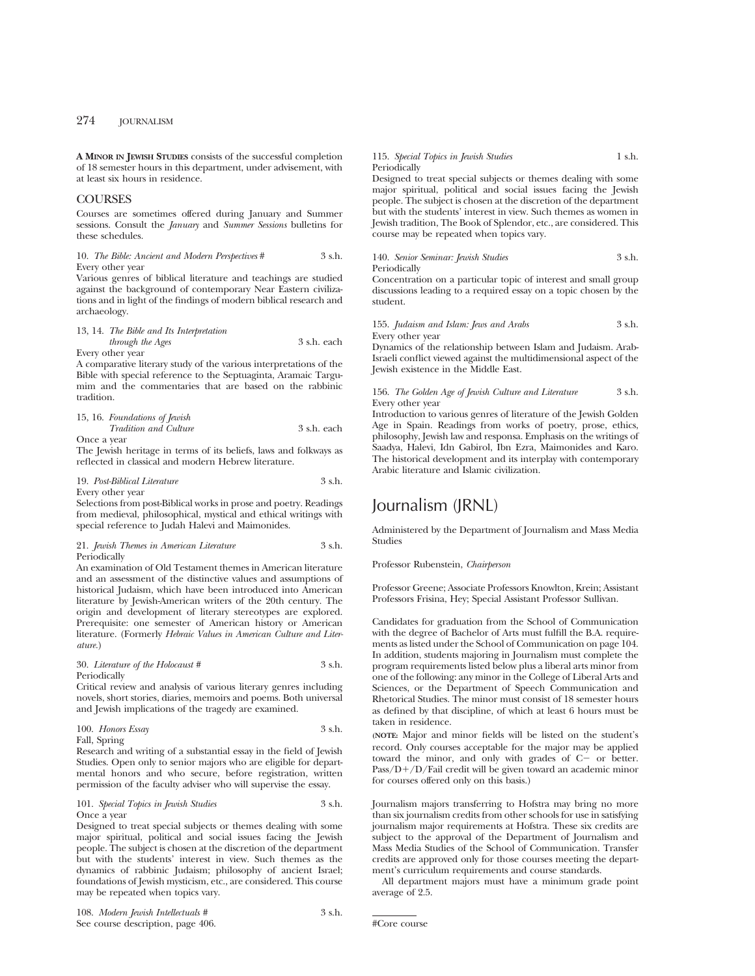**A MINOR IN JEWISH STUDIES** consists of the successful completion of 18 semester hours in this department, under advisement, with at least six hours in residence.

## COURSES

Courses are sometimes offered during January and Summer sessions. Consult the *January* and *Summer Sessions* bulletins for these schedules.

#### 10. *The Bible: Ancient and Modern Perspectives* # 3 s.h. Every other year

Various genres of biblical literature and teachings are studied against the background of contemporary Near Eastern civilizations and in light of the findings of modern biblical research and archaeology.

## 13, 14. *The Bible and Its Interpretation*

*through the Ages* 3 s.h. each Every other year

A comparative literary study of the various interpretations of the Bible with special reference to the Septuaginta, Aramaic Targumim and the commentaries that are based on the rabbinic tradition.

## 15, 16. *Foundations of Jewish Tradition and Culture* 3 s.h. each

Once a year

The Jewish heritage in terms of its beliefs, laws and folkways as reflected in classical and modern Hebrew literature.

#### 19. *Post-Biblical Literature* 3 s.h. Every other year

Selections from post-Biblical works in prose and poetry. Readings from medieval, philosophical, mystical and ethical writings with special reference to Judah Halevi and Maimonides.

#### 21. *Jewish Themes in American Literature* 3 s.h. Periodically

An examination of Old Testament themes in American literature and an assessment of the distinctive values and assumptions of historical Judaism, which have been introduced into American literature by Jewish-American writers of the 20th century. The origin and development of literary stereotypes are explored. Prerequisite: one semester of American history or American literature. (Formerly *Hebraic Values in American Culture and Literature.*)

## 30. *Literature of the Holocaust #* 3 s.h. Periodically

Critical review and analysis of various literary genres including novels, short stories, diaries, memoirs and poems. Both universal and Jewish implications of the tragedy are examined.

100. *Honors Essay* 3 s.h. Fall, Spring

Research and writing of a substantial essay in the field of Jewish Studies. Open only to senior majors who are eligible for departmental honors and who secure, before registration, written permission of the faculty adviser who will supervise the essay.

### 101. *Special Topics in Jewish Studies* 3 s.h. Once a year

Designed to treat special subjects or themes dealing with some major spiritual, political and social issues facing the Jewish people. The subject is chosen at the discretion of the department but with the students' interest in view. Such themes as the dynamics of rabbinic Judaism; philosophy of ancient Israel; foundations of Jewish mysticism, etc., are considered. This course may be repeated when topics vary.

## 115. *Special Topics in Jewish Studies* 1 s.h. Periodically

Designed to treat special subjects or themes dealing with some major spiritual, political and social issues facing the Jewish people. The subject is chosen at the discretion of the department but with the students' interest in view. Such themes as women in Jewish tradition, The Book of Splendor, etc., are considered. This course may be repeated when topics vary.

140. *Senior Seminar: Jewish Studies* 3 s.h. Periodically

Concentration on a particular topic of interest and small group discussions leading to a required essay on a topic chosen by the student.

## 155. *Judaism and Islam: Jews and Arabs* 3 s.h. Every other year

Dynamics of the relationship between Islam and Judaism. Arab-Israeli conflict viewed against the multidimensional aspect of the Jewish existence in the Middle East.

#### 156. *The Golden Age of Jewish Culture and Literature* 3 s.h. Every other year

Introduction to various genres of literature of the Jewish Golden Age in Spain. Readings from works of poetry, prose, ethics, philosophy, Jewish law and responsa. Emphasis on the writings of Saadya, Halevi, Idn Gabirol, Ibn Ezra, Maimonides and Karo. The historical development and its interplay with contemporary Arabic literature and Islamic civilization.

# Journalism (JRNL)

Administered by the Department of Journalism and Mass Media Studies

## Professor Rubenstein, *Chairperson*

Professor Greene; Associate Professors Knowlton, Krein; Assistant Professors Frisina, Hey; Special Assistant Professor Sullivan.

Candidates for graduation from the School of Communication with the degree of Bachelor of Arts must fulfill the B.A. requirements as listed under the School of Communication on page 104. In addition, students majoring in Journalism must complete the program requirements listed below plus a liberal arts minor from one of the following: any minor in the College of Liberal Arts and Sciences, or the Department of Speech Communication and Rhetorical Studies. The minor must consist of 18 semester hours as defined by that discipline, of which at least 6 hours must be taken in residence.

**(NOTE:** Major and minor fields will be listed on the student's record. Only courses acceptable for the major may be applied toward the minor, and only with grades of  $C-$  or better.  $Pass/D+/D/Fail credit will be given toward an academic minor$ for courses offered only on this basis.)

Journalism majors transferring to Hofstra may bring no more than six journalism credits from other schools for use in satisfying journalism major requirements at Hofstra. These six credits are subject to the approval of the Department of Journalism and Mass Media Studies of the School of Communication. Transfer credits are approved only for those courses meeting the department's curriculum requirements and course standards.

All department majors must have a minimum grade point average of 2.5.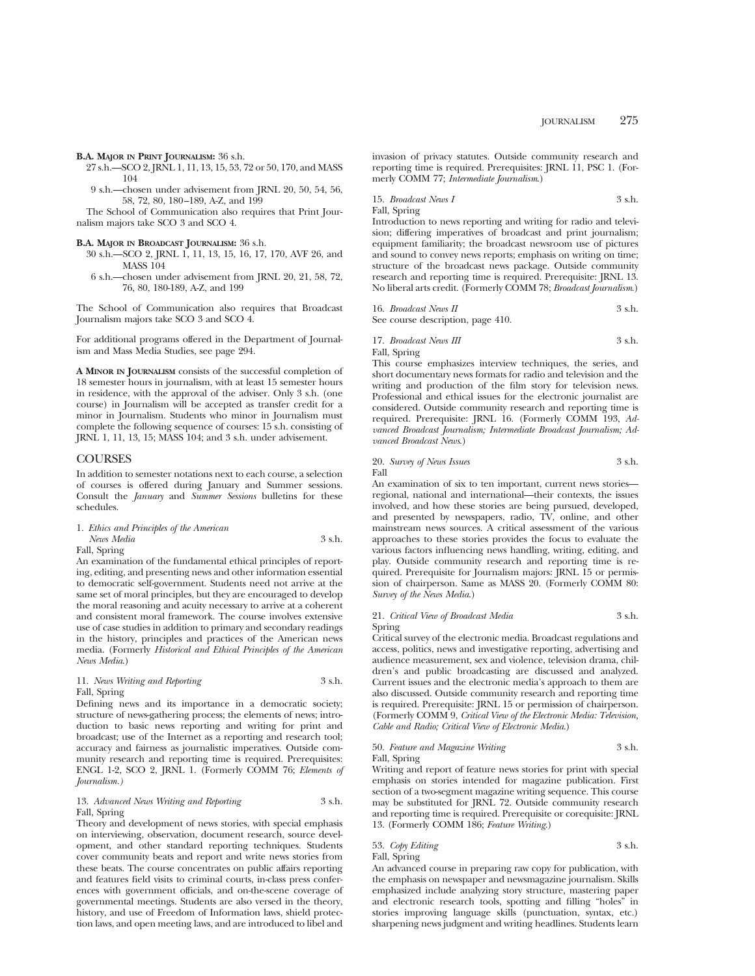**B.A. MAJOR IN PRINT JOURNALISM:** 36 s.h.

- 27 s.h.—SCO 2, JRNL 1, 11, 13, 15, 53, 72 or 50, 170, and MASS 104
- 9 s.h.—chosen under advisement from JRNL 20, 50, 54, 56, 58, 72, 80, 180–189, A-Z, and 199

The School of Communication also requires that Print Journalism majors take SCO 3 and SCO 4.

#### **B.A. MAJOR IN BROADCAST JOURNALISM:** 36 s.h.

- 30 s.h.—SCO 2, JRNL 1, 11, 13, 15, 16, 17, 170, AVF 26, and MASS 104
- 6 s.h.—chosen under advisement from JRNL 20, 21, 58, 72, 76, 80, 180-189, A-Z, and 199

The School of Communication also requires that Broadcast Journalism majors take SCO 3 and SCO 4.

For additional programs offered in the Department of Journalism and Mass Media Studies, see page 294.

**A MINOR IN JOURNALISM** consists of the successful completion of 18 semester hours in journalism, with at least 15 semester hours in residence, with the approval of the adviser. Only 3 s.h. (one course) in Journalism will be accepted as transfer credit for a minor in Journalism. Students who minor in Journalism must complete the following sequence of courses: 15 s.h. consisting of JRNL 1, 11, 13, 15; MASS 104; and 3 s.h. under advisement.

## **COURSES**

In addition to semester notations next to each course, a selection of courses is offered during January and Summer sessions. Consult the *January* and *Summer Sessions* bulletins for these schedules.

## 1. *Ethics and Principles of the American News Media* 3 s.h.

Fall, Spring

An examination of the fundamental ethical principles of reporting, editing, and presenting news and other information essential to democratic self-government. Students need not arrive at the same set of moral principles, but they are encouraged to develop the moral reasoning and acuity necessary to arrive at a coherent and consistent moral framework. The course involves extensive use of case studies in addition to primary and secondary readings in the history, principles and practices of the American news media. (Formerly *Historical and Ethical Principles of the American News Media*.)

## 11. *News Writing and Reporting* 3 s.h. Fall, Spring

Defining news and its importance in a democratic society; structure of news-gathering process; the elements of news; introduction to basic news reporting and writing for print and broadcast; use of the Internet as a reporting and research tool; accuracy and fairness as journalistic imperatives. Outside community research and reporting time is required. Prerequisites: ENGL 1-2, SCO 2, JRNL 1. (Formerly COMM 76; *Elements of Journalism.)*

#### 13. *Advanced News Writing and Reporting* 3 s.h. Fall, Spring

Theory and development of news stories, with special emphasis on interviewing, observation, document research, source development, and other standard reporting techniques. Students cover community beats and report and write news stories from these beats. The course concentrates on public affairs reporting and features field visits to criminal courts, in-class press conferences with government officials, and on-the-scene coverage of governmental meetings. Students are also versed in the theory, history, and use of Freedom of Information laws, shield protection laws, and open meeting laws, and are introduced to libel and invasion of privacy statutes. Outside community research and reporting time is required. Prerequisites: IRNL  $11$ , PSC 1. (Formerly COMM 77; *Intermediate Journalism*.)

15. *Broadcast News I* 3 s.h. Fall, Spring

Introduction to news reporting and writing for radio and television; differing imperatives of broadcast and print journalism; equipment familiarity; the broadcast newsroom use of pictures and sound to convey news reports; emphasis on writing on time; structure of the broadcast news package. Outside community research and reporting time is required. Prerequisite: JRNL 13. No liberal arts credit. (Formerly COMM 78; *Broadcast Journalism*.)

| 16. Broadcast News II             | 3 s.h. |
|-----------------------------------|--------|
| See course description, page 410. |        |

17. *Broadcast News III* 3 s.h. Fall, Spring

This course emphasizes interview techniques, the series, and short documentary news formats for radio and television and the writing and production of the film story for television news. Professional and ethical issues for the electronic journalist are considered. Outside community research and reporting time is required. Prerequisite: JRNL 16. (Formerly COMM 193, *Advanced Broadcast Journalism; Intermediate Broadcast Journalism; Advanced Broadcast News*.)

#### 20. *Survey of News Issues* 3 s.h. Fall

An examination of six to ten important, current news stories regional, national and international—their contexts, the issues involved, and how these stories are being pursued, developed, and presented by newspapers, radio, TV, online, and other mainstream news sources. A critical assessment of the various approaches to these stories provides the focus to evaluate the various factors influencing news handling, writing, editing, and play. Outside community research and reporting time is required. Prerequisite for Journalism majors: JRNL 15 or permission of chairperson. Same as MASS 20. (Formerly COMM 80: *Survey of the News Media*.)

#### 21. *Critical View of Broadcast Media* 3 s.h. Spring

Critical survey of the electronic media. Broadcast regulations and access, politics, news and investigative reporting, advertising and audience measurement, sex and violence, television drama, children's and public broadcasting are discussed and analyzed. Current issues and the electronic media's approach to them are also discussed. Outside community research and reporting time is required. Prerequisite: JRNL 15 or permission of chairperson. (Formerly COMM 9, *Critical View of the Electronic Media: Television, Cable and Radio; Critical View of Electronic Media*.)

## 50. *Feature and Magazine Writing* 3 s.h. Fall, Spring

Writing and report of feature news stories for print with special emphasis on stories intended for magazine publication. First section of a two-segment magazine writing sequence. This course may be substituted for JRNL 72. Outside community research and reporting time is required. Prerequisite or corequisite: JRNL 13. (Formerly COMM 186; *Feature Writing*.)

## 53. *Copy Editing* 3 s.h. Fall, Spring

An advanced course in preparing raw copy for publication, with the emphasis on newspaper and newsmagazine journalism. Skills emphasized include analyzing story structure, mastering paper and electronic research tools, spotting and filling "holes" in stories improving language skills (punctuation, syntax, etc.) sharpening news judgment and writing headlines. Students learn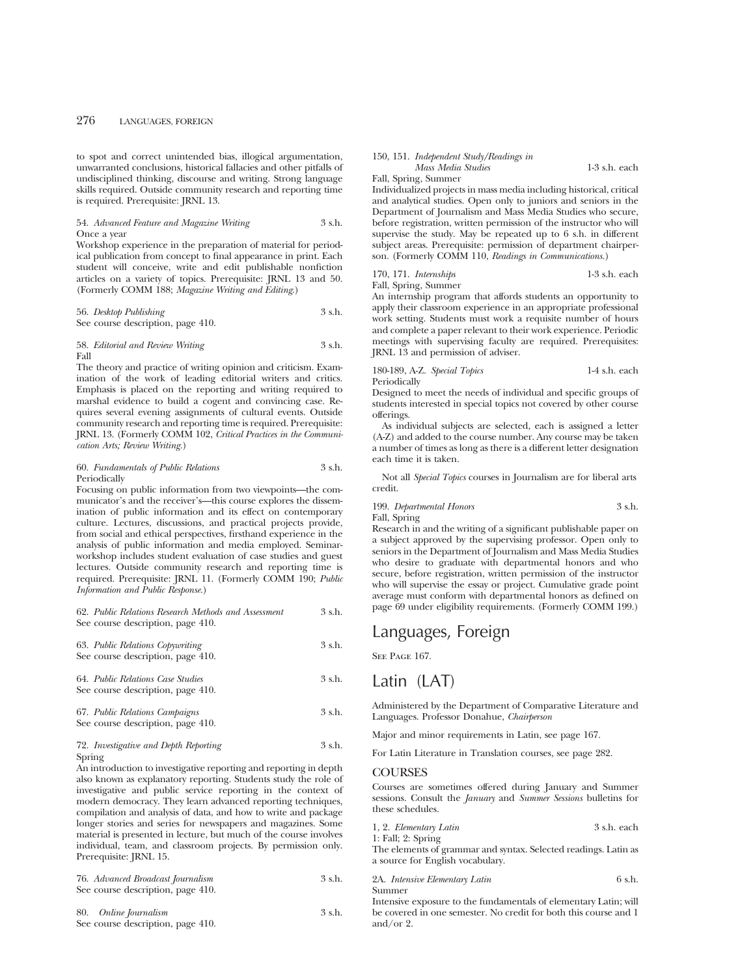to spot and correct unintended bias, illogical argumentation, unwarranted conclusions, historical fallacies and other pitfalls of undisciplined thinking, discourse and writing. Strong language skills required. Outside community research and reporting time is required. Prerequisite: JRNL 13.

#### 54. *Advanced Feature and Magazine Writing* 3 s.h. Once a year

Workshop experience in the preparation of material for periodical publication from concept to final appearance in print. Each student will conceive, write and edit publishable nonfiction articles on a variety of topics. Prerequisite: JRNL 13 and 50. (Formerly COMM 188; *Magazine Writing and Editing*.)

#### 56. *Desktop Publishing* 3 s.h. See course description, page 410.

58. *Editorial and Review Writing* 3 s.h.

Fall The theory and practice of writing opinion and criticism. Examination of the work of leading editorial writers and critics. Emphasis is placed on the reporting and writing required to

marshal evidence to build a cogent and convincing case. Requires several evening assignments of cultural events. Outside community research and reporting time is required. Prerequisite: JRNL 13. (Formerly COMM 102, *Critical Practices in the Communication Arts; Review Writing.*)

### 60. *Fundamentals of Public Relations* 3 s.h. Periodically

Focusing on public information from two viewpoints—the communicator's and the receiver's—this course explores the dissemination of public information and its effect on contemporary culture. Lectures, discussions, and practical projects provide, from social and ethical perspectives, firsthand experience in the analysis of public information and media employed. Seminarworkshop includes student evaluation of case studies and guest lectures. Outside community research and reporting time is required. Prerequisite: JRNL 11. (Formerly COMM 190; *Public Information and Public Response.*)

#### 62. *Public Relations Research Methods and Assessment* 3 s.h. See course description, page 410.

| 63. Public Relations Copywriting<br>See course description, page 410.  | 3 s.h.   |
|------------------------------------------------------------------------|----------|
| 64. Public Relations Case Studies<br>See course description, page 410. | $3$ s.h. |
| 67. Public Relations Campaigns                                         | $3$ s.h. |

# 72. *Investigative and Depth Reporting* 3 s.h.

Spring An introduction to investigative reporting and reporting in depth also known as explanatory reporting. Students study the role of investigative and public service reporting in the context of modern democracy. They learn advanced reporting techniques, compilation and analysis of data, and how to write and package longer stories and series for newspapers and magazines. Some material is presented in lecture, but much of the course involves individual, team, and classroom projects. By permission only. Prerequisite: JRNL 15.

|          | 76. Advanced Broadcast Journalism                                                                                                                                                                                                                                                                                              | 3 s.h. |
|----------|--------------------------------------------------------------------------------------------------------------------------------------------------------------------------------------------------------------------------------------------------------------------------------------------------------------------------------|--------|
|          | See course description, page 410.                                                                                                                                                                                                                                                                                              |        |
| $\Omega$ | $\bigcap_{i=1}^{n}$ $\bigcap_{i=1}^{n}$ $\bigcap_{i=1}^{n}$ $\bigcap_{i=1}^{n}$ $\bigcap_{i=1}^{n}$ $\bigcap_{i=1}^{n}$ $\bigcap_{i=1}^{n}$ $\bigcap_{i=1}^{n}$ $\bigcap_{i=1}^{n}$ $\bigcap_{i=1}^{n}$ $\bigcap_{i=1}^{n}$ $\bigcap_{i=1}^{n}$ $\bigcap_{i=1}^{n}$ $\bigcap_{i=1}^{n}$ $\bigcap_{i=1}^{n}$ $\bigcap_{i=1}^{n$ |        |

| 80. | Online Journalism | 3 s.h. |
|-----|-------------------|--------|

## See course description, page 410.

See course description, page 410.

#### 150, 151. *Independent Study/Readings in Mass Media Studies* 1-3 s.h. each

Fall, Spring, Summer

Individualized projects in mass media including historical, critical and analytical studies. Open only to juniors and seniors in the Department of Journalism and Mass Media Studies who secure, before registration, written permission of the instructor who will supervise the study. May be repeated up to 6 s.h. in different subject areas. Prerequisite: permission of department chairperson. (Formerly COMM 110, *Readings in Communications.*)

| 170, 171. Internships | $1-3$ s.h. each |
|-----------------------|-----------------|
| Fall, Spring, Summer  |                 |

An internship program that affords students an opportunity to apply their classroom experience in an appropriate professional work setting. Students must work a requisite number of hours and complete a paper relevant to their work experience. Periodic meetings with supervising faculty are required. Prerequisites: JRNL 13 and permission of adviser.

180-189, A-Z. *Special Topics* 1-4 s.h. each Periodically

Designed to meet the needs of individual and specific groups of students interested in special topics not covered by other course offerings.

As individual subjects are selected, each is assigned a letter (A-Z) and added to the course number. Any course may be taken a number of times as long as there is a different letter designation each time it is taken.

Not all *Special Topics* courses in Journalism are for liberal arts credit.

#### 199. *Departmental Honors* 3 s.h. Fall, Spring

Research in and the writing of a significant publishable paper on a subject approved by the supervising professor. Open only to seniors in the Department of Journalism and Mass Media Studies who desire to graduate with departmental honors and who secure, before registration, written permission of the instructor who will supervise the essay or project. Cumulative grade point average must conform with departmental honors as defined on page 69 under eligibility requirements. (Formerly COMM 199.)

## Languages, Foreign

SEE PAGE 167.

## Latin (LAT)

Administered by the Department of Comparative Literature and Languages. Professor Donahue, *Chairperson*

Major and minor requirements in Latin, see page 167.

For Latin Literature in Translation courses, see page 282.

#### **COURSES**

Courses are sometimes offered during January and Summer sessions. Consult the *January* and *Summer Sessions* bulletins for these schedules.

1, 2. *Elementary Latin* 3 s.h. each 1: Fall; 2: Spring

The elements of grammar and syntax. Selected readings. Latin as a source for English vocabulary.

2A. *Intensive Elementary Latin* 6 s.h. Summer

Intensive exposure to the fundamentals of elementary Latin; will be covered in one semester. No credit for both this course and 1 and/or 2.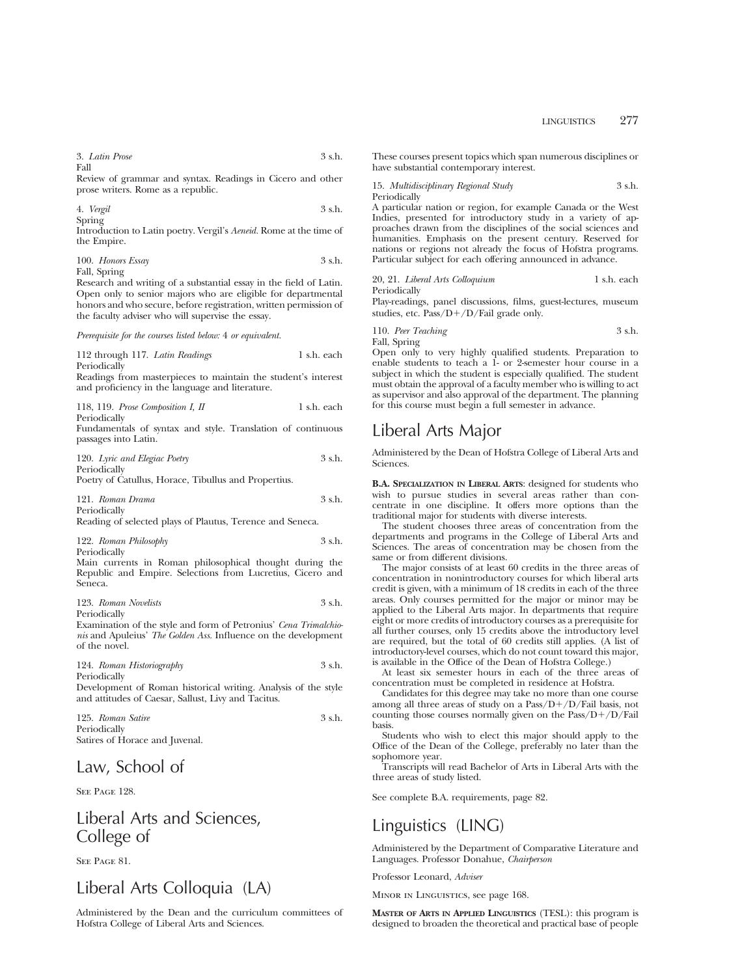3. *Latin Prose* 3 s.h. Fall

Review of grammar and syntax. Readings in Cicero and other prose writers. Rome as a republic.

4. *Vergil* 3 s.h. Spring

Introduction to Latin poetry. Vergil's *Aeneid.* Rome at the time of the Empire.

100. *Honors Essay* 3 s.h. Fall, Spring

Research and writing of a substantial essay in the field of Latin. Open only to senior majors who are eligible for departmental honors and who secure, before registration, written permission of the faculty adviser who will supervise the essay.

*Prerequisite for the courses listed below:* 4 *or equivalent.*

112 through 117. *Latin Readings* 1 s.h. each Periodically Readings from masterpieces to maintain the student's interest and proficiency in the language and literature.

118, 119. *Prose Composition I, II* 1 s.h. each Periodically

Fundamentals of syntax and style. Translation of continuous passages into Latin.

120. *Lyric and Elegiac Poetry* 3 s.h. Periodically

Poetry of Catullus, Horace, Tibullus and Propertius.

121. *Roman Drama* 3 s.h. Periodically

Reading of selected plays of Plautus, Terence and Seneca.

122. *Roman Philosophy* 3 s.h. Periodically

Main currents in Roman philosophical thought during the Republic and Empire. Selections from Lucretius, Cicero and Seneca.

123. *Roman Novelists* 3 s.h.

Periodically

Examination of the style and form of Petronius' *Cena Trimalchionis* and Apuleius' *The Golden Ass.* Influence on the development of the novel.

124. *Roman Historiography* 3 s.h. Periodically Development of Roman historical writing. Analysis of the style and attitudes of Caesar, Sallust, Livy and Tacitus.

| 125. Roman Satire              | .3 s.h. |
|--------------------------------|---------|
| Periodically                   |         |
| Satires of Horace and Juvenal. |         |

# Law, School of

See Page 128.

# Liberal Arts and Sciences, College of

SEE PAGE 81.

# Liberal Arts Colloquia (LA)

Administered by the Dean and the curriculum committees of Hofstra College of Liberal Arts and Sciences.

These courses present topics which span numerous disciplines or have substantial contemporary interest.

15. *Multidisciplinary Regional Study* 3 s.h. Periodically

A particular nation or region, for example Canada or the West Indies, presented for introductory study in a variety of approaches drawn from the disciplines of the social sciences and humanities. Emphasis on the present century. Reserved for nations or regions not already the focus of Hofstra programs. Particular subject for each offering announced in advance.

20, 21. *Liberal Arts Colloquium* 1 s.h. each Periodically

Play-readings, panel discussions, films, guest-lectures, museum studies, etc.  $Pass/D+/D/Fall grade$  only.

110. *Peer Teaching* 3 s.h. Fall, Spring

Open only to very highly qualified students. Preparation to enable students to teach a 1- or 2-semester hour course in a subject in which the student is especially qualified. The student must obtain the approval of a faculty member who is willing to act as supervisor and also approval of the department. The planning for this course must begin a full semester in advance.

# Liberal Arts Major

Administered by the Dean of Hofstra College of Liberal Arts and **Sciences** 

**B.A. SPECIALIZATION IN LIBERAL ARTS**: designed for students who wish to pursue studies in several areas rather than concentrate in one discipline. It offers more options than the traditional major for students with diverse interests.

The student chooses three areas of concentration from the departments and programs in the College of Liberal Arts and Sciences. The areas of concentration may be chosen from the same or from different divisions.

The major consists of at least 60 credits in the three areas of concentration in nonintroductory courses for which liberal arts credit is given, with a minimum of 18 credits in each of the three areas. Only courses permitted for the major or minor may be applied to the Liberal Arts major. In departments that require eight or more credits of introductory courses as a prerequisite for all further courses, only 15 credits above the introductory level are required, but the total of 60 credits still applies. (A list of introductory-level courses, which do not count toward this major, is available in the Office of the Dean of Hofstra College.)

At least six semester hours in each of the three areas of concentration must be completed in residence at Hofstra.

Candidates for this degree may take no more than one course among all three areas of study on a  $Pass/D+/D/Fail$  basis, not counting those courses normally given on the  $Pass/D+/D/Fall$ basis.

Students who wish to elect this major should apply to the Office of the Dean of the College, preferably no later than the sophomore year.

Transcripts will read Bachelor of Arts in Liberal Arts with the three areas of study listed.

See complete B.A. requirements, page 82.

# Linguistics (LING)

Administered by the Department of Comparative Literature and Languages. Professor Donahue, *Chairperson*

Professor Leonard, *Adviser*

Minor in Linguistics, see page 168.

**MASTER OF ARTS IN APPLIED LINGUISTICS** (TESL): this program is designed to broaden the theoretical and practical base of people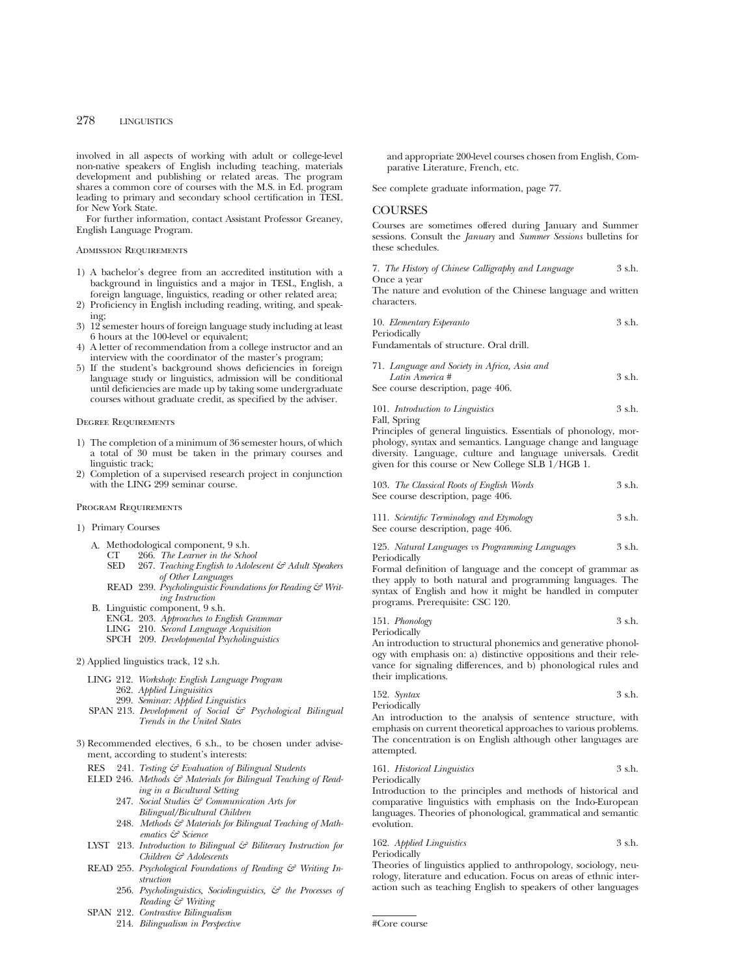involved in all aspects of working with adult or college-level non-native speakers of English including teaching, materials development and publishing or related areas. The program shares a common core of courses with the M.S. in Ed. program leading to primary and secondary school certification in TESL for New York State.

For further information, contact Assistant Professor Greaney, English Language Program.

#### Admission Requirements

- 1) A bachelor's degree from an accredited institution with a background in linguistics and a major in TESL, English, a foreign language, linguistics, reading or other related area;
- 2) Proficiency in English including reading, writing, and speaking;
- 3) 12 semester hours of foreign language study including at least 6 hours at the 100-level or equivalent;
- 4) A letter of recommendation from a college instructor and an interview with the coordinator of the master's program;
- 5) If the student's background shows deficiencies in foreign language study or linguistics, admission will be conditional until deficiencies are made up by taking some undergraduate courses without graduate credit, as specified by the adviser.

#### Degree Requirements

- 1) The completion of a minimum of 36 semester hours, of which a total of 30 must be taken in the primary courses and linguistic track;
- 2) Completion of a supervised research project in conjunction with the LING 299 seminar course.

#### Program Requirements

- 1) Primary Courses
	- A. Methodological component, 9 s.h.<br>CT 266. The Learner in the Scho
		- CT 266. *The Learner in the School*
		- 267. *Teaching English to Adolescent & Adult Speakers of Other Languages*
		- READ 239. *Psycholinguistic Foundations for Reading & Writing Instruction*
	- B. Linguistic component, 9 s.h.
		- ENGL 203. *Approaches to English Grammar*
		- LING 210. *Second Language Acquisition*
		- SPCH 209. *Developmental Psycholinguistics*

#### 2) Applied linguistics track, 12 s.h.

- LING 212. *Workshop: English Language Program* 262. *Applied Linguisitics*
	- 299. *Seminar: Applied Linguistics*
- SPAN 213. *Development of Social & Psychological Bilingual Trends in the United States*
- 3) Recommended electives, 6 s.h., to be chosen under advisement, according to student's interests:
	- RES 241. *Testing & Evaluation of Bilingual Students*
	- ELED 246. Methods & Materials for Bilingual Teaching of Read*ing in a Bicultural Setting*
		- 247. *Social Studies & Communication Arts for Bilingual/Bicultural Children*
		- 248. Methods & Materials for Bilingual Teaching of Math*ematics & Science*
	- LYST 213. *Introduction to Bilingual & Biliteracy Instruction for Children & Adolescents*
	- READ 255. *Psychological Foundations of Reading & Writing Instruction*
		- 256. *Psycholinguistics, Sociolinguistics, & the Processes of Reading & Writing*
	- SPAN 212. *Contrastive Bilingualism*
		- 214. *Bilingualism in Perspective*

and appropriate 200-level courses chosen from English, Comparative Literature, French, etc.

See complete graduate information, page 77.

### COURSES

Courses are sometimes offered during January and Summer sessions. Consult the *January* and *Summer Sessions* bulletins for these schedules.

|             |  | 7. The History of Chinese Calligraphy and Language | 3 s.h. |
|-------------|--|----------------------------------------------------|--------|
| Once a year |  |                                                    |        |

The nature and evolution of the Chinese language and written characters.

| 10. Elementary Esperanto | 3 s.h. |
|--------------------------|--------|
| Periodically             |        |

Fundamentals of structure. Oral drill.

| 71. Language and Society in Africa, Asia and |        |
|----------------------------------------------|--------|
| Latin America #                              | 3 s.h. |
| See course description, page 406.            |        |

101. *Introduction to Linguistics* 3 s.h. Fall, Spring

Principles of general linguistics. Essentials of phonology, morphology, syntax and semantics. Language change and language diversity. Language, culture and language universals. Credit given for this course or New College SLB 1/HGB 1.

| 103. The Classical Roots of English Words<br>See course description, page 406. | 3 s.h. |
|--------------------------------------------------------------------------------|--------|
| 111. Scientific Terminology and Etymology<br>See course description, page 406. | 3 s.h. |

125. *Natural Languages vs Programming Languages* 3 s.h. Periodically

Formal definition of language and the concept of grammar as they apply to both natural and programming languages. The syntax of English and how it might be handled in computer programs. Prerequisite: CSC 120.

|  | 151. Phonology | 3 s.h. |
|--|----------------|--------|
|--|----------------|--------|

Periodically

An introduction to structural phonemics and generative phonology with emphasis on: a) distinctive oppositions and their relevance for signaling differences, and b) phonological rules and their implications.

| 152. Syntax  | 3 s.h. |
|--------------|--------|
| Periodically |        |

An introduction to the analysis of sentence structure, with emphasis on current theoretical approaches to various problems. The concentration is on English although other languages are attempted.

#### 161. *Historical Linguistics* 3 s.h. Periodically

Introduction to the principles and methods of historical and comparative linguistics with emphasis on the Indo-European languages. Theories of phonological, grammatical and semantic evolution.

#### 162. *Applied Linguistics* 3 s.h. Periodically

Theories of linguistics applied to anthropology, sociology, neurology, literature and education. Focus on areas of ethnic interaction such as teaching English to speakers of other languages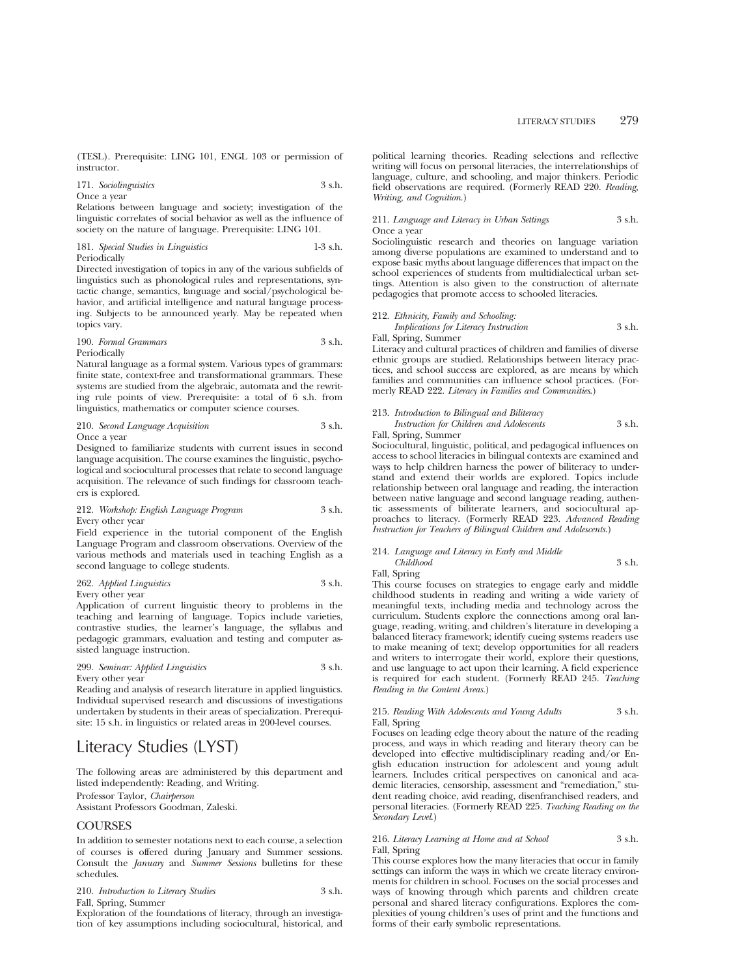(TESL). Prerequisite: LING 101, ENGL 103 or permission of instructor.

## 171. *Sociolinguistics* 3 s.h. Once a year

Relations between language and society; investigation of the linguistic correlates of social behavior as well as the influence of society on the nature of language. Prerequisite: LING 101.

#### 181. *Special Studies in Linguistics* 1-3 s.h. Periodically

Directed investigation of topics in any of the various subfields of linguistics such as phonological rules and representations, syntactic change, semantics, language and social/psychological behavior, and artificial intelligence and natural language processing. Subjects to be announced yearly. May be repeated when topics vary.

## 190. *Formal Grammars* 3 s.h. Periodically

Natural language as a formal system. Various types of grammars: finite state, context-free and transformational grammars. These systems are studied from the algebraic, automata and the rewriting rule points of view. Prerequisite: a total of 6 s.h. from linguistics, mathematics or computer science courses.

210. *Second Language Acquisition* 3 s.h. Once a year

Designed to familiarize students with current issues in second language acquisition. The course examines the linguistic, psychological and sociocultural processes that relate to second language acquisition. The relevance of such findings for classroom teachers is explored.

## 212. *Workshop: English Language Program* 3 s.h. Every other year

Field experience in the tutorial component of the English Language Program and classroom observations. Overview of the various methods and materials used in teaching English as a second language to college students.

262. *Applied Linguistics* 3 s.h. Every other year

Application of current linguistic theory to problems in the teaching and learning of language. Topics include varieties, contrastive studies, the learner's language, the syllabus and pedagogic grammars, evaluation and testing and computer assisted language instruction.

## 299. *Seminar: Applied Linguistics* 3 s.h. Every other year

Reading and analysis of research literature in applied linguistics. Individual supervised research and discussions of investigations undertaken by students in their areas of specialization. Prerequisite: 15 s.h. in linguistics or related areas in 200-level courses.

# Literacy Studies (LYST)

The following areas are administered by this department and listed independently: Reading, and Writing.

Professor Taylor, *Chairperson*

Assistant Professors Goodman, Zaleski.

## **COURSES**

In addition to semester notations next to each course, a selection of courses is offered during January and Summer sessions. Consult the *January* and *Summer Sessions* bulletins for these schedules.

| 210. Introduction to Literacy Studies | 3 s.h. |
|---------------------------------------|--------|
| Fall, Spring, Summer                  |        |

Exploration of the foundations of literacy, through an investigation of key assumptions including sociocultural, historical, and political learning theories. Reading selections and reflective writing will focus on personal literacies, the interrelationships of language, culture, and schooling, and major thinkers. Periodic field observations are required. (Formerly READ 220. *Reading, Writing, and Cognition*.)

#### 211. *Language and Literacy in Urban Settings* 3 s.h. Once a year

Sociolinguistic research and theories on language variation among diverse populations are examined to understand and to expose basic myths about language differences that impact on the school experiences of students from multidialectical urban settings. Attention is also given to the construction of alternate pedagogies that promote access to schooled literacies.

## 212. *Ethnicity, Family and Schooling: Implications for Literacy Instruction* 3 s.h.

Fall, Spring, Summer

Literacy and cultural practices of children and families of diverse ethnic groups are studied. Relationships between literacy practices, and school success are explored, as are means by which families and communities can influence school practices. (Formerly READ 222. *Literacy in Families and Communities*.)

#### 213. *Introduction to Bilingual and Biliteracy Instruction for Children and Adolescents* 3 s.h. Fall, Spring, Summer

Sociocultural, linguistic, political, and pedagogical influences on access to school literacies in bilingual contexts are examined and ways to help children harness the power of biliteracy to understand and extend their worlds are explored. Topics include relationship between oral language and reading, the interaction between native language and second language reading, authentic assessments of biliterate learners, and sociocultural approaches to literacy. (Formerly READ 223. *Advanced Reading Instruction for Teachers of Bilingual Children and Adolescents*.)

### 214. *Language and Literacy in Early and Middle*

*Childhood* 3 s.h. Fall, Spring

This course focuses on strategies to engage early and middle childhood students in reading and writing a wide variety of meaningful texts, including media and technology across the curriculum. Students explore the connections among oral language, reading, writing, and children's literature in developing a balanced literacy framework; identify cueing systems readers use to make meaning of text; develop opportunities for all readers and writers to interrogate their world, explore their questions, and use language to act upon their learning. A field experience is required for each student. (Formerly READ 245. *Teaching Reading in the Content Areas*.)

215. *Reading With Adolescents and Young Adults* 3 s.h. Fall, Spring

Focuses on leading edge theory about the nature of the reading process, and ways in which reading and literary theory can be developed into effective multidisciplinary reading and/or English education instruction for adolescent and young adult learners. Includes critical perspectives on canonical and academic literacies, censorship, assessment and "remediation," student reading choice, avid reading, disenfranchised readers, and personal literacies. (Formerly READ 225. *Teaching Reading on the Secondary Level*.)

### 216. *Literacy Learning at Home and at School* 3 s.h. Fall, Spring

This course explores how the many literacies that occur in family settings can inform the ways in which we create literacy environments for children in school. Focuses on the social processes and ways of knowing through which parents and children create personal and shared literacy configurations. Explores the complexities of young children's uses of print and the functions and forms of their early symbolic representations.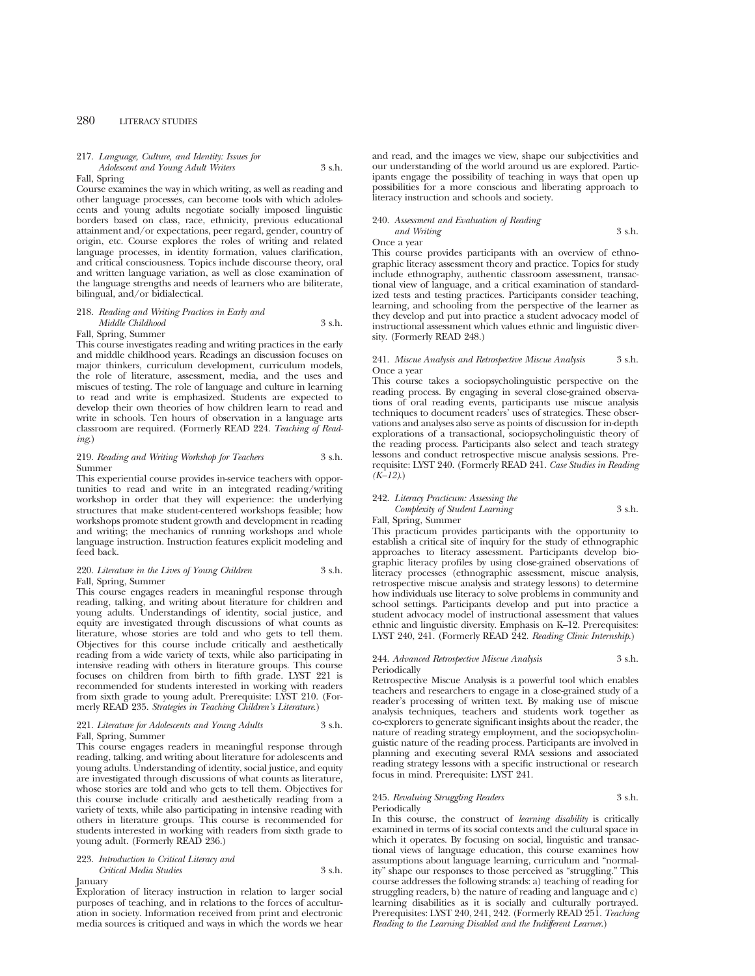#### 217. *Language, Culture, and Identity: Issues for Adolescent and Young Adult Writers* 3 s.h.

#### Fall, Spring

Course examines the way in which writing, as well as reading and other language processes, can become tools with which adolescents and young adults negotiate socially imposed linguistic borders based on class, race, ethnicity, previous educational attainment and/or expectations, peer regard, gender, country of origin, etc. Course explores the roles of writing and related language processes, in identity formation, values clarification, and critical consciousness. Topics include discourse theory, oral and written language variation, as well as close examination of the language strengths and needs of learners who are biliterate, bilingual, and/or bidialectical.

#### 218. *Reading and Writing Practices in Early and Middle Childhood* 3 s.h.

#### Fall, Spring, Summer

This course investigates reading and writing practices in the early and middle childhood years. Readings an discussion focuses on major thinkers, curriculum development, curriculum models, the role of literature, assessment, media, and the uses and miscues of testing. The role of language and culture in learning to read and write is emphasized. Students are expected to develop their own theories of how children learn to read and write in schools. Ten hours of observation in a language arts classroom are required. (Formerly READ 224. *Teaching of Reading*.)

#### 219. *Reading and Writing Workshop for Teachers* 3 s.h. Summer

This experiential course provides in-service teachers with opportunities to read and write in an integrated reading/writing workshop in order that they will experience: the underlying structures that make student-centered workshops feasible; how workshops promote student growth and development in reading and writing; the mechanics of running workshops and whole language instruction. Instruction features explicit modeling and feed back.

## 220. *Literature in the Lives of Young Children* 3 s.h. Fall, Spring, Summer

This course engages readers in meaningful response through reading, talking, and writing about literature for children and young adults. Understandings of identity, social justice, and equity are investigated through discussions of what counts as literature, whose stories are told and who gets to tell them. Objectives for this course include critically and aesthetically reading from a wide variety of texts, while also participating in intensive reading with others in literature groups. This course focuses on children from birth to fifth grade. LYST 221 is recommended for students interested in working with readers from sixth grade to young adult. Prerequisite: LYST 210. (Formerly READ 235. *Strategies in Teaching Children's Literature*.)

#### 221. *Literature for Adolescents and Young Adults* 3 s.h. Fall, Spring, Summer

This course engages readers in meaningful response through reading, talking, and writing about literature for adolescents and young adults. Understanding of identity, social justice, and equity are investigated through discussions of what counts as literature, whose stories are told and who gets to tell them. Objectives for this course include critically and aesthetically reading from a variety of texts, while also participating in intensive reading with others in literature groups. This course is recommended for students interested in working with readers from sixth grade to young adult. (Formerly READ 236.)

### 223. *Introduction to Critical Literacy and Critical Media Studies* 3 s.h.

January

Exploration of literacy instruction in relation to larger social purposes of teaching, and in relations to the forces of acculturation in society. Information received from print and electronic media sources is critiqued and ways in which the words we hear and read, and the images we view, shape our subjectivities and our understanding of the world around us are explored. Participants engage the possibility of teaching in ways that open up possibilities for a more conscious and liberating approach to literacy instruction and schools and society.

#### 240. *Assessment and Evaluation of Reading and Writing* 3 s.h.

Once a year

This course provides participants with an overview of ethnographic literacy assessment theory and practice. Topics for study include ethnography, authentic classroom assessment, transactional view of language, and a critical examination of standardized tests and testing practices. Participants consider teaching, learning, and schooling from the perspective of the learner as they develop and put into practice a student advocacy model of instructional assessment which values ethnic and linguistic diversity. (Formerly READ 248.)

#### 241. *Miscue Analysis and Retrospective Miscue Analysis* 3 s.h. Once a year

This course takes a sociopsycholinguistic perspective on the reading process. By engaging in several close-grained observations of oral reading events, participants use miscue analysis techniques to document readers' uses of strategies. These observations and analyses also serve as points of discussion for in-depth explorations of a transactional, sociopsycholinguistic theory of the reading process. Participants also select and teach strategy lessons and conduct retrospective miscue analysis sessions. Prerequisite: LYST 240. (Formerly READ 241. *Case Studies in Reading (K–12)*.)

## 242. *Literacy Practicum: Assessing the Complexity of Student Learning* 3 s.h.

Fall, Spring, Summer

This practicum provides participants with the opportunity to establish a critical site of inquiry for the study of ethnographic approaches to literacy assessment. Participants develop biographic literacy profiles by using close-grained observations of literacy processes (ethnographic assessment, miscue analysis, retrospective miscue analysis and strategy lessons) to determine how individuals use literacy to solve problems in community and school settings. Participants develop and put into practice a student advocacy model of instructional assessment that values ethnic and linguistic diversity. Emphasis on K–12. Prerequisites: LYST 240, 241. (Formerly READ 242. *Reading Clinic Internship*.)

#### 244. *Advanced Retrospective Miscue Analysis* 3 s.h. Periodically

Retrospective Miscue Analysis is a powerful tool which enables teachers and researchers to engage in a close-grained study of a reader's processing of written text. By making use of miscue analysis techniques, teachers and students work together as co-explorers to generate significant insights about the reader, the nature of reading strategy employment, and the sociopsycholinguistic nature of the reading process. Participants are involved in planning and executing several RMA sessions and associated reading strategy lessons with a specific instructional or research focus in mind. Prerequisite: LYST 241.

#### 245. *Revaluing Struggling Readers* 3 s.h. Periodically

In this course, the construct of *learning disability* is critically examined in terms of its social contexts and the cultural space in which it operates. By focusing on social, linguistic and transactional views of language education, this course examines how assumptions about language learning, curriculum and "normality" shape our responses to those perceived as "struggling." This course addresses the following strands: a) teaching of reading for struggling readers, b) the nature of reading and language and c) learning disabilities as it is socially and culturally portrayed. Prerequisites: LYST 240, 241, 242. (Formerly READ 251. *Teaching Reading to the Learning Disabled and the Indifferent Learner*.)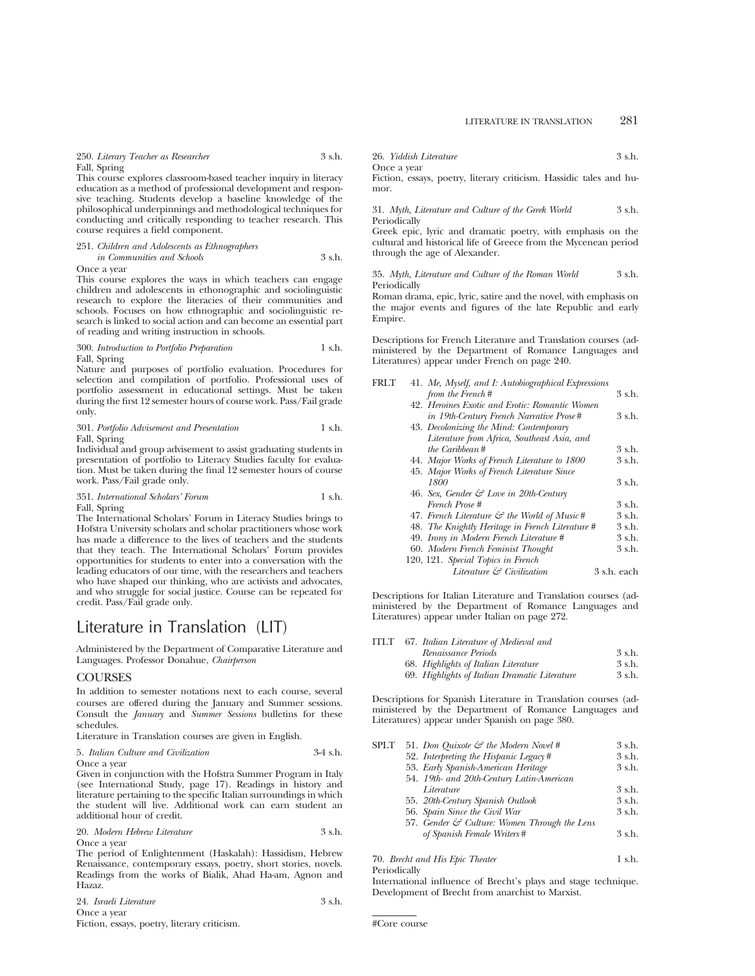250. *Literary Teacher as Researcher* 3 s.h. Fall, Spring

This course explores classroom-based teacher inquiry in literacy education as a method of professional development and responsive teaching. Students develop a baseline knowledge of the philosophical underpinnings and methodological techniques for conducting and critically responding to teacher research. This course requires a field component.

#### 251. *Children and Adolescents as Ethnographers in Communities and Schools* 3 s.h.

Once a year

This course explores the ways in which teachers can engage children and adolescents in ethonographic and sociolinguistic research to explore the literacies of their communities and schools. Focuses on how ethnographic and sociolinguistic research is linked to social action and can become an essential part of reading and writing instruction in schools.

#### 300. *Introduction to Portfolio Preparation* 1 s.h. Fall, Spring

Nature and purposes of portfolio evaluation. Procedures for selection and compilation of portfolio. Professional uses of portfolio assessment in educational settings. Must be taken during the first 12 semester hours of course work. Pass/Fail grade only.

301. *Portfolio Advisement and Presentation* 1 s.h. Fall, Spring

Individual and group advisement to assist graduating students in presentation of portfolio to Literacy Studies faculty for evaluation. Must be taken during the final 12 semester hours of course work. Pass/Fail grade only.

#### 351. *International Scholars' Forum* 1 s.h. Fall, Spring

The International Scholars' Forum in Literacy Studies brings to Hofstra University scholars and scholar practitioners whose work has made a difference to the lives of teachers and the students that they teach. The International Scholars' Forum provides opportunities for students to enter into a conversation with the leading educators of our time, with the researchers and teachers who have shaped our thinking, who are activists and advocates, and who struggle for social justice. Course can be repeated for credit. Pass/Fail grade only.

# Literature in Translation (LIT)

Administered by the Department of Comparative Literature and Languages. Professor Donahue, *Chairperson*

## **COURSES**

In addition to semester notations next to each course, several courses are offered during the January and Summer sessions. Consult the *January* and *Summer Sessions* bulletins for these schedules.

Literature in Translation courses are given in English.

#### 5. *Italian Culture and Civilization* 3-4 s.h. Once a year

Given in conjunction with the Hofstra Summer Program in Italy (see International Study, page 17). Readings in history and literature pertaining to the specific Italian surroundings in which the student will live. Additional work can earn student an additional hour of credit.

| 20. Modern Hebrew Literature | 3 s.h. |
|------------------------------|--------|
| Once a vear                  |        |

The period of Enlightenment (Haskalah): Hassidism, Hebrew Renaissance, contemporary essays, poetry, short stories, novels. Readings from the works of Bialik, Ahad Ha-am, Agnon and Hazaz.

| 24. Israeli Literature | 3 s.h. |
|------------------------|--------|
| Once a year            |        |
|                        |        |

Fiction, essays, poetry, literary criticism.

| 26. Yiddish Literature | 3 s.h. |
|------------------------|--------|
| Once a vear            |        |

Fiction, essays, poetry, literary criticism. Hassidic tales and humor.

31. *Myth, Literature and Culture of the Greek World* 3 s.h. Periodically

Greek epic, lyric and dramatic poetry, with emphasis on the cultural and historical life of Greece from the Mycenean period through the age of Alexander.

35. *Myth, Literature and Culture of the Roman World* 3 s.h. Periodically

Roman drama, epic, lyric, satire and the novel, with emphasis on the major events and figures of the late Republic and early Empire.

Descriptions for French Literature and Translation courses (administered by the Department of Romance Languages and Literatures) appear under French on page 240.

| FRLT | 41. Me, Myself, and I: Autobiographical Expressions      |             |
|------|----------------------------------------------------------|-------------|
|      | from the French#                                         | 3 s.h.      |
|      | 42. Heroines Exotic and Erotic: Romantic Women           |             |
|      | in 19th-Century French Narrative Prose#                  | 3 s.h.      |
|      | 43. Decolonizing the Mind: Contemporary                  |             |
|      | Literature from Africa, Southeast Asia, and              |             |
|      | the Caribbean#                                           | 3 s.h.      |
|      | 44. Major Works of French Literature to 1800             | 3 s.h.      |
|      | 45. Major Works of French Literature Since               |             |
|      | 1800                                                     | 3 s.h.      |
|      | 46. Sex, Gender $\mathcal{C}$ Love in 20th-Century       |             |
|      | French Prose #                                           | 3 s.h.      |
|      | 47. French Literature $\mathcal{C}$ the World of Music # | 3 s.h.      |
|      | 48. The Knightly Heritage in French Literature #         | 3 s.h.      |
|      | 49. Irony in Modern French Literature #                  | 3 s.h.      |
|      | 60. Modern French Feminist Thought                       | 3 s.h.      |
|      | 120, 121. Special Topics in French                       |             |
|      | Literature & Civilization                                | 3 s.h. each |
|      |                                                          |             |

Descriptions for Italian Literature and Translation courses (administered by the Department of Romance Languages and Literatures) appear under Italian on page 272.

| <b>ITLT</b> | 67. Italian Literature of Medieval and        |        |
|-------------|-----------------------------------------------|--------|
|             | Renaissance Periods                           | 3 s.h. |
|             | 68. Highlights of Italian Literature          | 3 s.h. |
|             | 69. Highlights of Italian Dramatic Literature | 3 s.h. |
|             |                                               |        |

Descriptions for Spanish Literature in Translation courses (administered by the Department of Romance Languages and Literatures) appear under Spanish on page 380.

| SPLT | 51. Don Quixote $\mathcal G$ the Modern Novel #          | 3 s.h. |
|------|----------------------------------------------------------|--------|
|      | 52. Interpreting the Hispanic Legacy#                    | 3 s.h. |
|      | 53. Early Spanish-American Heritage                      | 3 s.h. |
|      | 54. 19th- and 20th-Century Latin-American                |        |
|      | Literature                                               | 3 s.h. |
|      | 55. 20th-Century Spanish Outlook                         | 3 s.h. |
|      | 56. Spain Since the Civil War                            | 3 s.h. |
|      | 57. Gender $\mathcal{C}$ Culture: Women Through the Lens |        |
|      | of Spanish Female Writers#                               | 3 s.h. |
|      |                                                          |        |

## 70. *Brecht and His Epic Theater* 1 s.h.

Periodically

International influence of Brecht's plays and stage technique. Development of Brecht from anarchist to Marxist.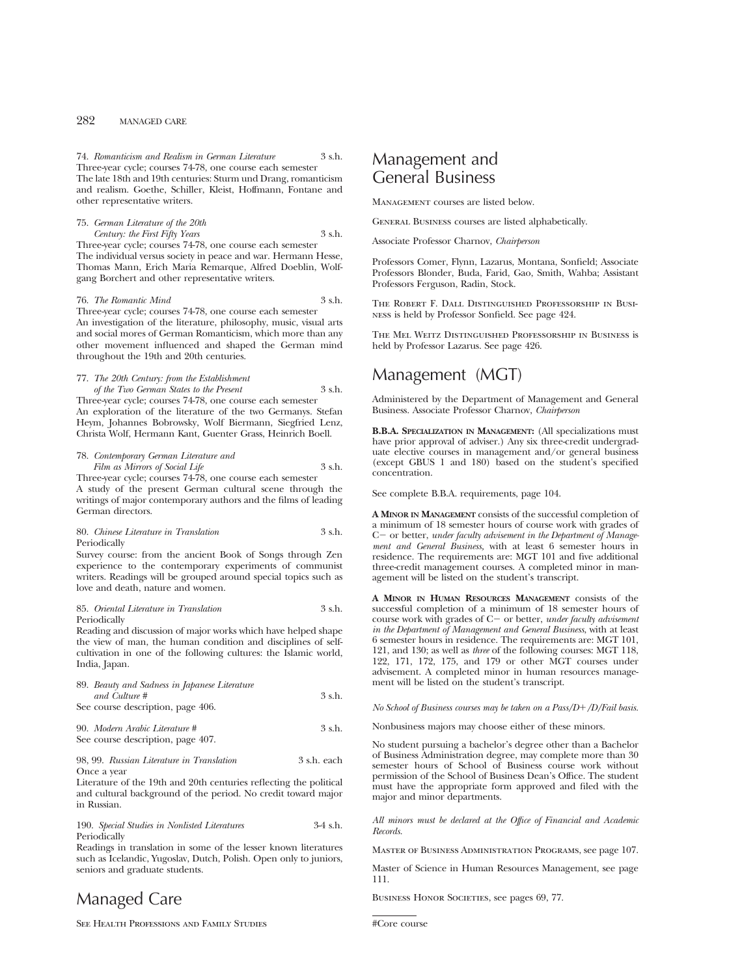74. *Romanticism and Realism in German Literature* 3 s.h. Three-year cycle; courses 74-78, one course each semester

The late 18th and 19th centuries: Sturm und Drang, romanticism and realism. Goethe, Schiller, Kleist, Hoffmann, Fontane and other representative writers.

### 75. *German Literature of the 20th Century: the First Fifty Years* 3 s.h. Three-year cycle; courses 74-78, one course each semester

The individual versus society in peace and war. Hermann Hesse, Thomas Mann, Erich Maria Remarque, Alfred Doeblin, Wolfgang Borchert and other representative writers.

76. *The Romantic Mind* 3 s.h.

Three-year cycle; courses 74-78, one course each semester An investigation of the literature, philosophy, music, visual arts and social mores of German Romanticism, which more than any other movement influenced and shaped the German mind throughout the 19th and 20th centuries.

## 77. *The 20th Century: from the Establishment*

*of the Two German States to the Present* 3 s.h. Three-year cycle; courses 74-78, one course each semester An exploration of the literature of the two Germanys. Stefan Heym, Johannes Bobrowsky, Wolf Biermann, Siegfried Lenz, Christa Wolf, Hermann Kant, Guenter Grass, Heinrich Boell.

## 78. *Contemporary German Literature and Film as Mirrors of Social Life* 3 s.h.

Three-year cycle; courses 74-78, one course each semester A study of the present German cultural scene through the writings of major contemporary authors and the films of leading German directors.

## 80. *Chinese Literature in Translation* 3 s.h. Periodically

Survey course: from the ancient Book of Songs through Zen experience to the contemporary experiments of communist writers. Readings will be grouped around special topics such as love and death, nature and women.

## 85. *Oriental Literature in Translation* 3 s.h. Periodically

Reading and discussion of major works which have helped shape the view of man, the human condition and disciplines of selfcultivation in one of the following cultures: the Islamic world, India, Japan.

| 89. Beauty and Sadness in Japanese Literature |        |
|-----------------------------------------------|--------|
| and Culture #                                 | 3 s.h. |
| See course description, page 406.             |        |
| 90. Modern Arabic Literature #                | 3 s.h. |

# See course description, page 407.

98, 99. *Russian Literature in Translation* 3 s.h. each Once a year

Literature of the 19th and 20th centuries reflecting the political and cultural background of the period. No credit toward major in Russian.

#### 190. *Special Studies in Nonlisted Literatures* 3-4 s.h. Periodically

Readings in translation in some of the lesser known literatures such as Icelandic, Yugoslav, Dutch, Polish. Open only to juniors, seniors and graduate students.

# Managed Care

See Health Professions and Family Studies

# Management and General Business

Management courses are listed below.

General Business courses are listed alphabetically.

Associate Professor Charnov, *Chairperson*

Professors Comer, Flynn, Lazarus, Montana, Sonfield; Associate Professors Blonder, Buda, Farid, Gao, Smith, Wahba; Assistant Professors Ferguson, Radin, Stock.

The Robert F. Dall Distinguished Professorship in Business is held by Professor Sonfield. See page 424.

The Mel Weitz Distinguished Professorship in Business is held by Professor Lazarus. See page 426.

# Management (MGT)

Administered by the Department of Management and General Business. Associate Professor Charnov, *Chairperson*

**B.B.A. SPECIALIZATION IN MANAGEMENT:** (All specializations must have prior approval of adviser.) Any six three-credit undergraduate elective courses in management and/or general business (except GBUS 1 and 180) based on the student's specified concentration.

See complete B.B.A. requirements, page 104.

**A MINOR IN MANAGEMENT** consists of the successful completion of a minimum of 18 semester hours of course work with grades of C – or better, *under faculty advisement in the Department of Management and General Business,* with at least 6 semester hours in residence. The requirements are: MGT 101 and five additional three-credit management courses. A completed minor in management will be listed on the student's transcript.

**A MINOR IN HUMAN RESOURCES MANAGEMENT** consists of the successful completion of a minimum of 18 semester hours of course work with grades of C- or better, *under faculty advisement in the Department of Management and General Business*, with at least 6 semester hours in residence. The requirements are: MGT 101, 121, and 130; as well as *three* of the following courses: MGT 118, 122, 171, 172, 175, and 179 or other MGT courses under advisement. A completed minor in human resources management will be listed on the student's transcript.

*No School of Business courses may be taken on a Pass/D*1*/D/Fail basis.*

Nonbusiness majors may choose either of these minors.

No student pursuing a bachelor's degree other than a Bachelor of Business Administration degree, may complete more than 30 semester hours of School of Business course work without permission of the School of Business Dean's Office. The student must have the appropriate form approved and filed with the major and minor departments.

*All minors must be declared at the Office of Financial and Academic Records.*

Master of Business Administration Programs, see page 107.

Master of Science in Human Resources Management, see page 111.

BUSINESS HONOR SOCIETIES, see pages 69, 77.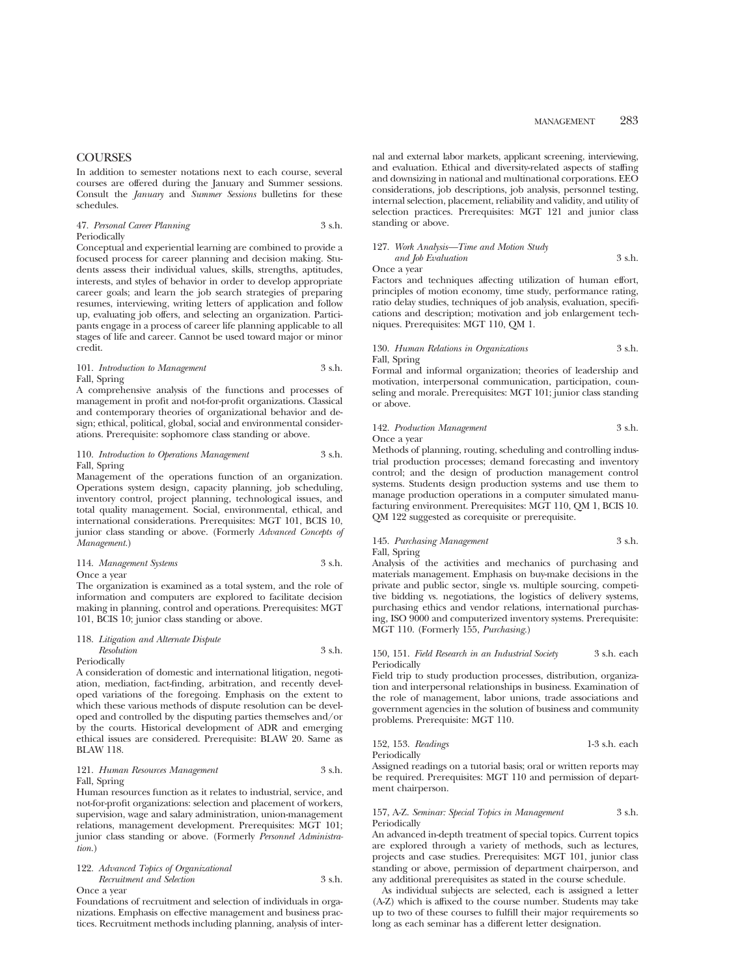## **COURSES**

In addition to semester notations next to each course, several courses are offered during the January and Summer sessions. Consult the *January* and *Summer Sessions* bulletins for these schedules.

### 47. *Personal Career Planning* 3 s.h. Periodically

Conceptual and experiential learning are combined to provide a focused process for career planning and decision making. Students assess their individual values, skills, strengths, aptitudes, interests, and styles of behavior in order to develop appropriate career goals; and learn the job search strategies of preparing resumes, interviewing, writing letters of application and follow up, evaluating job offers, and selecting an organization. Participants engage in a process of career life planning applicable to all stages of life and career. Cannot be used toward major or minor credit.

## 101. *Introduction to Management* 3 s.h. Fall, Spring

A comprehensive analysis of the functions and processes of management in profit and not-for-profit organizations. Classical and contemporary theories of organizational behavior and design; ethical, political, global, social and environmental considerations. Prerequisite: sophomore class standing or above.

#### 110. *Introduction to Operations Management* 3 s.h. Fall, Spring

Management of the operations function of an organization. Operations system design, capacity planning, job scheduling, inventory control, project planning, technological issues, and total quality management. Social, environmental, ethical, and international considerations. Prerequisites: MGT 101, BCIS 10, junior class standing or above. (Formerly *Advanced Concepts of Management.*)

114. *Management Systems* 3 s.h. Once a year

The organization is examined as a total system, and the role of information and computers are explored to facilitate decision making in planning, control and operations. Prerequisites: MGT 101, BCIS 10; junior class standing or above.

#### 118. *Litigation and Alternate Dispute*

*Resolution* 3 s.h. Periodically

A consideration of domestic and international litigation, negotiation, mediation, fact-finding, arbitration, and recently developed variations of the foregoing. Emphasis on the extent to which these various methods of dispute resolution can be developed and controlled by the disputing parties themselves and/or by the courts. Historical development of ADR and emerging ethical issues are considered. Prerequisite: BLAW 20. Same as BLAW 118.

#### 121. *Human Resources Management* 3 s.h. Fall, Spring

Human resources function as it relates to industrial, service, and not-for-profit organizations: selection and placement of workers, supervision, wage and salary administration, union-management relations, management development. Prerequisites: MGT 101; junior class standing or above. (Formerly *Personnel Administration.*)

## 122. *Advanced Topics of Organizational*

*Recruitment and Selection* 3 s.h. Once a year

Foundations of recruitment and selection of individuals in organizations. Emphasis on effective management and business practices. Recruitment methods including planning, analysis of internal and external labor markets, applicant screening, interviewing, and evaluation. Ethical and diversity-related aspects of staffing and downsizing in national and multinational corporations. EEO considerations, job descriptions, job analysis, personnel testing, internal selection, placement, reliability and validity, and utility of selection practices. Prerequisites: MGT 121 and junior class standing or above.

## 127. *Work Analysis—Time and Motion Study and Job Evaluation* 3 s.h.

Once a year

Factors and techniques affecting utilization of human effort, principles of motion economy, time study, performance rating, ratio delay studies, techniques of job analysis, evaluation, specifications and description; motivation and job enlargement techniques. Prerequisites: MGT 110, QM 1.

#### 130. *Human Relations in Organizations* 3 s.h. Fall, Spring

Formal and informal organization; theories of leadership and motivation, interpersonal communication, participation, counseling and morale. Prerequisites: MGT 101; junior class standing or above.

#### 142. *Production Management* 3 s.h. Once a year

Methods of planning, routing, scheduling and controlling industrial production processes; demand forecasting and inventory control; and the design of production management control systems. Students design production systems and use them to manage production operations in a computer simulated manufacturing environment. Prerequisites: MGT 110, QM 1, BCIS 10. QM 122 suggested as corequisite or prerequisite.

## 145. *Purchasing Management* 3 s.h. Fall, Spring

Analysis of the activities and mechanics of purchasing and materials management. Emphasis on buy-make decisions in the private and public sector, single vs. multiple sourcing, competitive bidding vs. negotiations, the logistics of delivery systems, purchasing ethics and vendor relations, international purchasing, ISO 9000 and computerized inventory systems. Prerequisite: MGT 110. (Formerly 155, *Purchasing.*)

#### 150, 151. *Field Research in an Industrial Society* 3 s.h. each **Periodically**

Field trip to study production processes, distribution, organization and interpersonal relationships in business. Examination of the role of management, labor unions, trade associations and government agencies in the solution of business and community problems. Prerequisite: MGT 110.

### 152, 153. *Readings* 1-3 s.h. each Periodically

Assigned readings on a tutorial basis; oral or written reports may be required. Prerequisites: MGT 110 and permission of department chairperson.

#### 157, A-Z. *Seminar: Special Topics in Management* 3 s.h. Periodically

An advanced in-depth treatment of special topics. Current topics are explored through a variety of methods, such as lectures, projects and case studies. Prerequisites: MGT 101, junior class standing or above, permission of department chairperson, and any additional prerequisites as stated in the course schedule.

As individual subjects are selected, each is assigned a letter (A-Z) which is affixed to the course number. Students may take up to two of these courses to fulfill their major requirements so long as each seminar has a different letter designation.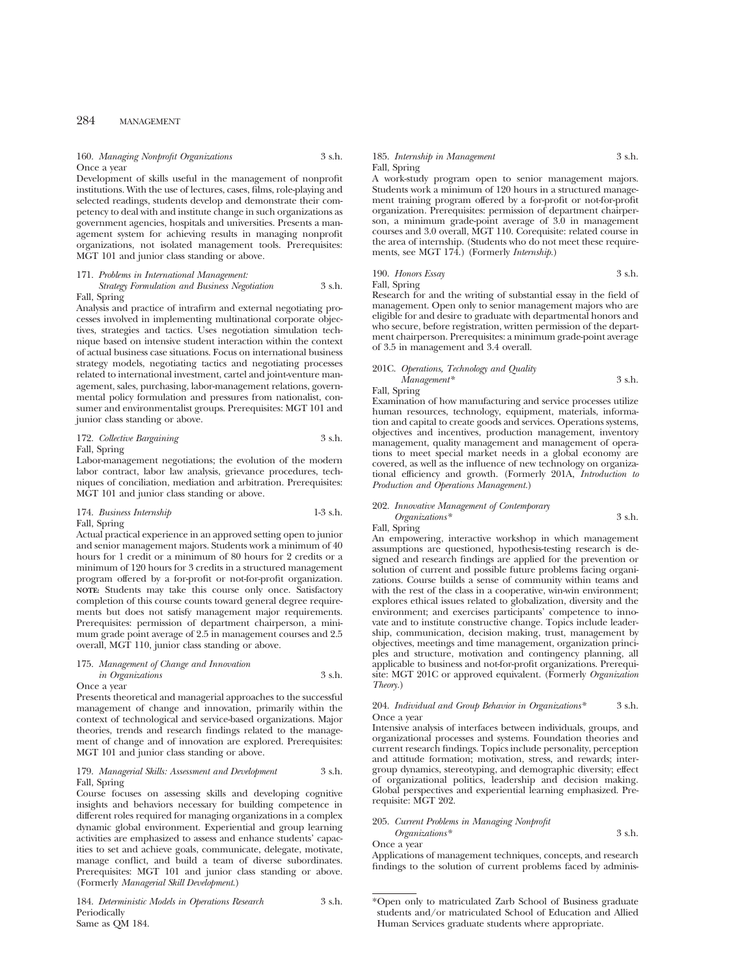#### 160. *Managing Nonprofit Organizations* 3 s.h. Once a year

Development of skills useful in the management of nonprofit institutions. With the use of lectures, cases, films, role-playing and selected readings, students develop and demonstrate their competency to deal with and institute change in such organizations as government agencies, hospitals and universities. Presents a management system for achieving results in managing nonprofit organizations, not isolated management tools. Prerequisites: MGT 101 and junior class standing or above.

#### 171. *Problems in International Management:*

*Strategy Formulation and Business Negotiation* 3 s.h. Fall, Spring

Analysis and practice of intrafirm and external negotiating processes involved in implementing multinational corporate objectives, strategies and tactics. Uses negotiation simulation technique based on intensive student interaction within the context of actual business case situations. Focus on international business strategy models, negotiating tactics and negotiating processes related to international investment, cartel and joint-venture management, sales, purchasing, labor-management relations, governmental policy formulation and pressures from nationalist, consumer and environmentalist groups. Prerequisites: MGT 101 and junior class standing or above.

#### 172. *Collective Bargaining* 3 s.h. Fall, Spring

Labor-management negotiations; the evolution of the modern labor contract, labor law analysis, grievance procedures, techniques of conciliation, mediation and arbitration. Prerequisites: MGT 101 and junior class standing or above.

## 174. *Business Internship* 1-3 s.h. Fall, Spring

Actual practical experience in an approved setting open to junior and senior management majors. Students work a minimum of 40 hours for 1 credit or a minimum of 80 hours for 2 credits or a minimum of 120 hours for 3 credits in a structured management program offered by a for-profit or not-for-profit organization. **NOTE:** Students may take this course only once. Satisfactory completion of this course counts toward general degree requirements but does not satisfy management major requirements. Prerequisites: permission of department chairperson, a minimum grade point average of 2.5 in management courses and 2.5 overall, MGT 110, junior class standing or above.

#### 175. *Management of Change and Innovation in Organizations* 3 s.h. Once a year

Presents theoretical and managerial approaches to the successful management of change and innovation, primarily within the context of technological and service-based organizations. Major theories, trends and research findings related to the management of change and of innovation are explored. Prerequisites: MGT 101 and junior class standing or above.

#### 179. *Managerial Skills: Assessment and Development* 3 s.h. Fall, Spring

Course focuses on assessing skills and developing cognitive insights and behaviors necessary for building competence in different roles required for managing organizations in a complex dynamic global environment. Experiential and group learning activities are emphasized to assess and enhance students' capacities to set and achieve goals, communicate, delegate, motivate, manage conflict, and build a team of diverse subordinates. Prerequisites: MGT 101 and junior class standing or above. (Formerly *Managerial Skill Development*.)

184. *Deterministic Models in Operations Research* 3 s.h. Periodically Same as QM 184.

## 185. *Internship in Management* 3 s.h. Fall, Spring

A work-study program open to senior management majors. Students work a minimum of 120 hours in a structured management training program offered by a for-profit or not-for-profit organization. Prerequisites: permission of department chairperson, a minimum grade-point average of 3.0 in management courses and 3.0 overall, MGT 110. Corequisite: related course in the area of internship. (Students who do not meet these requirements, see MGT 174.) (Formerly *Internship.*)

190. *Honors Essay* 3 s.h. Fall, Spring

Research for and the writing of substantial essay in the field of management. Open only to senior management majors who are eligible for and desire to graduate with departmental honors and who secure, before registration, written permission of the department chairperson. Prerequisites: a minimum grade-point average of 3.5 in management and 3.4 overall.

## 201C. *Operations, Technology and Quality Management\** 3 s.h.

Fall, Spring

Examination of how manufacturing and service processes utilize human resources, technology, equipment, materials, information and capital to create goods and services. Operations systems, objectives and incentives, production management, inventory management, quality management and management of operations to meet special market needs in a global economy are covered, as well as the influence of new technology on organizational efficiency and growth. (Formerly 201A, *Introduction to Production and Operations Management.*)

## 202. *Innovative Management of Contemporary*

*Organizations\** 3 s.h. Fall, Spring

An empowering, interactive workshop in which management assumptions are questioned, hypothesis-testing research is designed and research findings are applied for the prevention or solution of current and possible future problems facing organizations. Course builds a sense of community within teams and with the rest of the class in a cooperative, win-win environment; explores ethical issues related to globalization, diversity and the environment; and exercises participants' competence to innovate and to institute constructive change. Topics include leadership, communication, decision making, trust, management by objectives, meetings and time management, organization principles and structure, motivation and contingency planning, all applicable to business and not-for-profit organizations. Prerequisite: MGT 201C or approved equivalent. (Formerly *Organization Theory.*)

### 204. *Individual and Group Behavior in Organizations\** 3 s.h. Once a year

Intensive analysis of interfaces between individuals, groups, and organizational processes and systems. Foundation theories and current research findings. Topics include personality, perception and attitude formation; motivation, stress, and rewards; intergroup dynamics, stereotyping, and demographic diversity; effect of organizational politics, leadership and decision making. Global perspectives and experiential learning emphasized. Prerequisite: MGT 202.

#### 205. *Current Problems in Managing Nonprofit*

*Organizations\** 3 s.h. Once a year

Applications of management techniques, concepts, and research findings to the solution of current problems faced by adminis-

<sup>\*</sup>Open only to matriculated Zarb School of Business graduate students and/or matriculated School of Education and Allied Human Services graduate students where appropriate.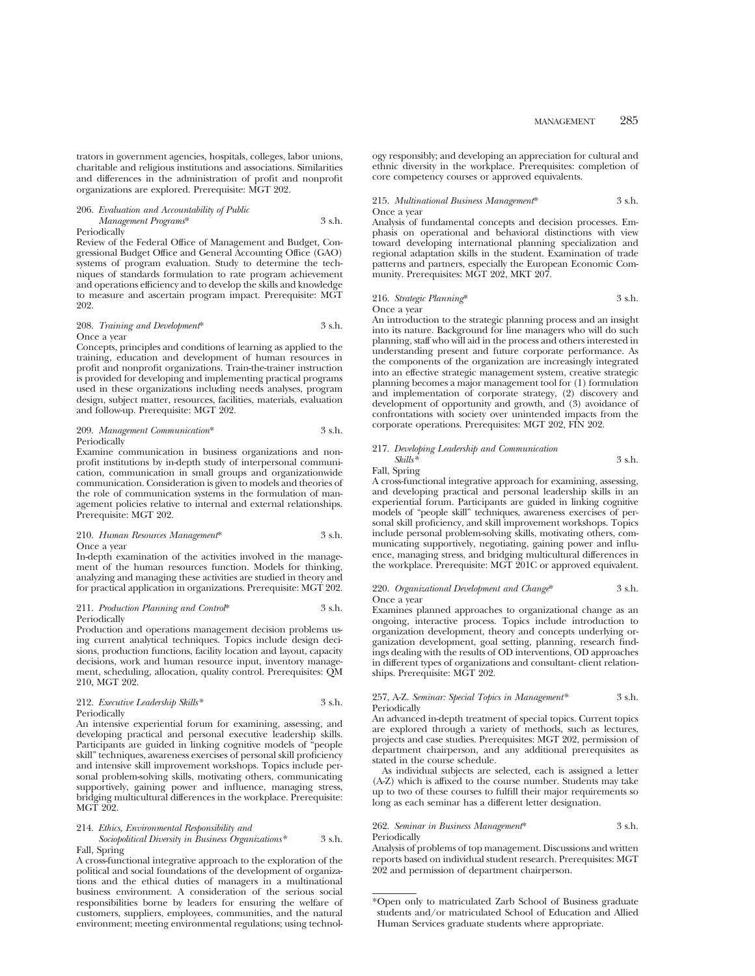trators in government agencies, hospitals, colleges, labor unions, charitable and religious institutions and associations. Similarities and differences in the administration of profit and nonprofit organizations are explored. Prerequisite: MGT 202.

#### 206. *Evaluation and Accountability of Public Management Programs*\* 3 s.h. Periodically

Review of the Federal Office of Management and Budget, Congressional Budget Office and General Accounting Office (GAO) systems of program evaluation. Study to determine the techniques of standards formulation to rate program achievement and operations efficiency and to develop the skills and knowledge to measure and ascertain program impact. Prerequisite: MGT 202.

#### 208. *Training and Development*\* 3 s.h. Once a year

Concepts, principles and conditions of learning as applied to the training, education and development of human resources in profit and nonprofit organizations. Train-the-trainer instruction is provided for developing and implementing practical programs used in these organizations including needs analyses, program design, subject matter, resources, facilities, materials, evaluation and follow-up. Prerequisite: MGT 202.

#### 209. *Management Communication*\* 3 s.h. Periodically

Examine communication in business organizations and nonprofit institutions by in-depth study of interpersonal communication, communication in small groups and organizationwide communication. Consideration is given to models and theories of the role of communication systems in the formulation of management policies relative to internal and external relationships. Prerequisite: MGT 202.

### 210. *Human Resources Management*\* 3 s.h. Once a year

In-depth examination of the activities involved in the management of the human resources function. Models for thinking, analyzing and managing these activities are studied in theory and for practical application in organizations. Prerequisite: MGT 202.

#### 211. *Production Planning and Control*\* 3 s.h. Periodically

Production and operations management decision problems using current analytical techniques. Topics include design decisions, production functions, facility location and layout, capacity decisions, work and human resource input, inventory management, scheduling, allocation, quality control. Prerequisites: QM 210, MGT 202.

## 212. *Executive Leadership Skills\** 3 s.h. Periodically

An intensive experiential forum for examining, assessing, and developing practical and personal executive leadership skills. Participants are guided in linking cognitive models of "people skill" techniques, awareness exercises of personal skill proficiency and intensive skill improvement workshops. Topics include personal problem-solving skills, motivating others, communicating supportively, gaining power and influence, managing stress, bridging multicultural differences in the workplace. Prerequisite: MGT 202.

#### 214. *Ethics, Environmental Responsibility and*

#### *Sociopolitical Diversity in Business Organizations\** 3 s.h. Fall, Spring

A cross-functional integrative approach to the exploration of the political and social foundations of the development of organizations and the ethical duties of managers in a multinational business environment. A consideration of the serious social responsibilities borne by leaders for ensuring the welfare of customers, suppliers, employees, communities, and the natural environment; meeting environmental regulations; using technol-

ogy responsibly; and developing an appreciation for cultural and ethnic diversity in the workplace. Prerequisites: completion of core competency courses or approved equivalents.

#### 215. *Multinational Business Management*\* 3 s.h. Once a year

Analysis of fundamental concepts and decision processes. Emphasis on operational and behavioral distinctions with view toward developing international planning specialization and regional adaptation skills in the student. Examination of trade patterns and partners, especially the European Economic Community. Prerequisites: MGT 202, MKT 207.

#### 216. *Strategic Planning*\* 3 s.h. Once a year

An introduction to the strategic planning process and an insight into its nature. Background for line managers who will do such planning, staff who will aid in the process and others interested in understanding present and future corporate performance. As the components of the organization are increasingly integrated into an effective strategic management system, creative strategic planning becomes a major management tool for (1) formulation and implementation of corporate strategy, (2) discovery and development of opportunity and growth, and (3) avoidance of confrontations with society over unintended impacts from the corporate operations. Prerequisites: MGT 202, FIN 202.

## 217. *Developing Leadership and Communication*

#### *Skills\** 3 s.h. Fall, Spring

A cross-functional integrative approach for examining, assessing, and developing practical and personal leadership skills in an experiential forum. Participants are guided in linking cognitive models of "people skill" techniques, awareness exercises of personal skill proficiency, and skill improvement workshops. Topics include personal problem-solving skills, motivating others, communicating supportively, negotiating, gaining power and influence, managing stress, and bridging multicultural differences in the workplace. Prerequisite: MGT 201C or approved equivalent.

#### 220. *Organizational Development and Change*\* 3 s.h. Once a year

Examines planned approaches to organizational change as an ongoing, interactive process. Topics include introduction to organization development, theory and concepts underlying organization development, goal setting, planning, research findings dealing with the results of OD interventions, OD approaches in different types of organizations and consultant- client relationships. Prerequisite: MGT 202.

#### 257, A-Z. *Seminar: Special Topics in Management\** 3 s.h. Periodically

An advanced in-depth treatment of special topics. Current topics are explored through a variety of methods, such as lectures, projects and case studies. Prerequisites: MGT 202, permission of department chairperson, and any additional prerequisites as stated in the course schedule.

As individual subjects are selected, each is assigned a letter (A-Z) which is affixed to the course number. Students may take up to two of these courses to fulfill their major requirements so long as each seminar has a different letter designation.

#### 262. *Seminar in Business Management*\* 3 s.h. Periodically

Analysis of problems of top management. Discussions and written reports based on individual student research. Prerequisites: MGT 202 and permission of department chairperson.

\*Open only to matriculated Zarb School of Business graduate students and/or matriculated School of Education and Allied Human Services graduate students where appropriate.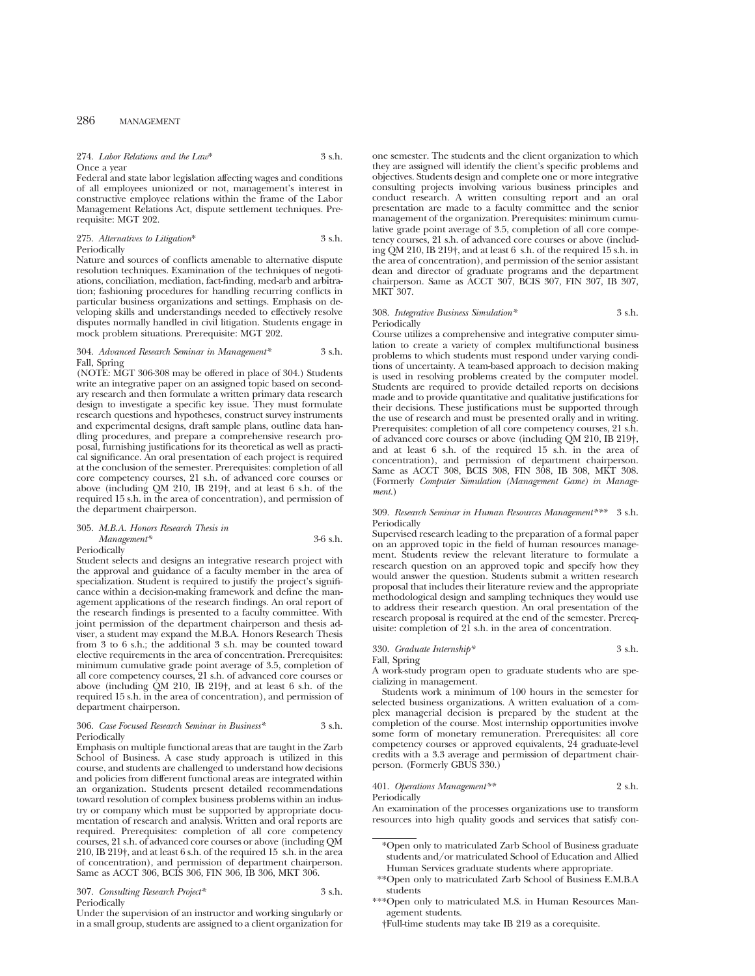274. *Labor Relations and the Law*\* 3 s.h. Once a year

Federal and state labor legislation affecting wages and conditions of all employees unionized or not, management's interest in constructive employee relations within the frame of the Labor Management Relations Act, dispute settlement techniques. Prerequisite: MGT 202.

275. *Alternatives to Litigation*\* 3 s.h. Periodically

Nature and sources of conflicts amenable to alternative dispute resolution techniques. Examination of the techniques of negotiations, conciliation, mediation, fact-finding, med-arb and arbitration; fashioning procedures for handling recurring conflicts in particular business organizations and settings. Emphasis on developing skills and understandings needed to effectively resolve disputes normally handled in civil litigation. Students engage in mock problem situations. Prerequisite: MGT 202.

#### 304. *Advanced Research Seminar in Management\** 3 s.h. Fall, Spring

(NOTE: MGT 306-308 may be offered in place of 304.) Students write an integrative paper on an assigned topic based on secondary research and then formulate a written primary data research design to investigate a specific key issue. They must formulate research questions and hypotheses, construct survey instruments and experimental designs, draft sample plans, outline data handling procedures, and prepare a comprehensive research proposal, furnishing justifications for its theoretical as well as practical significance. An oral presentation of each project is required at the conclusion of the semester. Prerequisites: completion of all core competency courses, 21 s.h. of advanced core courses or above (including QM 210, IB 219†, and at least 6 s.h. of the required 15 s.h. in the area of concentration), and permission of the department chairperson.

#### 305. *M.B.A. Honors Research Thesis in Management\** 3-6 s.h. Periodically

Student selects and designs an integrative research project with the approval and guidance of a faculty member in the area of specialization. Student is required to justify the project's significance within a decision-making framework and define the management applications of the research findings. An oral report of the research findings is presented to a faculty committee. With joint permission of the department chairperson and thesis adviser, a student may expand the M.B.A. Honors Research Thesis from 3 to 6 s.h.; the additional 3 s.h. may be counted toward elective requirements in the area of concentration. Prerequisites: minimum cumulative grade point average of 3.5, completion of all core competency courses, 21 s.h. of advanced core courses or above (including QM 210, IB 219†, and at least 6 s.h. of the required 15 s.h. in the area of concentration), and permission of department chairperson.

#### 306. *Case Focused Research Seminar in Business\** 3 s.h. Periodically

Emphasis on multiple functional areas that are taught in the Zarb School of Business. A case study approach is utilized in this course, and students are challenged to understand how decisions and policies from different functional areas are integrated within an organization. Students present detailed recommendations toward resolution of complex business problems within an industry or company which must be supported by appropriate documentation of research and analysis. Written and oral reports are required. Prerequisites: completion of all core competency courses, 21 s.h. of advanced core courses or above (including QM 210, IB 219†, and at least 6 s.h. of the required 15 s.h. in the area of concentration), and permission of department chairperson. Same as ACCT 306, BCIS 306, FIN 306, IB 306, MKT 306.

307. *Consulting Research Project\** 3 s.h. Periodically

Under the supervision of an instructor and working singularly or in a small group, students are assigned to a client organization for one semester. The students and the client organization to which they are assigned will identify the client's specific problems and objectives. Students design and complete one or more integrative consulting projects involving various business principles and conduct research. A written consulting report and an oral presentation are made to a faculty committee and the senior management of the organization. Prerequisites: minimum cumulative grade point average of 3.5, completion of all core competency courses, 21 s.h. of advanced core courses or above (including QM 210, IB 219†, and at least 6 s.h. of the required 15 s.h. in the area of concentration), and permission of the senior assistant dean and director of graduate programs and the department chairperson. Same as ACCT 307, BCIS 307, FIN 307, IB 307, MKT 307.

#### 308. *Integrative Business Simulation\** 3 s.h. Periodically

Course utilizes a comprehensive and integrative computer simulation to create a variety of complex multifunctional business problems to which students must respond under varying conditions of uncertainty. A team-based approach to decision making is used in resolving problems created by the computer model. Students are required to provide detailed reports on decisions made and to provide quantitative and qualitative justifications for their decisions. These justifications must be supported through the use of research and must be presented orally and in writing. Prerequisites: completion of all core competency courses, 21 s.h. of advanced core courses or above (including QM 210, IB 219†, and at least 6 s.h. of the required 15 s.h. in the area of concentration), and permission of department chairperson. Same as ACCT 308, BCIS 308, FIN 308, IB 308, MKT 308. (Formerly *Computer Simulation (Management Game) in Management.*)

### 309. *Research Seminar in Human Resources Management\*\*\** 3 s.h. Periodically

Supervised research leading to the preparation of a formal paper on an approved topic in the field of human resources management. Students review the relevant literature to formulate a research question on an approved topic and specify how they would answer the question. Students submit a written research proposal that includes their literature review and the appropriate methodological design and sampling techniques they would use to address their research question. An oral presentation of the research proposal is required at the end of the semester. Prerequisite: completion of 21 s.h. in the area of concentration.

## 330. *Graduate Internship\** 3 s.h.

Fall, Spring A work-study program open to graduate students who are specializing in management.

Students work a minimum of 100 hours in the semester for selected business organizations. A written evaluation of a complex managerial decision is prepared by the student at the completion of the course. Most internship opportunities involve some form of monetary remuneration. Prerequisites: all core competency courses or approved equivalents, 24 graduate-level credits with a 3.3 average and permission of department chairperson. (Formerly GBUS 330.)

#### 401. *Operations Management\*\** 2 s.h. Periodically

An examination of the processes organizations use to transform resources into high quality goods and services that satisfy con-

\*Open only to matriculated Zarb School of Business graduate students and/or matriculated School of Education and Allied Human Services graduate students where appropriate.

\*\*Open only to matriculated Zarb School of Business E.M.B.A students

†Full-time students may take IB 219 as a corequisite.

<sup>\*\*\*</sup>Open only to matriculated M.S. in Human Resources Management students.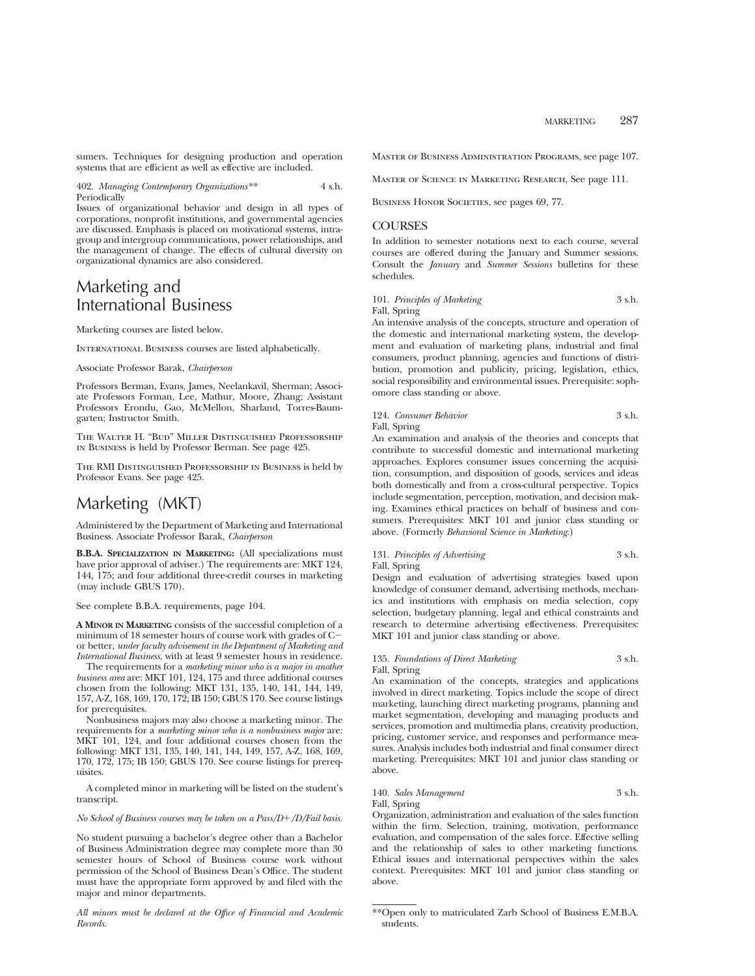sumers. Techniques for designing production and operation systems that are efficient as well as effective are included.

402. *Managing Contemporary Organizations\*\** 4 s.h. Periodically

Issues of organizational behavior and design in all types of corporations, nonprofit institutions, and governmental agencies are discussed. Emphasis is placed on motivational systems, intragroup and intergroup communications, power relationships, and the management of change. The effects of cultural diversity on organizational dynamics are also considered.

# Marketing and International Business

Marketing courses are listed below.

INTERNATIONAL BUSINESS courses are listed alphabetically.

Associate Professor Barak, *Chairperson*

Professors Berman, Evans, James, Neelankavil, Sherman; Associate Professors Forman, Lee, Mathur, Moore, Zhang; Assistant Professors Erondu, Gao, McMellon, Sharland, Torres-Baumgarten; Instructor Smith.

The Walter H. "Bud" Miller Distinguished Professorship in Business is held by Professor Berman. See page 425.

The RMI Distinguished Professorship in Business is held by Professor Evans. See page 425.

# Marketing (MKT)

Administered by the Department of Marketing and International Business. Associate Professor Barak, *Chairperson*

**B.B.A. SPECIALIZATION IN MARKETING:** (All specializations must have prior approval of adviser.) The requirements are: MKT 124, 144, 175; and four additional three-credit courses in marketing (may include GBUS 170).

See complete B.B.A. requirements, page 104.

**A MINOR IN MARKETING** consists of the successful completion of a minimum of 18 semester hours of course work with grades of Cor better, *under faculty advisement in the Department of Marketing and International Business,* with at least 9 semester hours in residence.

The requirements for a *marketing minor who is a major in another business area* are: MKT 101, 124, 175 and three additional courses chosen from the following: MKT 131, 135, 140, 141, 144, 149, 157, A-Z, 168, 169, 170, 172; IB 150; GBUS 170. See course listings for prerequisites.

Nonbusiness majors may also choose a marketing minor. The requirements for a *marketing minor who is a nonbusiness major* are: MKT 101, 124, and four additional courses chosen from the following: MKT 131, 135, 140, 141, 144, 149, 157, A-Z, 168, 169, 170, 172, 175; IB 150; GBUS 170. See course listings for prerequisites.

A completed minor in marketing will be listed on the student's transcript.

*No School of Business courses may be taken on a Pass/D+/D/Fail basis.* 

No student pursuing a bachelor's degree other than a Bachelor of Business Administration degree may complete more than 30 semester hours of School of Business course work without permission of the School of Business Dean's Office. The student must have the appropriate form approved by and filed with the major and minor departments.

*All minors must be declared at the Office of Financial and Academic Records.*

Master of Business Administration Programs, see page 107.

Master of Science in Marketing Research, See page 111.

BUSINESS HONOR SOCIETIES, see pages 69, 77.

## **COURSES**

In addition to semester notations next to each course, several courses are offered during the January and Summer sessions. Consult the *January* and *Summer Sessions* bulletins for these schedules.

## 101. *Principles of Marketing* 3 s.h.

Fall, Spring

An intensive analysis of the concepts, structure and operation of the domestic and international marketing system, the development and evaluation of marketing plans, industrial and final consumers, product planning, agencies and functions of distribution, promotion and publicity, pricing, legislation, ethics, social responsibility and environmental issues. Prerequisite: sophomore class standing or above.

#### 124. *Consumer Behavior* 3 s.h. Fall, Spring

An examination and analysis of the theories and concepts that contribute to successful domestic and international marketing approaches. Explores consumer issues concerning the acquisition, consumption, and disposition of goods, services and ideas both domestically and from a cross-cultural perspective. Topics include segmentation, perception, motivation, and decision making. Examines ethical practices on behalf of business and consumers. Prerequisites: MKT 101 and junior class standing or above. (Formerly *Behavioral Science in Marketing*.)

## 131. *Principles of Advertising* 3 s.h.

Fall, Spring

Design and evaluation of advertising strategies based upon knowledge of consumer demand, advertising methods, mechanics and institutions with emphasis on media selection, copy selection, budgetary planning, legal and ethical constraints and research to determine advertising effectiveness. Prerequisites: MKT 101 and junior class standing or above.

### 135. *Foundations of Direct Marketing* 3 s.h. Fall, Spring

An examination of the concepts, strategies and applications involved in direct marketing. Topics include the scope of direct marketing, launching direct marketing programs, planning and market segmentation, developing and managing products and services, promotion and multimedia plans, creativity production, pricing, customer service, and responses and performance measures. Analysis includes both industrial and final consumer direct marketing. Prerequisites: MKT 101 and junior class standing or above.

140. *Sales Management* 3 s.h. Fall, Spring

Organization, administration and evaluation of the sales function within the firm. Selection, training, motivation, performance evaluation, and compensation of the sales force. Effective selling and the relationship of sales to other marketing functions. Ethical issues and international perspectives within the sales context. Prerequisites: MKT 101 and junior class standing or above.

<sup>\*\*</sup>Open only to matriculated Zarb School of Business E.M.B.A. students.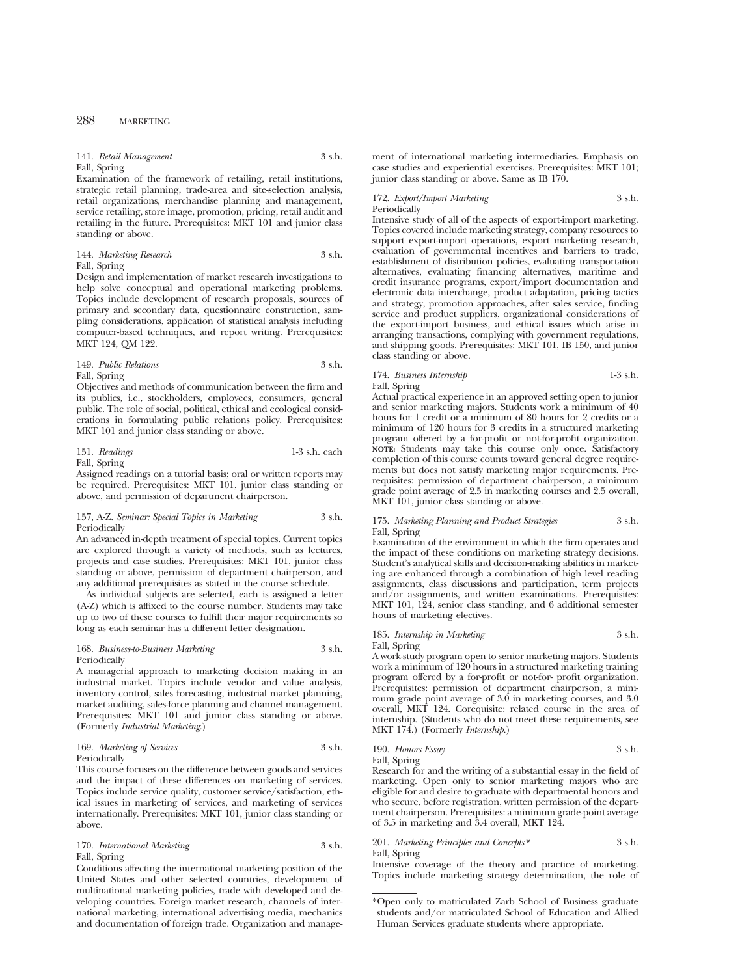141. *Retail Management* 3 s.h. Fall, Spring

Examination of the framework of retailing, retail institutions, strategic retail planning, trade-area and site-selection analysis, retail organizations, merchandise planning and management, service retailing, store image, promotion, pricing, retail audit and retailing in the future. Prerequisites: MKT 101 and junior class standing or above.

#### 144. *Marketing Research* 3 s.h. Fall, Spring

Design and implementation of market research investigations to help solve conceptual and operational marketing problems. Topics include development of research proposals, sources of primary and secondary data, questionnaire construction, sampling considerations, application of statistical analysis including computer-based techniques, and report writing. Prerequisites: MKT 124, QM 122.

#### 149. *Public Relations* 3 s.h. Fall, Spring

Objectives and methods of communication between the firm and its publics, i.e., stockholders, employees, consumers, general public. The role of social, political, ethical and ecological considerations in formulating public relations policy. Prerequisites: MKT 101 and junior class standing or above.

151. *Readings* 1-3 s.h. each Fall, Spring

Assigned readings on a tutorial basis; oral or written reports may be required. Prerequisites: MKT 101, junior class standing or above, and permission of department chairperson.

#### 157, A-Z. *Seminar: Special Topics in Marketing* 3 s.h. Periodically

An advanced in-depth treatment of special topics. Current topics are explored through a variety of methods, such as lectures, projects and case studies. Prerequisites: MKT 101, junior class standing or above, permission of department chairperson, and any additional prerequisites as stated in the course schedule.

As individual subjects are selected, each is assigned a letter (A-Z) which is affixed to the course number. Students may take up to two of these courses to fulfill their major requirements so long as each seminar has a different letter designation.

### 168. *Business-to-Business Marketing* 3 s.h. Periodically

A managerial approach to marketing decision making in an industrial market. Topics include vendor and value analysis, inventory control, sales forecasting, industrial market planning, market auditing, sales-force planning and channel management. Prerequisites: MKT 101 and junior class standing or above. (Formerly *Industrial Marketing*.)

## 169. *Marketing of Services* 3 s.h. Periodically

This course focuses on the difference between goods and services and the impact of these differences on marketing of services. Topics include service quality, customer service/satisfaction, ethical issues in marketing of services, and marketing of services internationally. Prerequisites: MKT 101, junior class standing or above.

## 170. *International Marketing* 3 s.h. Fall, Spring

Conditions affecting the international marketing position of the United States and other selected countries, development of multinational marketing policies, trade with developed and developing countries. Foreign market research, channels of international marketing, international advertising media, mechanics and documentation of foreign trade. Organization and manage-

ment of international marketing intermediaries. Emphasis on case studies and experiential exercises. Prerequisites: MKT 101; junior class standing or above. Same as IB 170.

## 172. *Export/Import Marketing* 3 s.h. Periodically

Intensive study of all of the aspects of export-import marketing. Topics covered include marketing strategy, company resources to support export-import operations, export marketing research, evaluation of governmental incentives and barriers to trade, establishment of distribution policies, evaluating transportation alternatives, evaluating financing alternatives, maritime and credit insurance programs, export/import documentation and electronic data interchange, product adaptation, pricing tactics and strategy, promotion approaches, after sales service, finding service and product suppliers, organizational considerations of the export-import business, and ethical issues which arise in arranging transactions, complying with government regulations, and shipping goods. Prerequisites: MKT 101, IB 150, and junior class standing or above.

## 174. *Business Internship* 1-3 s.h.

Fall, Spring

Actual practical experience in an approved setting open to junior and senior marketing majors. Students work a minimum of 40 hours for 1 credit or a minimum of 80 hours for 2 credits or a minimum of 120 hours for 3 credits in a structured marketing program offered by a for-profit or not-for-profit organization. **NOTE:** Students may take this course only once. Satisfactory completion of this course counts toward general degree requirements but does not satisfy marketing major requirements. Prerequisites: permission of department chairperson, a minimum grade point average of 2.5 in marketing courses and 2.5 overall, MKT 101, junior class standing or above.

#### 175. *Marketing Planning and Product Strategies* 3 s.h. Fall, Spring

Examination of the environment in which the firm operates and the impact of these conditions on marketing strategy decisions. Student's analytical skills and decision-making abilities in marketing are enhanced through a combination of high level reading assignments, class discussions and participation, term projects and/or assignments, and written examinations. Prerequisites: MKT 101, 124, senior class standing, and 6 additional semester hours of marketing electives.

## 185. *Internship in Marketing* 3 s.h. Fall, Spring

A work-study program open to senior marketing majors. Students work a minimum of 120 hours in a structured marketing training program offered by a for-profit or not-for- profit organization. Prerequisites: permission of department chairperson, a minimum grade point average of 3.0 in marketing courses, and 3.0 overall, MKT 124. Corequisite: related course in the area of internship. (Students who do not meet these requirements, see MKT 174.) (Formerly *Internship.*)

190. *Honors Essay*

\n3 s.h.

\nFall, Spring

\n191. 
$$
100 \times 100 = 100
$$

Research for and the writing of a substantial essay in the field of marketing. Open only to senior marketing majors who are eligible for and desire to graduate with departmental honors and who secure, before registration, written permission of the department chairperson. Prerequisites: a minimum grade-point average of 3.5 in marketing and 3.4 overall, MKT 124.

### 201. *Marketing Principles and Concepts\** 3 s.h. Fall, Spring

Intensive coverage of the theory and practice of marketing. Topics include marketing strategy determination, the role of

<sup>\*</sup>Open only to matriculated Zarb School of Business graduate students and/or matriculated School of Education and Allied Human Services graduate students where appropriate.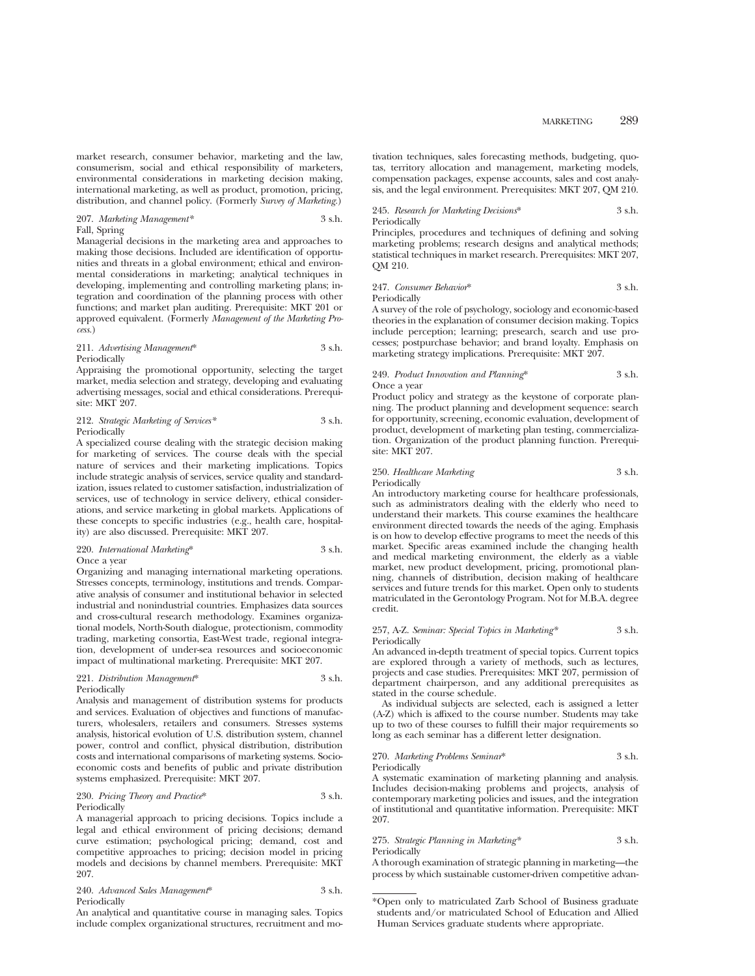market research, consumer behavior, marketing and the law, consumerism, social and ethical responsibility of marketers, environmental considerations in marketing decision making, international marketing, as well as product, promotion, pricing, distribution, and channel policy. (Formerly *Survey of Marketing.*)

#### 207. *Marketing Management\** 3 s.h. Fall, Spring

Managerial decisions in the marketing area and approaches to making those decisions. Included are identification of opportunities and threats in a global environment; ethical and environmental considerations in marketing; analytical techniques in developing, implementing and controlling marketing plans; integration and coordination of the planning process with other functions; and market plan auditing. Prerequisite: MKT 201 or approved equivalent. (Formerly *Management of the Marketing Process.*)

#### 211. *Advertising Management*\* 3 s.h. Periodically

Appraising the promotional opportunity, selecting the target market, media selection and strategy, developing and evaluating advertising messages, social and ethical considerations. Prerequisite: MKT 207.

#### 212. *Strategic Marketing of Services\** 3 s.h. Periodically

A specialized course dealing with the strategic decision making for marketing of services. The course deals with the special nature of services and their marketing implications. Topics include strategic analysis of services, service quality and standardization, issues related to customer satisfaction, industrialization of services, use of technology in service delivery, ethical considerations, and service marketing in global markets. Applications of these concepts to specific industries (e.g., health care, hospitality) are also discussed. Prerequisite: MKT 207.

#### 220. *International Marketing*\* 3 s.h. Once a year

Organizing and managing international marketing operations. Stresses concepts, terminology, institutions and trends. Comparative analysis of consumer and institutional behavior in selected industrial and nonindustrial countries. Emphasizes data sources and cross-cultural research methodology. Examines organizational models, North-South dialogue, protectionism, commodity trading, marketing consortia, East-West trade, regional integration, development of under-sea resources and socioeconomic impact of multinational marketing. Prerequisite: MKT 207.

## 221. *Distribution Management*\* 3 s.h. Periodically

Analysis and management of distribution systems for products and services. Evaluation of objectives and functions of manufacturers, wholesalers, retailers and consumers. Stresses systems analysis, historical evolution of U.S. distribution system, channel power, control and conflict, physical distribution, distribution costs and international comparisons of marketing systems. Socioeconomic costs and benefits of public and private distribution systems emphasized. Prerequisite: MKT 207.

## 230. *Pricing Theory and Practice*\* 3 s.h. Periodically

A managerial approach to pricing decisions. Topics include a legal and ethical environment of pricing decisions; demand curve estimation; psychological pricing; demand, cost and competitive approaches to pricing; decision model in pricing models and decisions by channel members. Prerequisite: MKT 207.

| 240. Advanced Sales Management* | 3 s.h. |
|---------------------------------|--------|
| Periodically                    |        |

An analytical and quantitative course in managing sales. Topics include complex organizational structures, recruitment and motivation techniques, sales forecasting methods, budgeting, quotas, territory allocation and management, marketing models, compensation packages, expense accounts, sales and cost analysis, and the legal environment. Prerequisites: MKT 207, QM 210.

245. *Research for Marketing Decisions*\* 3 s.h. Periodically

Principles, procedures and techniques of defining and solving marketing problems; research designs and analytical methods; statistical techniques in market research. Prerequisites: MKT 207, QM 210.

247. *Consumer Behavior*\* 3 s.h. Periodically

A survey of the role of psychology, sociology and economic-based theories in the explanation of consumer decision making. Topics include perception; learning; presearch, search and use processes; postpurchase behavior; and brand loyalty. Emphasis on marketing strategy implications. Prerequisite: MKT 207.

#### 249. *Product Innovation and Planning*\* 3 s.h. Once a year

Product policy and strategy as the keystone of corporate planning. The product planning and development sequence: search for opportunity, screening, economic evaluation, development of product, development of marketing plan testing, commercialization. Organization of the product planning function. Prerequisite: MKT 207.

## 250. *Healthcare Marketing* 3 s.h.

Periodically

An introductory marketing course for healthcare professionals, such as administrators dealing with the elderly who need to understand their markets. This course examines the healthcare environment directed towards the needs of the aging. Emphasis is on how to develop effective programs to meet the needs of this market. Specific areas examined include the changing health and medical marketing environment, the elderly as a viable market, new product development, pricing, promotional planning, channels of distribution, decision making of healthcare services and future trends for this market. Open only to students matriculated in the Gerontology Program. Not for M.B.A. degree credit.

#### 257, A-Z. *Seminar: Special Topics in Marketing\** 3 s.h. Periodically

An advanced in-depth treatment of special topics. Current topics are explored through a variety of methods, such as lectures, projects and case studies. Prerequisites: MKT 207, permission of department chairperson, and any additional prerequisites as stated in the course schedule.

As individual subjects are selected, each is assigned a letter (A-Z) which is affixed to the course number. Students may take up to two of these courses to fulfill their major requirements so long as each seminar has a different letter designation.

#### 270. *Marketing Problems Seminar*\* 3 s.h.

Periodically

A systematic examination of marketing planning and analysis. Includes decision-making problems and projects, analysis of contemporary marketing policies and issues, and the integration of institutional and quantitative information. Prerequisite: MKT 207.

#### 275. *Strategic Planning in Marketing\** 3 s.h. Periodically

A thorough examination of strategic planning in marketing—the process by which sustainable customer-driven competitive advan-

<sup>\*</sup>Open only to matriculated Zarb School of Business graduate students and/or matriculated School of Education and Allied Human Services graduate students where appropriate.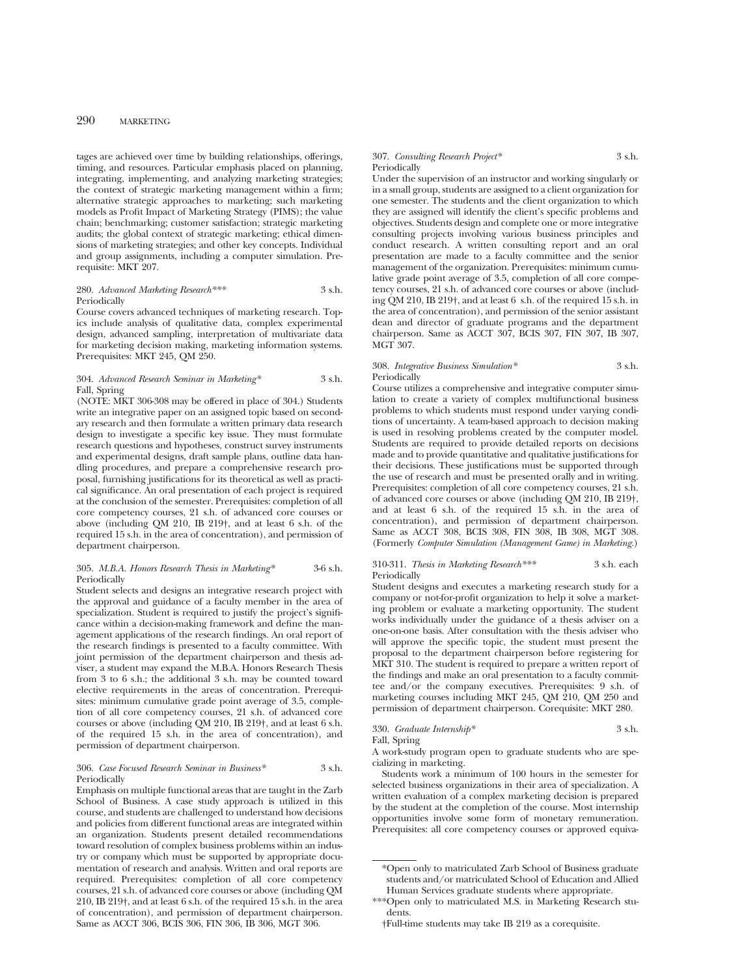tages are achieved over time by building relationships, offerings, timing, and resources. Particular emphasis placed on planning, integrating, implementing, and analyzing marketing strategies; the context of strategic marketing management within a firm; alternative strategic approaches to marketing; such marketing models as Profit Impact of Marketing Strategy (PIMS); the value chain; benchmarking; customer satisfaction; strategic marketing audits; the global context of strategic marketing; ethical dimensions of marketing strategies; and other key concepts. Individual and group assignments, including a computer simulation. Prerequisite: MKT 207.

### 280. *Advanced Marketing Research\*\*\** 3 s.h. Periodically

Course covers advanced techniques of marketing research. Topics include analysis of qualitative data, complex experimental design, advanced sampling, interpretation of multivariate data for marketing decision making, marketing information systems. Prerequisites: MKT 245, QM 250.

#### 304. *Advanced Research Seminar in Marketing\** 3 s.h. Fall, Spring

(NOTE: MKT 306-308 may be offered in place of 304.) Students write an integrative paper on an assigned topic based on secondary research and then formulate a written primary data research design to investigate a specific key issue. They must formulate research questions and hypotheses, construct survey instruments and experimental designs, draft sample plans, outline data handling procedures, and prepare a comprehensive research proposal, furnishing justifications for its theoretical as well as practical significance. An oral presentation of each project is required at the conclusion of the semester. Prerequisites: completion of all core competency courses, 21 s.h. of advanced core courses or above (including QM 210, IB 219†, and at least 6 s.h. of the required 15 s.h. in the area of concentration), and permission of department chairperson.

#### 305. *M.B.A. Honors Research Thesis in Marketing\** 3-6 s.h. Periodically

Student selects and designs an integrative research project with the approval and guidance of a faculty member in the area of specialization. Student is required to justify the project's significance within a decision-making framework and define the management applications of the research findings. An oral report of the research findings is presented to a faculty committee. With joint permission of the department chairperson and thesis adviser, a student may expand the M.B.A. Honors Research Thesis from 3 to 6 s.h.; the additional 3 s.h. may be counted toward elective requirements in the areas of concentration. Prerequisites: minimum cumulative grade point average of 3.5, completion of all core competency courses, 21 s.h. of advanced core courses or above (including QM 210, IB 219†, and at least 6 s.h. of the required 15 s.h. in the area of concentration), and permission of department chairperson.

#### 306. *Case Focused Research Seminar in Business\** 3 s.h. Periodically

Emphasis on multiple functional areas that are taught in the Zarb School of Business. A case study approach is utilized in this course, and students are challenged to understand how decisions and policies from different functional areas are integrated within an organization. Students present detailed recommendations toward resolution of complex business problems within an industry or company which must be supported by appropriate documentation of research and analysis. Written and oral reports are required. Prerequisites: completion of all core competency courses, 21 s.h. of advanced core courses or above (including QM 210, IB 219†, and at least 6 s.h. of the required 15 s.h. in the area of concentration), and permission of department chairperson. Same as ACCT 306, BCIS 306, FIN 306, IB 306, MGT 306.

#### 307. *Consulting Research Project\** 3 s.h. Periodically

Under the supervision of an instructor and working singularly or in a small group, students are assigned to a client organization for one semester. The students and the client organization to which they are assigned will identify the client's specific problems and objectives. Students design and complete one or more integrative consulting projects involving various business principles and conduct research. A written consulting report and an oral presentation are made to a faculty committee and the senior management of the organization. Prerequisites: minimum cumulative grade point average of 3.5, completion of all core competency courses, 21 s.h. of advanced core courses or above (including QM 210, IB 219†, and at least 6 s.h. of the required 15 s.h. in the area of concentration), and permission of the senior assistant dean and director of graduate programs and the department chairperson. Same as ACCT 307, BCIS 307, FIN 307, IB 307, MGT 307.

### 308. *Integrative Business Simulation\** 3 s.h. Periodically

Course utilizes a comprehensive and integrative computer simulation to create a variety of complex multifunctional business problems to which students must respond under varying conditions of uncertainty. A team-based approach to decision making is used in resolving problems created by the computer model. Students are required to provide detailed reports on decisions made and to provide quantitative and qualitative justifications for their decisions. These justifications must be supported through the use of research and must be presented orally and in writing. Prerequisites: completion of all core competency courses, 21 s.h. of advanced core courses or above (including QM 210, IB 219†, and at least 6 s.h. of the required 15 s.h. in the area of concentration), and permission of department chairperson. Same as ACCT 308, BCIS 308, FIN 308, IB 308, MGT 308. (Formerly *Computer Simulation (Management Game) in Marketing.*)

## 310-311. *Thesis in Marketing Research\*\*\** 3 s.h. each Periodically

Student designs and executes a marketing research study for a company or not-for-profit organization to help it solve a marketing problem or evaluate a marketing opportunity. The student works individually under the guidance of a thesis adviser on a one-on-one basis. After consultation with the thesis adviser who will approve the specific topic, the student must present the proposal to the department chairperson before registering for MKT 310. The student is required to prepare a written report of the findings and make an oral presentation to a faculty committee and/or the company executives. Prerequisites: 9 s.h. of marketing courses including MKT 245, QM 210, QM 250 and permission of department chairperson. Corequisite: MKT 280.

330. *Graduate Internship\** 3 s.h.

Fall, Spring

A work-study program open to graduate students who are specializing in marketing.

Students work a minimum of 100 hours in the semester for selected business organizations in their area of specialization. A written evaluation of a complex marketing decision is prepared by the student at the completion of the course. Most internship opportunities involve some form of monetary remuneration. Prerequisites: all core competency courses or approved equiva-

<sup>\*</sup>Open only to matriculated Zarb School of Business graduate students and/or matriculated School of Education and Allied Human Services graduate students where appropriate.

<sup>\*\*\*</sup>Open only to matriculated M.S. in Marketing Research students.

<sup>†</sup>Full-time students may take IB 219 as a corequisite.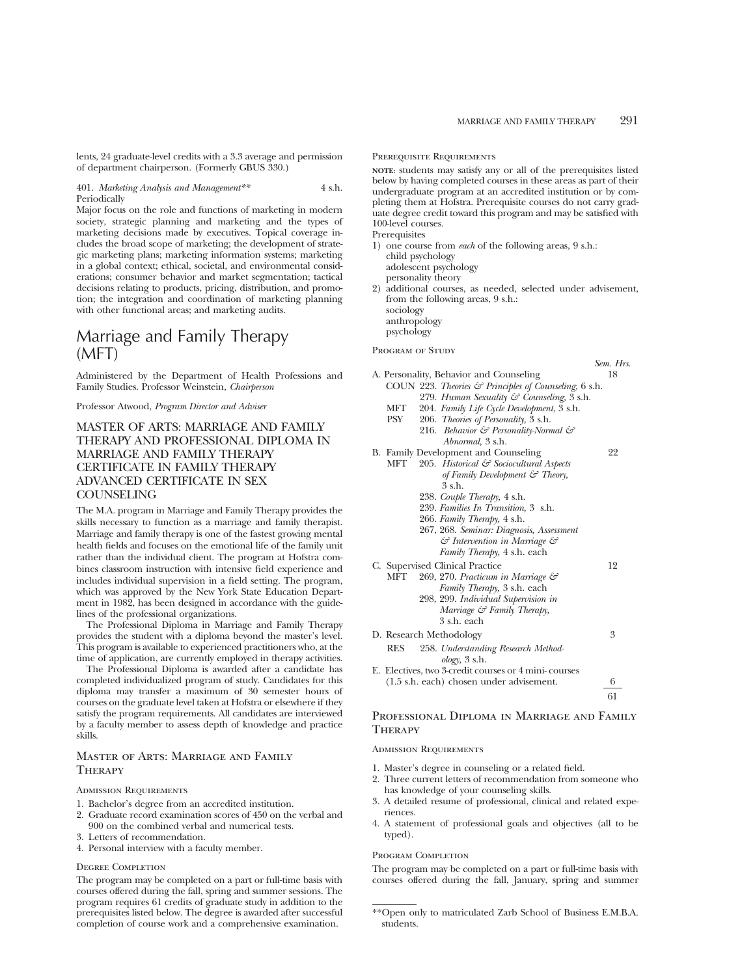lents, 24 graduate-level credits with a 3.3 average and permission of department chairperson. (Formerly GBUS 330.)

#### 401. *Marketing Analysis and Management\*\** 4 s.h. Periodically

Major focus on the role and functions of marketing in modern society, strategic planning and marketing and the types of marketing decisions made by executives. Topical coverage includes the broad scope of marketing; the development of strategic marketing plans; marketing information systems; marketing in a global context; ethical, societal, and environmental considerations; consumer behavior and market segmentation; tactical decisions relating to products, pricing, distribution, and promotion; the integration and coordination of marketing planning with other functional areas; and marketing audits.

# Marriage and Family Therapy (MFT)

Administered by the Department of Health Professions and Family Studies. Professor Weinstein, *Chairperson*

Professor Atwood, *Program Director and Adviser*

## MASTER OF ARTS: MARRIAGE AND FAMILY THERAPY AND PROFESSIONAL DIPLOMA IN MARRIAGE AND FAMILY THERAPY CERTIFICATE IN FAMILY THERAPY ADVANCED CERTIFICATE IN SEX **COUNSELING**

The M.A. program in Marriage and Family Therapy provides the skills necessary to function as a marriage and family therapist. Marriage and family therapy is one of the fastest growing mental health fields and focuses on the emotional life of the family unit rather than the individual client. The program at Hofstra combines classroom instruction with intensive field experience and includes individual supervision in a field setting. The program, which was approved by the New York State Education Department in 1982, has been designed in accordance with the guidelines of the professional organizations.

The Professional Diploma in Marriage and Family Therapy provides the student with a diploma beyond the master's level. This program is available to experienced practitioners who, at the time of application, are currently employed in therapy activities.

The Professional Diploma is awarded after a candidate has completed individualized program of study. Candidates for this diploma may transfer a maximum of 30 semester hours of courses on the graduate level taken at Hofstra or elsewhere if they satisfy the program requirements. All candidates are interviewed by a faculty member to assess depth of knowledge and practice skills.

## Master of Arts: Marriage and Family **THERAPY**

### Admission Requirements

- 1. Bachelor's degree from an accredited institution.
- 2. Graduate record examination scores of 450 on the verbal and 900 on the combined verbal and numerical tests.
- 3. Letters of recommendation.
- 4. Personal interview with a faculty member.

#### Degree Completion

The program may be completed on a part or full-time basis with courses offered during the fall, spring and summer sessions. The program requires 61 credits of graduate study in addition to the prerequisites listed below. The degree is awarded after successful completion of course work and a comprehensive examination.

#### Prerequisite Requirements

**NOTE:** students may satisfy any or all of the prerequisites listed below by having completed courses in these areas as part of their undergraduate program at an accredited institution or by completing them at Hofstra. Prerequisite courses do not carry graduate degree credit toward this program and may be satisfied with 100-level courses.

Prerequisites

- 1) one course from *each* of the following areas, 9 s.h.: child psychology adolescent psychology personality theory 2) additional courses, as needed, selected under advisement,
- from the following areas, 9 s.h.: sociology anthropology psychology

PROGRAM OF STUDY

## *Sem. Hrs.* A. Personality, Behavior and Counseling 18 COUN 223. *Theories & Principles of Counseling,* 6 s.h. 279. *Human Sexuality & Counseling,* 3 s.h. MFT 204. *Family Life Cycle Development*, 3 s.h. PSY 206. *Theories of Personality,* 3 s.h. 216. *Behavior & Personality-Normal & Abnormal,* 3 s.h. B. Family Development and Counseling 22 MFT 205. *Historical & Sociocultural Aspects of Family Development & Theory,* 3 s.h. 238. *Couple Therapy,* 4 s.h. 239. *Families In Transition,* 3 s.h. 266. *Family Therapy,* 4 s.h. 267, 268. *Seminar: Diagnosis, Assessment & Intervention in Marriage & Family Therapy,* 4 s.h. each C. Supervised Clinical Practice 12 MFT 269, 270. *Practicum in Marriage & Family Therapy,* 3 s.h. each 298, 299. *Individual Supervision in Marriage & Family Therapy,* 3 s.h. each D. Research Methodology 3 RES 258. *Understanding Research Methodology,* 3 s.h. E. Electives, two 3-credit courses or 4 mini- courses (1.5 s.h. each) chosen under advisement. 6 61

## Professional Diploma in Marriage and Family **THERAPY**

#### ADMISSION REQUIREMENTS

- 1. Master's degree in counseling or a related field.
- 2. Three current letters of recommendation from someone who has knowledge of your counseling skills.
- 3. A detailed resume of professional, clinical and related experiences.
- 4. A statement of professional goals and objectives (all to be typed).

#### PROGRAM COMPLETION

The program may be completed on a part or full-time basis with courses offered during the fall, January, spring and summer

<sup>\*\*</sup>Open only to matriculated Zarb School of Business E.M.B.A. students.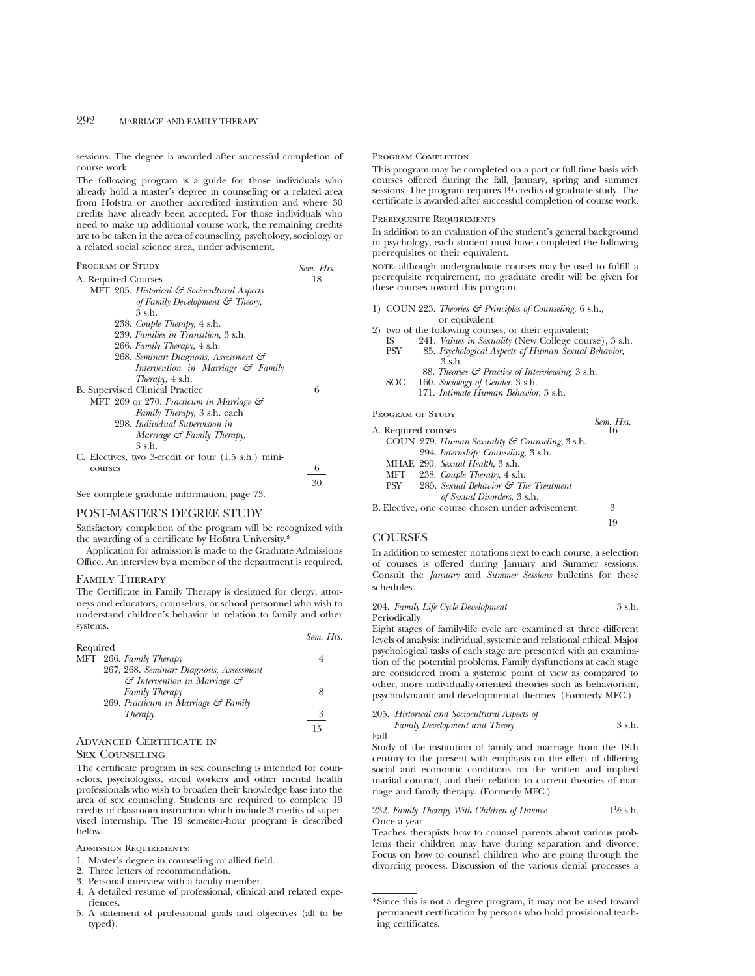sessions. The degree is awarded after successful completion of course work.

The following program is a guide for those individuals who already hold a master's degree in counseling or a related area from Hofstra or another accredited institution and where 30 credits have already been accepted. For those individuals who need to make up additional course work, the remaining credits are to be taken in the area of counseling, psychology, sociology or a related social science area, under advisement.

| Sem. Hrs. |  |
|-----------|--|
| 18        |  |
|           |  |
|           |  |
|           |  |
|           |  |
|           |  |
|           |  |
|           |  |
|           |  |
|           |  |
| 6         |  |
|           |  |
|           |  |
|           |  |
|           |  |
|           |  |
|           |  |
| 6         |  |
|           |  |

See complete graduate information, page 73.

## POST-MASTER'S DEGREE STUDY

Satisfactory completion of the program will be recognized with the awarding of a certificate by Hofstra University.\*

Application for admission is made to the Graduate Admissions Office. An interview by a member of the department is required.

#### Family Therapy

The Certificate in Family Therapy is designed for clergy, attorneys and educators, counselors, or school personnel who wish to understand children's behavior in relation to family and other systems.

|          |                                                    | $5000 - 11$ |
|----------|----------------------------------------------------|-------------|
| Required |                                                    |             |
|          | MFT 266. Family Therapy                            |             |
|          | 267, 268. Seminar: Diagnosis, Assessment           |             |
|          | $\mathcal G$ Intervention in Marriage $\mathcal G$ |             |
|          | Family Therapy                                     |             |
|          | 269. Practicum in Marriage & Family                |             |
|          | Therapy                                            |             |
|          |                                                    | 15          |
|          |                                                    |             |

## Advanced Certificate in

### Sex Counseling

The certificate program in sex counseling is intended for counselors, psychologists, social workers and other mental health professionals who wish to broaden their knowledge base into the area of sex counseling. Students are required to complete 19 credits of classroom instruction which include 3 credits of supervised internship. The 19 semester-hour program is described below.

ADMISSION REQUIREMENTS:

1. Master's degree in counseling or allied field.

- 2. Three letters of recommendation.
- 3. Personal interview with a faculty member.
- 4. A detailed resume of professional, clinical and related experiences.
- 5. A statement of professional goals and objectives (all to be typed).

#### PROGRAM COMPLETION

This program may be completed on a part or full-time basis with courses offered during the fall, January, spring and summer sessions. The program requires 19 credits of graduate study. The certificate is awarded after successful completion of course work.

#### PREREQUISITE REQUIREMENTS

In addition to an evaluation of the student's general background in psychology, each student must have completed the following prerequisites or their equivalent.

**NOTE:** although undergraduate courses may be used to fulfill a prerequisite requirement, no graduate credit will be given for these courses toward this program.

1) COUN 223. *Theories & Principles of Counseling,* 6 s.h., or equivalent

2) two of the following courses, or their equivalent:<br> $\frac{12}{15}$  Sexuality (New College course

- IS 241. *Values in Sexuality* (New College course), 3 s.h. PSY 85. *Psychological Aspects of Human Sexual Behavior,* 3 s.h.
	- 88. *Theories & Practice of Interviewing,* 3 s.h.
- SOC 160. *Sociology of Gender*, 3 s.h.
	- 171. *Intimate Human Behavior*, 3 s.h.

PROGRAM OF STUDY

|                                                           | Sem. Hrs. |
|-----------------------------------------------------------|-----------|
| A. Required courses                                       | 16        |
| COUN 279. Human Sexuality & Counseling, 3 s.h.            |           |
| 294. Internship: Counseling, 3 s.h.                       |           |
| MHAE 290. Sexual Health, 3 s.h.                           |           |
| 238. Couple Therapy, 4 s.h.<br>MFT                        |           |
| 285. Sexual Behavior $\mathcal{F}$ The Treatment<br>PSY - |           |
| of Sexual Disorders, 3 s.h.                               |           |
| B. Elective, one course chosen under advisement           | 3         |

B. Elective, one course chosen under advisement 3 19

#### **COURSES**

30

*Sem. Hrs.*

In addition to semester notations next to each course, a selection of courses is offered during January and Summer sessions. Consult the *January* and *Summer Sessions* bulletins for these schedules.

#### 204. *Family Life Cycle Development* 3 s.h. Periodically

Eight stages of family-life cycle are examined at three different levels of analysis: individual, systemic and relational ethical. Major psychological tasks of each stage are presented with an examination of the potential problems. Family dysfunctions at each stage are considered from a systemic point of view as compared to other, more individually-oriented theories such as behaviorism, psychodynamic and developmental theories. (Formerly MFC.)

|      | 205. Historical and Sociocultural Aspects of |        |
|------|----------------------------------------------|--------|
|      | Family Development and Theory                | 3 s.h. |
| Fall |                                              |        |

Study of the institution of family and marriage from the 18th century to the present with emphasis on the effect of differing social and economic conditions on the written and implied marital contract, and their relation to current theories of marriage and family therapy. (Formerly MFC.)

232. *Family Therapy With Children of Divorce* 11⁄2 s.h. Once a year

Teaches therapists how to counsel parents about various problems their children may have during separation and divorce. Focus on how to counsel children who are going through the divorcing process. Discussion of the various denial processes a

<sup>\*</sup>Since this is not a degree program, it may not be used toward permanent certification by persons who hold provisional teaching certificates.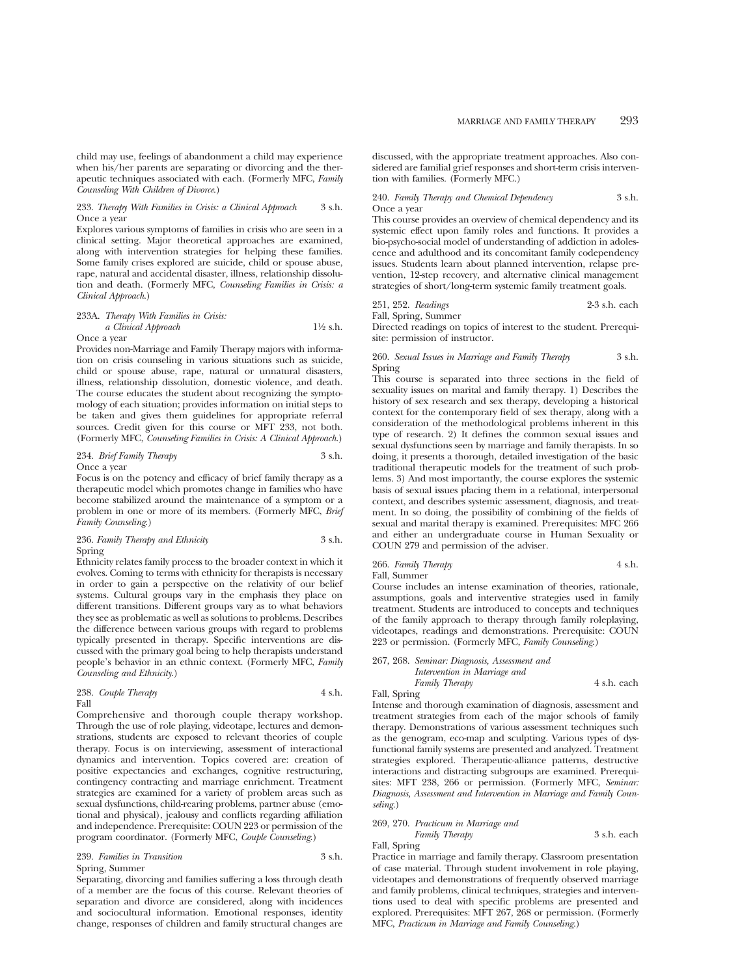child may use, feelings of abandonment a child may experience when his/her parents are separating or divorcing and the therapeutic techniques associated with each. (Formerly MFC, *Family Counseling With Children of Divorce*.)

#### 233. *Therapy With Families in Crisis: a Clinical Approach* 3 s.h. Once a year

Explores various symptoms of families in crisis who are seen in a clinical setting. Major theoretical approaches are examined, along with intervention strategies for helping these families. Some family crises explored are suicide, child or spouse abuse, rape, natural and accidental disaster, illness, relationship dissolution and death. (Formerly MFC, *Counseling Families in Crisis: a Clinical Approach*.)

#### 233A. *Therapy With Families in Crisis:*

*a Clinical Approach* 11⁄2 s.h. Once a year

Provides non-Marriage and Family Therapy majors with information on crisis counseling in various situations such as suicide, child or spouse abuse, rape, natural or unnatural disasters, illness, relationship dissolution, domestic violence, and death. The course educates the student about recognizing the symptomology of each situation; provides information on initial steps to be taken and gives them guidelines for appropriate referral sources. Credit given for this course or MFT 233, not both. (Formerly MFC, *Counseling Families in Crisis: A Clinical Approach*.)

#### 234. *Brief Family Therapy* 3 s.h. Once a year

Focus is on the potency and efficacy of brief family therapy as a therapeutic model which promotes change in families who have become stabilized around the maintenance of a symptom or a problem in one or more of its members. (Formerly MFC, *Brief Family Counseling*.)

## 236. *Family Therapy and Ethnicity* 3 s.h. Spring

Ethnicity relates family process to the broader context in which it evolves. Coming to terms with ethnicity for therapists is necessary in order to gain a perspective on the relativity of our belief systems. Cultural groups vary in the emphasis they place on different transitions. Different groups vary as to what behaviors they see as problematic as well as solutions to problems. Describes the difference between various groups with regard to problems typically presented in therapy. Specific interventions are discussed with the primary goal being to help therapists understand people's behavior in an ethnic context. (Formerly MFC, *Family Counseling and Ethnicity*.)

#### 238. *Couple Therapy* 4 s.h. Fall

Comprehensive and thorough couple therapy workshop. Through the use of role playing, videotape, lectures and demonstrations, students are exposed to relevant theories of couple therapy. Focus is on interviewing, assessment of interactional dynamics and intervention. Topics covered are: creation of positive expectancies and exchanges, cognitive restructuring, contingency contracting and marriage enrichment. Treatment strategies are examined for a variety of problem areas such as sexual dysfunctions, child-rearing problems, partner abuse (emotional and physical), jealousy and conflicts regarding affiliation and independence. Prerequisite: COUN 223 or permission of the program coordinator. (Formerly MFC, *Couple Counseling*.)

#### 239. *Families in Transition* 3 s.h. Spring, Summer

Separating, divorcing and families suffering a loss through death of a member are the focus of this course. Relevant theories of separation and divorce are considered, along with incidences and sociocultural information. Emotional responses, identity change, responses of children and family structural changes are discussed, with the appropriate treatment approaches. Also considered are familial grief responses and short-term crisis intervention with families. (Formerly MFC.)

240. *Family Therapy and Chemical Dependency* 3 s.h. Once a year

This course provides an overview of chemical dependency and its systemic effect upon family roles and functions. It provides a bio-psycho-social model of understanding of addiction in adolescence and adulthood and its concomitant family codependency issues. Students learn about planned intervention, relapse prevention, 12-step recovery, and alternative clinical management strategies of short/long-term systemic family treatment goals.

## 251, 252. *Readings* 2-3 s.h. each

Fall, Spring, Summer

Directed readings on topics of interest to the student. Prerequisite: permission of instructor.

#### 260. *Sexual Issues in Marriage and Family Therapy* 3 s.h. Spring

This course is separated into three sections in the field of sexuality issues on marital and family therapy. 1) Describes the history of sex research and sex therapy, developing a historical context for the contemporary field of sex therapy, along with a consideration of the methodological problems inherent in this type of research. 2) It defines the common sexual issues and sexual dysfunctions seen by marriage and family therapists. In so doing, it presents a thorough, detailed investigation of the basic traditional therapeutic models for the treatment of such problems. 3) And most importantly, the course explores the systemic basis of sexual issues placing them in a relational, interpersonal context, and describes systemic assessment, diagnosis, and treatment. In so doing, the possibility of combining of the fields of sexual and marital therapy is examined. Prerequisites: MFC 266 and either an undergraduate course in Human Sexuality or COUN 279 and permission of the adviser.

#### 266. *Family Therapy* 4 s.h. Fall, Summer

Course includes an intense examination of theories, rationale, assumptions, goals and interventive strategies used in family treatment. Students are introduced to concepts and techniques of the family approach to therapy through family roleplaying, videotapes, readings and demonstrations. Prerequisite: COUN 223 or permission. (Formerly MFC, *Family Counseling*.)

267, 268. *Seminar: Diagnosis, Assessment and Intervention in Marriage and Family Therapy* 4 s.h. each

#### Fall, Spring

Intense and thorough examination of diagnosis, assessment and treatment strategies from each of the major schools of family therapy. Demonstrations of various assessment techniques such as the genogram, eco-map and sculpting. Various types of dysfunctional family systems are presented and analyzed. Treatment strategies explored. Therapeutic-alliance patterns, destructive interactions and distracting subgroups are examined. Prerequisites: MFT 238, 266 or permission. (Formerly MFC, *Seminar: Diagnosis, Assessment and Intervention in Marriage and Family Counseling*.)

## 269, 270. *Practicum in Marriage and Family Therapy* 3 s.h. each

Fall, Spring

Practice in marriage and family therapy. Classroom presentation of case material. Through student involvement in role playing, videotapes and demonstrations of frequently observed marriage and family problems, clinical techniques, strategies and interventions used to deal with specific problems are presented and explored. Prerequisites: MFT 267, 268 or permission. (Formerly MFC, *Practicum in Marriage and Family Counseling*.)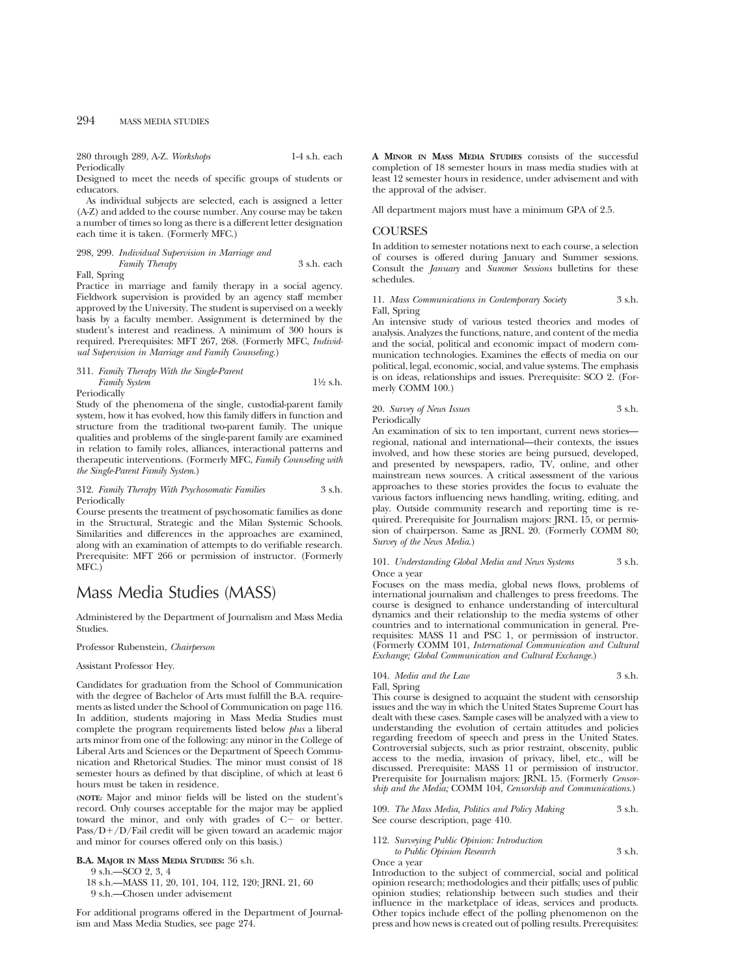280 through 289, A-Z. *Workshops* 1-4 s.h. each Periodically

Designed to meet the needs of specific groups of students or educators.

As individual subjects are selected, each is assigned a letter (A-Z) and added to the course number. Any course may be taken a number of times so long as there is a different letter designation each time it is taken. (Formerly MFC.)

## 298, 299. *Individual Supervision in Marriage and Family Therapy* 3 s.h. each

Fall, Spring

Practice in marriage and family therapy in a social agency. Fieldwork supervision is provided by an agency staff member approved by the University. The student is supervised on a weekly basis by a faculty member. Assignment is determined by the student's interest and readiness. A minimum of 300 hours is required. Prerequisites: MFT 267, 268. (Formerly MFC, *Individual Supervision in Marriage and Family Counseling*.)

#### 311. *Family Therapy With the Single-Parent Family System* 1<sup>1</sup>⁄2 s.h. Periodically

Study of the phenomena of the single, custodial-parent family system, how it has evolved, how this family differs in function and structure from the traditional two-parent family. The unique qualities and problems of the single-parent family are examined in relation to family roles, alliances, interactional patterns and therapeutic interventions. (Formerly MFC, *Family Counseling with the Single-Parent Family System*.)

#### 312. *Family Therapy With Psychosomatic Families* 3 s.h. Periodically

Course presents the treatment of psychosomatic families as done in the Structural, Strategic and the Milan Systemic Schools. Similarities and differences in the approaches are examined, along with an examination of attempts to do verifiable research. Prerequisite: MFT 266 or permission of instructor. (Formerly MFC.)

# Mass Media Studies (MASS)

Administered by the Department of Journalism and Mass Media Studies.

#### Professor Rubenstein, *Chairperson*

### Assistant Professor Hey.

Candidates for graduation from the School of Communication with the degree of Bachelor of Arts must fulfill the B.A. requirements as listed under the School of Communication on page 116. In addition, students majoring in Mass Media Studies must complete the program requirements listed below *plus* a liberal arts minor from one of the following: any minor in the College of Liberal Arts and Sciences or the Department of Speech Communication and Rhetorical Studies. The minor must consist of 18 semester hours as defined by that discipline, of which at least 6 hours must be taken in residence.

**(NOTE:** Major and minor fields will be listed on the student's record. Only courses acceptable for the major may be applied toward the minor, and only with grades of  $C-$  or better.  $Pass/D+/D/Fail$  credit will be given toward an academic major and minor for courses offered only on this basis.)

#### **B.A. MAJOR IN MASS MEDIA STUDIES:** 36 s.h.

9 s.h.—SCO 2, 3, 4

18 s.h.—MASS 11, 20, 101, 104, 112, 120; JRNL 21, 60 9 s.h.—Chosen under advisement

For additional programs offered in the Department of Journalism and Mass Media Studies, see page 274.

**A MINOR IN MASS MEDIA STUDIES** consists of the successful completion of 18 semester hours in mass media studies with at least 12 semester hours in residence, under advisement and with the approval of the adviser.

All department majors must have a minimum GPA of 2.5.

## **COURSES**

In addition to semester notations next to each course, a selection of courses is offered during January and Summer sessions. Consult the *January* and *Summer Sessions* bulletins for these schedules.

#### 11. *Mass Communications in Contemporary Society* 3 s.h. Fall, Spring

An intensive study of various tested theories and modes of analysis. Analyzes the functions, nature, and content of the media and the social, political and economic impact of modern communication technologies. Examines the effects of media on our political, legal, economic, social, and value systems. The emphasis is on ideas, relationships and issues. Prerequisite: SCO 2. (Formerly COMM 100.)

## 20. *Survey of News Issues* 3 s.h. Periodically

An examination of six to ten important, current news stories regional, national and international—their contexts, the issues involved, and how these stories are being pursued, developed, and presented by newspapers, radio, TV, online, and other mainstream news sources. A critical assessment of the various approaches to these stories provides the focus to evaluate the various factors influencing news handling, writing, editing, and play. Outside community research and reporting time is required. Prerequisite for Journalism majors: JRNL 15, or permission of chairperson. Same as JRNL 20. (Formerly COMM 80; *Survey of the News Media*.)

101. *Understanding Global Media and News Systems* 3 s.h. Once a year

Focuses on the mass media, global news flows, problems of international journalism and challenges to press freedoms. The course is designed to enhance understanding of intercultural dynamics and their relationship to the media systems of other countries and to international communication in general. Prerequisites: MASS 11 and PSC 1, or permission of instructor. (Formerly COMM 101, *International Communication and Cultural Exchange; Global Communication and Cultural Exchange.*)

## 104. *Media and the Law* 3 s.h.

Fall, Spring

This course is designed to acquaint the student with censorship issues and the way in which the United States Supreme Court has dealt with these cases. Sample cases will be analyzed with a view to understanding the evolution of certain attitudes and policies regarding freedom of speech and press in the United States. Controversial subjects, such as prior restraint, obscenity, public access to the media, invasion of privacy, libel, etc., will be discussed. Prerequisite: MASS 11 or permission of instructor. Prerequisite for Journalism majors: JRNL 15. (Formerly *Censorship and the Media;* COMM 104, *Censorship and Communications.*)

109. *The Mass Media, Politics and Policy Making* 3 s.h. See course description, page 410.

## 112. *Surveying Public Opinion: Introduction to Public Opinion Research* 3 s.h.

Once a year

Introduction to the subject of commercial, social and political opinion research; methodologies and their pitfalls; uses of public opinion studies; relationship between such studies and their influence in the marketplace of ideas, services and products. Other topics include effect of the polling phenomenon on the press and how news is created out of polling results. Prerequisites: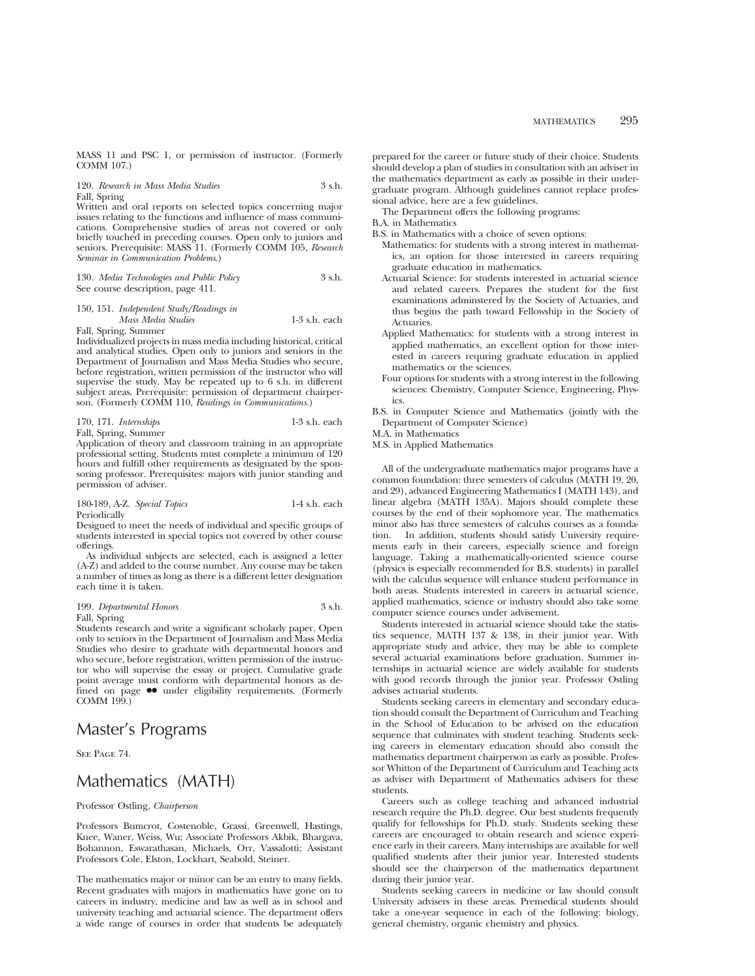MASS 11 and PSC 1, or permission of instructor. (Formerly COMM 107.)

## 120. *Research in Mass Media Studies* 3 s.h. Fall, Spring

Written and oral reports on selected topics concerning major issues relating to the functions and influence of mass communications. Comprehensive studies of areas not covered or only briefly touched in preceding courses. Open only to juniors and seniors. Prerequisite: MASS 11. (Formerly COMM 105, *Research Seminar in Communication Problems*.)

|  |                                   | 130. Media Technologies and Public Policy | 3 s.h. |
|--|-----------------------------------|-------------------------------------------|--------|
|  | See course description, page 411. |                                           |        |

### 150, 151. *Independent Study/Readings in Mass Media Studies* 1-3 s.h. each

Fall, Spring, Summer

Individualized projects in mass media including historical, critical and analytical studies. Open only to juniors and seniors in the Department of Journalism and Mass Media Studies who secure, before registration, written permission of the instructor who will supervise the study. May be repeated up to 6 s.h. in different subject areas. Prerequisite: permission of department chairperson. (Formerly COMM 110, *Readings in Communications.*)

| 170, 171. Internships | $1-3$ s.h. each |
|-----------------------|-----------------|
| Fall, Spring, Summer  |                 |

Application of theory and classroom training in an appropriate professional setting. Students must complete a minimum of 120 hours and fulfill other requirements as designated by the sponsoring professor. Prerequisites: majors with junior standing and permission of adviser.

#### 180-189, A-Z. *Special Topics* 1-4 s.h. each Periodically

Designed to meet the needs of individual and specific groups of students interested in special topics not covered by other course offerings.

As individual subjects are selected, each is assigned a letter (A-Z) and added to the course number. Any course may be taken a number of times as long as there is a different letter designation each time it is taken.

199. *Departmental Honors* 3 s.h. Fall, Spring

Students research and write a significant scholarly paper. Open only to seniors in the Department of Journalism and Mass Media Studies who desire to graduate with departmental honors and who secure, before registration, written permission of the instructor who will supervise the essay or project. Cumulative grade point average must conform with departmental honors as defined on page  $\bullet\bullet$  under eligibility requirements. (Formerly COMM 199.)

# Master's Programs

SEE PAGE 74.

# Mathematics (MATH)

## Professor Ostling, *Chairperson*

Professors Bumcrot, Costenoble, Grassi, Greenwell, Hastings, Knee, Waner, Weiss, Wu; Associate Professors Akbik, Bhargava, Bohannon, Eswarathasan, Michaels, Orr, Vassalotti; Assistant Professors Cole, Elston, Lockhart, Seabold, Steiner.

The mathematics major or minor can be an entry to many fields. Recent graduates with majors in mathematics have gone on to careers in industry, medicine and law as well as in school and university teaching and actuarial science. The department offers a wide range of courses in order that students be adequately prepared for the career or future study of their choice. Students should develop a plan of studies in consultation with an adviser in the mathematics department as early as possible in their undergraduate program. Although guidelines cannot replace professional advice, here are a few guidelines.

The Department offers the following programs:

- B.A. in Mathematics
- B.S. in Mathematics with a choice of seven options:
- Mathematics: for students with a strong interest in mathematics, an option for those interested in careers requiring graduate education in mathematics.
- Actuarial Science: for students interested in actuarial science and related careers. Prepares the student for the first examinations adminstered by the Society of Actuaries, and thus begins the path toward Fellowship in the Society of **Actuaries**
- Applied Mathematics: for students with a strong interest in applied mathematics, an excellent option for those interested in careers requring graduate education in applied mathematics or the sciences.
- Four options for students with a strong interest in the following sciences: Chemistry, Computer Science, Engineering, Physics.
- B.S. in Computer Science and Mathematics (jointly with the Department of Computer Science)
- M.A. in Mathematics

M.S. in Applied Mathematics

All of the undergraduate mathematics major programs have a common foundation: three semesters of calculus (MATH 19, 20, and 29), advanced Engineering Mathematics I (MATH 143), and linear algebra (MATH 135A). Majors should complete these courses by the end of their sophomore year. The mathematics minor also has three semesters of calculus courses as a foundation. In addition, students should satisfy University requirements early in their careers, especially science and foreign language. Taking a mathematically-oriented science course (physics is especially recommended for B.S. students) in parallel with the calculus sequence will enhance student performance in both areas. Students interested in careers in actuarial science, applied mathematics, science or industry should also take some computer science courses under advisement.

Students interested in actuarial science should take the statistics sequence, MATH 137 & 138, in their junior year. With appropriate study and advice, they may be able to complete several actuarial examinations before graduation. Summer internships in actuarial science are widely available for students with good records through the junior year. Professor Ostling advises actuarial students.

Students seeking careers in elementary and secondary education should consult the Department of Curriculum and Teaching in the School of Education to be advised on the education sequence that culminates with student teaching. Students seeking careers in elementary education should also consult the mathematics department chairperson as early as possible. Professor Whitton of the Department of Curriculum and Teaching acts as adviser with Department of Mathematics advisers for these students.

Careers such as college teaching and advanced industrial research require the Ph.D. degree. Our best students frequently qualify for fellowships for Ph.D. study. Students seeking these careers are encouraged to obtain research and science experience early in their careers. Many internships are available for well qualified students after their junior year. Interested students should see the chairperson of the mathematics department during their junior year.

Students seeking careers in medicine or law should consult University advisers in these areas. Premedical students should take a one-year sequence in each of the following: biology, general chemistry, organic chemistry and physics.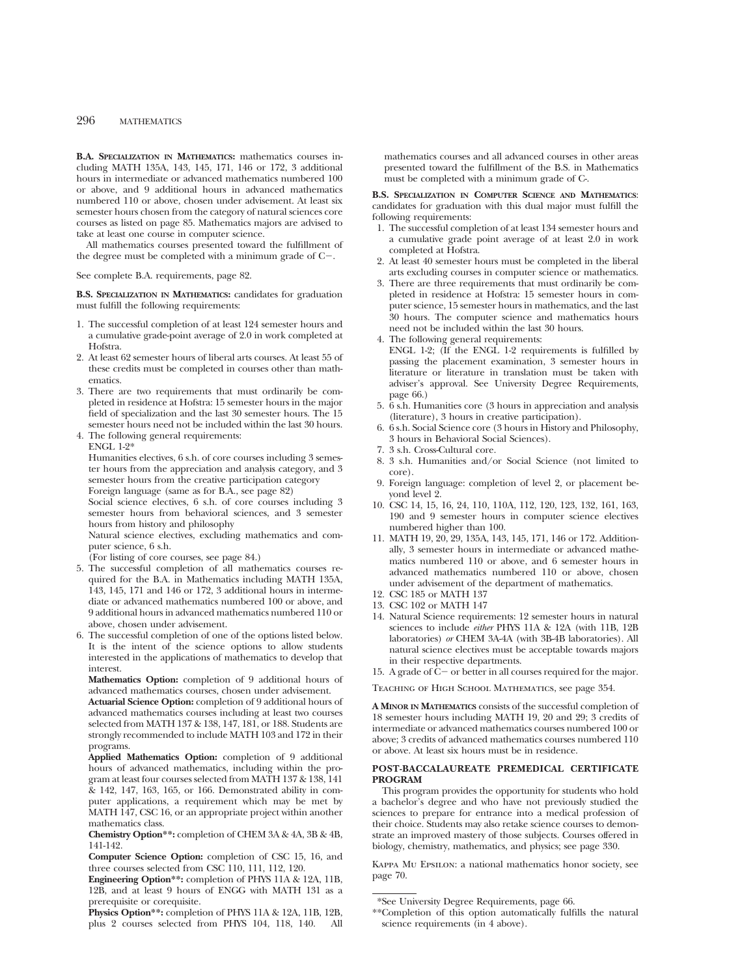**B.A. SPECIALIZATION IN MATHEMATICS:** mathematics courses including MATH 135A, 143, 145, 171, 146 or 172, 3 additional hours in intermediate or advanced mathematics numbered 100 or above, and 9 additional hours in advanced mathematics numbered 110 or above, chosen under advisement. At least six semester hours chosen from the category of natural sciences core courses as listed on page 85. Mathematics majors are advised to take at least one course in computer science.

All mathematics courses presented toward the fulfillment of the degree must be completed with a minimum grade of  $C-$ .

See complete B.A. requirements, page 82.

**B.S. SPECIALIZATION IN MATHEMATICS:** candidates for graduation must fulfill the following requirements:

- 1. The successful completion of at least 124 semester hours and a cumulative grade-point average of 2.0 in work completed at Hofstra.
- 2. At least 62 semester hours of liberal arts courses. At least 55 of these credits must be completed in courses other than mathematics.
- 3. There are two requirements that must ordinarily be completed in residence at Hofstra: 15 semester hours in the major field of specialization and the last 30 semester hours. The 15 semester hours need not be included within the last 30 hours.
- 4. The following general requirements: ENGL 1-2\*

Humanities electives, 6 s.h. of core courses including 3 semester hours from the appreciation and analysis category, and 3 semester hours from the creative participation category Foreign language (same as for B.A., see page 82)

Social science electives, 6 s.h. of core courses including 3 semester hours from behavioral sciences, and 3 semester hours from history and philosophy

Natural science electives, excluding mathematics and computer science, 6 s.h.

(For listing of core courses, see page 84.)

- 5. The successful completion of all mathematics courses required for the B.A. in Mathematics including MATH 135A, 143, 145, 171 and 146 or 172, 3 additional hours in intermediate or advanced mathematics numbered 100 or above, and 9 additional hours in advanced mathematics numbered 110 or above, chosen under advisement.
- 6. The successful completion of one of the options listed below. It is the intent of the science options to allow students interested in the applications of mathematics to develop that interest.

**Mathematics Option:** completion of 9 additional hours of advanced mathematics courses, chosen under advisement.

**Actuarial Science Option:** completion of 9 additional hours of advanced mathematics courses including at least two courses selected from MATH 137 & 138, 147, 181, or 188. Students are strongly recommended to include MATH 103 and 172 in their programs.

**Applied Mathematics Option:** completion of 9 additional hours of advanced mathematics, including within the program at least four courses selected from MATH 137 & 138, 141 & 142, 147, 163, 165, or 166. Demonstrated ability in computer applications, a requirement which may be met by MATH 147, CSC 16, or an appropriate project within another mathematics class.

**Chemistry Option\*\*:** completion of CHEM 3A & 4A, 3B & 4B, 141-142.

**Computer Science Option:** completion of CSC 15, 16, and three courses selected from CSC 110, 111, 112, 120.

**Physics Option\*\*:** completion of PHYS 11A & 12A, 11B, 12B, plus 2 courses selected from PHYS 104, 118, 140. All mathematics courses and all advanced courses in other areas presented toward the fulfillment of the B.S. in Mathematics must be completed with a minimum grade of C-.

**B.S. SPECIALIZATION IN COMPUTER SCIENCE AND MATHEMATICS**: candidates for graduation with this dual major must fulfill the following requirements:

- 1. The successful completion of at least 134 semester hours and a cumulative grade point average of at least 2.0 in work completed at Hofstra.
- 2. At least 40 semester hours must be completed in the liberal arts excluding courses in computer science or mathematics.
- 3. There are three requirements that must ordinarily be completed in residence at Hofstra: 15 semester hours in computer science, 15 semester hours in mathematics, and the last 30 hours. The computer science and mathematics hours need not be included within the last 30 hours.
- 4. The following general requirements:
- ENGL 1-2; (If the ENGL 1-2 requirements is fulfilled by passing the placement examination, 3 semester hours in literature or literature in translation must be taken with adviser's approval. See University Degree Requirements, page 66.)
- 5. 6 s.h. Humanities core (3 hours in appreciation and analysis (literature), 3 hours in creative participation).
- 6. 6 s.h. Social Science core (3 hours in History and Philosophy, 3 hours in Behavioral Social Sciences).
- 7. 3 s.h. Cross-Cultural core.
- 8. 3 s.h. Humanities and/or Social Science (not limited to core).
- 9. Foreign language: completion of level 2, or placement beyond level 2.
- 10. CSC 14, 15, 16, 24, 110, 110A, 112, 120, 123, 132, 161, 163, 190 and 9 semester hours in computer science electives numbered higher than 100.
- 11. MATH 19, 20, 29, 135A, 143, 145, 171, 146 or 172. Additionally, 3 semester hours in intermediate or advanced mathematics numbered 110 or above, and 6 semester hours in advanced mathematics numbered 110 or above, chosen under advisement of the department of mathematics.
- 12. CSC 185 or MATH 137
- 13. CSC 102 or MATH 147
- 14. Natural Science requirements: 12 semester hours in natural sciences to include *either* PHYS 11A & 12A (with 11B, 12B laboratories) *or* CHEM 3A-4A (with 3B-4B laboratories). All natural science electives must be acceptable towards majors in their respective departments.

15. A grade of  $\overline{C}$  or better in all courses required for the major.

Teaching of High School Mathematics, see page 354.

**A MINOR IN MATHEMATICS** consists of the successful completion of 18 semester hours including MATH 19, 20 and 29; 3 credits of intermediate or advanced mathematics courses numbered 100 or above; 3 credits of advanced mathematics courses numbered 110 or above. At least six hours must be in residence.

#### **POST-BACCALAUREATE PREMEDICAL CERTIFICATE PROGRAM**

This program provides the opportunity for students who hold a bachelor's degree and who have not previously studied the sciences to prepare for entrance into a medical profession of their choice. Students may also retake science courses to demonstrate an improved mastery of those subjects. Courses offered in biology, chemistry, mathematics, and physics; see page 330.

Kappa Mu Epsilon: a national mathematics honor society, see page 70.

**Engineering Option\*\*:** completion of PHYS 11A & 12A, 11B, 12B, and at least 9 hours of ENGG with MATH 131 as a prerequisite or corequisite.

<sup>\*</sup>See University Degree Requirements, page 66.

<sup>\*\*</sup>Completion of this option automatically fulfills the natural science requirements (in 4 above).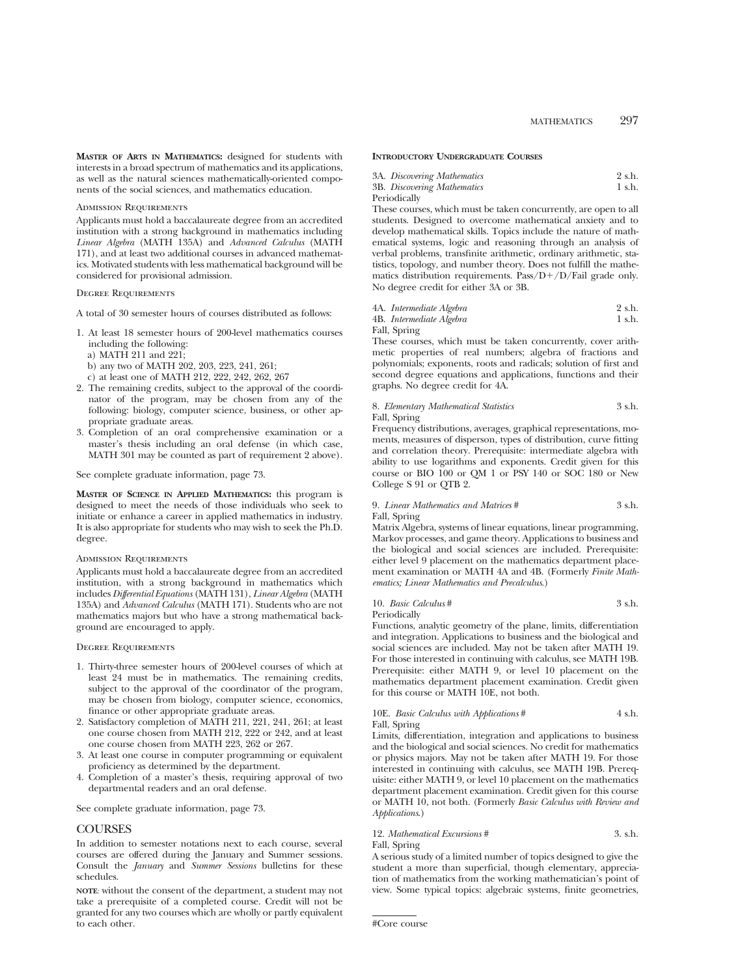**MASTER OF ARTS IN MATHEMATICS:** designed for students with interests in a broad spectrum of mathematics and its applications, as well as the natural sciences mathematically-oriented components of the social sciences, and mathematics education.

#### Admission Requirements

Applicants must hold a baccalaureate degree from an accredited institution with a strong background in mathematics including *Linear Algebra* (MATH 135A) and *Advanced Calculus* (MATH 171), and at least two additional courses in advanced mathematics. Motivated students with less mathematical background will be considered for provisional admission.

#### Degree Requirements

A total of 30 semester hours of courses distributed as follows:

- 1. At least 18 semester hours of 200-level mathematics courses including the following: a) MATH 211 and 221;
	-
	- b) any two of MATH 202, 203, 223, 241, 261;

c) at least one of MATH 212, 222, 242, 262, 267

- 2. The remaining credits, subject to the approval of the coordinator of the program, may be chosen from any of the following: biology, computer science, business, or other appropriate graduate areas.
- 3. Completion of an oral comprehensive examination or a master's thesis including an oral defense (in which case, MATH 301 may be counted as part of requirement 2 above).

See complete graduate information, page 73.

**MASTER OF SCIENCE IN APPLIED MATHEMATICS:** this program is designed to meet the needs of those individuals who seek to initiate or enhance a career in applied mathematics in industry. It is also appropriate for students who may wish to seek the Ph.D. degree.

#### Admission Requirements

Applicants must hold a baccalaureate degree from an accredited institution, with a strong background in mathematics which includes *Differential Equations* (MATH 131), *Linear Algebra* (MATH 135A) and *Advanced Calculus* (MATH 171). Students who are not mathematics majors but who have a strong mathematical background are encouraged to apply.

#### Degree Requirements

- 1. Thirty-three semester hours of 200-level courses of which at least 24 must be in mathematics. The remaining credits, subject to the approval of the coordinator of the program, may be chosen from biology, computer science, economics, finance or other appropriate graduate areas.
- 2. Satisfactory completion of MATH 211, 221, 241, 261; at least one course chosen from MATH 212, 222 or 242, and at least one course chosen from MATH 223, 262 or 267.
- 3. At least one course in computer programming or equivalent proficiency as determined by the department.
- 4. Completion of a master's thesis, requiring approval of two departmental readers and an oral defense.

See complete graduate information, page 73.

### **COURSES**

In addition to semester notations next to each course, several courses are offered during the January and Summer sessions. Consult the *January* and *Summer Sessions* bulletins for these schedules.

**NOTE**: without the consent of the department, a student may not take a prerequisite of a completed course. Credit will not be granted for any two courses which are wholly or partly equivalent to each other.

## **INTRODUCTORY UNDERGRADUATE COURSES**

|              | 3A. Discovering Mathematics | 2 s.h. |
|--------------|-----------------------------|--------|
|              | 3B. Discovering Mathematics | 1 s.h. |
| <del>.</del> |                             |        |

Periodically

These courses, which must be taken concurrently, are open to all students. Designed to overcome mathematical anxiety and to develop mathematical skills. Topics include the nature of mathematical systems, logic and reasoning through an analysis of verbal problems, transfinite arithmetic, ordinary arithmetic, statistics, topology, and number theory. Does not fulfill the mathematics distribution requirements. Pass/ $D+/D/F$ ail grade only. No degree credit for either 3A or 3B.

| 4A. Intermediate Algebra | 2 s.h. |
|--------------------------|--------|
| 4B. Intermediate Algebra | 1 s.h. |

Fall, Spring

These courses, which must be taken concurrently, cover arithmetic properties of real numbers; algebra of fractions and polynomials; exponents, roots and radicals; solution of first and second degree equations and applications, functions and their graphs. No degree credit for 4A.

### 8. *Elementary Mathematical Statistics* 3 s.h. Fall, Spring

Frequency distributions, averages, graphical representations, moments, measures of disperson, types of distribution, curve fitting and correlation theory. Prerequisite: intermediate algebra with ability to use logarithms and exponents. Credit given for this course or BIO 100 or QM 1 or PSY 140 or SOC 180 or New College S 91 or QTB 2.

## 9. *Linear Mathematics and Matrices* # 3 s.h.

Fall, Spring

Matrix Algebra, systems of linear equations, linear programming, Markov processes, and game theory. Applications to business and the biological and social sciences are included. Prerequisite: either level 9 placement on the mathematics department placement examination or MATH 4A and 4B. (Formerly *Finite Mathematics; Linear Mathematics and Precalculus*.)

## 10. *Basic Calculus* # 3 s.h.

Periodically

Functions, analytic geometry of the plane, limits, differentiation and integration. Applications to business and the biological and social sciences are included. May not be taken after MATH 19. For those interested in continuing with calculus, see MATH 19B. Prerequisite: either MATH 9, or level 10 placement on the mathematics department placement examination. Credit given for this course or MATH 10E, not both.

#### 10E. *Basic Calculus with Applications* # 4 s.h. Fall, Spring

Limits, differentiation, integration and applications to business and the biological and social sciences. No credit for mathematics or physics majors. May not be taken after MATH 19. For those interested in continuing with calculus, see MATH 19B. Prerequisite: either MATH 9, or level 10 placement on the mathematics department placement examination. Credit given for this course or MATH 10, not both. (Formerly *Basic Calculus with Review and Applications*.)

#### 12. *Mathematical Excursions* # 3. s.h.

Fall, Spring

A serious study of a limited number of topics designed to give the student a more than superficial, though elementary, appreciation of mathematics from the working mathematician's point of view. Some typical topics: algebraic systems, finite geometries,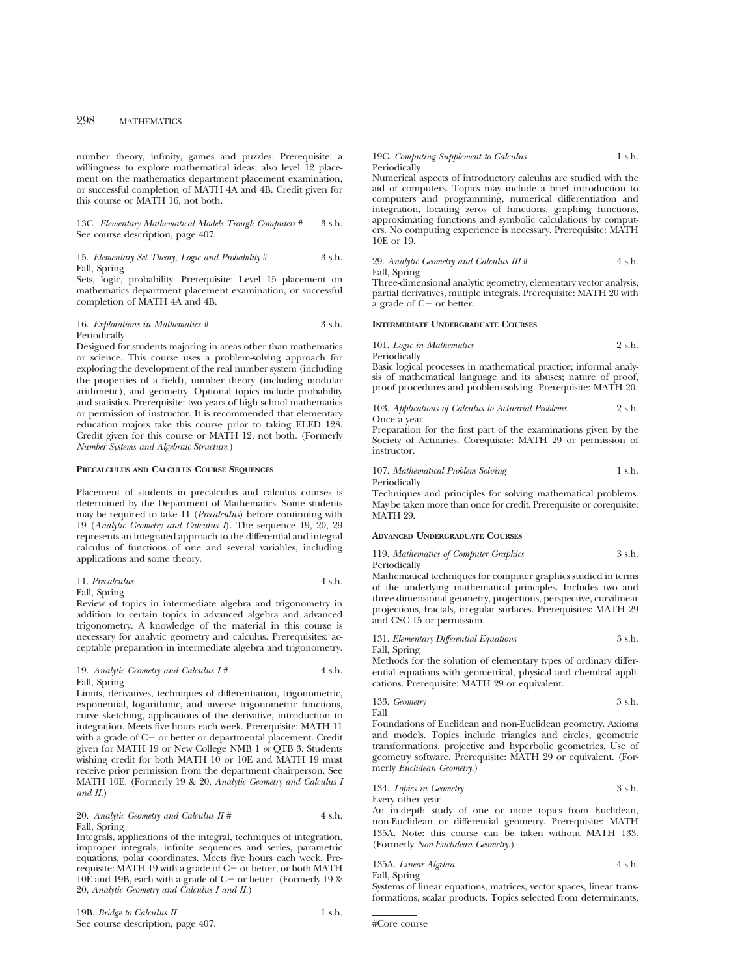number theory, infinity, games and puzzles. Prerequisite: a willingness to explore mathematical ideas; also level 12 placement on the mathematics department placement examination, or successful completion of MATH 4A and 4B. Credit given for this course or MATH 16, not both.

13C. *Elementary Mathematical Models Trough Computers* # 3 s.h. See course description, page 407.

#### 15. *Elementary Set Theory, Logic and Probability* # 3 s.h. Fall, Spring

Sets, logic, probability. Prerequisite: Level 15 placement on mathematics department placement examination, or successful completion of MATH 4A and 4B.

#### 16. *Explorations in Mathematics* # 3 s.h. Periodically

Designed for students majoring in areas other than mathematics or science. This course uses a problem-solving approach for exploring the development of the real number system (including the properties of a field), number theory (including modular arithmetic), and geometry. Optional topics include probability and statistics. Prerequisite: two years of high school mathematics or permission of instructor. It is recommended that elementary education majors take this course prior to taking ELED 128. Credit given for this course or MATH 12, not both. (Formerly *Number Systems and Algebraic Structure.*)

#### **PRECALCULUS AND CALCULUS COURSE SEQUENCES**

Placement of students in precalculus and calculus courses is determined by the Department of Mathematics. Some students may be required to take 11 (*Precalculus*) before continuing with 19 (*Analytic Geometry and Calculus I*). The sequence 19, 20, 29 represents an integrated approach to the differential and integral calculus of functions of one and several variables, including applications and some theory.

| 11. Precalculus | 4 s.h. |
|-----------------|--------|
| $-11$           |        |

Fall, Spring Review of topics in intermediate algebra and trigonometry in addition to certain topics in advanced algebra and advanced

trigonometry. A knowledge of the material in this course is necessary for analytic geometry and calculus. Prerequisites: acceptable preparation in intermediate algebra and trigonometry.

#### 19. *Analytic Geometry and Calculus I* # 4 s.h. Fall, Spring

Limits, derivatives, techniques of differentiation, trigonometric, exponential, logarithmic, and inverse trigonometric functions, curve sketching, applications of the derivative, introduction to integration. Meets five hours each week. Prerequisite: MATH 11 with a grade of  $C-$  or better or departmental placement. Credit given for MATH 19 or New College NMB 1 *or* QTB 3. Students wishing credit for both MATH 10 or 10E and MATH 19 must receive prior permission from the department chairperson. See MATH 10E. (Formerly 19 & 20, *Analytic Geometry and Calculus I and II.*)

## 20. *Analytic Geometry and Calculus II* # 4 s.h. Fall, Spring

Integrals, applications of the integral, techniques of integration, improper integrals, infinite sequences and series, parametric equations, polar coordinates. Meets five hours each week. Prerequisite: MATH 19 with a grade of  $C-$  or better, or both MATH 10E and 19B, each with a grade of  $C-$  or better. (Formerly 19  $\&$ 20, *Analytic Geometry and Calculus I and II.*)

#### 19C. *Computing Supplement to Calculus* 1 s.h. **Periodically**

Numerical aspects of introductory calculus are studied with the aid of computers. Topics may include a brief introduction to computers and programming, numerical differentiation and integration, locating zeros of functions, graphing functions, approximating functions and symbolic calculations by computers. No computing experience is necessary. Prerequisite: MATH 10E or 19.

29. *Analytic Geometry and Calculus III* # 4 s.h. Fall, Spring

Three-dimensional analytic geometry, elementary vector analysis, partial derivatives, mutiple integrals. Prerequisite: MATH 20 with a grade of  $C-$  or better.

#### **INTERMEDIATE UNDERGRADUATE COURSES**

101. *Logic in Mathematics* 2 s.h. Periodically

Basic logical processes in mathematical practice; informal analysis of mathematical language and its abuses; nature of proof, proof procedures and problem-solving. Prerequisite: MATH 20.

103. *Applications of Calculus to Actuarial Problems* 2 s.h. Once a year

Preparation for the first part of the examinations given by the Society of Actuaries. Corequisite: MATH 29 or permission of instructor.

107. *Mathematical Problem Solving* 1 s.h.

**Periodically** 

Techniques and principles for solving mathematical problems. May be taken more than once for credit. Prerequisite or corequisite: MATH 29.

## **ADVANCED UNDERGRADUATE COURSES**

119. *Mathematics of Computer Graphics* 3 s.h. Periodically

Mathematical techniques for computer graphics studied in terms of the underlying mathematical principles. Includes two and three-dimensional geometry, projections, perspective, curvilinear projections, fractals, irregular surfaces. Prerequisites: MATH 29 and CSC 15 or permission.

131. *Elementary Differential Equations* 3 s.h. Fall, Spring

Methods for the solution of elementary types of ordinary differential equations with geometrical, physical and chemical applications. Prerequisite: MATH 29 or equivalent.

133. *Geometry* 3 s.h. Fall

Foundations of Euclidean and non-Euclidean geometry. Axioms and models. Topics include triangles and circles, geometric transformations, projective and hyperbolic geometries. Use of geometry software. Prerequisite: MATH 29 or equivalent. (Formerly *Euclidean Geometry*.)

134. *Topics in Geometry* 3 s.h. Every other year

An in-depth study of one or more topics from Euclidean, non-Euclidean or differential geometry. Prerequisite: MATH 135A. Note: this course can be taken without MATH 133. (Formerly *Non-Euclidean Geometry*.)

135A. *Linear Algebra* 4 s.h. Fall, Spring

Systems of linear equations, matrices, vector spaces, linear transformations, scalar products. Topics selected from determinants,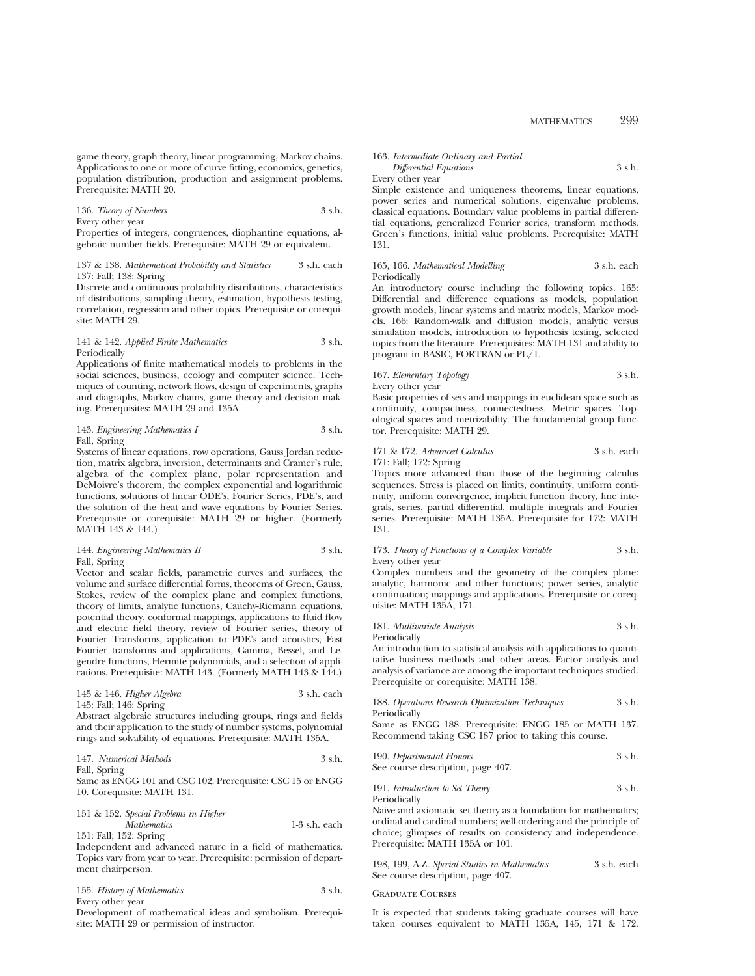game theory, graph theory, linear programming, Markov chains. Applications to one or more of curve fitting, economics, genetics, population distribution, production and assignment problems. Prerequisite: MATH 20.

136. *Theory of Numbers* 3 s.h. Every other year Properties of integers, congruences, diophantine equations, al-

gebraic number fields. Prerequisite: MATH 29 or equivalent.

137 & 138. *Mathematical Probability and Statistics* 3 s.h. each 137: Fall; 138: Spring

Discrete and continuous probability distributions, characteristics of distributions, sampling theory, estimation, hypothesis testing, correlation, regression and other topics. Prerequisite or corequisite: MATH 29.

## 141 & 142. *Applied Finite Mathematics* 3 s.h. Periodically

Applications of finite mathematical models to problems in the social sciences, business, ecology and computer science. Techniques of counting, network flows, design of experiments, graphs and diagraphs, Markov chains, game theory and decision making. Prerequisites: MATH 29 and 135A.

#### 143. *Engineering Mathematics I* 3 s.h. Fall, Spring

Systems of linear equations, row operations, Gauss Jordan reduction, matrix algebra, inversion, determinants and Cramer's rule, algebra of the complex plane, polar representation and DeMoivre's theorem, the complex exponential and logarithmic functions, solutions of linear ODE's, Fourier Series, PDE's, and the solution of the heat and wave equations by Fourier Series. Prerequisite or corequisite: MATH 29 or higher. (Formerly MATH 143 & 144.)

#### 144. *Engineering Mathematics II* 3 s.h. Fall, Spring

Vector and scalar fields, parametric curves and surfaces, the volume and surface differential forms, theorems of Green, Gauss, Stokes, review of the complex plane and complex functions, theory of limits, analytic functions, Cauchy-Riemann equations, potential theory, conformal mappings, applications to fluid flow and electric field theory, review of Fourier series, theory of Fourier Transforms, application to PDE's and acoustics, Fast Fourier transforms and applications, Gamma, Bessel, and Legendre functions, Hermite polynomials, and a selection of applications. Prerequisite: MATH 143. (Formerly MATH 143 & 144.)

| 145 & 146. Higher Algebra | 3 s.h. each |
|---------------------------|-------------|
| 145: Fall; 146: Spring    |             |

Abstract algebraic structures including groups, rings and fields and their application to the study of number systems, polynomial rings and solvability of equations. Prerequisite: MATH 135A.

147. *Numerical Methods* 3 s.h. Fall, Spring Same as ENGG 101 and CSC 102. Prerequisite: CSC 15 or ENGG 10. Corequisite: MATH 131.

151 & 152. *Special Problems in Higher Mathematics* 1-3 s.h. each

151: Fall; 152: Spring Independent and advanced nature in a field of mathematics. Topics vary from year to year. Prerequisite: permission of department chairperson.

|  | 155. History of Mathematics | 3 s.h. |
|--|-----------------------------|--------|
|  |                             |        |

Every other year

Development of mathematical ideas and symbolism. Prerequisite: MATH 29 or permission of instructor.

#### 163. *Intermediate Ordinary and Partial Differential Equations* 3 s.h.

## Every other year

Simple existence and uniqueness theorems, linear equations, power series and numerical solutions, eigenvalue problems, classical equations. Boundary value problems in partial differential equations, generalized Fourier series, transform methods. Green's functions, initial value problems. Prerequisite: MATH 131.

## 165, 166. *Mathematical Modelling* 3 s.h. each Periodically

An introductory course including the following topics. 165: Differential and difference equations as models, population growth models, linear systems and matrix models, Markov models. 166: Random-walk and diffusion models, analytic versus simulation models, introduction to hypothesis testing, selected topics from the literature. Prerequisites: MATH 131 and ability to program in BASIC, FORTRAN or PL/1.

## 167. *Elementary Topology* 3 s.h.

Every other year

Basic properties of sets and mappings in euclidean space such as continuity, compactness, connectedness. Metric spaces. Topological spaces and metrizability. The fundamental group functor. Prerequisite: MATH 29.

#### 171 & 172. *Advanced Calculus* 3 s.h. each 171: Fall; 172: Spring

Topics more advanced than those of the beginning calculus sequences. Stress is placed on limits, continuity, uniform continuity, uniform convergence, implicit function theory, line integrals, series, partial differential, multiple integrals and Fourier series. Prerequisite: MATH 135A. Prerequisite for 172: MATH 131.

#### 173. *Theory of Functions of a Complex Variable* 3 s.h. Every other year

Complex numbers and the geometry of the complex plane: analytic, harmonic and other functions; power series, analytic continuation; mappings and applications. Prerequisite or corequisite: MATH 135A, 171.

| 181. Multivariate Analysis | 3 s.h. |
|----------------------------|--------|
|                            |        |

Periodically

An introduction to statistical analysis with applications to quantitative business methods and other areas. Factor analysis and analysis of variance are among the important techniques studied. Prerequisite or corequisite: MATH 138.

188. *Operations Research Optimization Techniques* 3 s.h. Periodically

Same as ENGG 188. Prerequisite: ENGG 185 or MATH 137. Recommend taking CSC 187 prior to taking this course.

| 190. Departmental Honors          | 3 s.h. |
|-----------------------------------|--------|
| See course description, page 407. |        |

191. *Introduction to Set Theory* 3 s.h. Periodically

Naive and axiomatic set theory as a foundation for mathematics; ordinal and cardinal numbers; well-ordering and the principle of choice; glimpses of results on consistency and independence. Prerequisite: MATH 135A or 101.

| 198, 199, A-Z. Special Studies in Mathematics | 3 s.h. each |
|-----------------------------------------------|-------------|
| See course description, page 407.             |             |

#### Graduate Courses

It is expected that students taking graduate courses will have taken courses equivalent to MATH 135A, 145, 171 & 172.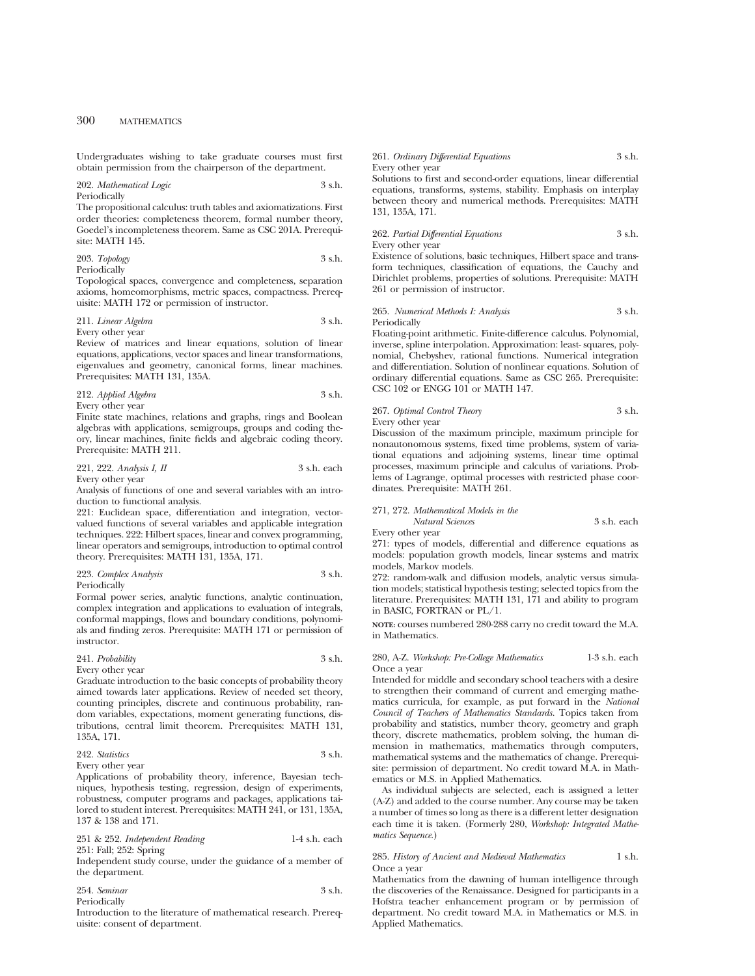Undergraduates wishing to take graduate courses must first obtain permission from the chairperson of the department.

#### 202. *Mathematical Logic* 3 s.h. Periodically

The propositional calculus: truth tables and axiomatizations. First order theories: completeness theorem, formal number theory, Goedel's incompleteness theorem. Same as CSC 201A. Prerequisite: MATH 145.

#### 203. *Topology* 3 s.h. Periodically

Topological spaces, convergence and completeness, separation axioms, homeomorphisms, metric spaces, compactness. Prerequisite: MATH 172 or permission of instructor.

## 211. *Linear Algebra* 3 s.h.

Every other year

Review of matrices and linear equations, solution of linear equations, applications, vector spaces and linear transformations, eigenvalues and geometry, canonical forms, linear machines. Prerequisites: MATH 131, 135A.

212. *Applied Algebra* 3 s.h. Every other year

Finite state machines, relations and graphs, rings and Boolean algebras with applications, semigroups, groups and coding theory, linear machines, finite fields and algebraic coding theory. Prerequisite: MATH 211.

221, 222. *Analysis I, II* 3 s.h. each Every other year

Analysis of functions of one and several variables with an introduction to functional analysis.

221: Euclidean space, differentiation and integration, vectorvalued functions of several variables and applicable integration techniques. 222: Hilbert spaces, linear and convex programming, linear operators and semigroups, introduction to optimal control theory. Prerequisites: MATH 131, 135A, 171.

#### 223. *Complex Analysis* 3 s.h. Periodically

Formal power series, analytic functions, analytic continuation, complex integration and applications to evaluation of integrals, conformal mappings, flows and boundary conditions, polynomials and finding zeros. Prerequisite: MATH 171 or permission of instructor.

## 241. *Probability* 3 s.h.

Every other year Graduate introduction to the basic concepts of probability theory

aimed towards later applications. Review of needed set theory, counting principles, discrete and continuous probability, random variables, expectations, moment generating functions, distributions, central limit theorem. Prerequisites: MATH 131, 135A, 171.

#### 242. *Statistics* 3 s.h. Every other year

Applications of probability theory, inference, Bayesian techniques, hypothesis testing, regression, design of experiments, robustness, computer programs and packages, applications tailored to student interest. Prerequisites: MATH 241, or 131, 135A, 137 & 138 and 171.

251 & 252. *Independent Reading* 1-4 s.h. each 251: Fall; 252: Spring

Independent study course, under the guidance of a member of the department.

254. *Seminar* 3 s.h. Periodically

Introduction to the literature of mathematical research. Prerequisite: consent of department.

#### 261. *Ordinary Differential Equations* 3 s.h. Every other year

Solutions to first and second-order equations, linear differential equations, transforms, systems, stability. Emphasis on interplay between theory and numerical methods. Prerequisites: MATH 131, 135A, 171.

## 262. *Partial Differential Equations* 3 s.h. Every other year

Existence of solutions, basic techniques, Hilbert space and transform techniques, classification of equations, the Cauchy and Dirichlet problems, properties of solutions. Prerequisite: MATH 261 or permission of instructor.

### 265. *Numerical Methods I: Analysis* 3 s.h. Periodically

Floating-point arithmetic. Finite-difference calculus. Polynomial, inverse, spline interpolation. Approximation: least- squares, polynomial, Chebyshev, rational functions. Numerical integration and differentiation. Solution of nonlinear equations. Solution of ordinary differential equations. Same as CSC 265. Prerequisite: CSC 102 or ENGG 101 or MATH 147.

## 267. *Optimal Control Theory* 3 s.h. Every other year

Discussion of the maximum principle, maximum principle for nonautonomous systems, fixed time problems, system of variational equations and adjoining systems, linear time optimal processes, maximum principle and calculus of variations. Problems of Lagrange, optimal processes with restricted phase coordinates. Prerequisite: MATH 261.

#### 271, 272. *Mathematical Models in the*

*Natural Sciences* 3 s.h. each Every other year

271: types of models, differential and difference equations as models: population growth models, linear systems and matrix models, Markov models.

272: random-walk and diffusion models, analytic versus simulation models; statistical hypothesis testing; selected topics from the literature. Prerequisites: MATH 131, 171 and ability to program in BASIC, FORTRAN or PL/1.

**NOTE:** courses numbered 280-288 carry no credit toward the M.A. in Mathematics.

## 280, A-Z. *Workshop: Pre-College Mathematics* 1-3 s.h. each Once a year

Intended for middle and secondary school teachers with a desire to strengthen their command of current and emerging mathematics curricula, for example, as put forward in the *National Council of Teachers of Mathematics Standards.* Topics taken from probability and statistics, number theory, geometry and graph theory, discrete mathematics, problem solving, the human dimension in mathematics, mathematics through computers, mathematical systems and the mathematics of change. Prerequisite: permission of department. No credit toward M.A. in Mathematics or M.S. in Applied Mathematics.

As individual subjects are selected, each is assigned a letter (A-Z) and added to the course number. Any course may be taken a number of times so long as there is a different letter designation each time it is taken. (Formerly 280, *Workshop: Integrated Mathematics Sequence.*)

## 285. *History of Ancient and Medieval Mathematics* 1 s.h. Once a year

Mathematics from the dawning of human intelligence through the discoveries of the Renaissance. Designed for participants in a Hofstra teacher enhancement program or by permission of department. No credit toward M.A. in Mathematics or M.S. in Applied Mathematics.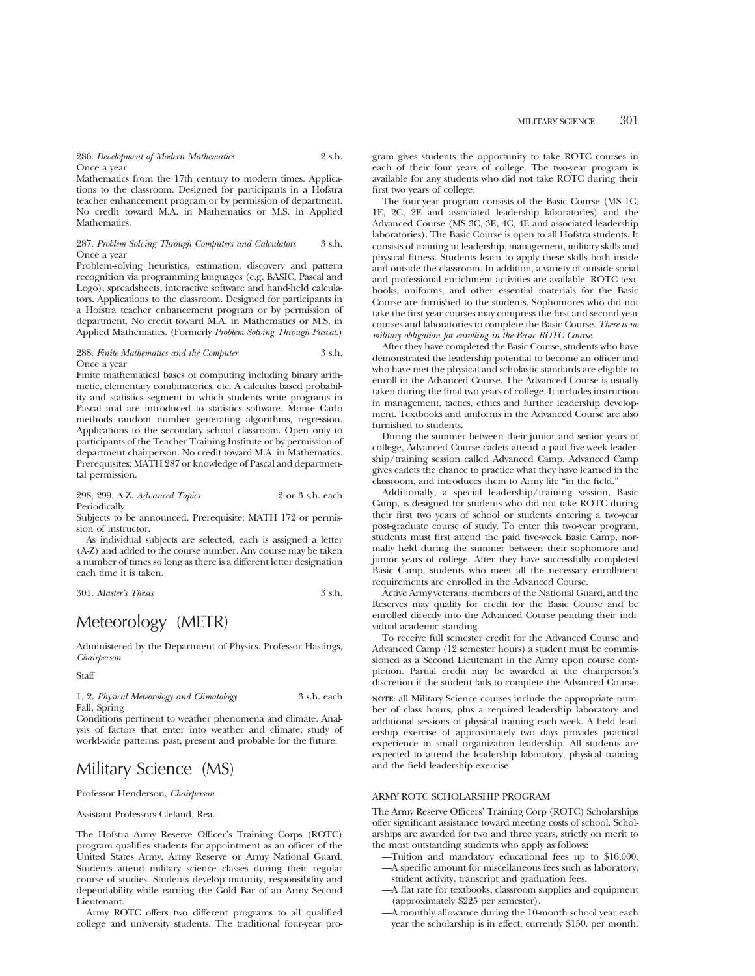286. *Development of Modern Mathematics* 2 s.h. Once a year

Mathematics from the 17th century to modern times. Applications to the classroom. Designed for participants in a Hofstra teacher enhancement program or by permission of department. No credit toward M.A. in Mathematics or M.S. in Applied Mathematics.

### 287. *Problem Solving Through Computers and Calculators* 3 s.h. Once a year

Problem-solving heuristics, estimation, discovery and pattern recognition via programming languages (e.g. BASIC, Pascal and Logo), spreadsheets, interactive software and hand-held calculators. Applications to the classroom. Designed for participants in a Hofstra teacher enhancement program or by permission of department. No credit toward M.A. in Mathematics or M.S. in Applied Mathematics. (Formerly *Problem Solving Through Pascal.*)

#### 288. *Finite Mathematics and the Computer* 3 s.h. Once a year

Finite mathematical bases of computing including binary arithmetic, elementary combinatorics, etc. A calculus based probability and statistics segment in which students write programs in Pascal and are introduced to statistics software. Monte Carlo methods random number generating algorithms, regression. Applications to the secondary school classroom. Open only to participants of the Teacher Training Institute or by permission of department chairperson. No credit toward M.A. in Mathematics. Prerequisites: MATH 287 or knowledge of Pascal and departmental permission.

298, 299, A-Z. *Advanced Topics* 2 or 3 s.h. each Periodically

Subjects to be announced. Prerequisite: MATH 172 or permission of instructor.

As individual subjects are selected, each is assigned a letter (A-Z) and added to the course number. Any course may be taken a number of times so long as there is a different letter designation each time it is taken.

301. *Master's Thesis* 3 s.h.

# Meteorology (METR)

Administered by the Department of Physics. Professor Hastings, *Chairperson*

**Staff** 

1, 2. *Physical Meteorology and Climatology* 3 s.h. each Fall, Spring

Conditions pertinent to weather phenomena and climate. Analysis of factors that enter into weather and climate; study of world-wide patterns: past, present and probable for the future.

# Military Science (MS)

Professor Henderson, *Chairperson*

Assistant Professors Cleland, Rea.

The Hofstra Army Reserve Officer's Training Corps (ROTC) program qualifies students for appointment as an officer of the United States Army, Army Reserve or Army National Guard. Students attend military science classes during their regular course of studies. Students develop maturity, responsibility and dependability while earning the Gold Bar of an Army Second Lieutenant.

Army ROTC offers two different programs to all qualified college and university students. The traditional four-year program gives students the opportunity to take ROTC courses in each of their four years of college. The two-year program is available for any students who did not take ROTC during their first two years of college.

The four-year program consists of the Basic Course (MS 1C, 1E, 2C, 2E and associated leadership laboratories) and the Advanced Course (MS 3C, 3E, 4C, 4E and associated leadership laboratories). The Basic Course is open to all Hofstra students. It consists of training in leadership, management, military skills and physical fitness. Students learn to apply these skills both inside and outside the classroom. In addition, a variety of outside social and professional enrichment activities are available. ROTC textbooks, uniforms, and other essential materials for the Basic Course are furnished to the students. Sophomores who did not take the first year courses may compress the first and second year courses and laboratories to complete the Basic Course. *There is no military obligation for enrolling in the Basic ROTC Course.*

After they have completed the Basic Course, students who have demonstrated the leadership potential to become an officer and who have met the physical and scholastic standards are eligible to enroll in the Advanced Course. The Advanced Course is usually taken during the final two years of college. It includes instruction in management, tactics, ethics and further leadership development. Textbooks and uniforms in the Advanced Course are also furnished to students.

During the summer between their junior and senior years of college, Advanced Course cadets attend a paid five-week leadership/training session called Advanced Camp. Advanced Camp gives cadets the chance to practice what they have learned in the classroom, and introduces them to Army life "in the field."

Additionally, a special leadership/training session, Basic Camp, is designed for students who did not take ROTC during their first two years of school or students entering a two-year post-graduate course of study. To enter this two-year program, students must first attend the paid five-week Basic Camp, normally held during the summer between their sophomore and junior years of college. After they have successfully completed Basic Camp, students who meet all the necessary enrollment requirements are enrolled in the Advanced Course.

Active Army veterans, members of the National Guard, and the Reserves may qualify for credit for the Basic Course and be enrolled directly into the Advanced Course pending their individual academic standing.

To receive full semester credit for the Advanced Course and Advanced Camp (12 semester hours) a student must be commissioned as a Second Lieutenant in the Army upon course completion. Partial credit may be awarded at the chairperson's discretion if the student fails to complete the Advanced Course.

**NOTE:** all Military Science courses include the appropriate number of class hours, plus a required leadership laboratory and additional sessions of physical training each week. A field leadership exercise of approximately two days provides practical experience in small organization leadership. All students are expected to attend the leadership laboratory, physical training and the field leadership exercise.

## ARMY ROTC SCHOLARSHIP PROGRAM

The Army Reserve Officers' Training Corp (ROTC) Scholarships offer significant assistance toward meeting costs of school. Scholarships are awarded for two and three years, strictly on merit to the most outstanding students who apply as follows:

- —Tuition and mandatory educational fees up to \$16,000. —A specific amount for miscellaneous fees such as laboratory, student activity, transcript and graduation fees.
- —A flat rate for textbooks, classroom supplies and equipment (approximately \$225 per semester).
- —A monthly allowance during the 10-month school year each year the scholarship is in effect; currently \$150. per month.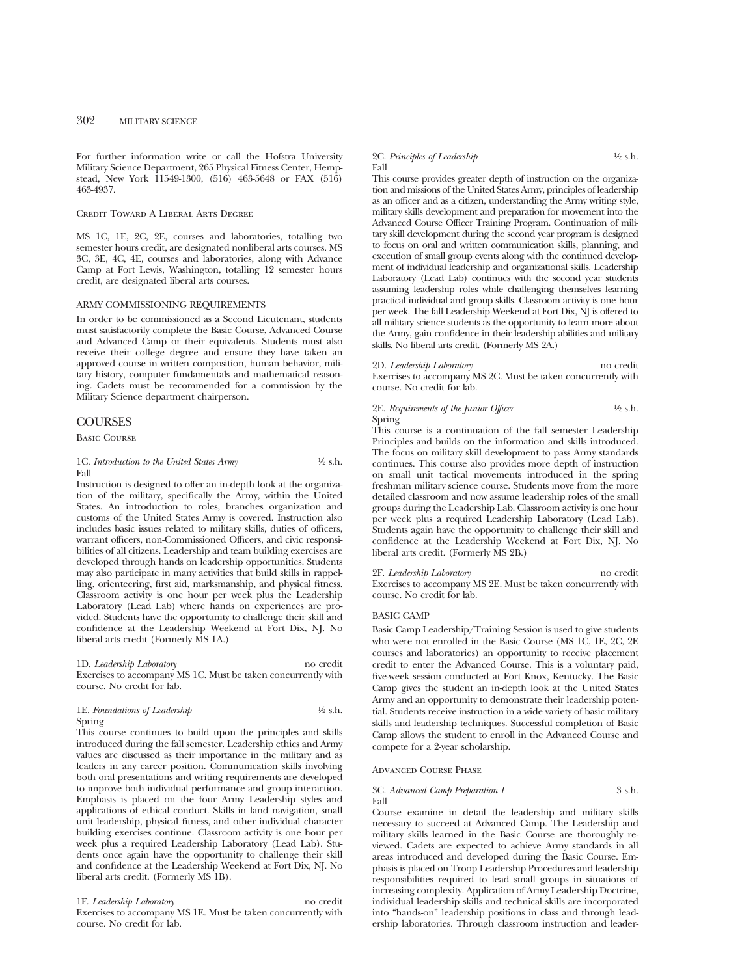For further information write or call the Hofstra University Military Science Department, 265 Physical Fitness Center, Hempstead, New York 11549-1300, (516) 463-5648 or FAX (516) 463-4937.

### Credit Toward A Liberal Arts Degree

MS 1C, 1E, 2C, 2E, courses and laboratories, totalling two semester hours credit, are designated nonliberal arts courses. MS 3C, 3E, 4C, 4E, courses and laboratories, along with Advance Camp at Fort Lewis, Washington, totalling 12 semester hours credit, are designated liberal arts courses.

## ARMY COMMISSIONING REQUIREMENTS

In order to be commissioned as a Second Lieutenant, students must satisfactorily complete the Basic Course, Advanced Course and Advanced Camp or their equivalents. Students must also receive their college degree and ensure they have taken an approved course in written composition, human behavior, military history, computer fundamentals and mathematical reasoning. Cadets must be recommended for a commission by the Military Science department chairperson.

#### **COURSES**

Basic Course

1C. *Introduction to the United States Army* 1/2 s.h. Fall

Instruction is designed to offer an in-depth look at the organization of the military, specifically the Army, within the United States. An introduction to roles, branches organization and customs of the United States Army is covered. Instruction also includes basic issues related to military skills, duties of officers, warrant officers, non-Commissioned Officers, and civic responsibilities of all citizens. Leadership and team building exercises are developed through hands on leadership opportunities. Students may also participate in many activities that build skills in rappelling, orienteering, first aid, marksmanship, and physical fitness. Classroom activity is one hour per week plus the Leadership Laboratory (Lead Lab) where hands on experiences are provided. Students have the opportunity to challenge their skill and confidence at the Leadership Weekend at Fort Dix, NJ. No liberal arts credit (Formerly MS 1A.)

1D. *Leadership Laboratory* no credit Exercises to accompany MS 1C. Must be taken concurrently with course. No credit for lab.

### 1E. *Foundations of Leadership* 1/2 s.h. Spring

This course continues to build upon the principles and skills introduced during the fall semester. Leadership ethics and Army values are discussed as their importance in the military and as leaders in any career position. Communication skills involving both oral presentations and writing requirements are developed to improve both individual performance and group interaction. Emphasis is placed on the four Army Leadership styles and applications of ethical conduct. Skills in land navigation, small unit leadership, physical fitness, and other individual character building exercises continue. Classroom activity is one hour per week plus a required Leadership Laboratory (Lead Lab). Students once again have the opportunity to challenge their skill and confidence at the Leadership Weekend at Fort Dix, NJ. No liberal arts credit. (Formerly MS 1B).

#### 1F. *Leadership Laboratory* no credit

Exercises to accompany MS 1E. Must be taken concurrently with course. No credit for lab.

#### 2C. *Principles of Leadership* <sup>1</sup>/2 s.h. Fall

This course provides greater depth of instruction on the organization and missions of the United States Army, principles of leadership as an officer and as a citizen, understanding the Army writing style, military skills development and preparation for movement into the Advanced Course Officer Training Program. Continuation of military skill development during the second year program is designed to focus on oral and written communication skills, planning, and execution of small group events along with the continued development of individual leadership and organizational skills. Leadership Laboratory (Lead Lab) continues with the second year students assuming leadership roles while challenging themselves learning practical individual and group skills. Classroom activity is one hour per week. The fall Leadership Weekend at Fort Dix, NJ is offered to all military science students as the opportunity to learn more about the Army, gain confidence in their leadership abilities and military skills. No liberal arts credit. (Formerly MS 2A.)

#### 2D. *Leadership Laboratory* no credit

Exercises to accompany MS 2C. Must be taken concurrently with course. No credit for lab.

#### 2E. *Requirements of the Junior Officer*  $\frac{1}{2}$  s.h. Spring

This course is a continuation of the fall semester Leadership Principles and builds on the information and skills introduced. The focus on military skill development to pass Army standards continues. This course also provides more depth of instruction on small unit tactical movements introduced in the spring freshman military science course. Students move from the more detailed classroom and now assume leadership roles of the small groups during the Leadership Lab. Classroom activity is one hour per week plus a required Leadership Laboratory (Lead Lab). Students again have the opportunity to challenge their skill and confidence at the Leadership Weekend at Fort Dix, NJ. No liberal arts credit. (Formerly MS 2B.)

#### 2F. *Leadership Laboratory* no credit

Exercises to accompany MS 2E. Must be taken concurrently with course. No credit for lab.

#### BASIC CAMP

Basic Camp Leadership/Training Session is used to give students who were not enrolled in the Basic Course (MS 1C, 1E, 2C, 2E courses and laboratories) an opportunity to receive placement credit to enter the Advanced Course. This is a voluntary paid, five-week session conducted at Fort Knox, Kentucky. The Basic Camp gives the student an in-depth look at the United States Army and an opportunity to demonstrate their leadership potential. Students receive instruction in a wide variety of basic military skills and leadership techniques. Successful completion of Basic Camp allows the student to enroll in the Advanced Course and compete for a 2-year scholarship.

#### Advanced Course Phase

#### 3C. *Advanced Camp Preparation I* 3 s.h. Fall

Course examine in detail the leadership and military skills necessary to succeed at Advanced Camp. The Leadership and military skills learned in the Basic Course are thoroughly reviewed. Cadets are expected to achieve Army standards in all areas introduced and developed during the Basic Course. Emphasis is placed on Troop Leadership Procedures and leadership responsibilities required to lead small groups in situations of increasing complexity. Application of Army Leadership Doctrine, individual leadership skills and technical skills are incorporated into "hands-on" leadership positions in class and through leadership laboratories. Through classroom instruction and leader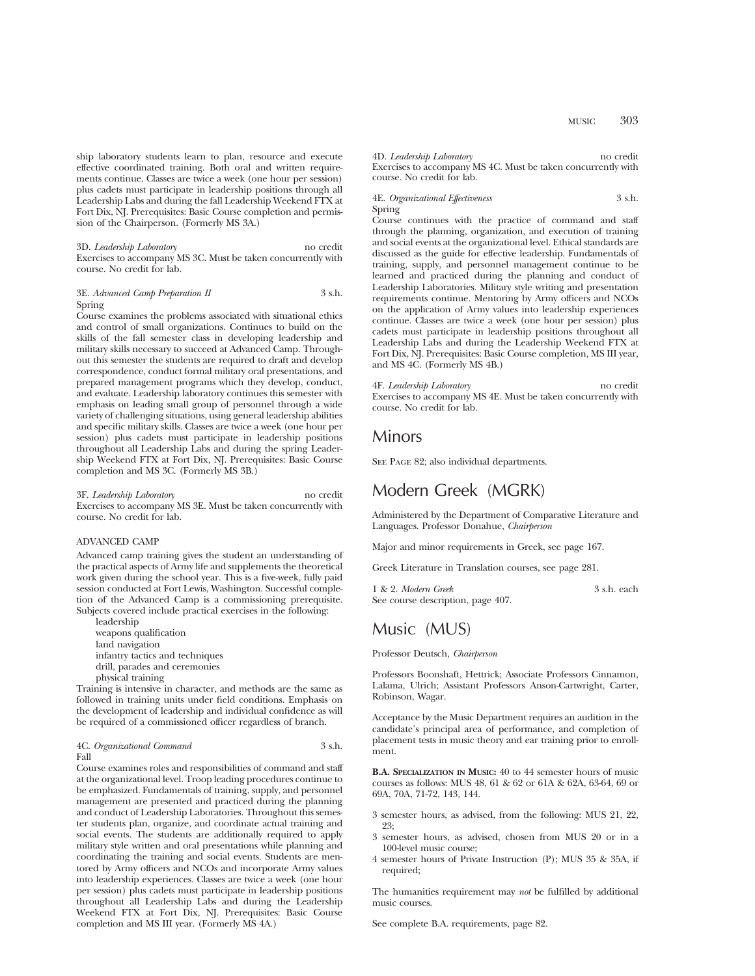ship laboratory students learn to plan, resource and execute effective coordinated training. Both oral and written requirements continue. Classes are twice a week (one hour per session) plus cadets must participate in leadership positions through all Leadership Labs and during the fall Leadership Weekend FTX at Fort Dix, NJ. Prerequisites: Basic Course completion and permission of the Chairperson. (Formerly MS 3A.)

3D. *Leadership Laboratory* no credit Exercises to accompany MS 3C. Must be taken concurrently with course. No credit for lab.

#### 3E. *Advanced Camp Preparation II* 3 s.h. Spring

Course examines the problems associated with situational ethics and control of small organizations. Continues to build on the skills of the fall semester class in developing leadership and military skills necessary to succeed at Advanced Camp. Throughout this semester the students are required to draft and develop correspondence, conduct formal military oral presentations, and prepared management programs which they develop, conduct, and evaluate. Leadership laboratory continues this semester with emphasis on leading small group of personnel through a wide variety of challenging situations, using general leadership abilities and specific military skills. Classes are twice a week (one hour per session) plus cadets must participate in leadership positions throughout all Leadership Labs and during the spring Leadership Weekend FTX at Fort Dix, NJ. Prerequisites: Basic Course completion and MS 3C. (Formerly MS 3B.)

3F. *Leadership Laboratory* no credit Exercises to accompany MS 3E. Must be taken concurrently with course. No credit for lab.

#### ADVANCED CAMP

Advanced camp training gives the student an understanding of the practical aspects of Army life and supplements the theoretical work given during the school year. This is a five-week, fully paid session conducted at Fort Lewis, Washington. Successful completion of the Advanced Camp is a commissioning prerequisite. Subjects covered include practical exercises in the following:

leadership weapons qualification land navigation infantry tactics and techniques drill, parades and ceremonies

physical training

Training is intensive in character, and methods are the same as followed in training units under field conditions. Emphasis on the development of leadership and individual confidence as will be required of a commissioned officer regardless of branch.

#### 4C. *Organizational Command* 3 s.h. Fall

Course examines roles and responsibilities of command and staff at the organizational level. Troop leading procedures continue to be emphasized. Fundamentals of training, supply, and personnel management are presented and practiced during the planning and conduct of Leadership Laboratories. Throughout this semester students plan, organize, and coordinate actual training and social events. The students are additionally required to apply military style written and oral presentations while planning and coordinating the training and social events. Students are mentored by Army officers and NCOs and incorporate Army values into leadership experiences. Classes are twice a week (one hour per session) plus cadets must participate in leadership positions throughout all Leadership Labs and during the Leadership Weekend FTX at Fort Dix, NJ. Prerequisites: Basic Course completion and MS III year. (Formerly MS 4A.)

#### 4D. *Leadership Laboratory* no credit

Exercises to accompany MS 4C. Must be taken concurrently with course. No credit for lab.

#### 4E. *Organizational Effectiveness* 3 s.h. Spring

Course continues with the practice of command and staff through the planning, organization, and execution of training and social events at the organizational level. Ethical standards are discussed as the guide for effective leadership. Fundamentals of training, supply, and personnel management continue to be learned and practiced during the planning and conduct of Leadership Laboratories. Military style writing and presentation requirements continue. Mentoring by Army officers and NCOs on the application of Army values into leadership experiences continue. Classes are twice a week (one hour per session) plus cadets must participate in leadership positions throughout all Leadership Labs and during the Leadership Weekend FTX at Fort Dix, NJ. Prerequisites: Basic Course completion, MS III year, and MS 4C. (Formerly MS 4B.)

#### 4F. *Leadership Laboratory* no credit

Exercises to accompany MS 4E. Must be taken concurrently with course. No credit for lab.

## Minors

SEE PAGE 82; also individual departments.

## Modern Greek (MGRK)

Administered by the Department of Comparative Literature and Languages. Professor Donahue, *Chairperson*

Major and minor requirements in Greek, see page 167.

Greek Literature in Translation courses, see page 281.

1 & 2. *Modern Greek* 3 s.h. each See course description, page 407.

## Music (MUS)

#### Professor Deutsch, *Chairperson*

Professors Boonshaft, Hettrick; Associate Professors Cinnamon, Lalama, Ulrich; Assistant Professors Anson-Cartwright, Carter, Robinson, Wagar.

Acceptance by the Music Department requires an audition in the candidate's principal area of performance, and completion of placement tests in music theory and ear training prior to enrollment.

**B.A. SPECIALIZATION IN MUSIC:** 40 to 44 semester hours of music courses as follows: MUS 48, 61 & 62 or 61A & 62A, 63-64, 69 or 69A, 70A, 71-72, 143, 144.

- 3 semester hours, as advised, from the following: MUS 21, 22, 23;
- 3 semester hours, as advised, chosen from MUS 20 or in a 100-level music course;
- 4 semester hours of Private Instruction (P); MUS 35 & 35A, if required;

The humanities requirement may *not* be fulfilled by additional music courses.

See complete B.A. requirements, page 82.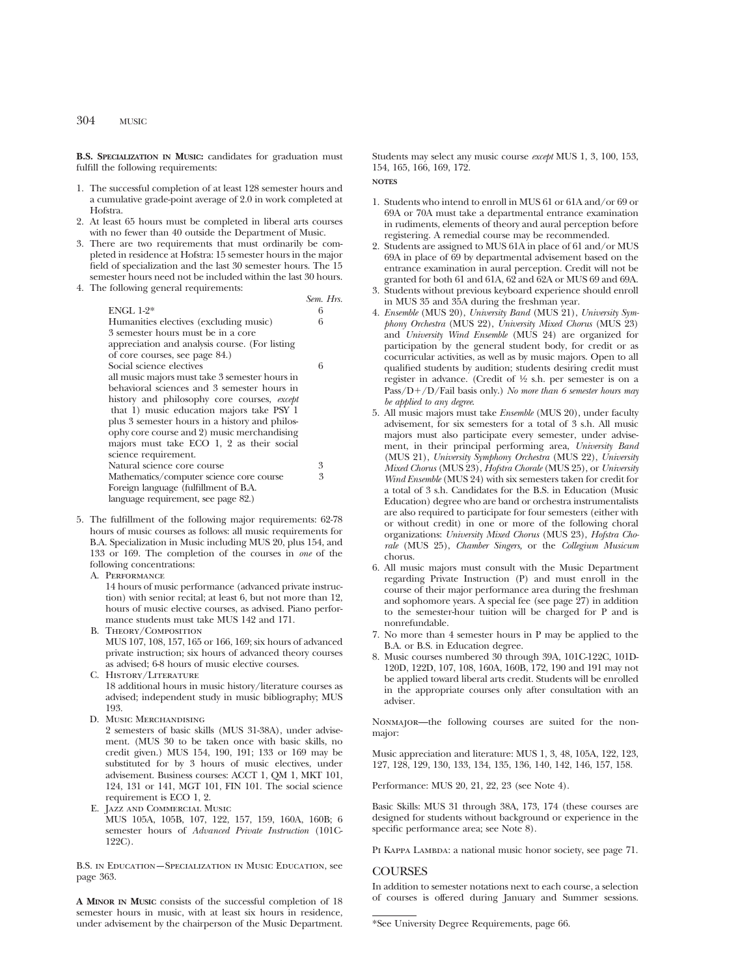304 MUSIC

**B.S. SPECIALIZATION IN MUSIC:** candidates for graduation must fulfill the following requirements:

- 1. The successful completion of at least 128 semester hours and a cumulative grade-point average of 2.0 in work completed at Hofstra.
- 2. At least 65 hours must be completed in liberal arts courses with no fewer than 40 outside the Department of Music.
- 3. There are two requirements that must ordinarily be completed in residence at Hofstra: 15 semester hours in the major field of specialization and the last 30 semester hours. The 15 semester hours need not be included within the last 30 hours.
- 4. The following general requirements:

|                                                | Sem. Hrs. |
|------------------------------------------------|-----------|
| ENGL $1-2^*$                                   | 6         |
| Humanities electives (excluding music)         | 6         |
| 3 semester hours must be in a core             |           |
| appreciation and analysis course. (For listing |           |
| of core courses, see page 84.)                 |           |
| Social science electives                       | 6         |
| all music majors must take 3 semester hours in |           |
| behavioral sciences and 3 semester hours in    |           |
| history and philosophy core courses, except    |           |
| that 1) music education majors take PSY 1      |           |
| plus 3 semester hours in a history and philos- |           |
| ophy core course and 2) music merchandising    |           |
| majors must take ECO 1, 2 as their social      |           |
| science requirement.                           |           |
| Natural science core course                    | 3         |
| Mathematics/computer science core course       | 3         |
| Foreign language (fulfillment of B.A.          |           |
| language requirement, see page 82.)            |           |
|                                                |           |

- 5. The fulfillment of the following major requirements: 62-78 hours of music courses as follows: all music requirements for B.A. Specialization in Music including MUS 20, plus 154, and 133 or 169. The completion of the courses in *one* of the following concentrations:
	- A. PERFORMANCE 14 hours of music performance (advanced private instruction) with senior recital; at least 6, but not more than 12, hours of music elective courses, as advised. Piano performance students must take MUS 142 and 171.
	- B. Theory/Composition MUS 107, 108, 157, 165 or 166, 169; six hours of advanced private instruction; six hours of advanced theory courses as advised; 6-8 hours of music elective courses.
	- C. History/Literature 18 additional hours in music history/literature courses as advised; independent study in music bibliography; MUS 193.
	- D. Music Merchandising

2 semesters of basic skills (MUS 31-38A), under advisement. (MUS 30 to be taken once with basic skills, no credit given.) MUS 154, 190, 191; 133 or 169 may be substituted for by 3 hours of music electives, under advisement. Business courses: ACCT 1, QM 1, MKT 101, 124, 131 or 141, MGT 101, FIN 101. The social science requirement is ECO 1, 2.

- E. Jazz and Commercial Music
- MUS 105A, 105B, 107, 122, 157, 159, 160A, 160B; 6 semester hours of *Advanced Private Instruction* (101C-122C).

B.S. in Education—Specialization in Music Education, see page 363.

**A MINOR IN MUSIC** consists of the successful completion of 18 semester hours in music, with at least six hours in residence, under advisement by the chairperson of the Music Department. Students may select any music course *except* MUS 1, 3, 100, 153, 154, 165, 166, 169, 172.

**NOTES**

- 1. Students who intend to enroll in MUS 61 or 61A and/or 69 or 69A or 70A must take a departmental entrance examination in rudiments, elements of theory and aural perception before registering. A remedial course may be recommended.
- 2. Students are assigned to MUS 61A in place of 61 and/or MUS 69A in place of 69 by departmental advisement based on the entrance examination in aural perception. Credit will not be granted for both 61 and 61A, 62 and 62A or MUS 69 and 69A.
- 3. Students without previous keyboard experience should enroll in MUS 35 and 35A during the freshman year.
- 4. *Ensemble* (MUS 20), *University Band* (MUS 21), *University Symphony Orchestra* (MUS 22), *University Mixed Chorus* (MUS 23) and *University Wind Ensemble* (MUS 24) are organized for participation by the general student body, for credit or as cocurricular activities, as well as by music majors. Open to all qualified students by audition; students desiring credit must register in advance. (Credit of 1⁄2 s.h. per semester is on a Pass/D+/D/Fail basis only.) *No more than 6 semester hours may be applied to any degree*.
- 5. All music majors must take *Ensemble* (MUS 20), under faculty advisement, for six semesters for a total of 3 s.h. All music majors must also participate every semester, under advisement, in their principal performing area, *University Band* (MUS 21), *University Symphony Orchestra* (MUS 22), *University Mixed Chorus* (MUS 23), *Hofstra Chorale* (MUS 25), or *University Wind Ensemble* (MUS 24) with six semesters taken for credit for a total of 3 s.h. Candidates for the B.S. in Education (Music Education) degree who are band or orchestra instrumentalists are also required to participate for four semesters (either with or without credit) in one or more of the following choral organizations: *University Mixed Chorus* (MUS 23), *Hofstra Chorale* (MUS 25), *Chamber Singers,* or the *Collegium Musicum* chorus.
- 6. All music majors must consult with the Music Department regarding Private Instruction (P) and must enroll in the course of their major performance area during the freshman and sophomore years. A special fee (see page 27) in addition to the semester-hour tuition will be charged for P and is nonrefundable.
- 7. No more than 4 semester hours in P may be applied to the B.A. or B.S. in Education degree.
- 8. Music courses numbered 30 through 39A, 101C-122C, 101D-120D, 122D, 107, 108, 160A, 160B, 172, 190 and 191 may not be applied toward liberal arts credit. Students will be enrolled in the appropriate courses only after consultation with an adviser.

Nonmajor—the following courses are suited for the nonmajor:

Music appreciation and literature: MUS 1, 3, 48, 105A, 122, 123, 127, 128, 129, 130, 133, 134, 135, 136, 140, 142, 146, 157, 158.

Performance: MUS 20, 21, 22, 23 (see Note 4).

Basic Skills: MUS 31 through 38A, 173, 174 (these courses are designed for students without background or experience in the specific performance area; see Note 8).

PI KAPPA LAMBDA: a national music honor society, see page 71.

## **COURSES**

In addition to semester notations next to each course, a selection of courses is offered during January and Summer sessions.

<sup>\*</sup>See University Degree Requirements, page 66.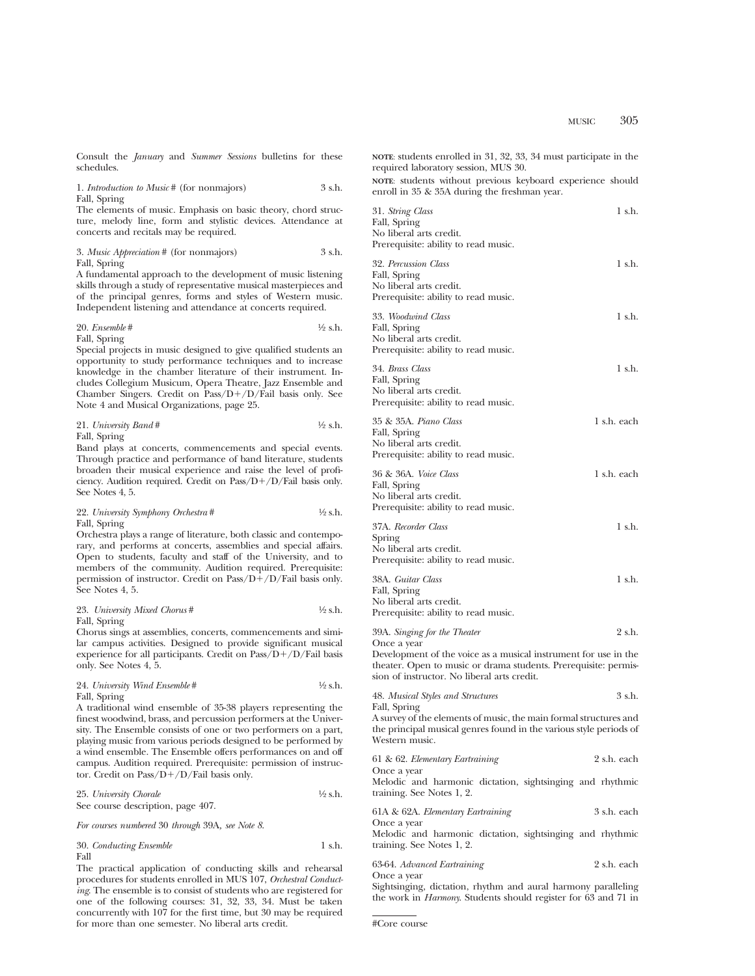Consult the *January* and *Summer Sessions* bulletins for these schedules.

| 1. <i>Introduction to Music</i> # (for nonmajors) | 3 s.h. |
|---------------------------------------------------|--------|
| Fall, Spring                                      |        |

The elements of music. Emphasis on basic theory, chord structure, melody line, form and stylistic devices. Attendance at concerts and recitals may be required.

#### 3. *Music Appreciation* # (for nonmajors) 3 s.h. Fall, Spring

A fundamental approach to the development of music listening skills through a study of representative musical masterpieces and of the principal genres, forms and styles of Western music. Independent listening and attendance at concerts required.

20. *Ensemble* # 1⁄2 s.h. Fall, Spring

Special projects in music designed to give qualified students an opportunity to study performance techniques and to increase knowledge in the chamber literature of their instrument. Includes Collegium Musicum, Opera Theatre, Jazz Ensemble and Chamber Singers. Credit on  $Pass/D+/D/Fail$  basis only. See Note 4 and Musical Organizations, page 25.

| 21. University Band # | $\frac{1}{2}$ s.h. |
|-----------------------|--------------------|
| Fall, Spring          |                    |

Band plays at concerts, commencements and special events. Through practice and performance of band literature, students broaden their musical experience and raise the level of proficiency. Audition required. Credit on  $Pass/D+/D/Fall$  basis only. See Notes 4, 5.

## 22. *University Symphony Orchestra* #  $\frac{1}{2}$  s.h. Fall, Spring

Orchestra plays a range of literature, both classic and contemporary, and performs at concerts, assemblies and special affairs. Open to students, faculty and staff of the University, and to members of the community. Audition required. Prerequisite: permission of instructor. Credit on  $Pass/D+/D/Fall$  basis only. See Notes 4, 5.

#### 23. *University Mixed Chorus* #  $\frac{1}{2}$  s.h. Fall, Spring

Chorus sings at assemblies, concerts, commencements and similar campus activities. Designed to provide significant musical experience for all participants. Credit on  $Pass/D+/D/Fall$  basis only. See Notes 4, 5.

#### 24. *University Wind Ensemble* #  $\frac{1}{2}$  s.h. Fall, Spring

A traditional wind ensemble of 35-38 players representing the finest woodwind, brass, and percussion performers at the University. The Ensemble consists of one or two performers on a part, playing music from various periods designed to be performed by a wind ensemble. The Ensemble offers performances on and off campus. Audition required. Prerequisite: permission of instructor. Credit on Pass/ $D+/D$ /Fail basis only.

| 25. University Chorale            | $\frac{1}{2}$ s.h. |
|-----------------------------------|--------------------|
| See course description, page 407. |                    |

*For courses numbered* 30 *through* 39A*, see Note 8*.

|      | 30. Conducting Ensemble | 1 s.h. |
|------|-------------------------|--------|
| Fall |                         |        |

The practical application of conducting skills and rehearsal procedures for students enrolled in MUS 107, *Orchestral Conducting*. The ensemble is to consist of students who are registered for one of the following courses: 31, 32, 33, 34. Must be taken concurrently with 107 for the first time, but 30 may be required for more than one semester. No liberal arts credit.

**NOTE**: students enrolled in 31, 32, 33, 34 must participate in the required laboratory session, MUS 30.

**NOTE**: students without previous keyboard experience should enroll in 35 & 35A during the freshman year.

| 31. String Class<br>Fall, Spring<br>No liberal arts credit.<br>Prerequisite: ability to read music.                                                                                              | 1 s.h.      |
|--------------------------------------------------------------------------------------------------------------------------------------------------------------------------------------------------|-------------|
| 32. Percussion Class<br>Fall, Spring<br>No liberal arts credit.<br>Prerequisite: ability to read music.                                                                                          | 1 s.h.      |
| 33. Woodwind Class<br>Fall, Spring<br>No liberal arts credit.<br>Prerequisite: ability to read music.                                                                                            | 1 s.h.      |
| 34. Brass Class<br>Fall, Spring<br>No liberal arts credit.<br>Prerequisite: ability to read music.                                                                                               | 1 s.h.      |
| 35 & 35A. Piano Class<br>Fall, Spring<br>No liberal arts credit.<br>Prerequisite: ability to read music.                                                                                         | 1 s.h. each |
| 36 & 36A. Voice Class<br>Fall, Spring<br>No liberal arts credit.<br>Prerequisite: ability to read music.                                                                                         | 1 s.h. each |
| 37A. Recorder Class<br>Spring<br>No liberal arts credit.<br>Prerequisite: ability to read music.                                                                                                 | 1 s.h.      |
| 38A. Guitar Class<br>Fall, Spring<br>No liberal arts credit.<br>Prerequisite: ability to read music.                                                                                             | 1 s.h.      |
| 39A. Singing for the Theater                                                                                                                                                                     | 2 s.h.      |
| Once a year<br>Development of the voice as a musical instrument for use in the<br>theater. Open to music or drama students. Prerequisite: permis-<br>sion of instructor. No liberal arts credit. |             |
| 48. Musical Styles and Structures                                                                                                                                                                | 3 s.h.      |
| Fall, Spring<br>A survey of the elements of music, the main formal structures and<br>the principal musical genres found in the various style periods of<br>Western music.                        |             |
| 61 & 62. Elementary Eartraining                                                                                                                                                                  | 2 s.h. each |
| Once a year<br>Melodic and harmonic dictation, sightsinging and rhythmic<br>training. See Notes 1, 2.                                                                                            |             |
| 61A & 62A. Elementary Eartraining<br>Once a year                                                                                                                                                 | 3 s.h. each |
| Melodic and harmonic dictation, sightsinging and rhythmic<br>training. See Notes 1, 2.                                                                                                           |             |
| 63-64. Advanced Eartraining<br>Once a year                                                                                                                                                       | 2 s.h. each |
| Sightsinging, dictation, rhythm and aural harmony paralleling                                                                                                                                    |             |

the work in *Harmony*. Students should register for 63 and 71 in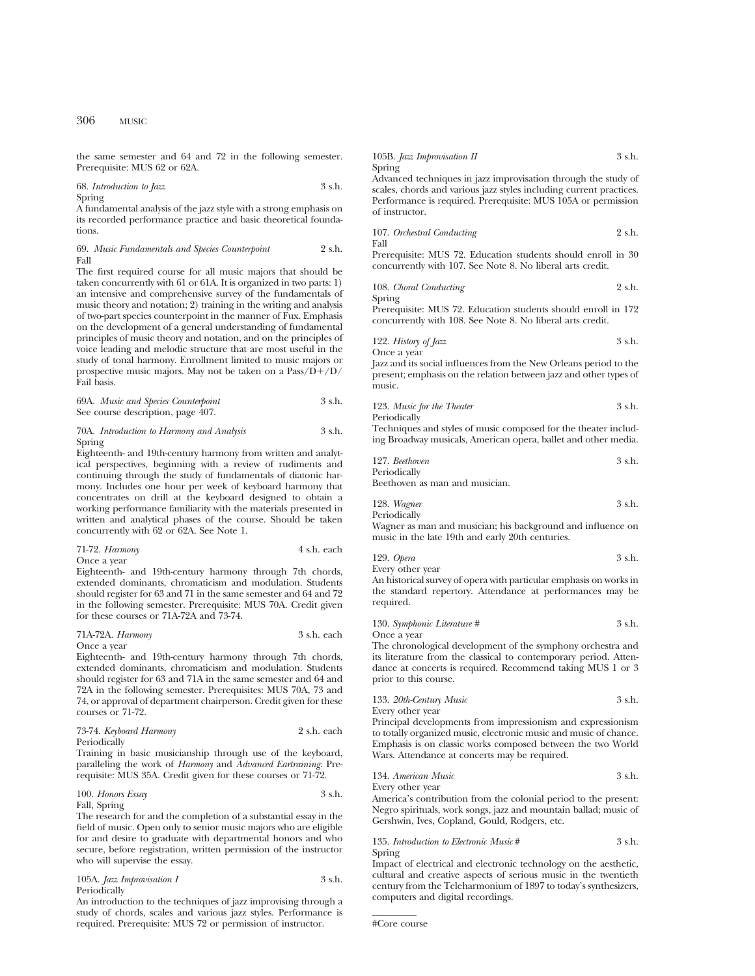the same semester and 64 and 72 in the following semester. Prerequisite: MUS 62 or 62A.

68. *Introduction to Jazz* 3 s.h. Spring

A fundamental analysis of the jazz style with a strong emphasis on its recorded performance practice and basic theoretical foundations.

69. *Music Fundamentals and Species Counterpoint* 2 s.h. Fall

The first required course for all music majors that should be taken concurrently with 61 or 61A. It is organized in two parts: 1) an intensive and comprehensive survey of the fundamentals of music theory and notation; 2) training in the writing and analysis of two-part species counterpoint in the manner of Fux. Emphasis on the development of a general understanding of fundamental principles of music theory and notation, and on the principles of voice leading and melodic structure that are most useful in the study of tonal harmony. Enrollment limited to music majors or prospective music majors. May not be taken on a  $Pass/D+/D/$ Fail basis.

69A. *Music and Species Counterpoint* 3 s.h. See course description, page 407.

#### 70A. *Introduction to Harmony and Analysis* 3 s.h. Spring

Eighteenth- and 19th-century harmony from written and analytical perspectives, beginning with a review of rudiments and continuing through the study of fundamentals of diatonic harmony. Includes one hour per week of keyboard harmony that concentrates on drill at the keyboard designed to obtain a working performance familiarity with the materials presented in written and analytical phases of the course. Should be taken concurrently with 62 or 62A. See Note 1.

| 71-72. Harmony | 4 s.h. each |
|----------------|-------------|
| Once a vear    |             |

Eighteenth- and 19th-century harmony through 7th chords, extended dominants, chromaticism and modulation. Students should register for 63 and 71 in the same semester and 64 and 72 in the following semester. Prerequisite: MUS 70A. Credit given for these courses or 71A-72A and 73-74.

## 71A-72A. *Harmony* 3 s.h. each

Once a year

Eighteenth- and 19th-century harmony through 7th chords, extended dominants, chromaticism and modulation. Students should register for 63 and 71A in the same semester and 64 and 72A in the following semester. Prerequisites: MUS 70A, 73 and 74, or approval of department chairperson. Credit given for these courses or 71-72.

| 73-74. Keyboard Harmony | 2 s.h. each |
|-------------------------|-------------|
| Periodically            |             |

Training in basic musicianship through use of the keyboard, paralleling the work of *Harmony* and *Advanced Eartraining*. Prerequisite: MUS 35A. Credit given for these courses or 71-72.

#### 100. *Honors Essay* 3 s.h. Fall, Spring

The research for and the completion of a substantial essay in the field of music. Open only to senior music majors who are eligible for and desire to graduate with departmental honors and who secure, before registration, written permission of the instructor who will supervise the essay.

#### 105A. *Jazz Improvisation I* 3 s.h. Periodically

An introduction to the techniques of jazz improvising through a study of chords, scales and various jazz styles. Performance is required. Prerequisite: MUS 72 or permission of instructor.

105B. *Jazz Improvisation II* 3 s.h. Spring

Advanced techniques in jazz improvisation through the study of scales, chords and various jazz styles including current practices. Performance is required. Prerequisite: MUS 105A or permission of instructor.

107. *Orchestral Conducting* 2 s.h. Fall

Prerequisite: MUS 72. Education students should enroll in 30 concurrently with 107. See Note 8. No liberal arts credit.

108. *Choral Conducting* 2 s.h. Spring

Prerequisite: MUS 72. Education students should enroll in 172 concurrently with 108. See Note 8. No liberal arts credit.

122. *History of Jazz* 3 s.h. Once a year

Jazz and its social influences from the New Orleans period to the present; emphasis on the relation between jazz and other types of music.

123. *Music for the Theater* 3 s.h. Periodically

Techniques and styles of music composed for the theater including Broadway musicals, American opera, ballet and other media.

127. *Beethoven* 3 s.h. Periodically

Beethoven as man and musician.

128. *Wagner* 3 s.h. Periodically

Wagner as man and musician; his background and influence on music in the late 19th and early 20th centuries.

129. *Opera* 3 s.h. Every other year

An historical survey of opera with particular emphasis on works in the standard repertory. Attendance at performances may be required.

| 130. Symphonic Literature # | 3 s.h. |
|-----------------------------|--------|
| Once a year                 |        |

The chronological development of the symphony orchestra and its literature from the classical to contemporary period. Attendance at concerts is required. Recommend taking MUS 1 or 3 prior to this course.

133. *20th-Century Music* 3 s.h. Every other year

Principal developments from impressionism and expressionism to totally organized music, electronic music and music of chance. Emphasis is on classic works composed between the two World

Wars. Attendance at concerts may be required.

134. *American Music* 3 s.h.

Every other year

America's contribution from the colonial period to the present: Negro spirituals, work songs, jazz and mountain ballad; music of Gershwin, Ives, Copland, Gould, Rodgers, etc.

135. *Introduction to Electronic Music* # 3 s.h. Spring

Impact of electrical and electronic technology on the aesthetic, cultural and creative aspects of serious music in the twentieth century from the Teleharmonium of 1897 to today's synthesizers, computers and digital recordings.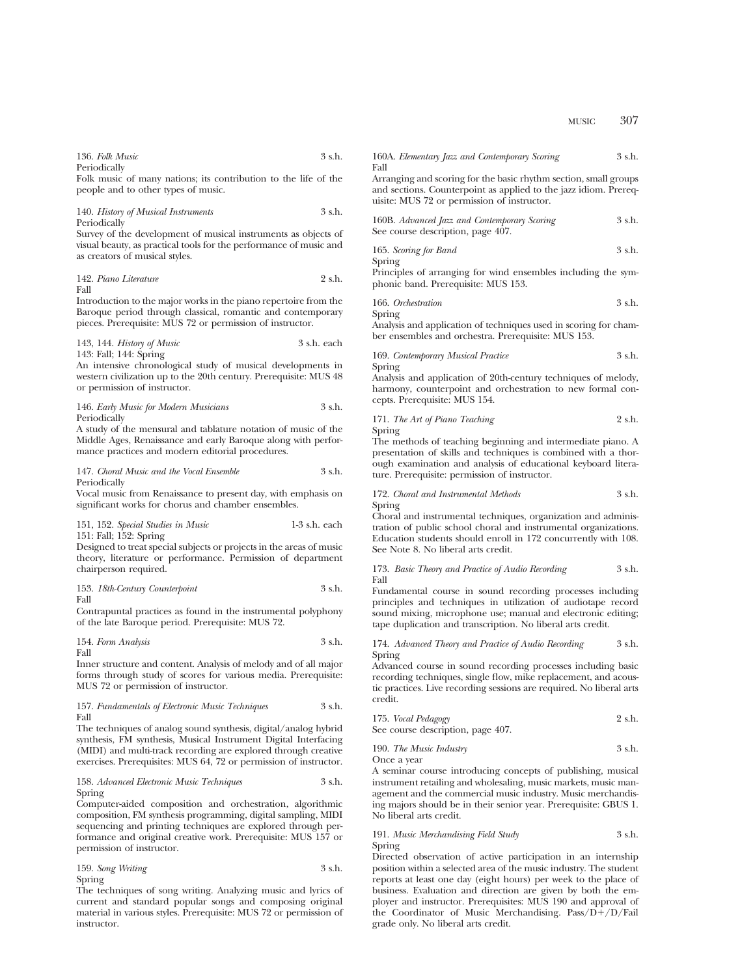| 136. Folk Music | 3 s.h. |
|-----------------|--------|
| Periodically    |        |

Folk music of many nations; its contribution to the life of the people and to other types of music.

#### 140. *History of Musical Instruments* 3 s.h. Periodically

Survey of the development of musical instruments as objects of visual beauty, as practical tools for the performance of music and as creators of musical styles.

$$
142. Pinon Literature \t\t 2 s.h.
$$

Introduction to the major works in the piano repertoire from the Baroque period through classical, romantic and contemporary pieces. Prerequisite: MUS 72 or permission of instructor.

143, 144. *History of Music* 3 s.h. each 143: Fall; 144: Spring

An intensive chronological study of musical developments in western civilization up to the 20th century. Prerequisite: MUS 48 or permission of instructor.

146. *Early Music for Modern Musicians* 3 s.h. Periodically

A study of the mensural and tablature notation of music of the Middle Ages, Renaissance and early Baroque along with performance practices and modern editorial procedures.

147. *Choral Music and the Vocal Ensemble* 3 s.h. Periodically

Vocal music from Renaissance to present day, with emphasis on significant works for chorus and chamber ensembles.

151, 152. *Special Studies in Music* 1-3 s.h. each 151: Fall; 152: Spring

Designed to treat special subjects or projects in the areas of music theory, literature or performance. Permission of department chairperson required.

153. *18th-Century Counterpoint* 3 s.h.

Fall

Contrapuntal practices as found in the instrumental polyphony of the late Baroque period. Prerequisite: MUS 72.

154. *Form Analysis* 3 s.h. Fall

Inner structure and content. Analysis of melody and of all major forms through study of scores for various media. Prerequisite: MUS 72 or permission of instructor.

#### 157. *Fundamentals of Electronic Music Techniques* 3 s.h. Fall

The techniques of analog sound synthesis, digital/analog hybrid synthesis, FM synthesis, Musical Instrument Digital Interfacing (MIDI) and multi-track recording are explored through creative exercises. Prerequisites: MUS 64, 72 or permission of instructor.

## 158. *Advanced Electronic Music Techniques* 3 s.h. Spring

Computer-aided composition and orchestration, algorithmic composition, FM synthesis programming, digital sampling, MIDI sequencing and printing techniques are explored through performance and original creative work. Prerequisite: MUS 157 or permission of instructor.

159. *Song Writing* 3 s.h. Spring

The techniques of song writing. Analyzing music and lyrics of current and standard popular songs and composing original material in various styles. Prerequisite: MUS 72 or permission of instructor.

|      | 160A. Elementary Jazz and Contemporary Scoring | 3 s.h. |
|------|------------------------------------------------|--------|
| Fall |                                                |        |

Arranging and scoring for the basic rhythm section, small groups and sections. Counterpoint as applied to the jazz idiom. Prerequisite: MUS 72 or permission of instructor.

| 160B. Advanced Jazz and Contemporary Scoring | 3 s.h. |
|----------------------------------------------|--------|
| See course description, page 407.            |        |

165. *Scoring for Band* 3 s.h.

Spring

Principles of arranging for wind ensembles including the symphonic band. Prerequisite: MUS 153.

166. *Orchestration* 3 s.h.

Spring Analysis and application of techniques used in scoring for chamber ensembles and orchestra. Prerequisite: MUS 153.

169. *Contemporary Musical Practice* 3 s.h. Spring

Analysis and application of 20th-century techniques of melody, harmony, counterpoint and orchestration to new formal concepts. Prerequisite: MUS 154.

#### 171. *The Art of Piano Teaching* 2 s.h. Spring

The methods of teaching beginning and intermediate piano. A presentation of skills and techniques is combined with a thorough examination and analysis of educational keyboard literature. Prerequisite: permission of instructor.

#### 172. *Choral and Instrumental Methods* 3 s.h. Spring

Choral and instrumental techniques, organization and administration of public school choral and instrumental organizations. Education students should enroll in 172 concurrently with 108. See Note 8. No liberal arts credit.

#### 173. *Basic Theory and Practice of Audio Recording* 3 s.h. Fall

Fundamental course in sound recording processes including principles and techniques in utilization of audiotape record sound mixing, microphone use; manual and electronic editing; tape duplication and transcription. No liberal arts credit.

### 174. *Advanced Theory and Practice of Audio Recording* 3 s.h. Spring

Advanced course in sound recording processes including basic recording techniques, single flow, mike replacement, and acoustic practices. Live recording sessions are required. No liberal arts credit.

| 175. Vocal Pedagogy               | 2 s.h. |
|-----------------------------------|--------|
| See course description, page 407. |        |

190. *The Music Industry* 3 s.h. Once a year

A seminar course introducing concepts of publishing, musical instrument retailing and wholesaling, music markets, music management and the commercial music industry. Music merchandising majors should be in their senior year. Prerequisite: GBUS 1. No liberal arts credit.

#### 191. *Music Merchandising Field Study* 3 s.h. Spring

Directed observation of active participation in an internship position within a selected area of the music industry. The student reports at least one day (eight hours) per week to the place of business. Evaluation and direction are given by both the employer and instructor. Prerequisites: MUS 190 and approval of the Coordinator of Music Merchandising.  $Pass/D+/D/Fall$ grade only. No liberal arts credit.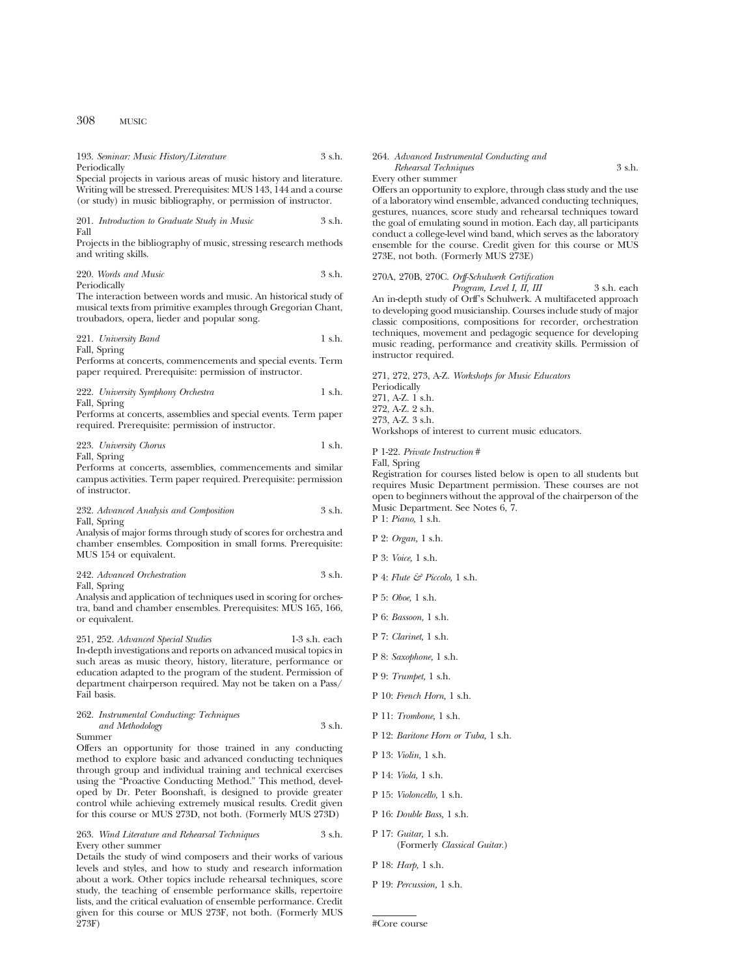193. *Seminar: Music History/Literature* 3 s.h. Periodically

Special projects in various areas of music history and literature. Writing will be stressed. Prerequisites: MUS 143, 144 and a course (or study) in music bibliography, or permission of instructor.

201. *Introduction to Graduate Study in Music* 3 s.h. Fall

Projects in the bibliography of music, stressing research methods and writing skills.

220. *Words and Music* 3 s.h. Periodically

The interaction between words and music. An historical study of musical texts from primitive examples through Gregorian Chant, troubadors, opera, lieder and popular song.

221. *University Band* 1 s.h.

Fall, Spring

Performs at concerts, commencements and special events. Term paper required. Prerequisite: permission of instructor.

222. *University Symphony Orchestra* 1 s.h. Fall, Spring

Performs at concerts, assemblies and special events. Term paper required. Prerequisite: permission of instructor.

223. *University Chorus* 1 s.h. Fall, Spring

Performs at concerts, assemblies, commencements and similar campus activities. Term paper required. Prerequisite: permission of instructor.

232. *Advanced Analysis and Composition* 3 s.h. Fall, Spring

Analysis of major forms through study of scores for orchestra and chamber ensembles. Composition in small forms. Prerequisite: MUS 154 or equivalent.

|              | 242. Advanced Orchestration | 3 s.h. |
|--------------|-----------------------------|--------|
| Fall, Spring |                             |        |

Analysis and application of techniques used in scoring for orchestra, band and chamber ensembles. Prerequisites: MUS 165, 166, or equivalent.

251, 252. *Advanced Special Studies* 1-3 s.h. each In-depth investigations and reports on advanced musical topics in such areas as music theory, history, literature, performance or education adapted to the program of the student. Permission of department chairperson required. May not be taken on a Pass/ Fail basis.

#### 262. *Instrumental Conducting: Techniques and Methodology* 3 s.h. Summer

Offers an opportunity for those trained in any conducting method to explore basic and advanced conducting techniques through group and individual training and technical exercises using the "Proactive Conducting Method." This method, developed by Dr. Peter Boonshaft, is designed to provide greater control while achieving extremely musical results. Credit given for this course or MUS 273D, not both. (Formerly MUS 273D)

263. *Wind Literature and Rehearsal Techniques* 3 s.h. Every other summer

Details the study of wind composers and their works of various levels and styles, and how to study and research information about a work. Other topics include rehearsal techniques, score study, the teaching of ensemble performance skills, repertoire lists, and the critical evaluation of ensemble performance. Credit given for this course or MUS 273F, not both. (Formerly MUS 273F)

#### 264. *Advanced Instrumental Conducting and*

*Rehearsal Techniques* 3 s.h. Every other summer

Offers an opportunity to explore, through class study and the use of a laboratory wind ensemble, advanced conducting techniques, gestures, nuances, score study and rehearsal techniques toward the goal of emulating sound in motion. Each day, all participants conduct a college-level wind band, which serves as the laboratory ensemble for the course. Credit given for this course or MUS 273E, not both. (Formerly MUS 273E)

### 270A, 270B, 270C. *Orff-Schulwerk Certification*

*Program, Level I, II, III* 3 s.h. each An in-depth study of Orff's Schulwerk. A multifaceted approach to developing good musicianship. Courses include study of major classic compositions, compositions for recorder, orchestration techniques, movement and pedagogic sequence for developing music reading, performance and creativity skills. Permission of instructor required.

271, 272, 273, A-Z. *Workshops for Music Educators* Periodically 271, A-Z. 1 s.h. 272, A-Z. 2 s.h. 273, A-Z. 3 s.h. Workshops of interest to current music educators.

P 1-22. *Private Instruction* #

Fall, Spring

Registration for courses listed below is open to all students but requires Music Department permission. These courses are not open to beginners without the approval of the chairperson of the Music Department. See Notes 6, 7.

- P 1: *Piano,* 1 s.h.
- P 2: *Organ,* 1 s.h.
- P 3: *Voice,* 1 s.h.
- P 4: *Flute & Piccolo,* 1 s.h.
- P 5: *Oboe,* 1 s.h.
- P 6: *Bassoon,* 1 s.h.
- P 7: *Clarinet,* 1 s.h.
- P 8: *Saxophone,* 1 s.h.
- P 9: *Trumpet,* 1 s.h.
- P 10: *French Horn,* 1 s.h.
- P 11: *Trombone,* 1 s.h.
- P 12: *Baritone Horn or Tuba,* 1 s.h.
- P 13: *Violin,* 1 s.h.
- P 14: *Viola,* 1 s.h.
- P 15: *Violoncello,* 1 s.h.
- P 16: *Double Bass,* 1 s.h.
- P 17: *Guitar,* 1 s.h. (Formerly *Classical Guitar.*)
- P 18: *Harp,* 1 s.h.
- P 19: *Percussion,* 1 s.h.

<sup>#</sup>Core course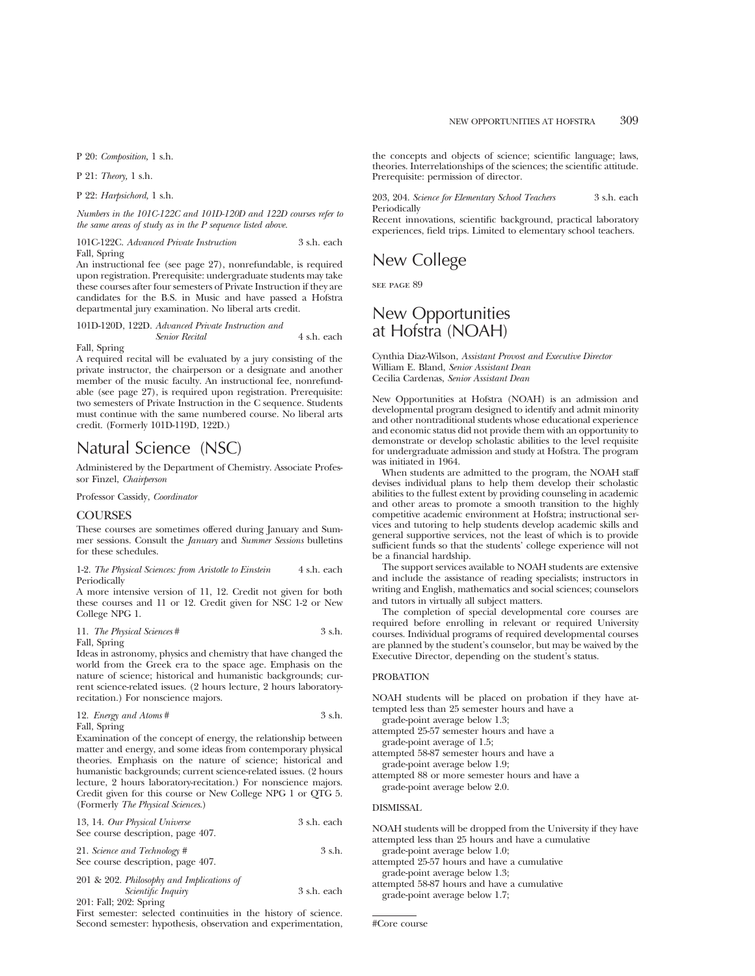P 20: *Composition,* 1 s.h.

P 21: *Theory,* 1 s.h.

P 22: *Harpsichord,* 1 s.h.

*Numbers in the 101C-122C and 101D-120D and 122D courses refer to the same areas of study as in the P sequence listed above.*

101C-122C. *Advanced Private Instruction* 3 s.h. each Fall, Spring

An instructional fee (see page 27), nonrefundable, is required upon registration. Prerequisite: undergraduate students may take these courses after four semesters of Private Instruction if they are candidates for the B.S. in Music and have passed a Hofstra departmental jury examination. No liberal arts credit.

101D-120D, 122D. *Advanced Private Instruction and Senior Recital* 4 s.h. each

Fall, Spring

A required recital will be evaluated by a jury consisting of the private instructor, the chairperson or a designate and another member of the music faculty. An instructional fee, nonrefundable (see page 27), is required upon registration. Prerequisite: two semesters of Private Instruction in the C sequence. Students must continue with the same numbered course. No liberal arts credit. (Formerly 101D-119D, 122D.)

# Natural Science (NSC)

Administered by the Department of Chemistry. Associate Professor Finzel, *Chairperson*

Professor Cassidy, *Coordinator*

#### **COURSES**

These courses are sometimes offered during January and Summer sessions. Consult the *January* and *Summer Sessions* bulletins for these schedules.

1-2. *The Physical Sciences: from Aristotle to Einstein* 4 s.h. each **Periodically** 

A more intensive version of 11, 12. Credit not given for both these courses and 11 or 12. Credit given for NSC 1-2 or New College NPG 1.

11. *The Physical Sciences* # 3 s.h. Fall, Spring

Ideas in astronomy, physics and chemistry that have changed the world from the Greek era to the space age. Emphasis on the nature of science; historical and humanistic backgrounds; current science-related issues. (2 hours lecture, 2 hours laboratoryrecitation.) For nonscience majors.

| 12. Energy and Atoms # | 3 s.h. |
|------------------------|--------|
| Fall, Spring           |        |

Examination of the concept of energy, the relationship between matter and energy, and some ideas from contemporary physical theories. Emphasis on the nature of science; historical and humanistic backgrounds; current science-related issues. (2 hours lecture, 2 hours laboratory-recitation.) For nonscience majors. Credit given for this course or New College NPG 1 or QTG 5. (Formerly *The Physical Sciences*.)

| 13, 14. Our Physical Universe     | 3 s.h. each |
|-----------------------------------|-------------|
| See course description, page 407. |             |

21. *Science and Technology* # 3 s.h. See course description, page 407.

201 & 202. *Philosophy and Implications of Scientific Inquiry* 3 s.h. each 201: Fall; 202: Spring

First semester: selected continuities in the history of science. Second semester: hypothesis, observation and experimentation,

the concepts and objects of science; scientific language; laws, theories. Interrelationships of the sciences; the scientific attitude. Prerequisite: permission of director.

203, 204. *Science for Elementary School Teachers* 3 s.h. each Periodically

Recent innovations, scientific background, practical laboratory experiences, field trips. Limited to elementary school teachers.

# New College

see page 89

## New Opportunities at Hofstra (NOAH)

Cynthia Diaz-Wilson, *Assistant Provost and Executive Director* William E. Bland, *Senior Assistant Dean* Cecilia Cardenas, *Senior Assistant Dean*

New Opportunities at Hofstra (NOAH) is an admission and developmental program designed to identify and admit minority and other nontraditional students whose educational experience and economic status did not provide them with an opportunity to demonstrate or develop scholastic abilities to the level requisite for undergraduate admission and study at Hofstra. The program was initiated in 1964.

When students are admitted to the program, the NOAH staff devises individual plans to help them develop their scholastic abilities to the fullest extent by providing counseling in academic and other areas to promote a smooth transition to the highly competitive academic environment at Hofstra; instructional services and tutoring to help students develop academic skills and general supportive services, not the least of which is to provide sufficient funds so that the students' college experience will not be a financial hardship.

The support services available to NOAH students are extensive and include the assistance of reading specialists; instructors in writing and English, mathematics and social sciences; counselors and tutors in virtually all subject matters.

The completion of special developmental core courses are required before enrolling in relevant or required University courses. Individual programs of required developmental courses are planned by the student's counselor, but may be waived by the Executive Director, depending on the student's status.

#### PROBATION

NOAH students will be placed on probation if they have attempted less than 25 semester hours and have a

grade-point average below 1.3;

attempted 25-57 semester hours and have a grade-point average of 1.5;

attempted 58-87 semester hours and have a grade-point average below 1.9;

attempted 88 or more semester hours and have a grade-point average below 2.0.

#### DISMISSAL

NOAH students will be dropped from the University if they have attempted less than 25 hours and have a cumulative grade-point average below 1.0;

attempted 25-57 hours and have a cumulative grade-point average below 1.3;

attempted 58-87 hours and have a cumulative grade-point average below 1.7;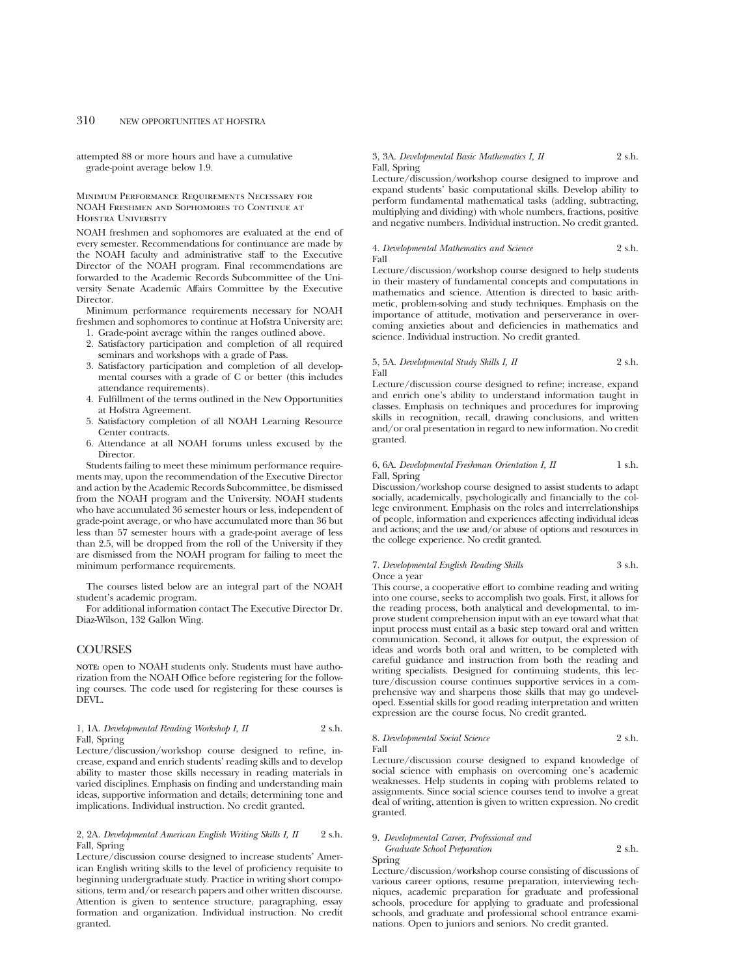attempted 88 or more hours and have a cumulative grade-point average below 1.9.

Minimum Performance Requirements Necessary for NOAH Freshmen and Sophomores to Continue at Hofstra University

NOAH freshmen and sophomores are evaluated at the end of every semester. Recommendations for continuance are made by the NOAH faculty and administrative staff to the Executive Director of the NOAH program. Final recommendations are forwarded to the Academic Records Subcommittee of the University Senate Academic Affairs Committee by the Executive Director.

Minimum performance requirements necessary for NOAH freshmen and sophomores to continue at Hofstra University are:

- 1. Grade-point average within the ranges outlined above.
- 2. Satisfactory participation and completion of all required seminars and workshops with a grade of Pass.
- 3. Satisfactory participation and completion of all developmental courses with a grade of C or better (this includes attendance requirements).
- 4. Fulfillment of the terms outlined in the New Opportunities at Hofstra Agreement.
- 5. Satisfactory completion of all NOAH Learning Resource Center contracts.
- 6. Attendance at all NOAH forums unless excused by the Director.

Students failing to meet these minimum performance requirements may, upon the recommendation of the Executive Director and action by the Academic Records Subcommittee, be dismissed from the NOAH program and the University. NOAH students who have accumulated 36 semester hours or less, independent of grade-point average, or who have accumulated more than 36 but less than 57 semester hours with a grade-point average of less than 2.5, will be dropped from the roll of the University if they are dismissed from the NOAH program for failing to meet the minimum performance requirements.

The courses listed below are an integral part of the NOAH student's academic program.

For additional information contact The Executive Director Dr. Diaz-Wilson, 132 Gallon Wing.

## COURSES

**NOTE:** open to NOAH students only. Students must have authorization from the NOAH Office before registering for the following courses. The code used for registering for these courses is DEVL.

#### 1, 1A. *Developmental Reading Workshop I, II* 2 s.h. Fall, Spring

Lecture/discussion/workshop course designed to refine, increase, expand and enrich students' reading skills and to develop ability to master those skills necessary in reading materials in varied disciplines. Emphasis on finding and understanding main ideas, supportive information and details; determining tone and implications. Individual instruction. No credit granted.

### 2, 2A. *Developmental American English Writing Skills I, II* 2 s.h. Fall, Spring

Lecture/discussion course designed to increase students' American English writing skills to the level of proficiency requisite to beginning undergraduate study. Practice in writing short compositions, term and/or research papers and other written discourse. Attention is given to sentence structure, paragraphing, essay formation and organization. Individual instruction. No credit granted.

#### 3, 3A. *Developmental Basic Mathematics I, II* 2 s.h. Fall, Spring

Lecture/discussion/workshop course designed to improve and expand students' basic computational skills. Develop ability to perform fundamental mathematical tasks (adding, subtracting, multiplying and dividing) with whole numbers, fractions, positive and negative numbers. Individual instruction. No credit granted.

#### 4. *Developmental Mathematics and Science* 2 s.h. Fall

Lecture/discussion/workshop course designed to help students in their mastery of fundamental concepts and computations in mathematics and science. Attention is directed to basic arithmetic, problem-solving and study techniques. Emphasis on the importance of attitude, motivation and perserverance in overcoming anxieties about and deficiencies in mathematics and science. Individual instruction. No credit granted.

#### 5, 5A. *Developmental Study Skills I, II* 2 s.h. Fall

Lecture/discussion course designed to refine; increase, expand and enrich one's ability to understand information taught in classes. Emphasis on techniques and procedures for improving skills in recognition, recall, drawing conclusions, and written and/or oral presentation in regard to new information. No credit granted.

#### 6, 6A. *Developmental Freshman Orientation I, II* 1 s.h. Fall, Spring

Discussion/workshop course designed to assist students to adapt socially, academically, psychologically and financially to the college environment. Emphasis on the roles and interrelationships of people, information and experiences affecting individual ideas and actions; and the use and/or abuse of options and resources in the college experience. No credit granted.

#### 7. *Developmental English Reading Skills* 3 s.h. Once a year

This course, a cooperative effort to combine reading and writing into one course, seeks to accomplish two goals. First, it allows for the reading process, both analytical and developmental, to improve student comprehension input with an eye toward what that input process must entail as a basic step toward oral and written communication. Second, it allows for output, the expression of ideas and words both oral and written, to be completed with careful guidance and instruction from both the reading and writing specialists. Designed for continuing students, this lecture/discussion course continues supportive services in a comprehensive way and sharpens those skills that may go undeveloped. Essential skills for good reading interpretation and written expression are the course focus. No credit granted.

#### 8. *Developmental Social Science* 2 s.h. Fall

Lecture/discussion course designed to expand knowledge of social science with emphasis on overcoming one's academic weaknesses. Help students in coping with problems related to assignments. Since social science courses tend to involve a great deal of writing, attention is given to written expression. No credit granted.

## 9. *Developmental Career, Professional and*

*Graduate School Preparation* 2 s.h. Spring

Lecture/discussion/workshop course consisting of discussions of various career options, resume preparation, interviewing techniques, academic preparation for graduate and professional schools, procedure for applying to graduate and professional schools, and graduate and professional school entrance examinations. Open to juniors and seniors. No credit granted.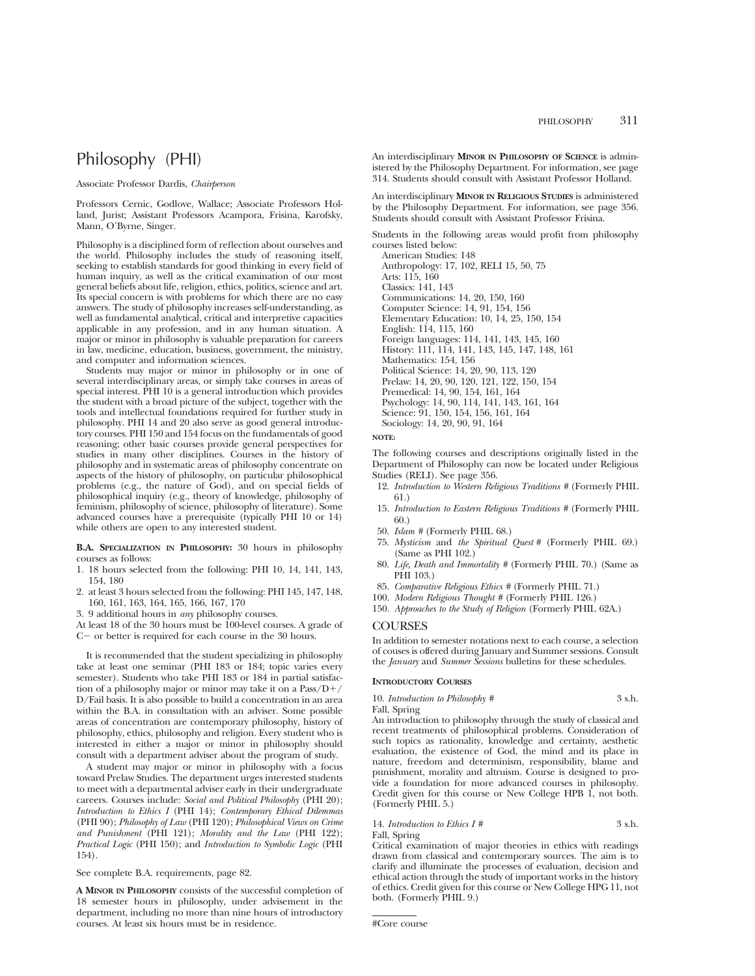# Philosophy (PHI)

#### Associate Professor Dardis, *Chairperson*

Professors Cernic, Godlove, Wallace; Associate Professors Holland, Jurist; Assistant Professors Acampora, Frisina, Karofsky, Mann, O'Byrne, Singer.

Philosophy is a disciplined form of reflection about ourselves and the world. Philosophy includes the study of reasoning itself, seeking to establish standards for good thinking in every field of human inquiry, as well as the critical examination of our most general beliefs about life, religion, ethics, politics, science and art. Its special concern is with problems for which there are no easy answers. The study of philosophy increases self-understanding, as well as fundamental analytical, critical and interpretive capacities applicable in any profession, and in any human situation. A major or minor in philosophy is valuable preparation for careers in law, medicine, education, business, government, the ministry, and computer and information sciences.

Students may major or minor in philosophy or in one of several interdisciplinary areas, or simply take courses in areas of special interest. PHI 10 is a general introduction which provides the student with a broad picture of the subject, together with the tools and intellectual foundations required for further study in philosophy. PHI 14 and 20 also serve as good general introductory courses. PHI 150 and 154 focus on the fundamentals of good reasoning; other basic courses provide general perspectives for studies in many other disciplines. Courses in the history of philosophy and in systematic areas of philosophy concentrate on aspects of the history of philosophy, on particular philosophical problems (e.g., the nature of God), and on special fields of philosophical inquiry (e.g., theory of knowledge, philosophy of feminism, philosophy of science, philosophy of literature). Some advanced courses have a prerequisite (typically PHI 10 or 14) while others are open to any interested student.

**B.A. SPECIALIZATION IN PHILOSOPHY:** 30 hours in philosophy courses as follows:

- 1. 18 hours selected from the following: PHI 10, 14, 141, 143, 154, 180
- 2. at least 3 hours selected from the following: PHI 145, 147, 148, 160, 161, 163, 164, 165, 166, 167, 170
- 3. 9 additional hours in *any* philosophy courses.
- At least 18 of the 30 hours must be 100-level courses. A grade of  $C-$  or better is required for each course in the 30 hours.
- It is recommended that the student specializing in philosophy take at least one seminar (PHI 183 or 184; topic varies every semester). Students who take PHI 183 or 184 in partial satisfaction of a philosophy major or minor may take it on a Pass/ $D+/$ D/Fail basis. It is also possible to build a concentration in an area within the B.A. in consultation with an adviser. Some possible areas of concentration are contemporary philosophy, history of philosophy, ethics, philosophy and religion. Every student who is interested in either a major or minor in philosophy should consult with a department adviser about the program of study.

A student may major or minor in philosophy with a focus toward Prelaw Studies. The department urges interested students to meet with a departmental adviser early in their undergraduate careers. Courses include: *Social and Political Philosophy* (PHI 20); *Introduction to Ethics I* (PHI 14); *Contemporary Ethical Dilemmas* (PHI 90); *Philosophy of Law* (PHI 120); *Philosophical Views on Crime and Punishment* (PHI 121); *Morality and the Law* (PHI 122); *Practical Logic* (PHI 150); and *Introduction to Symbolic Logic* (PHI 154).

See complete B.A. requirements, page 82.

**A MINOR IN PHILOSOPHY** consists of the successful completion of 18 semester hours in philosophy, under advisement in the department, including no more than nine hours of introductory courses. At least six hours must be in residence.

An interdisciplinary **MINOR IN PHILOSOPHY OF SCIENCE** is administered by the Philosophy Department. For information, see page 314. Students should consult with Assistant Professor Holland.

An interdisciplinary **MINOR IN RELIGIOUS STUDIES** is administered by the Philosophy Department. For information, see page 356. Students should consult with Assistant Professor Frisina.

Students in the following areas would profit from philosophy courses listed below:

American Studies: 148 Anthropology: 17, 102, RELI 15, 50, 75 Arts: 115, 160 Classics: 141, 143 Communications: 14, 20, 150, 160 Computer Science: 14, 91, 154, 156 Elementary Education: 10, 14, 25, 150, 154 English: 114, 115, 160 Foreign languages: 114, 141, 143, 145, 160 History: 111, 114, 141, 143, 145, 147, 148, 161 Mathematics: 154, 156 Political Science: 14, 20, 90, 113, 120 Prelaw: 14, 20, 90, 120, 121, 122, 150, 154 Premedical: 14, 90, 154, 161, 164 Psychology: 14, 90, 114, 141, 143, 161, 164 Science: 91, 150, 154, 156, 161, 164 Sociology: 14, 20, 90, 91, 164

#### **NOTE:**

The following courses and descriptions originally listed in the Department of Philosophy can now be located under Religious Studies (RELI). See page 356.

- 12. *Introduction to Western Religious Traditions #* (Formerly PHIL 61.)
- 15. *Introduction to Eastern Religious Traditions #* (Formerly PHIL 60.)
- 50. *Islam #* (Formerly PHIL 68.)
- 75. *Mysticism* and *the Spiritual Quest #* (Formerly PHIL 69.) (Same as PHI 102.)
- 80. *Life, Death and Immortality #* (Formerly PHIL 70.) (Same as PHI 103.)
- 85. *Comparative Religious Ethics #* (Formerly PHIL 71.)
- 100. *Modern Religious Thought #* (Formerly PHIL 126.)
- 150. *Approaches to the Study of Religion* (Formerly PHIL 62A.)

## **COURSES**

In addition to semester notations next to each course, a selection of couses is offered during January and Summer sessions. Consult the *January* and *Summer Sessions* bulletins for these schedules.

## **INTRODUCTORY COURSES**

10. *Introduction to Philosophy* # 3 s.h.

Fall, Spring

An introduction to philosophy through the study of classical and recent treatments of philosophical problems. Consideration of such topics as rationality, knowledge and certainty, aesthetic evaluation, the existence of God, the mind and its place in nature, freedom and determinism, responsibility, blame and punishment, morality and altruism. Course is designed to provide a foundation for more advanced courses in philosophy. Credit given for this course or New College HPB 1, not both. (Formerly PHIL 5.)

#### 14. *Introduction to Ethics I #*  $3 \text{ s.h.}$ Fall, Spring

Critical examination of major theories in ethics with readings drawn from classical and contemporary sources. The aim is to clarify and illuminate the processes of evaluation, decision and ethical action through the study of important works in the history of ethics. Credit given for this course or New College HPG 11, not both. (Formerly PHIL 9.)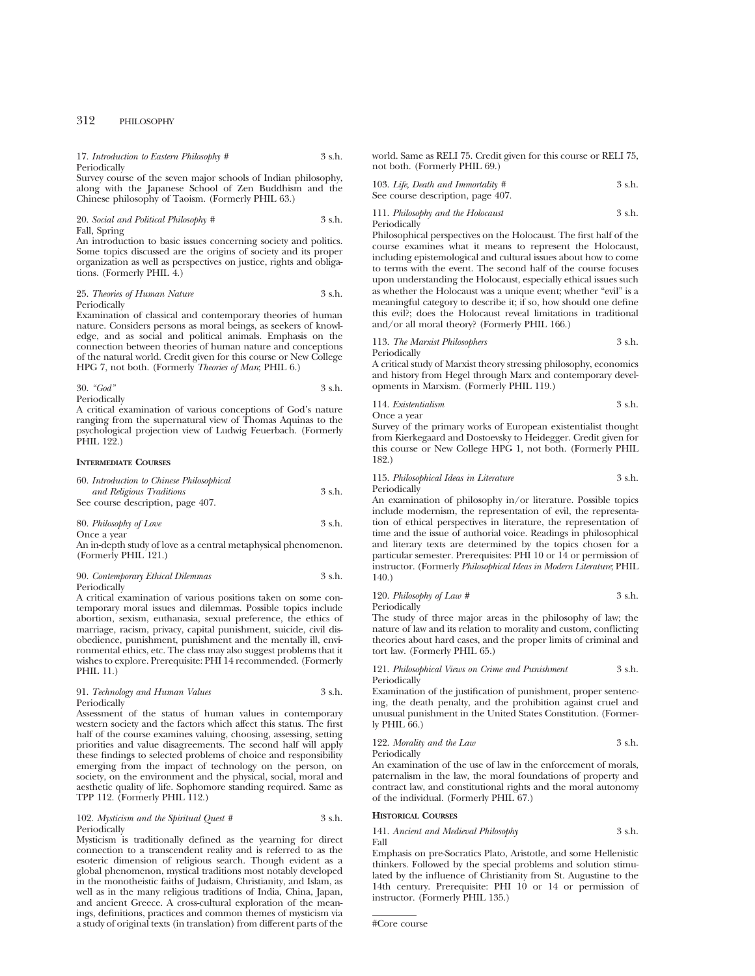17. *Introduction to Eastern Philosophy #* 3 s.h. Periodically

Survey course of the seven major schools of Indian philosophy, along with the Japanese School of Zen Buddhism and the Chinese philosophy of Taoism. (Formerly PHIL 63.)

20. *Social and Political Philosophy #* 3 s.h. Fall, Spring

An introduction to basic issues concerning society and politics. Some topics discussed are the origins of society and its proper organization as well as perspectives on justice, rights and obligations. (Formerly PHIL 4.)

#### 25. *Theories of Human Nature* 3 s.h. Periodically

Examination of classical and contemporary theories of human nature. Considers persons as moral beings, as seekers of knowledge, and as social and political animals. Emphasis on the connection between theories of human nature and conceptions of the natural world. Credit given for this course or New College HPG 7, not both. (Formerly *Theories of Man*; PHIL 6.)

38.4. 
$$
3 \, \text{S} \cdot \text{S} \cdot \text{S}
$$

\n39.5.  $3 \, \text{S} \cdot \text{S}$ 

A critical examination of various conceptions of God's nature ranging from the supernatural view of Thomas Aquinas to the psychological projection view of Ludwig Feuerbach. (Formerly PHIL 122.)

#### **INTERMEDIATE COURSES**

| 60. Introduction to Chinese Philosophical |        |
|-------------------------------------------|--------|
| and Religious Traditions                  | 3 s.h. |
| See course description, page 407.         |        |
|                                           |        |

| 80. Philosophy of Love | 3 s.h. |
|------------------------|--------|
| Once a year            |        |

An in-depth study of love as a central metaphysical phenomenon. (Formerly PHIL 121.)

#### 90. *Contemporary Ethical Dilemmas* 3 s.h. Periodically

A critical examination of various positions taken on some contemporary moral issues and dilemmas. Possible topics include abortion, sexism, euthanasia, sexual preference, the ethics of marriage, racism, privacy, capital punishment, suicide, civil disobedience, punishment, punishment and the mentally ill, environmental ethics, etc. The class may also suggest problems that it wishes to explore. Prerequisite: PHI 14 recommended. (Formerly PHIL 11.)

#### 91. *Technology and Human Values* 3 s.h. Periodically

Assessment of the status of human values in contemporary western society and the factors which affect this status. The first half of the course examines valuing, choosing, assessing, setting priorities and value disagreements. The second half will apply these findings to selected problems of choice and responsibility emerging from the impact of technology on the person, on society, on the environment and the physical, social, moral and aesthetic quality of life. Sophomore standing required. Same as TPP 112. (Formerly PHIL 112.)

#### 102. *Mysticism and the Spiritual Quest #* 3 s.h. Periodically

Mysticism is traditionally defined as the yearning for direct connection to a transcendent reality and is referred to as the esoteric dimension of religious search. Though evident as a global phenomenon, mystical traditions most notably developed in the monotheistic faiths of Judaism, Christianity, and Islam, as well as in the many religious traditions of India, China, Japan, and ancient Greece. A cross-cultural exploration of the meanings, definitions, practices and common themes of mysticism via a study of original texts (in translation) from different parts of the world. Same as RELI 75. Credit given for this course or RELI 75, not both. (Formerly PHIL 69.)

103. *Life, Death and Immortality #* 3 s.h. See course description, page 407.

#### 111. *Philosophy and the Holocaust* 3 s.h. Periodically

Philosophical perspectives on the Holocaust. The first half of the course examines what it means to represent the Holocaust, including epistemological and cultural issues about how to come to terms with the event. The second half of the course focuses upon understanding the Holocaust, especially ethical issues such as whether the Holocaust was a unique event; whether "evil" is a meaningful category to describe it; if so, how should one define this evil?; does the Holocaust reveal limitations in traditional and/or all moral theory? (Formerly PHIL 166.)

113. *The Marxist Philosophers* 3 s.h. Periodically

A critical study of Marxist theory stressing philosophy, economics and history from Hegel through Marx and contemporary developments in Marxism. (Formerly PHIL 119.)

114. *Existentialism* 3 s.h. Once a year

Survey of the primary works of European existentialist thought from Kierkegaard and Dostoevsky to Heidegger. Credit given for this course or New College HPG 1, not both. (Formerly PHIL 182.)

### 115. *Philosophical Ideas in Literature* 3 s.h. **Periodically**

An examination of philosophy in/or literature. Possible topics include modernism, the representation of evil, the representation of ethical perspectives in literature, the representation of time and the issue of authorial voice. Readings in philosophical and literary texts are determined by the topics chosen for a particular semester. Prerequisites: PHI 10 or 14 or permission of instructor. (Formerly *Philosophical Ideas in Modern Literature*; PHIL 140.)

120. *Philosophy of Law #* 3 s.h. Periodically

The study of three major areas in the philosophy of law; the nature of law and its relation to morality and custom, conflicting theories about hard cases, and the proper limits of criminal and tort law. (Formerly PHIL 65.)

121. *Philosophical Views on Crime and Punishment* 3 s.h. Periodically

Examination of the justification of punishment, proper sentencing, the death penalty, and the prohibition against cruel and unusual punishment in the United States Constitution. (Formerly PHIL 66.)

122. *Morality and the Law* 3 s.h. Periodically

An examination of the use of law in the enforcement of morals, paternalism in the law, the moral foundations of property and contract law, and constitutional rights and the moral autonomy of the individual. (Formerly PHIL 67.)

#### **HISTORICAL COURSES**

#### 141. *Ancient and Medieval Philosophy* 3 s.h. Fall

Emphasis on pre-Socratics Plato, Aristotle, and some Hellenistic thinkers. Followed by the special problems and solution stimulated by the influence of Christianity from St. Augustine to the 14th century. Prerequisite: PHI 10 or 14 or permission of instructor. (Formerly PHIL 135.)